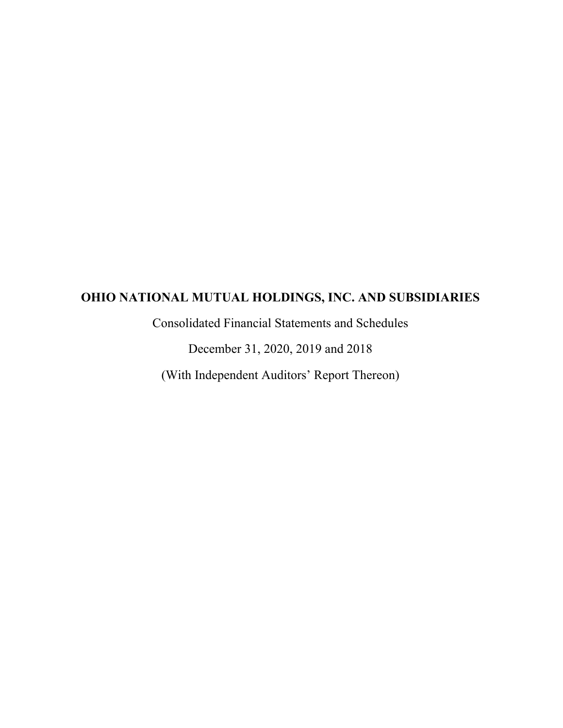Consolidated Financial Statements and Schedules

December 31, 2020, 2019 and 2018

(With Independent Auditors' Report Thereon)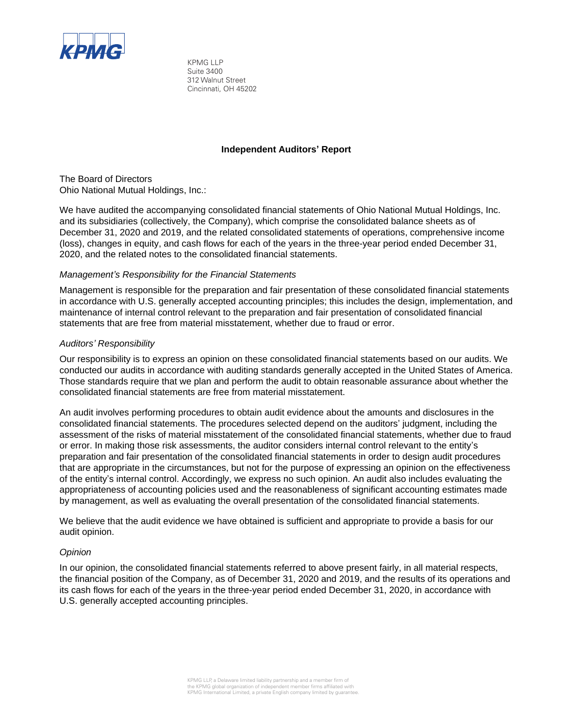

KPMG LLP Suite 3400 312 Walnut Street Cincinnati, OH 45202

#### **Independent Auditors' Report**

The Board of Directors Ohio National Mutual Holdings, Inc.:

We have audited the accompanying consolidated financial statements of Ohio National Mutual Holdings, Inc. and its subsidiaries (collectively, the Company), which comprise the consolidated balance sheets as of December 31, 2020 and 2019, and the related consolidated statements of operations, comprehensive income (loss), changes in equity, and cash flows for each of the years in the three-year period ended December 31, 2020, and the related notes to the consolidated financial statements.

#### *Management's Responsibility for the Financial Statements*

Management is responsible for the preparation and fair presentation of these consolidated financial statements in accordance with U.S. generally accepted accounting principles; this includes the design, implementation, and maintenance of internal control relevant to the preparation and fair presentation of consolidated financial statements that are free from material misstatement, whether due to fraud or error.

### *Auditors' Responsibility*

Our responsibility is to express an opinion on these consolidated financial statements based on our audits. We conducted our audits in accordance with auditing standards generally accepted in the United States of America. Those standards require that we plan and perform the audit to obtain reasonable assurance about whether the consolidated financial statements are free from material misstatement.

An audit involves performing procedures to obtain audit evidence about the amounts and disclosures in the consolidated financial statements. The procedures selected depend on the auditors' judgment, including the assessment of the risks of material misstatement of the consolidated financial statements, whether due to fraud or error. In making those risk assessments, the auditor considers internal control relevant to the entity's preparation and fair presentation of the consolidated financial statements in order to design audit procedures that are appropriate in the circumstances, but not for the purpose of expressing an opinion on the effectiveness of the entity's internal control. Accordingly, we express no such opinion. An audit also includes evaluating the appropriateness of accounting policies used and the reasonableness of significant accounting estimates made by management, as well as evaluating the overall presentation of the consolidated financial statements.

We believe that the audit evidence we have obtained is sufficient and appropriate to provide a basis for our audit opinion.

#### *Opinion*

In our opinion, the consolidated financial statements referred to above present fairly, in all material respects, the financial position of the Company, as of December 31, 2020 and 2019, and the results of its operations and its cash flows for each of the years in the three-year period ended December 31, 2020, in accordance with U.S. generally accepted accounting principles.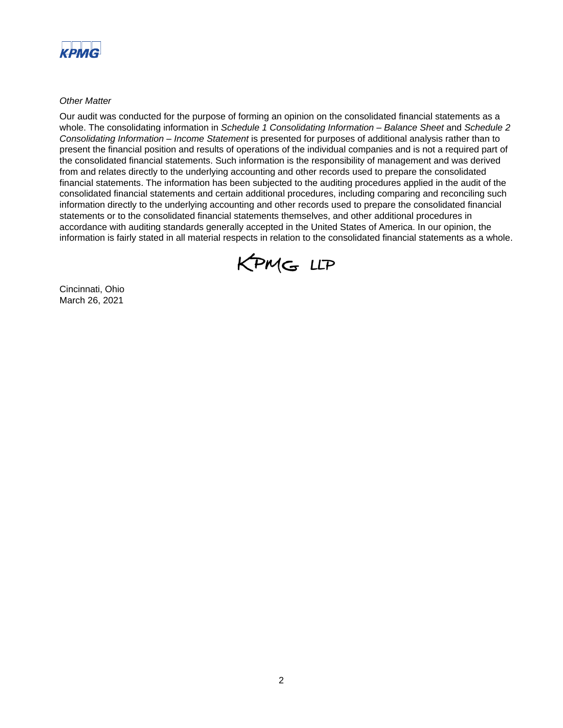

*Other Matter*

Our audit was conducted for the purpose of forming an opinion on the consolidated financial statements as a whole. The consolidating information in *Schedule 1 Consolidating Information – Balance Sheet* and *Schedule 2 Consolidating Information – Income Statement* is presented for purposes of additional analysis rather than to present the financial position and results of operations of the individual companies and is not a required part of the consolidated financial statements. Such information is the responsibility of management and was derived from and relates directly to the underlying accounting and other records used to prepare the consolidated financial statements. The information has been subjected to the auditing procedures applied in the audit of the consolidated financial statements and certain additional procedures, including comparing and reconciling such information directly to the underlying accounting and other records used to prepare the consolidated financial statements or to the consolidated financial statements themselves, and other additional procedures in accordance with auditing standards generally accepted in the United States of America. In our opinion, the information is fairly stated in all material respects in relation to the consolidated financial statements as a whole.



Cincinnati, Ohio March 26, 2021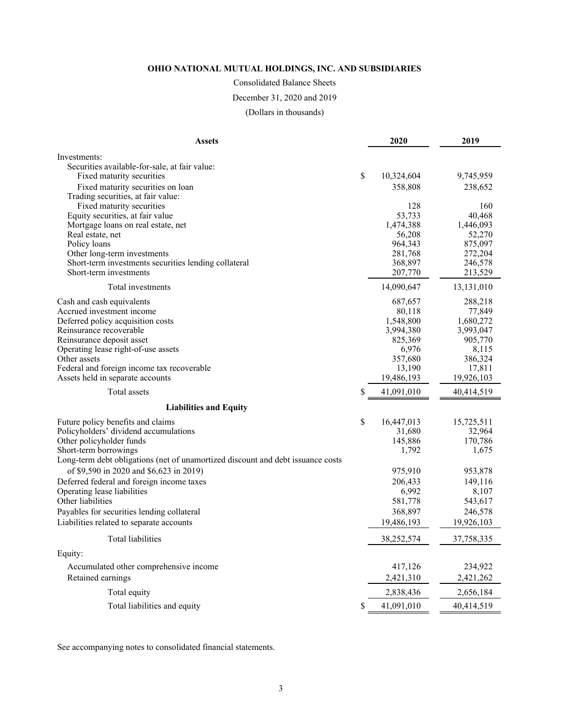# Consolidated Balance Sheets

### December 31, 2020 and 2019

(Dollars in thousands)

| <b>Assets</b>                                                                   | 2020              | 2019              |
|---------------------------------------------------------------------------------|-------------------|-------------------|
| Investments:                                                                    |                   |                   |
| Securities available-for-sale, at fair value:                                   |                   |                   |
| Fixed maturity securities                                                       | \$<br>10,324,604  | 9,745,959         |
| Fixed maturity securities on loan                                               | 358,808           | 238,652           |
| Trading securities, at fair value:                                              |                   |                   |
| Fixed maturity securities                                                       | 128               | 160               |
| Equity securities, at fair value                                                | 53,733            | 40,468            |
| Mortgage loans on real estate, net                                              | 1,474,388         | 1,446,093         |
| Real estate, net<br>Policy loans                                                | 56,208<br>964,343 | 52,270<br>875,097 |
| Other long-term investments                                                     | 281,768           | 272,204           |
| Short-term investments securities lending collateral                            | 368,897           | 246,578           |
| Short-term investments                                                          | 207,770           | 213,529           |
| Total investments                                                               | 14,090,647        | 13,131,010        |
| Cash and cash equivalents                                                       | 687,657           | 288,218           |
| Accrued investment income                                                       | 80,118            | 77,849            |
| Deferred policy acquisition costs                                               | 1,548,800         | 1,680,272         |
| Reinsurance recoverable                                                         | 3,994,380         | 3,993,047         |
| Reinsurance deposit asset                                                       | 825,369           | 905,770           |
| Operating lease right-of-use assets                                             | 6,976             | 8,115             |
| Other assets                                                                    | 357,680           | 386,324           |
| Federal and foreign income tax recoverable                                      | 13,190            | 17,811            |
| Assets held in separate accounts                                                | 19,486,193        | 19,926,103        |
| Total assets                                                                    | \$<br>41,091,010  | 40,414,519        |
| <b>Liabilities and Equity</b>                                                   |                   |                   |
| Future policy benefits and claims                                               | \$<br>16,447,013  | 15,725,511        |
| Policyholders' dividend accumulations                                           | 31,680            | 32,964            |
| Other policyholder funds                                                        | 145,886           | 170,786           |
| Short-term borrowings                                                           | 1,792             | 1,675             |
| Long-term debt obligations (net of unamortized discount and debt issuance costs |                   |                   |
| of \$9,590 in 2020 and \$6,623 in 2019)                                         | 975,910           | 953,878           |
| Deferred federal and foreign income taxes                                       | 206,433           | 149,116           |
| Operating lease liabilities                                                     | 6,992             | 8,107             |
| Other liabilities                                                               | 581,778           | 543,617           |
| Payables for securities lending collateral                                      | 368,897           | 246,578           |
| Liabilities related to separate accounts                                        | 19,486,193        | 19,926,103        |
| Total liabilities                                                               | 38,252,574        | 37,758,335        |
| Equity:                                                                         |                   |                   |
| Accumulated other comprehensive income                                          | 417,126           | 234,922           |
| Retained earnings                                                               | 2,421,310         | 2,421,262         |
| Total equity                                                                    | 2,838,436         | 2,656,184         |
| Total liabilities and equity                                                    | \$<br>41,091,010  | 40,414,519        |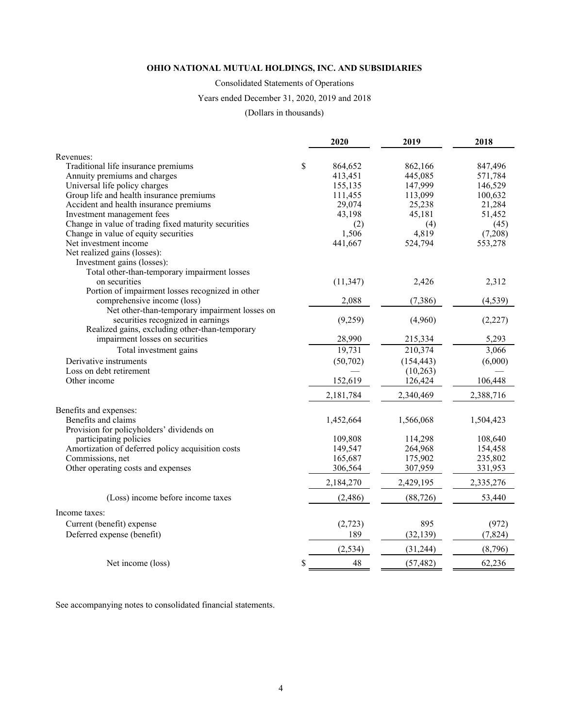Consolidated Statements of Operations

Years ended December 31, 2020, 2019 and 2018

(Dollars in thousands)

|                                                      | 2020          | 2019       | 2018      |
|------------------------------------------------------|---------------|------------|-----------|
| Revenues:                                            |               |            |           |
| Traditional life insurance premiums                  | \$<br>864,652 | 862,166    | 847,496   |
| Annuity premiums and charges                         | 413,451       | 445,085    | 571,784   |
| Universal life policy charges                        | 155,135       | 147,999    | 146,529   |
| Group life and health insurance premiums             | 111,455       | 113,099    | 100,632   |
| Accident and health insurance premiums               | 29,074        | 25,238     | 21,284    |
| Investment management fees                           | 43,198        | 45,181     | 51,452    |
| Change in value of trading fixed maturity securities | (2)           | (4)        | (45)      |
| Change in value of equity securities                 | 1,506         | 4,819      | (7,208)   |
| Net investment income                                | 441,667       | 524,794    | 553,278   |
| Net realized gains (losses):                         |               |            |           |
| Investment gains (losses):                           |               |            |           |
| Total other-than-temporary impairment losses         |               |            |           |
| on securities                                        | (11, 347)     | 2,426      | 2,312     |
| Portion of impairment losses recognized in other     |               |            |           |
| comprehensive income (loss)                          | 2,088         | (7, 386)   | (4, 539)  |
| Net other-than-temporary impairment losses on        |               |            |           |
| securities recognized in earnings                    | (9,259)       | (4,960)    | (2,227)   |
| Realized gains, excluding other-than-temporary       |               |            |           |
| impairment losses on securities                      | 28,990        | 215,334    | 5,293     |
| Total investment gains                               | 19,731        | 210,374    | 3,066     |
| Derivative instruments                               | (50, 702)     | (154, 443) | (6,000)   |
| Loss on debt retirement                              |               | (10,263)   |           |
| Other income                                         | 152,619       | 126,424    | 106,448   |
|                                                      | 2,181,784     | 2,340,469  | 2,388,716 |
| Benefits and expenses:                               |               |            |           |
| Benefits and claims                                  | 1,452,664     | 1,566,068  | 1,504,423 |
| Provision for policyholders' dividends on            |               |            |           |
| participating policies                               | 109,808       | 114,298    | 108,640   |
| Amortization of deferred policy acquisition costs    | 149,547       | 264,968    | 154,458   |
| Commissions, net                                     | 165,687       | 175,902    | 235,802   |
| Other operating costs and expenses                   | 306,564       | 307,959    | 331,953   |
|                                                      | 2,184,270     | 2,429,195  | 2,335,276 |
| (Loss) income before income taxes                    | (2,486)       | (88, 726)  | 53,440    |
| Income taxes:                                        |               |            |           |
| Current (benefit) expense                            | (2,723)       | 895        | (972)     |
| Deferred expense (benefit)                           | 189           | (32, 139)  | (7, 824)  |
|                                                      | (2, 534)      | (31, 244)  | (8,796)   |
|                                                      |               |            |           |
| Net income (loss)                                    | \$<br>48      | (57, 482)  | 62,236    |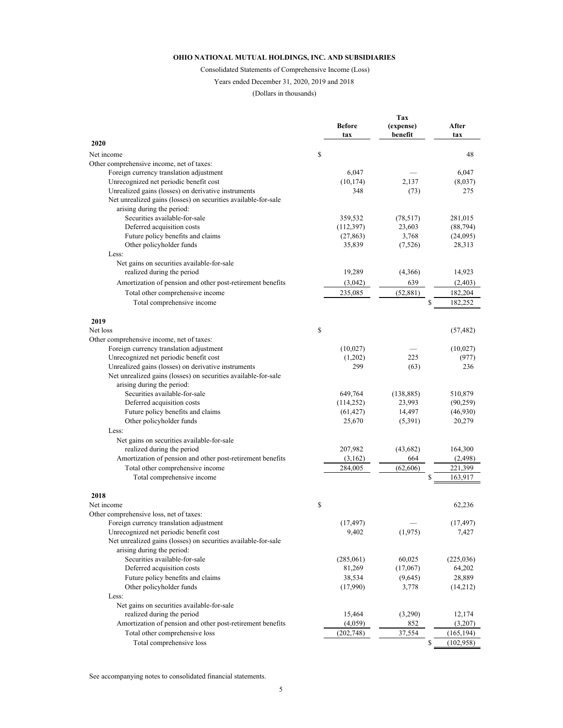Consolidated Statements of Comprehensive Income (Loss)

#### Years ended December 31, 2020, 2019 and 2018

(Dollars in thousands)

|                                                                                              |               | Tax        |            |
|----------------------------------------------------------------------------------------------|---------------|------------|------------|
|                                                                                              | <b>Before</b> | (expense)  | After      |
| 2020                                                                                         | tax           | benefit    | tax        |
| Net income                                                                                   | \$            |            | 48         |
| Other comprehensive income, net of taxes:                                                    |               |            |            |
| Foreign currency translation adjustment                                                      | 6,047         |            | 6,047      |
| Unrecognized net periodic benefit cost                                                       | (10, 174)     | 2,137      | (8,037)    |
| Unrealized gains (losses) on derivative instruments                                          | 348           | (73)       | 275        |
| Net unrealized gains (losses) on securities available-for-sale                               |               |            |            |
| arising during the period:                                                                   |               |            |            |
| Securities available-for-sale                                                                | 359,532       | (78, 517)  | 281,015    |
| Deferred acquisition costs                                                                   | (112,397)     | 23,603     | (88, 794)  |
| Future policy benefits and claims                                                            | (27, 863)     | 3,768      | (24,095)   |
| Other policyholder funds                                                                     | 35,839        | (7,526)    | 28,313     |
| Less:                                                                                        |               |            |            |
| Net gains on securities available-for-sale                                                   |               |            |            |
| realized during the period                                                                   | 19,289        | (4,366)    | 14,923     |
| Amortization of pension and other post-retirement benefits                                   | (3,042)       | 639        | (2,403)    |
| Total other comprehensive income                                                             | 235,085       | (52, 881)  | 182,204    |
| Total comprehensive income                                                                   |               | \$         | 182,252    |
|                                                                                              |               |            |            |
| 2019                                                                                         |               |            |            |
| Net loss                                                                                     | \$            |            | (57, 482)  |
| Other comprehensive income, net of taxes:<br>Foreign currency translation adjustment         | (10,027)      |            | (10,027)   |
| Unrecognized net periodic benefit cost                                                       | (1,202)       | 225        | (977)      |
| Unrealized gains (losses) on derivative instruments                                          | 299           | (63)       | 236        |
| Net unrealized gains (losses) on securities available-for-sale                               |               |            |            |
| arising during the period:                                                                   |               |            |            |
| Securities available-for-sale                                                                | 649,764       | (138, 885) | 510,879    |
| Deferred acquisition costs                                                                   | (114, 252)    | 23,993     | (90, 259)  |
| Future policy benefits and claims                                                            | (61, 427)     | 14,497     | (46,930)   |
| Other policyholder funds                                                                     | 25,670        | (5,391)    | 20,279     |
| Less:                                                                                        |               |            |            |
| Net gains on securities available-for-sale                                                   |               |            |            |
| realized during the period                                                                   | 207,982       | (43, 682)  | 164,300    |
| Amortization of pension and other post-retirement benefits                                   | (3,162)       | 664        | (2, 498)   |
| Total other comprehensive income                                                             | 284,005       | (62, 606)  | 221,399    |
| Total comprehensive income                                                                   |               | \$         | 163,917    |
|                                                                                              |               |            |            |
| 2018                                                                                         |               |            |            |
| Net income                                                                                   | \$            |            | 62,236     |
| Other comprehensive loss, net of taxes:                                                      |               |            |            |
| Foreign currency translation adjustment                                                      | (17, 497)     |            | (17, 497)  |
| Unrecognized net periodic benefit cost                                                       | 9,402         | (1,975)    | 7,427      |
| Net unrealized gains (losses) on securities available-for-sale<br>arising during the period: |               |            |            |
| Securities available-for-sale                                                                | (285,061)     | 60,025     | (225, 036) |
| Deferred acquisition costs                                                                   | 81,269        | (17,067)   | 64,202     |
| Future policy benefits and claims                                                            | 38,534        | (9,645)    | 28,889     |
| Other policyholder funds                                                                     | (17,990)      | 3,778      |            |
| Less:                                                                                        |               |            | (14,212)   |
| Net gains on securities available-for-sale                                                   |               |            |            |
| realized during the period                                                                   | 15,464        | (3,290)    | 12,174     |
| Amortization of pension and other post-retirement benefits                                   | (4,059)       | 852        | (3,207)    |
| Total other comprehensive loss                                                               | (202, 748)    | 37,554     | (165, 194) |
| Total comprehensive loss                                                                     |               | \$         | (102,958)  |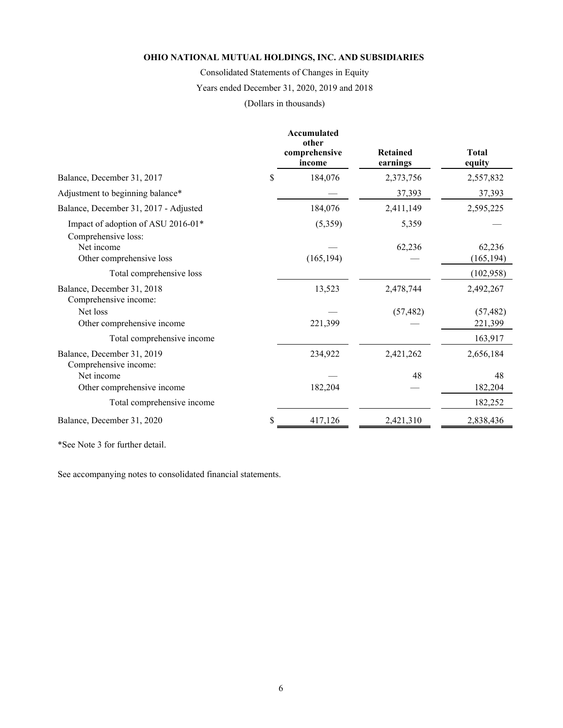Consolidated Statements of Changes in Equity

Years ended December 31, 2020, 2019 and 2018

(Dollars in thousands)

|                                                           |    | <b>Accumulated</b><br>other<br>comprehensive<br>income | <b>Retained</b><br>earnings | <b>Total</b><br>equity |
|-----------------------------------------------------------|----|--------------------------------------------------------|-----------------------------|------------------------|
| Balance, December 31, 2017                                | \$ | 184,076                                                | 2,373,756                   | 2,557,832              |
| Adjustment to beginning balance*                          |    |                                                        | 37,393                      | 37,393                 |
| Balance, December 31, 2017 - Adjusted                     |    | 184,076                                                | 2,411,149                   | 2,595,225              |
| Impact of adoption of ASU 2016-01*<br>Comprehensive loss: |    | (5,359)                                                | 5,359                       |                        |
| Net income<br>Other comprehensive loss                    |    | (165, 194)                                             | 62,236                      | 62,236<br>(165, 194)   |
| Total comprehensive loss                                  |    |                                                        |                             | (102,958)              |
| Balance, December 31, 2018<br>Comprehensive income:       |    | 13,523                                                 | 2,478,744                   | 2,492,267              |
| Net loss<br>Other comprehensive income                    |    | 221,399                                                | (57, 482)                   | (57, 482)<br>221,399   |
| Total comprehensive income                                |    |                                                        |                             | 163,917                |
| Balance, December 31, 2019<br>Comprehensive income:       |    | 234,922                                                | 2,421,262                   | 2,656,184              |
| Net income<br>Other comprehensive income                  |    | 182,204                                                | 48                          | 48<br>182,204          |
| Total comprehensive income                                |    |                                                        |                             | 182,252                |
| Balance, December 31, 2020                                | S  | 417,126                                                | 2,421,310                   | 2,838,436              |

\*See Note 3 for further detail.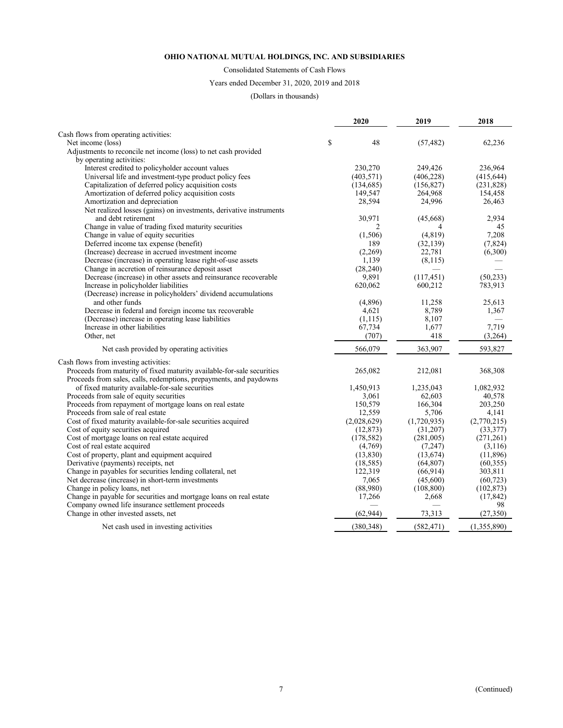#### Consolidated Statements of Cash Flows

#### Years ended December 31, 2020, 2019 and 2018

#### (Dollars in thousands)

| Cash flows from operating activities:<br>\$<br>Net income (loss)<br>48<br>(57, 482)<br>62,236<br>Adjustments to reconcile net income (loss) to net cash provided<br>by operating activities:<br>Interest credited to policyholder account values<br>230,270<br>249,426<br>236,964<br>Universal life and investment-type product policy fees<br>(403, 571)<br>(406, 228)<br>(415, 644)<br>Capitalization of deferred policy acquisition costs<br>(134, 685)<br>(156, 827)<br>(231, 828)<br>Amortization of deferred policy acquisition costs<br>149,547<br>264,968<br>154,458<br>24,996<br>Amortization and depreciation<br>28,594<br>26,463<br>Net realized losses (gains) on investments, derivative instruments<br>and debt retirement<br>30,971<br>2,934<br>(45,668)<br>Change in value of trading fixed maturity securities<br>2<br>4<br>Change in value of equity securities<br>7,208<br>(1,506)<br>(4, 819)<br>(7, 824)<br>Deferred income tax expense (benefit)<br>(32, 139)<br>189<br>(Increase) decrease in accrued investment income<br>22,781<br>(6,300)<br>(2,269)<br>Decrease (increase) in operating lease right-of-use assets<br>1,139<br>(8,115)<br>Change in accretion of reinsurance deposit asset<br>(28, 240) |    |
|-----------------------------------------------------------------------------------------------------------------------------------------------------------------------------------------------------------------------------------------------------------------------------------------------------------------------------------------------------------------------------------------------------------------------------------------------------------------------------------------------------------------------------------------------------------------------------------------------------------------------------------------------------------------------------------------------------------------------------------------------------------------------------------------------------------------------------------------------------------------------------------------------------------------------------------------------------------------------------------------------------------------------------------------------------------------------------------------------------------------------------------------------------------------------------------------------------------------------------------|----|
|                                                                                                                                                                                                                                                                                                                                                                                                                                                                                                                                                                                                                                                                                                                                                                                                                                                                                                                                                                                                                                                                                                                                                                                                                                   |    |
|                                                                                                                                                                                                                                                                                                                                                                                                                                                                                                                                                                                                                                                                                                                                                                                                                                                                                                                                                                                                                                                                                                                                                                                                                                   |    |
|                                                                                                                                                                                                                                                                                                                                                                                                                                                                                                                                                                                                                                                                                                                                                                                                                                                                                                                                                                                                                                                                                                                                                                                                                                   |    |
|                                                                                                                                                                                                                                                                                                                                                                                                                                                                                                                                                                                                                                                                                                                                                                                                                                                                                                                                                                                                                                                                                                                                                                                                                                   |    |
|                                                                                                                                                                                                                                                                                                                                                                                                                                                                                                                                                                                                                                                                                                                                                                                                                                                                                                                                                                                                                                                                                                                                                                                                                                   |    |
|                                                                                                                                                                                                                                                                                                                                                                                                                                                                                                                                                                                                                                                                                                                                                                                                                                                                                                                                                                                                                                                                                                                                                                                                                                   |    |
|                                                                                                                                                                                                                                                                                                                                                                                                                                                                                                                                                                                                                                                                                                                                                                                                                                                                                                                                                                                                                                                                                                                                                                                                                                   |    |
|                                                                                                                                                                                                                                                                                                                                                                                                                                                                                                                                                                                                                                                                                                                                                                                                                                                                                                                                                                                                                                                                                                                                                                                                                                   |    |
|                                                                                                                                                                                                                                                                                                                                                                                                                                                                                                                                                                                                                                                                                                                                                                                                                                                                                                                                                                                                                                                                                                                                                                                                                                   |    |
|                                                                                                                                                                                                                                                                                                                                                                                                                                                                                                                                                                                                                                                                                                                                                                                                                                                                                                                                                                                                                                                                                                                                                                                                                                   |    |
|                                                                                                                                                                                                                                                                                                                                                                                                                                                                                                                                                                                                                                                                                                                                                                                                                                                                                                                                                                                                                                                                                                                                                                                                                                   |    |
|                                                                                                                                                                                                                                                                                                                                                                                                                                                                                                                                                                                                                                                                                                                                                                                                                                                                                                                                                                                                                                                                                                                                                                                                                                   | 45 |
|                                                                                                                                                                                                                                                                                                                                                                                                                                                                                                                                                                                                                                                                                                                                                                                                                                                                                                                                                                                                                                                                                                                                                                                                                                   |    |
|                                                                                                                                                                                                                                                                                                                                                                                                                                                                                                                                                                                                                                                                                                                                                                                                                                                                                                                                                                                                                                                                                                                                                                                                                                   |    |
|                                                                                                                                                                                                                                                                                                                                                                                                                                                                                                                                                                                                                                                                                                                                                                                                                                                                                                                                                                                                                                                                                                                                                                                                                                   |    |
|                                                                                                                                                                                                                                                                                                                                                                                                                                                                                                                                                                                                                                                                                                                                                                                                                                                                                                                                                                                                                                                                                                                                                                                                                                   |    |
|                                                                                                                                                                                                                                                                                                                                                                                                                                                                                                                                                                                                                                                                                                                                                                                                                                                                                                                                                                                                                                                                                                                                                                                                                                   |    |
| 9,891<br>(50, 233)<br>Decrease (increase) in other assets and reinsurance recoverable<br>(117, 451)                                                                                                                                                                                                                                                                                                                                                                                                                                                                                                                                                                                                                                                                                                                                                                                                                                                                                                                                                                                                                                                                                                                               |    |
| Increase in policyholder liabilities<br>620,062<br>600,212<br>783,913                                                                                                                                                                                                                                                                                                                                                                                                                                                                                                                                                                                                                                                                                                                                                                                                                                                                                                                                                                                                                                                                                                                                                             |    |
| (Decrease) increase in policyholders' dividend accumulations                                                                                                                                                                                                                                                                                                                                                                                                                                                                                                                                                                                                                                                                                                                                                                                                                                                                                                                                                                                                                                                                                                                                                                      |    |
| and other funds<br>(4,896)<br>11,258<br>25,613                                                                                                                                                                                                                                                                                                                                                                                                                                                                                                                                                                                                                                                                                                                                                                                                                                                                                                                                                                                                                                                                                                                                                                                    |    |
| 4,621<br>8,789<br>1,367<br>Decrease in federal and foreign income tax recoverable                                                                                                                                                                                                                                                                                                                                                                                                                                                                                                                                                                                                                                                                                                                                                                                                                                                                                                                                                                                                                                                                                                                                                 |    |
| 8,107<br>(Decrease) increase in operating lease liabilities<br>(1, 115)                                                                                                                                                                                                                                                                                                                                                                                                                                                                                                                                                                                                                                                                                                                                                                                                                                                                                                                                                                                                                                                                                                                                                           |    |
| 7,719<br>Increase in other liabilities<br>67,734<br>1,677                                                                                                                                                                                                                                                                                                                                                                                                                                                                                                                                                                                                                                                                                                                                                                                                                                                                                                                                                                                                                                                                                                                                                                         |    |
| Other, net<br>(707)<br>418<br>(3,264)                                                                                                                                                                                                                                                                                                                                                                                                                                                                                                                                                                                                                                                                                                                                                                                                                                                                                                                                                                                                                                                                                                                                                                                             |    |
| 566,079<br>363,907<br>593,827<br>Net cash provided by operating activities                                                                                                                                                                                                                                                                                                                                                                                                                                                                                                                                                                                                                                                                                                                                                                                                                                                                                                                                                                                                                                                                                                                                                        |    |
| Cash flows from investing activities:                                                                                                                                                                                                                                                                                                                                                                                                                                                                                                                                                                                                                                                                                                                                                                                                                                                                                                                                                                                                                                                                                                                                                                                             |    |
| Proceeds from maturity of fixed maturity available-for-sale securities<br>265,082<br>212,081<br>368,308                                                                                                                                                                                                                                                                                                                                                                                                                                                                                                                                                                                                                                                                                                                                                                                                                                                                                                                                                                                                                                                                                                                           |    |
| Proceeds from sales, calls, redemptions, prepayments, and paydowns                                                                                                                                                                                                                                                                                                                                                                                                                                                                                                                                                                                                                                                                                                                                                                                                                                                                                                                                                                                                                                                                                                                                                                |    |
| of fixed maturity available-for-sale securities<br>1,450,913<br>1,235,043<br>1,082,932                                                                                                                                                                                                                                                                                                                                                                                                                                                                                                                                                                                                                                                                                                                                                                                                                                                                                                                                                                                                                                                                                                                                            |    |
| Proceeds from sale of equity securities<br>3,061<br>62,603<br>40,578                                                                                                                                                                                                                                                                                                                                                                                                                                                                                                                                                                                                                                                                                                                                                                                                                                                                                                                                                                                                                                                                                                                                                              |    |
| Proceeds from repayment of mortgage loans on real estate<br>166,304<br>203,250<br>150,579                                                                                                                                                                                                                                                                                                                                                                                                                                                                                                                                                                                                                                                                                                                                                                                                                                                                                                                                                                                                                                                                                                                                         |    |
| Proceeds from sale of real estate<br>12,559<br>5,706<br>4,141                                                                                                                                                                                                                                                                                                                                                                                                                                                                                                                                                                                                                                                                                                                                                                                                                                                                                                                                                                                                                                                                                                                                                                     |    |
| Cost of fixed maturity available-for-sale securities acquired<br>(2,770,215)<br>(2,028,629)<br>(1,720,935)                                                                                                                                                                                                                                                                                                                                                                                                                                                                                                                                                                                                                                                                                                                                                                                                                                                                                                                                                                                                                                                                                                                        |    |
| Cost of equity securities acquired<br>(33, 377)<br>(12, 873)<br>(31,207)                                                                                                                                                                                                                                                                                                                                                                                                                                                                                                                                                                                                                                                                                                                                                                                                                                                                                                                                                                                                                                                                                                                                                          |    |
| Cost of mortgage loans on real estate acquired<br>(178, 582)<br>(281,005)<br>(271, 261)                                                                                                                                                                                                                                                                                                                                                                                                                                                                                                                                                                                                                                                                                                                                                                                                                                                                                                                                                                                                                                                                                                                                           |    |
| Cost of real estate acquired<br>(4,769)<br>(7, 247)<br>(3,116)                                                                                                                                                                                                                                                                                                                                                                                                                                                                                                                                                                                                                                                                                                                                                                                                                                                                                                                                                                                                                                                                                                                                                                    |    |
| Cost of property, plant and equipment acquired<br>(11,896)<br>(13,830)<br>(13,674)                                                                                                                                                                                                                                                                                                                                                                                                                                                                                                                                                                                                                                                                                                                                                                                                                                                                                                                                                                                                                                                                                                                                                |    |
| Derivative (payments) receipts, net<br>(18, 585)<br>(64, 807)<br>(60, 355)                                                                                                                                                                                                                                                                                                                                                                                                                                                                                                                                                                                                                                                                                                                                                                                                                                                                                                                                                                                                                                                                                                                                                        |    |
| Change in payables for securities lending collateral, net<br>303,811<br>122,319<br>(66, 914)                                                                                                                                                                                                                                                                                                                                                                                                                                                                                                                                                                                                                                                                                                                                                                                                                                                                                                                                                                                                                                                                                                                                      |    |
| Net decrease (increase) in short-term investments<br>7,065<br>(45,600)<br>(60, 723)                                                                                                                                                                                                                                                                                                                                                                                                                                                                                                                                                                                                                                                                                                                                                                                                                                                                                                                                                                                                                                                                                                                                               |    |
| Change in policy loans, net<br>(88,980)<br>(108, 800)<br>(102, 873)                                                                                                                                                                                                                                                                                                                                                                                                                                                                                                                                                                                                                                                                                                                                                                                                                                                                                                                                                                                                                                                                                                                                                               |    |
| Change in payable for securities and mortgage loans on real estate<br>2,668<br>17,266<br>(17, 842)                                                                                                                                                                                                                                                                                                                                                                                                                                                                                                                                                                                                                                                                                                                                                                                                                                                                                                                                                                                                                                                                                                                                |    |
| Company owned life insurance settlement proceeds                                                                                                                                                                                                                                                                                                                                                                                                                                                                                                                                                                                                                                                                                                                                                                                                                                                                                                                                                                                                                                                                                                                                                                                  | 98 |
| Change in other invested assets, net<br>(62, 944)<br>73,313<br>(27, 350)                                                                                                                                                                                                                                                                                                                                                                                                                                                                                                                                                                                                                                                                                                                                                                                                                                                                                                                                                                                                                                                                                                                                                          |    |
| (380, 348)<br>(582, 471)<br>(1,355,890)<br>Net cash used in investing activities                                                                                                                                                                                                                                                                                                                                                                                                                                                                                                                                                                                                                                                                                                                                                                                                                                                                                                                                                                                                                                                                                                                                                  |    |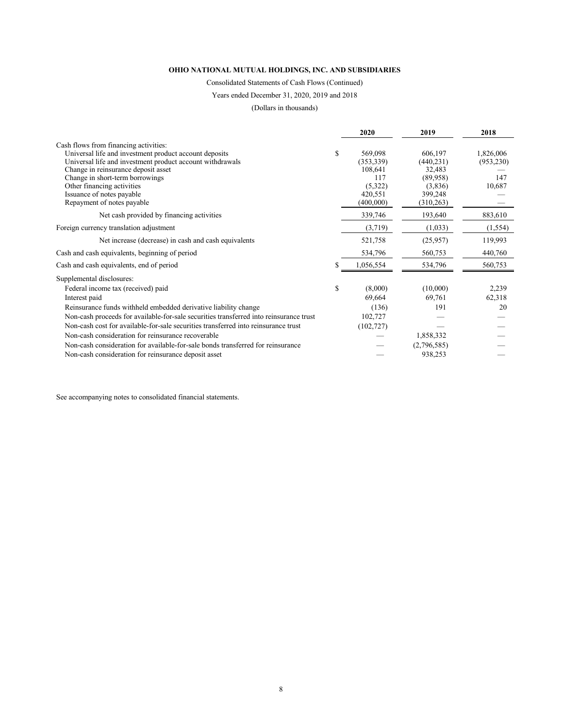Consolidated Statements of Cash Flows (Continued)

Years ended December 31, 2020, 2019 and 2018

(Dollars in thousands)

|                                                                                        | 2020            | 2019        | 2018       |
|----------------------------------------------------------------------------------------|-----------------|-------------|------------|
| Cash flows from financing activities:                                                  |                 |             |            |
| Universal life and investment product account deposits                                 | \$<br>569,098   | 606,197     | 1,826,006  |
| Universal life and investment product account withdrawals                              | (353, 339)      | (440, 231)  | (953, 230) |
| Change in reinsurance deposit asset                                                    | 108,641         | 32,483      |            |
| Change in short-term borrowings                                                        | 117             | (89,958)    | 147        |
| Other financing activities                                                             | (5,322)         | (3,836)     | 10,687     |
| Issuance of notes payable                                                              | 420,551         | 399,248     |            |
| Repayment of notes payable                                                             | (400,000)       | (310, 263)  |            |
| Net cash provided by financing activities                                              | 339,746         | 193,640     | 883,610    |
| Foreign currency translation adjustment                                                | (3,719)         | (1,033)     | (1, 554)   |
| Net increase (decrease) in cash and cash equivalents                                   | 521,758         | (25,957)    | 119,993    |
| Cash and cash equivalents, beginning of period                                         | 534,796         | 560,753     | 440,760    |
| Cash and cash equivalents, end of period                                               | \$<br>1,056,554 | 534,796     | 560,753    |
| Supplemental disclosures:                                                              |                 |             |            |
| Federal income tax (received) paid                                                     | \$<br>(8,000)   | (10,000)    | 2,239      |
| Interest paid                                                                          | 69,664          | 69,761      | 62,318     |
| Reinsurance funds withheld embedded derivative liability change                        | (136)           | 191         | 20         |
| Non-cash proceeds for available-for-sale securities transferred into reinsurance trust | 102,727         |             |            |
| Non-cash cost for available-for-sale securities transferred into reinsurance trust     | (102, 727)      |             |            |
| Non-cash consideration for reinsurance recoverable                                     |                 | 1,858,332   |            |
| Non-cash consideration for available-for-sale bonds transferred for reinsurance        |                 | (2,796,585) |            |
| Non-cash consideration for reinsurance deposit asset                                   |                 | 938,253     |            |
|                                                                                        |                 |             |            |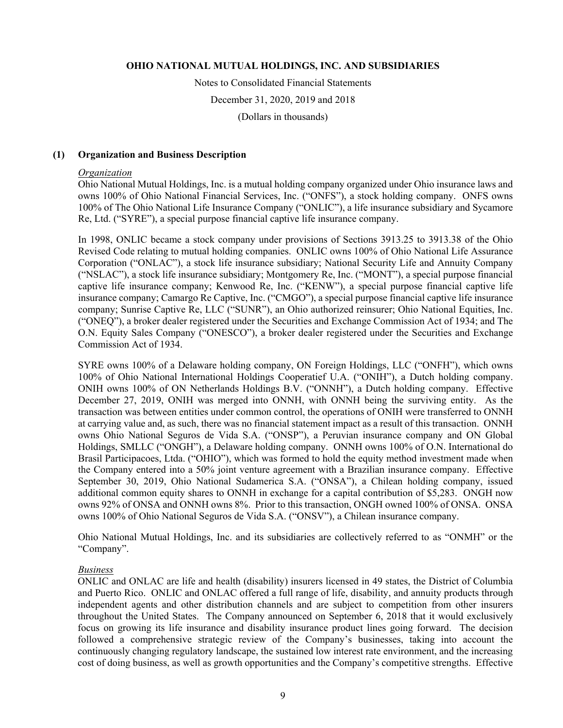Notes to Consolidated Financial Statements December 31, 2020, 2019 and 2018

(Dollars in thousands)

#### **(1) Organization and Business Description**

#### *Organization*

Ohio National Mutual Holdings, Inc. is a mutual holding company organized under Ohio insurance laws and owns 100% of Ohio National Financial Services, Inc. ("ONFS"), a stock holding company. ONFS owns 100% of The Ohio National Life Insurance Company ("ONLIC"), a life insurance subsidiary and Sycamore Re, Ltd. ("SYRE"), a special purpose financial captive life insurance company.

In 1998, ONLIC became a stock company under provisions of Sections 3913.25 to 3913.38 of the Ohio Revised Code relating to mutual holding companies. ONLIC owns 100% of Ohio National Life Assurance Corporation ("ONLAC"), a stock life insurance subsidiary; National Security Life and Annuity Company ("NSLAC"), a stock life insurance subsidiary; Montgomery Re, Inc. ("MONT"), a special purpose financial captive life insurance company; Kenwood Re, Inc. ("KENW"), a special purpose financial captive life insurance company; Camargo Re Captive, Inc. ("CMGO"), a special purpose financial captive life insurance company; Sunrise Captive Re, LLC ("SUNR"), an Ohio authorized reinsurer; Ohio National Equities, Inc. ("ONEQ"), a broker dealer registered under the Securities and Exchange Commission Act of 1934; and The O.N. Equity Sales Company ("ONESCO"), a broker dealer registered under the Securities and Exchange Commission Act of 1934.

SYRE owns 100% of a Delaware holding company, ON Foreign Holdings, LLC ("ONFH"), which owns 100% of Ohio National International Holdings Cooperatief U.A. ("ONIH"), a Dutch holding company. ONIH owns 100% of ON Netherlands Holdings B.V. ("ONNH"), a Dutch holding company. Effective December 27, 2019, ONIH was merged into ONNH, with ONNH being the surviving entity. As the transaction was between entities under common control, the operations of ONIH were transferred to ONNH at carrying value and, as such, there was no financial statement impact as a result of this transaction. ONNH owns Ohio National Seguros de Vida S.A. ("ONSP"), a Peruvian insurance company and ON Global Holdings, SMLLC ("ONGH"), a Delaware holding company. ONNH owns 100% of O.N. International do Brasil Participacoes, Ltda. ("OHIO"), which was formed to hold the equity method investment made when the Company entered into a 50% joint venture agreement with a Brazilian insurance company. Effective September 30, 2019, Ohio National Sudamerica S.A. ("ONSA"), a Chilean holding company, issued additional common equity shares to ONNH in exchange for a capital contribution of \$5,283. ONGH now owns 92% of ONSA and ONNH owns 8%. Prior to this transaction, ONGH owned 100% of ONSA. ONSA owns 100% of Ohio National Seguros de Vida S.A. ("ONSV"), a Chilean insurance company.

Ohio National Mutual Holdings, Inc. and its subsidiaries are collectively referred to as "ONMH" or the "Company".

#### *Business*

ONLIC and ONLAC are life and health (disability) insurers licensed in 49 states, the District of Columbia and Puerto Rico. ONLIC and ONLAC offered a full range of life, disability, and annuity products through independent agents and other distribution channels and are subject to competition from other insurers throughout the United States. The Company announced on September 6, 2018 that it would exclusively focus on growing its life insurance and disability insurance product lines going forward. The decision followed a comprehensive strategic review of the Company's businesses, taking into account the continuously changing regulatory landscape, the sustained low interest rate environment, and the increasing cost of doing business, as well as growth opportunities and the Company's competitive strengths. Effective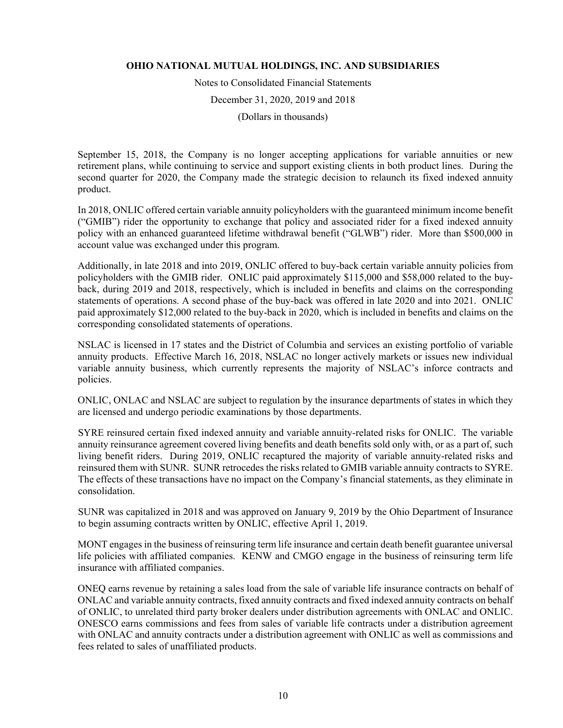Notes to Consolidated Financial Statements

December 31, 2020, 2019 and 2018

(Dollars in thousands)

September 15, 2018, the Company is no longer accepting applications for variable annuities or new retirement plans, while continuing to service and support existing clients in both product lines. During the second quarter for 2020, the Company made the strategic decision to relaunch its fixed indexed annuity product.

In 2018, ONLIC offered certain variable annuity policyholders with the guaranteed minimum income benefit ("GMIB") rider the opportunity to exchange that policy and associated rider for a fixed indexed annuity policy with an enhanced guaranteed lifetime withdrawal benefit ("GLWB") rider. More than \$500,000 in account value was exchanged under this program.

Additionally, in late 2018 and into 2019, ONLIC offered to buy-back certain variable annuity policies from policyholders with the GMIB rider. ONLIC paid approximately \$115,000 and \$58,000 related to the buyback, during 2019 and 2018, respectively, which is included in benefits and claims on the corresponding statements of operations. A second phase of the buy-back was offered in late 2020 and into 2021. ONLIC paid approximately \$12,000 related to the buy-back in 2020, which is included in benefits and claims on the corresponding consolidated statements of operations.

NSLAC is licensed in 17 states and the District of Columbia and services an existing portfolio of variable annuity products. Effective March 16, 2018, NSLAC no longer actively markets or issues new individual variable annuity business, which currently represents the majority of NSLAC's inforce contracts and policies.

ONLIC, ONLAC and NSLAC are subject to regulation by the insurance departments of states in which they are licensed and undergo periodic examinations by those departments.

SYRE reinsured certain fixed indexed annuity and variable annuity-related risks for ONLIC. The variable annuity reinsurance agreement covered living benefits and death benefits sold only with, or as a part of, such living benefit riders. During 2019, ONLIC recaptured the majority of variable annuity-related risks and reinsured them with SUNR. SUNR retrocedes the risks related to GMIB variable annuity contracts to SYRE. The effects of these transactions have no impact on the Company's financial statements, as they eliminate in consolidation.

SUNR was capitalized in 2018 and was approved on January 9, 2019 by the Ohio Department of Insurance to begin assuming contracts written by ONLIC, effective April 1, 2019.

MONT engages in the business of reinsuring term life insurance and certain death benefit guarantee universal life policies with affiliated companies. KENW and CMGO engage in the business of reinsuring term life insurance with affiliated companies.

ONEQ earns revenue by retaining a sales load from the sale of variable life insurance contracts on behalf of ONLAC and variable annuity contracts, fixed annuity contracts and fixed indexed annuity contracts on behalf of ONLIC, to unrelated third party broker dealers under distribution agreements with ONLAC and ONLIC. ONESCO earns commissions and fees from sales of variable life contracts under a distribution agreement with ONLAC and annuity contracts under a distribution agreement with ONLIC as well as commissions and fees related to sales of unaffiliated products.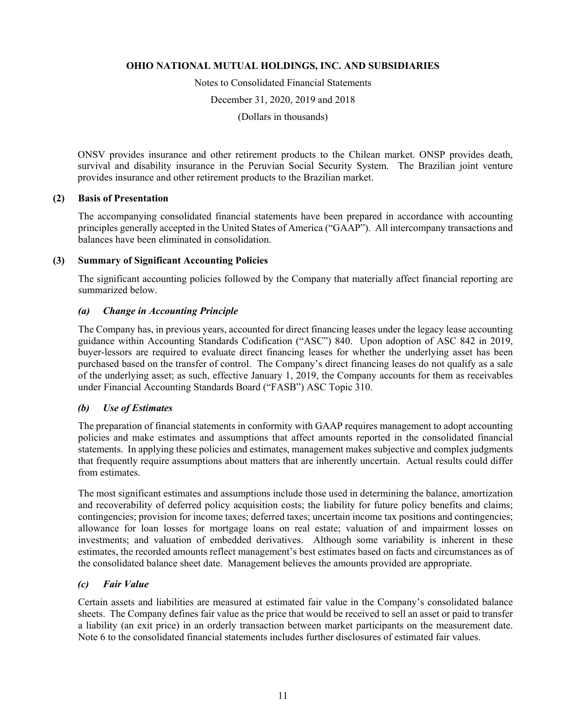Notes to Consolidated Financial Statements

December 31, 2020, 2019 and 2018

(Dollars in thousands)

ONSV provides insurance and other retirement products to the Chilean market. ONSP provides death, survival and disability insurance in the Peruvian Social Security System. The Brazilian joint venture provides insurance and other retirement products to the Brazilian market.

### **(2) Basis of Presentation**

The accompanying consolidated financial statements have been prepared in accordance with accounting principles generally accepted in the United States of America ("GAAP"). All intercompany transactions and balances have been eliminated in consolidation.

### **(3) Summary of Significant Accounting Policies**

The significant accounting policies followed by the Company that materially affect financial reporting are summarized below.

### *(a) Change in Accounting Principle*

The Company has, in previous years, accounted for direct financing leases under the legacy lease accounting guidance within Accounting Standards Codification ("ASC") 840. Upon adoption of ASC 842 in 2019, buyer-lessors are required to evaluate direct financing leases for whether the underlying asset has been purchased based on the transfer of control. The Company's direct financing leases do not qualify as a sale of the underlying asset; as such, effective January 1, 2019, the Company accounts for them as receivables under Financial Accounting Standards Board ("FASB") ASC Topic 310.

### *(b) Use of Estimates*

The preparation of financial statements in conformity with GAAP requires management to adopt accounting policies and make estimates and assumptions that affect amounts reported in the consolidated financial statements. In applying these policies and estimates, management makes subjective and complex judgments that frequently require assumptions about matters that are inherently uncertain. Actual results could differ from estimates.

The most significant estimates and assumptions include those used in determining the balance, amortization and recoverability of deferred policy acquisition costs; the liability for future policy benefits and claims; contingencies; provision for income taxes; deferred taxes; uncertain income tax positions and contingencies; allowance for loan losses for mortgage loans on real estate; valuation of and impairment losses on investments; and valuation of embedded derivatives. Although some variability is inherent in these estimates, the recorded amounts reflect management's best estimates based on facts and circumstances as of the consolidated balance sheet date. Management believes the amounts provided are appropriate.

### *(c) Fair Value*

Certain assets and liabilities are measured at estimated fair value in the Company's consolidated balance sheets. The Company defines fair value as the price that would be received to sell an asset or paid to transfer a liability (an exit price) in an orderly transaction between market participants on the measurement date. Note 6 to the consolidated financial statements includes further disclosures of estimated fair values.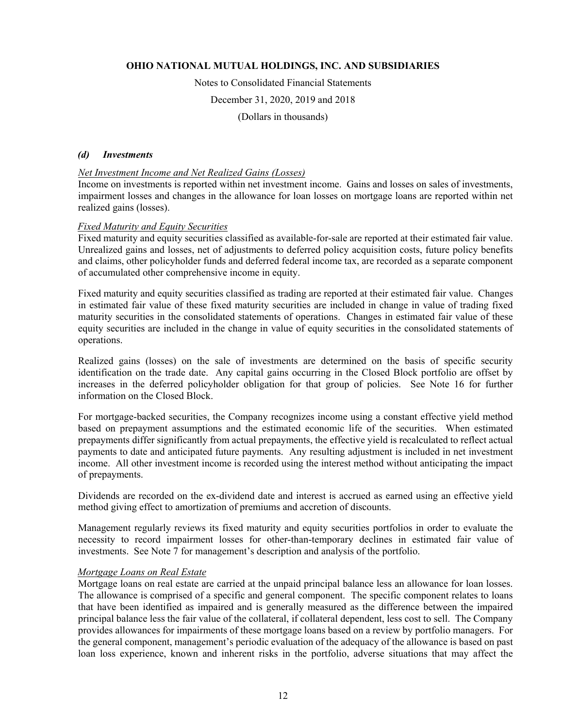Notes to Consolidated Financial Statements

December 31, 2020, 2019 and 2018

(Dollars in thousands)

#### *(d) Investments*

#### *Net Investment Income and Net Realized Gains (Losses)*

Income on investments is reported within net investment income. Gains and losses on sales of investments, impairment losses and changes in the allowance for loan losses on mortgage loans are reported within net realized gains (losses).

#### *Fixed Maturity and Equity Securities*

Fixed maturity and equity securities classified as available-for-sale are reported at their estimated fair value. Unrealized gains and losses, net of adjustments to deferred policy acquisition costs, future policy benefits and claims, other policyholder funds and deferred federal income tax, are recorded as a separate component of accumulated other comprehensive income in equity.

Fixed maturity and equity securities classified as trading are reported at their estimated fair value. Changes in estimated fair value of these fixed maturity securities are included in change in value of trading fixed maturity securities in the consolidated statements of operations. Changes in estimated fair value of these equity securities are included in the change in value of equity securities in the consolidated statements of operations.

Realized gains (losses) on the sale of investments are determined on the basis of specific security identification on the trade date. Any capital gains occurring in the Closed Block portfolio are offset by increases in the deferred policyholder obligation for that group of policies. See Note 16 for further information on the Closed Block.

For mortgage-backed securities, the Company recognizes income using a constant effective yield method based on prepayment assumptions and the estimated economic life of the securities. When estimated prepayments differ significantly from actual prepayments, the effective yield is recalculated to reflect actual payments to date and anticipated future payments. Any resulting adjustment is included in net investment income. All other investment income is recorded using the interest method without anticipating the impact of prepayments.

Dividends are recorded on the ex-dividend date and interest is accrued as earned using an effective yield method giving effect to amortization of premiums and accretion of discounts.

Management regularly reviews its fixed maturity and equity securities portfolios in order to evaluate the necessity to record impairment losses for other-than-temporary declines in estimated fair value of investments. See Note 7 for management's description and analysis of the portfolio.

#### *Mortgage Loans on Real Estate*

Mortgage loans on real estate are carried at the unpaid principal balance less an allowance for loan losses. The allowance is comprised of a specific and general component. The specific component relates to loans that have been identified as impaired and is generally measured as the difference between the impaired principal balance less the fair value of the collateral, if collateral dependent, less cost to sell. The Company provides allowances for impairments of these mortgage loans based on a review by portfolio managers. For the general component, management's periodic evaluation of the adequacy of the allowance is based on past loan loss experience, known and inherent risks in the portfolio, adverse situations that may affect the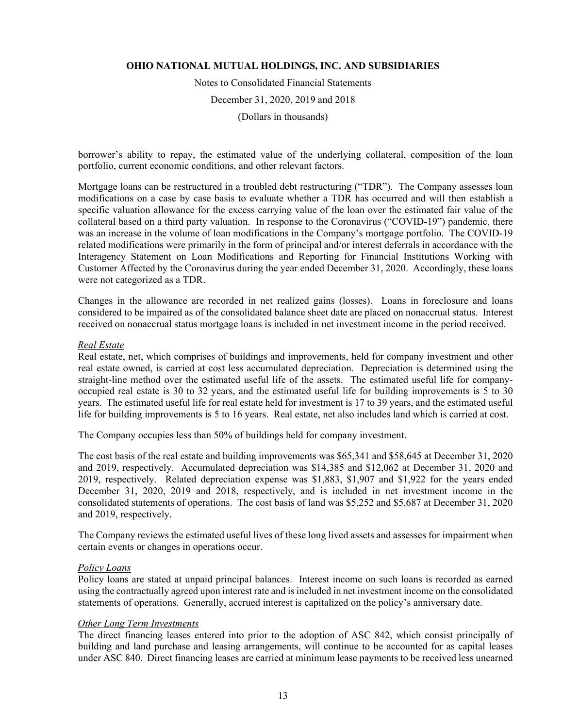Notes to Consolidated Financial Statements December 31, 2020, 2019 and 2018 (Dollars in thousands)

borrower's ability to repay, the estimated value of the underlying collateral, composition of the loan portfolio, current economic conditions, and other relevant factors.

Mortgage loans can be restructured in a troubled debt restructuring ("TDR"). The Company assesses loan modifications on a case by case basis to evaluate whether a TDR has occurred and will then establish a specific valuation allowance for the excess carrying value of the loan over the estimated fair value of the collateral based on a third party valuation. In response to the Coronavirus ("COVID-19") pandemic, there was an increase in the volume of loan modifications in the Company's mortgage portfolio. The COVID-19 related modifications were primarily in the form of principal and/or interest deferrals in accordance with the Interagency Statement on Loan Modifications and Reporting for Financial Institutions Working with Customer Affected by the Coronavirus during the year ended December 31, 2020. Accordingly, these loans were not categorized as a TDR.

Changes in the allowance are recorded in net realized gains (losses). Loans in foreclosure and loans considered to be impaired as of the consolidated balance sheet date are placed on nonaccrual status. Interest received on nonaccrual status mortgage loans is included in net investment income in the period received.

#### *Real Estate*

Real estate, net, which comprises of buildings and improvements, held for company investment and other real estate owned, is carried at cost less accumulated depreciation. Depreciation is determined using the straight-line method over the estimated useful life of the assets. The estimated useful life for companyoccupied real estate is 30 to 32 years, and the estimated useful life for building improvements is 5 to 30 years. The estimated useful life for real estate held for investment is 17 to 39 years, and the estimated useful life for building improvements is 5 to 16 years. Real estate, net also includes land which is carried at cost.

The Company occupies less than 50% of buildings held for company investment.

The cost basis of the real estate and building improvements was \$65,341 and \$58,645 at December 31, 2020 and 2019, respectively. Accumulated depreciation was \$14,385 and \$12,062 at December 31, 2020 and 2019, respectively. Related depreciation expense was \$1,883, \$1,907 and \$1,922 for the years ended December 31, 2020, 2019 and 2018, respectively, and is included in net investment income in the consolidated statements of operations. The cost basis of land was \$5,252 and \$5,687 at December 31, 2020 and 2019, respectively.

The Company reviews the estimated useful lives of these long lived assets and assesses for impairment when certain events or changes in operations occur.

#### *Policy Loans*

Policy loans are stated at unpaid principal balances. Interest income on such loans is recorded as earned using the contractually agreed upon interest rate and is included in net investment income on the consolidated statements of operations. Generally, accrued interest is capitalized on the policy's anniversary date.

#### *Other Long Term Investments*

The direct financing leases entered into prior to the adoption of ASC 842, which consist principally of building and land purchase and leasing arrangements, will continue to be accounted for as capital leases under ASC 840. Direct financing leases are carried at minimum lease payments to be received less unearned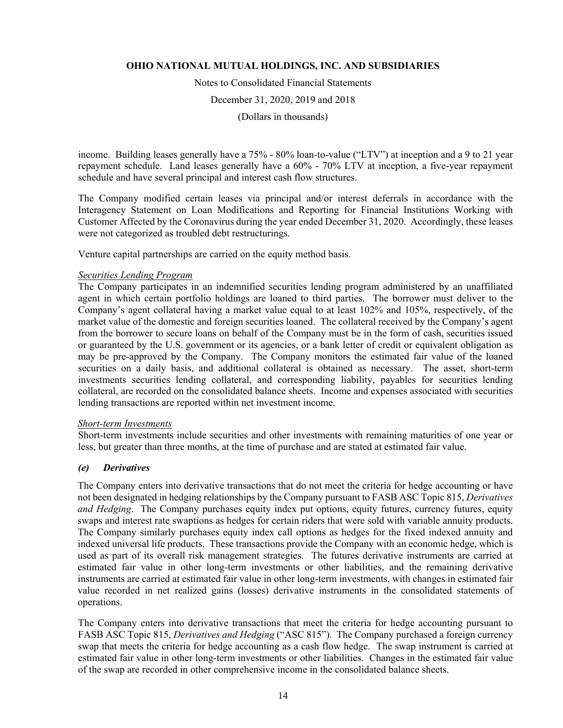Notes to Consolidated Financial Statements

December 31, 2020, 2019 and 2018

(Dollars in thousands)

income. Building leases generally have a 75% - 80% loan-to-value ("LTV") at inception and a 9 to 21 year repayment schedule. Land leases generally have a 60% - 70% LTV at inception, a five-year repayment schedule and have several principal and interest cash flow structures.

The Company modified certain leases via principal and/or interest deferrals in accordance with the Interagency Statement on Loan Modifications and Reporting for Financial Institutions Working with Customer Affected by the Coronavirus during the year ended December 31, 2020. Accordingly, these leases were not categorized as troubled debt restructurings.

Venture capital partnerships are carried on the equity method basis.

#### *Securities Lending Program*

The Company participates in an indemnified securities lending program administered by an unaffiliated agent in which certain portfolio holdings are loaned to third parties. The borrower must deliver to the Company's agent collateral having a market value equal to at least 102% and 105%, respectively, of the market value of the domestic and foreign securities loaned. The collateral received by the Company's agent from the borrower to secure loans on behalf of the Company must be in the form of cash, securities issued or guaranteed by the U.S. government or its agencies, or a bank letter of credit or equivalent obligation as may be pre-approved by the Company. The Company monitors the estimated fair value of the loaned securities on a daily basis, and additional collateral is obtained as necessary. The asset, short-term investments securities lending collateral, and corresponding liability, payables for securities lending collateral, are recorded on the consolidated balance sheets. Income and expenses associated with securities lending transactions are reported within net investment income.

#### *Short-term Investments*

Short-term investments include securities and other investments with remaining maturities of one year or less, but greater than three months, at the time of purchase and are stated at estimated fair value.

#### *(e) Derivatives*

The Company enters into derivative transactions that do not meet the criteria for hedge accounting or have not been designated in hedging relationships by the Company pursuant to FASB ASC Topic 815, *Derivatives and Hedging*. The Company purchases equity index put options, equity futures, currency futures, equity swaps and interest rate swaptions as hedges for certain riders that were sold with variable annuity products. The Company similarly purchases equity index call options as hedges for the fixed indexed annuity and indexed universal life products. These transactions provide the Company with an economic hedge, which is used as part of its overall risk management strategies. The futures derivative instruments are carried at estimated fair value in other long-term investments or other liabilities, and the remaining derivative instruments are carried at estimated fair value in other long-term investments, with changes in estimated fair value recorded in net realized gains (losses) derivative instruments in the consolidated statements of operations.

The Company enters into derivative transactions that meet the criteria for hedge accounting pursuant to FASB ASC Topic 815, *Derivatives and Hedging* ("ASC 815"). The Company purchased a foreign currency swap that meets the criteria for hedge accounting as a cash flow hedge. The swap instrument is carried at estimated fair value in other long-term investments or other liabilities. Changes in the estimated fair value of the swap are recorded in other comprehensive income in the consolidated balance sheets.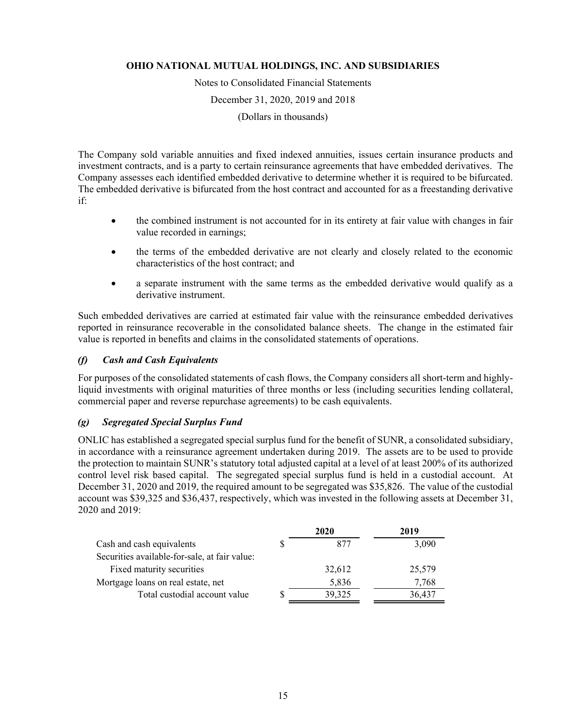Notes to Consolidated Financial Statements

December 31, 2020, 2019 and 2018

(Dollars in thousands)

The Company sold variable annuities and fixed indexed annuities, issues certain insurance products and investment contracts, and is a party to certain reinsurance agreements that have embedded derivatives. The Company assesses each identified embedded derivative to determine whether it is required to be bifurcated. The embedded derivative is bifurcated from the host contract and accounted for as a freestanding derivative if:

- the combined instrument is not accounted for in its entirety at fair value with changes in fair value recorded in earnings;
- the terms of the embedded derivative are not clearly and closely related to the economic characteristics of the host contract; and
- a separate instrument with the same terms as the embedded derivative would qualify as a derivative instrument.

Such embedded derivatives are carried at estimated fair value with the reinsurance embedded derivatives reported in reinsurance recoverable in the consolidated balance sheets. The change in the estimated fair value is reported in benefits and claims in the consolidated statements of operations.

### *(f) Cash and Cash Equivalents*

For purposes of the consolidated statements of cash flows, the Company considers all short-term and highlyliquid investments with original maturities of three months or less (including securities lending collateral, commercial paper and reverse repurchase agreements) to be cash equivalents.

### *(g) Segregated Special Surplus Fund*

ONLIC has established a segregated special surplus fund for the benefit of SUNR, a consolidated subsidiary, in accordance with a reinsurance agreement undertaken during 2019. The assets are to be used to provide the protection to maintain SUNR's statutory total adjusted capital at a level of at least 200% of its authorized control level risk based capital. The segregated special surplus fund is held in a custodial account. At December 31, 2020 and 2019, the required amount to be segregated was \$35,826. The value of the custodial account was \$39,325 and \$36,437, respectively, which was invested in the following assets at December 31, 2020 and 2019:

|                                               | 2020   | 2019   |
|-----------------------------------------------|--------|--------|
| Cash and cash equivalents                     | 877    | 3,090  |
| Securities available-for-sale, at fair value: |        |        |
| Fixed maturity securities                     | 32,612 | 25,579 |
| Mortgage loans on real estate, net            | 5,836  | 7,768  |
| Total custodial account value                 | 39,325 | 36,437 |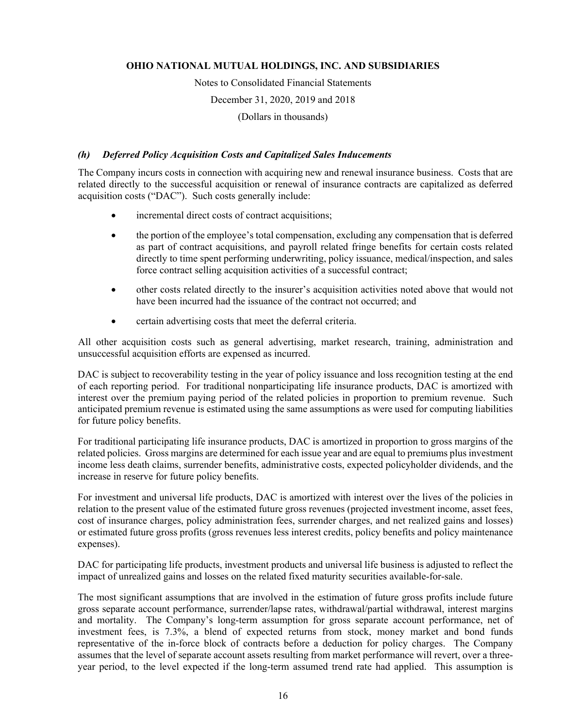Notes to Consolidated Financial Statements

December 31, 2020, 2019 and 2018

(Dollars in thousands)

### *(h) Deferred Policy Acquisition Costs and Capitalized Sales Inducements*

The Company incurs costs in connection with acquiring new and renewal insurance business. Costs that are related directly to the successful acquisition or renewal of insurance contracts are capitalized as deferred acquisition costs ("DAC"). Such costs generally include:

- incremental direct costs of contract acquisitions;
- the portion of the employee's total compensation, excluding any compensation that is deferred as part of contract acquisitions, and payroll related fringe benefits for certain costs related directly to time spent performing underwriting, policy issuance, medical/inspection, and sales force contract selling acquisition activities of a successful contract;
- other costs related directly to the insurer's acquisition activities noted above that would not have been incurred had the issuance of the contract not occurred; and
- certain advertising costs that meet the deferral criteria.

All other acquisition costs such as general advertising, market research, training, administration and unsuccessful acquisition efforts are expensed as incurred.

DAC is subject to recoverability testing in the year of policy issuance and loss recognition testing at the end of each reporting period. For traditional nonparticipating life insurance products, DAC is amortized with interest over the premium paying period of the related policies in proportion to premium revenue. Such anticipated premium revenue is estimated using the same assumptions as were used for computing liabilities for future policy benefits.

For traditional participating life insurance products, DAC is amortized in proportion to gross margins of the related policies. Gross margins are determined for each issue year and are equal to premiums plus investment income less death claims, surrender benefits, administrative costs, expected policyholder dividends, and the increase in reserve for future policy benefits.

For investment and universal life products, DAC is amortized with interest over the lives of the policies in relation to the present value of the estimated future gross revenues (projected investment income, asset fees, cost of insurance charges, policy administration fees, surrender charges, and net realized gains and losses) or estimated future gross profits (gross revenues less interest credits, policy benefits and policy maintenance expenses).

DAC for participating life products, investment products and universal life business is adjusted to reflect the impact of unrealized gains and losses on the related fixed maturity securities available-for-sale.

The most significant assumptions that are involved in the estimation of future gross profits include future gross separate account performance, surrender/lapse rates, withdrawal/partial withdrawal, interest margins and mortality. The Company's long-term assumption for gross separate account performance, net of investment fees, is 7.3%, a blend of expected returns from stock, money market and bond funds representative of the in-force block of contracts before a deduction for policy charges. The Company assumes that the level of separate account assets resulting from market performance will revert, over a threeyear period, to the level expected if the long-term assumed trend rate had applied. This assumption is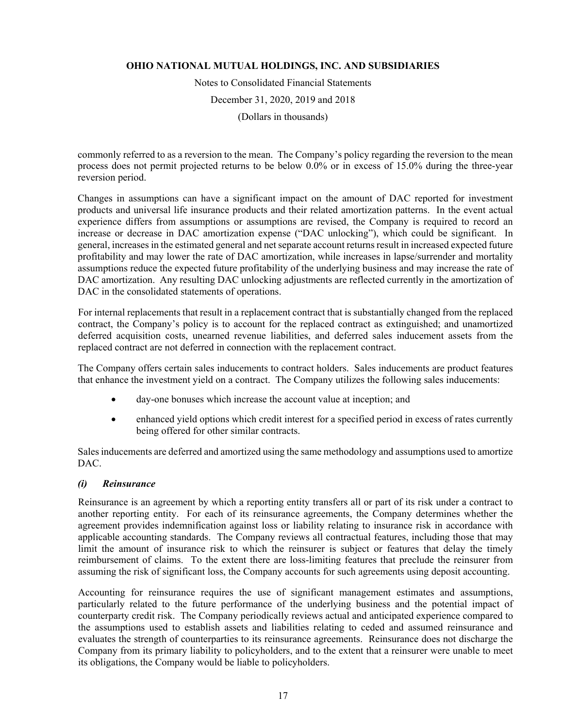Notes to Consolidated Financial Statements December 31, 2020, 2019 and 2018

(Dollars in thousands)

commonly referred to as a reversion to the mean. The Company's policy regarding the reversion to the mean process does not permit projected returns to be below 0.0% or in excess of 15.0% during the three-year reversion period.

Changes in assumptions can have a significant impact on the amount of DAC reported for investment products and universal life insurance products and their related amortization patterns. In the event actual experience differs from assumptions or assumptions are revised, the Company is required to record an increase or decrease in DAC amortization expense ("DAC unlocking"), which could be significant. In general, increases in the estimated general and net separate account returns result in increased expected future profitability and may lower the rate of DAC amortization, while increases in lapse/surrender and mortality assumptions reduce the expected future profitability of the underlying business and may increase the rate of DAC amortization. Any resulting DAC unlocking adjustments are reflected currently in the amortization of DAC in the consolidated statements of operations.

For internal replacements that result in a replacement contract that is substantially changed from the replaced contract, the Company's policy is to account for the replaced contract as extinguished; and unamortized deferred acquisition costs, unearned revenue liabilities, and deferred sales inducement assets from the replaced contract are not deferred in connection with the replacement contract.

The Company offers certain sales inducements to contract holders. Sales inducements are product features that enhance the investment yield on a contract. The Company utilizes the following sales inducements:

- day-one bonuses which increase the account value at inception; and
- enhanced yield options which credit interest for a specified period in excess of rates currently being offered for other similar contracts.

Sales inducements are deferred and amortized using the same methodology and assumptions used to amortize DAC.

### *(i) Reinsurance*

Reinsurance is an agreement by which a reporting entity transfers all or part of its risk under a contract to another reporting entity. For each of its reinsurance agreements, the Company determines whether the agreement provides indemnification against loss or liability relating to insurance risk in accordance with applicable accounting standards. The Company reviews all contractual features, including those that may limit the amount of insurance risk to which the reinsurer is subject or features that delay the timely reimbursement of claims. To the extent there are loss-limiting features that preclude the reinsurer from assuming the risk of significant loss, the Company accounts for such agreements using deposit accounting.

Accounting for reinsurance requires the use of significant management estimates and assumptions, particularly related to the future performance of the underlying business and the potential impact of counterparty credit risk. The Company periodically reviews actual and anticipated experience compared to the assumptions used to establish assets and liabilities relating to ceded and assumed reinsurance and evaluates the strength of counterparties to its reinsurance agreements. Reinsurance does not discharge the Company from its primary liability to policyholders, and to the extent that a reinsurer were unable to meet its obligations, the Company would be liable to policyholders.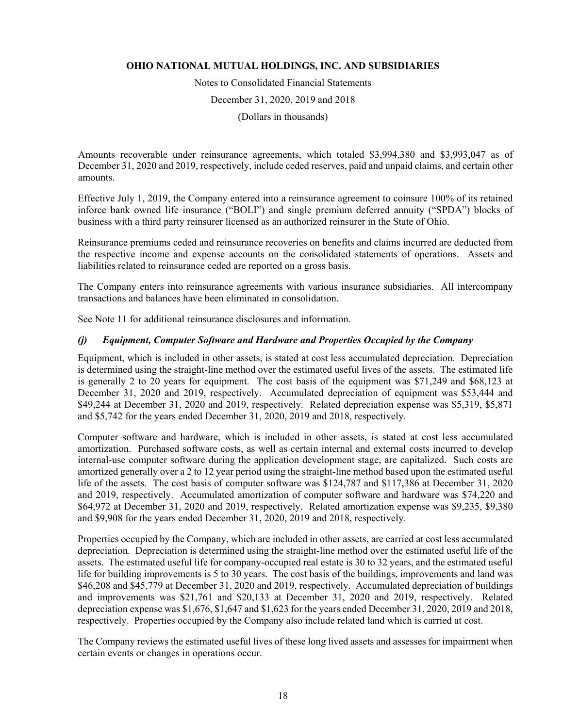Notes to Consolidated Financial Statements

December 31, 2020, 2019 and 2018

(Dollars in thousands)

Amounts recoverable under reinsurance agreements, which totaled \$3,994,380 and \$3,993,047 as of December 31, 2020 and 2019, respectively, include ceded reserves, paid and unpaid claims, and certain other amounts.

Effective July 1, 2019, the Company entered into a reinsurance agreement to coinsure 100% of its retained inforce bank owned life insurance ("BOLI") and single premium deferred annuity ("SPDA") blocks of business with a third party reinsurer licensed as an authorized reinsurer in the State of Ohio.

Reinsurance premiums ceded and reinsurance recoveries on benefits and claims incurred are deducted from the respective income and expense accounts on the consolidated statements of operations. Assets and liabilities related to reinsurance ceded are reported on a gross basis.

The Company enters into reinsurance agreements with various insurance subsidiaries. All intercompany transactions and balances have been eliminated in consolidation.

See Note 11 for additional reinsurance disclosures and information.

### *(j) Equipment, Computer Software and Hardware and Properties Occupied by the Company*

Equipment, which is included in other assets, is stated at cost less accumulated depreciation. Depreciation is determined using the straight-line method over the estimated useful lives of the assets. The estimated life is generally 2 to 20 years for equipment. The cost basis of the equipment was \$71,249 and \$68,123 at December 31, 2020 and 2019, respectively. Accumulated depreciation of equipment was \$53,444 and \$49,244 at December 31, 2020 and 2019, respectively. Related depreciation expense was \$5,319, \$5,871 and \$5,742 for the years ended December 31, 2020, 2019 and 2018, respectively.

Computer software and hardware, which is included in other assets, is stated at cost less accumulated amortization. Purchased software costs, as well as certain internal and external costs incurred to develop internal-use computer software during the application development stage, are capitalized. Such costs are amortized generally over a 2 to 12 year period using the straight-line method based upon the estimated useful life of the assets. The cost basis of computer software was \$124,787 and \$117,386 at December 31, 2020 and 2019, respectively. Accumulated amortization of computer software and hardware was \$74,220 and \$64,972 at December 31, 2020 and 2019, respectively. Related amortization expense was \$9,235, \$9,380 and \$9,908 for the years ended December 31, 2020, 2019 and 2018, respectively.

Properties occupied by the Company, which are included in other assets, are carried at cost less accumulated depreciation. Depreciation is determined using the straight-line method over the estimated useful life of the assets. The estimated useful life for company-occupied real estate is 30 to 32 years, and the estimated useful life for building improvements is 5 to 30 years. The cost basis of the buildings, improvements and land was \$46,208 and \$45,779 at December 31, 2020 and 2019, respectively. Accumulated depreciation of buildings and improvements was \$21,761 and \$20,133 at December 31, 2020 and 2019, respectively. Related depreciation expense was \$1,676, \$1,647 and \$1,623 for the years ended December 31, 2020, 2019 and 2018, respectively. Properties occupied by the Company also include related land which is carried at cost.

The Company reviews the estimated useful lives of these long lived assets and assesses for impairment when certain events or changes in operations occur.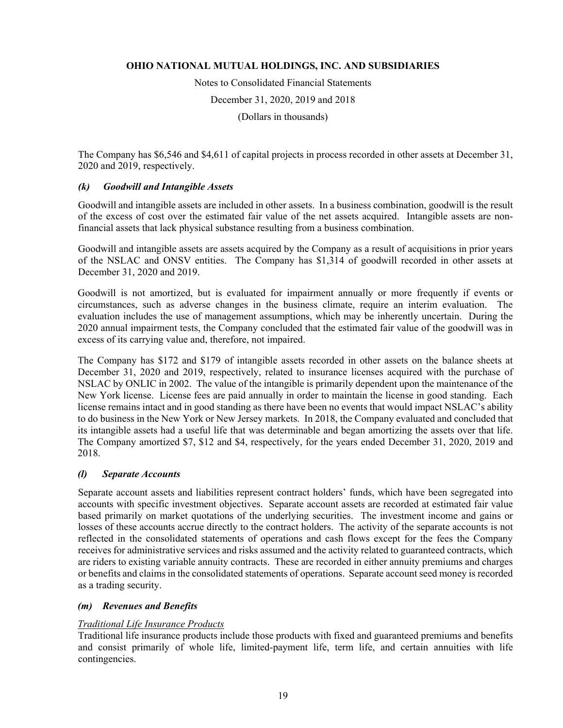Notes to Consolidated Financial Statements December 31, 2020, 2019 and 2018 (Dollars in thousands)

The Company has \$6,546 and \$4,611 of capital projects in process recorded in other assets at December 31,

# *(k) Goodwill and Intangible Assets*

2020 and 2019, respectively.

Goodwill and intangible assets are included in other assets. In a business combination, goodwill is the result of the excess of cost over the estimated fair value of the net assets acquired. Intangible assets are nonfinancial assets that lack physical substance resulting from a business combination.

Goodwill and intangible assets are assets acquired by the Company as a result of acquisitions in prior years of the NSLAC and ONSV entities. The Company has \$1,314 of goodwill recorded in other assets at December 31, 2020 and 2019.

Goodwill is not amortized, but is evaluated for impairment annually or more frequently if events or circumstances, such as adverse changes in the business climate, require an interim evaluation. The evaluation includes the use of management assumptions, which may be inherently uncertain. During the 2020 annual impairment tests, the Company concluded that the estimated fair value of the goodwill was in excess of its carrying value and, therefore, not impaired.

The Company has \$172 and \$179 of intangible assets recorded in other assets on the balance sheets at December 31, 2020 and 2019, respectively, related to insurance licenses acquired with the purchase of NSLAC by ONLIC in 2002. The value of the intangible is primarily dependent upon the maintenance of the New York license. License fees are paid annually in order to maintain the license in good standing. Each license remains intact and in good standing as there have been no events that would impact NSLAC's ability to do business in the New York or New Jersey markets. In 2018, the Company evaluated and concluded that its intangible assets had a useful life that was determinable and began amortizing the assets over that life. The Company amortized \$7, \$12 and \$4, respectively, for the years ended December 31, 2020, 2019 and 2018.

### *(l) Separate Accounts*

Separate account assets and liabilities represent contract holders' funds, which have been segregated into accounts with specific investment objectives. Separate account assets are recorded at estimated fair value based primarily on market quotations of the underlying securities. The investment income and gains or losses of these accounts accrue directly to the contract holders. The activity of the separate accounts is not reflected in the consolidated statements of operations and cash flows except for the fees the Company receives for administrative services and risks assumed and the activity related to guaranteed contracts, which are riders to existing variable annuity contracts. These are recorded in either annuity premiums and charges or benefits and claims in the consolidated statements of operations. Separate account seed money is recorded as a trading security.

# *(m) Revenues and Benefits*

### *Traditional Life Insurance Products*

Traditional life insurance products include those products with fixed and guaranteed premiums and benefits and consist primarily of whole life, limited-payment life, term life, and certain annuities with life contingencies.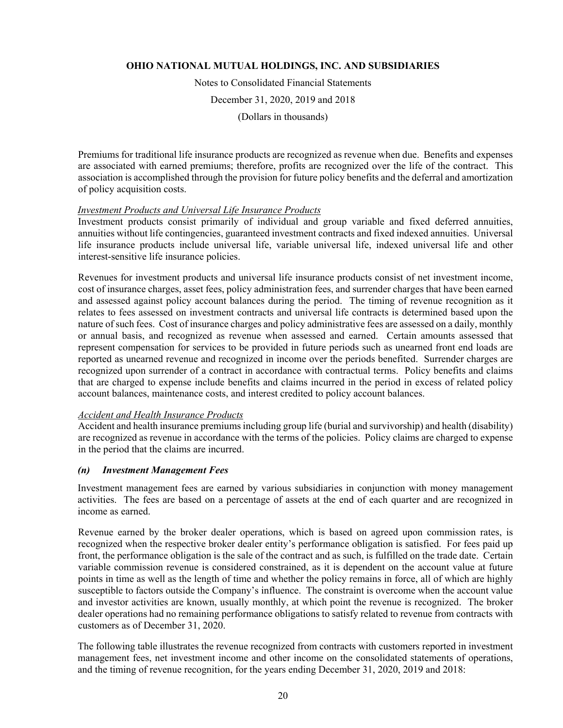Notes to Consolidated Financial Statements

December 31, 2020, 2019 and 2018

(Dollars in thousands)

Premiums for traditional life insurance products are recognized as revenue when due. Benefits and expenses are associated with earned premiums; therefore, profits are recognized over the life of the contract. This association is accomplished through the provision for future policy benefits and the deferral and amortization of policy acquisition costs.

#### *Investment Products and Universal Life Insurance Products*

Investment products consist primarily of individual and group variable and fixed deferred annuities, annuities without life contingencies, guaranteed investment contracts and fixed indexed annuities. Universal life insurance products include universal life, variable universal life, indexed universal life and other interest-sensitive life insurance policies.

Revenues for investment products and universal life insurance products consist of net investment income, cost of insurance charges, asset fees, policy administration fees, and surrender charges that have been earned and assessed against policy account balances during the period. The timing of revenue recognition as it relates to fees assessed on investment contracts and universal life contracts is determined based upon the nature of such fees. Cost of insurance charges and policy administrative fees are assessed on a daily, monthly or annual basis, and recognized as revenue when assessed and earned. Certain amounts assessed that represent compensation for services to be provided in future periods such as unearned front end loads are reported as unearned revenue and recognized in income over the periods benefited. Surrender charges are recognized upon surrender of a contract in accordance with contractual terms. Policy benefits and claims that are charged to expense include benefits and claims incurred in the period in excess of related policy account balances, maintenance costs, and interest credited to policy account balances.

#### *Accident and Health Insurance Products*

Accident and health insurance premiums including group life (burial and survivorship) and health (disability) are recognized as revenue in accordance with the terms of the policies. Policy claims are charged to expense in the period that the claims are incurred.

### *(n) Investment Management Fees*

Investment management fees are earned by various subsidiaries in conjunction with money management activities. The fees are based on a percentage of assets at the end of each quarter and are recognized in income as earned.

Revenue earned by the broker dealer operations, which is based on agreed upon commission rates, is recognized when the respective broker dealer entity's performance obligation is satisfied. For fees paid up front, the performance obligation is the sale of the contract and as such, is fulfilled on the trade date. Certain variable commission revenue is considered constrained, as it is dependent on the account value at future points in time as well as the length of time and whether the policy remains in force, all of which are highly susceptible to factors outside the Company's influence. The constraint is overcome when the account value and investor activities are known, usually monthly, at which point the revenue is recognized. The broker dealer operations had no remaining performance obligations to satisfy related to revenue from contracts with customers as of December 31, 2020.

The following table illustrates the revenue recognized from contracts with customers reported in investment management fees, net investment income and other income on the consolidated statements of operations, and the timing of revenue recognition, for the years ending December 31, 2020, 2019 and 2018: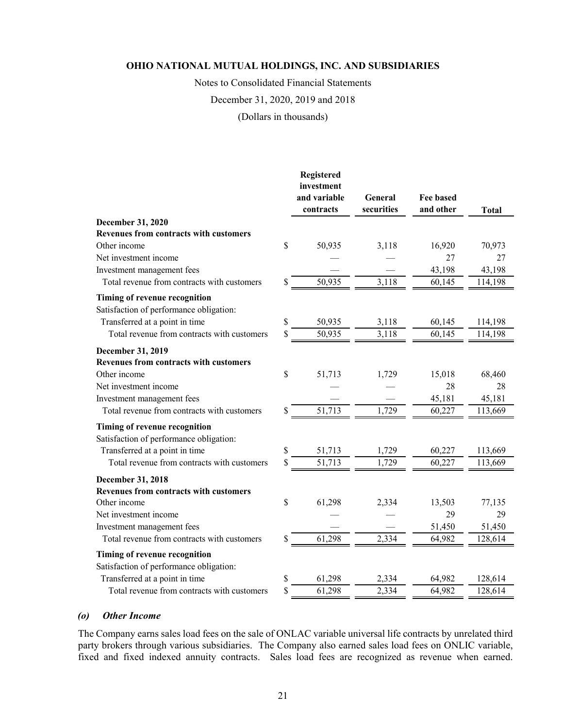Notes to Consolidated Financial Statements

December 31, 2020, 2019 and 2018

(Dollars in thousands)

|                                                                          | Registered<br>investment<br>and variable<br>contracts | General<br>securities | <b>Fee based</b><br>and other | <b>Total</b> |
|--------------------------------------------------------------------------|-------------------------------------------------------|-----------------------|-------------------------------|--------------|
| December 31, 2020                                                        |                                                       |                       |                               |              |
| <b>Revenues from contracts with customers</b>                            |                                                       |                       |                               |              |
| Other income                                                             | \$<br>50,935                                          | 3,118                 | 16,920                        | 70,973       |
| Net investment income                                                    |                                                       |                       | 27                            | 27           |
| Investment management fees                                               |                                                       |                       | 43,198                        | 43,198       |
| Total revenue from contracts with customers                              | \$<br>50,935                                          | 3,118                 | 60,145                        | 114,198      |
| Timing of revenue recognition<br>Satisfaction of performance obligation: |                                                       |                       |                               |              |
| Transferred at a point in time                                           | \$<br>50,935                                          | 3,118                 | 60,145                        | 114,198      |
| Total revenue from contracts with customers                              | \$<br>50,935                                          | 3,118                 | 60,145                        | 114,198      |
| December 31, 2019<br><b>Revenues from contracts with customers</b>       |                                                       |                       |                               |              |
| Other income                                                             | \$<br>51,713                                          | 1,729                 | 15,018                        | 68,460       |
| Net investment income                                                    |                                                       |                       | 28                            | 28           |
| Investment management fees                                               |                                                       |                       | 45,181                        | 45,181       |
| Total revenue from contracts with customers                              | \$<br>51,713                                          | 1,729                 | 60,227                        | 113,669      |
| Timing of revenue recognition<br>Satisfaction of performance obligation: |                                                       |                       |                               |              |
| Transferred at a point in time                                           | \$<br>51,713                                          | 1,729                 | 60,227                        | 113,669      |
| Total revenue from contracts with customers                              | \$<br>51,713                                          | 1,729                 | 60,227                        | 113,669      |
| December 31, 2018<br><b>Revenues from contracts with customers</b>       |                                                       |                       |                               |              |
| Other income                                                             | \$<br>61,298                                          | 2,334                 | 13,503                        | 77,135       |
| Net investment income                                                    |                                                       |                       | 29                            | 29           |
| Investment management fees                                               |                                                       |                       | 51,450                        | 51,450       |
| Total revenue from contracts with customers                              | \$<br>61,298                                          | 2,334                 | 64,982                        | 128,614      |
| Timing of revenue recognition<br>Satisfaction of performance obligation: |                                                       |                       |                               |              |
| Transferred at a point in time                                           | \$<br>61,298                                          | 2,334                 | 64,982                        | 128,614      |
| Total revenue from contracts with customers                              | \$<br>61,298                                          | 2,334                 | 64,982                        | 128,614      |

#### *(o) Other Income*

The Company earns sales load fees on the sale of ONLAC variable universal life contracts by unrelated third party brokers through various subsidiaries. The Company also earned sales load fees on ONLIC variable, fixed and fixed indexed annuity contracts. Sales load fees are recognized as revenue when earned.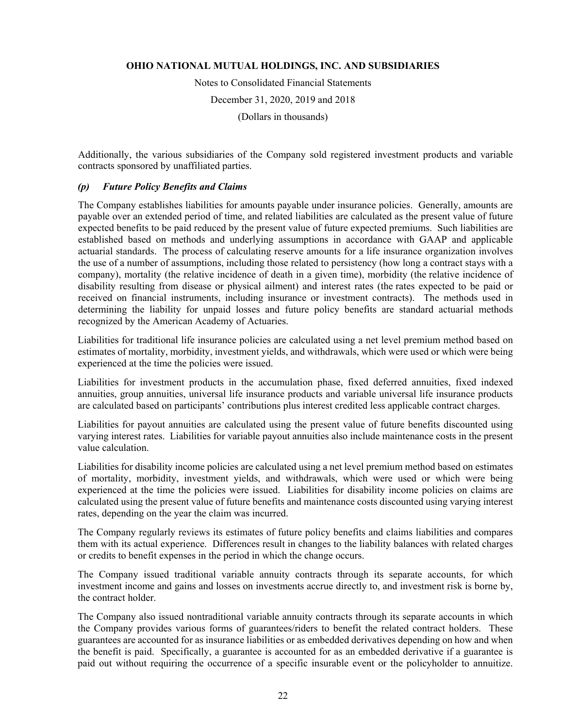Notes to Consolidated Financial Statements December 31, 2020, 2019 and 2018 (Dollars in thousands)

Additionally, the various subsidiaries of the Company sold registered investment products and variable contracts sponsored by unaffiliated parties.

### *(p) Future Policy Benefits and Claims*

The Company establishes liabilities for amounts payable under insurance policies. Generally, amounts are payable over an extended period of time, and related liabilities are calculated as the present value of future expected benefits to be paid reduced by the present value of future expected premiums. Such liabilities are established based on methods and underlying assumptions in accordance with GAAP and applicable actuarial standards. The process of calculating reserve amounts for a life insurance organization involves the use of a number of assumptions, including those related to persistency (how long a contract stays with a company), mortality (the relative incidence of death in a given time), morbidity (the relative incidence of disability resulting from disease or physical ailment) and interest rates (the rates expected to be paid or received on financial instruments, including insurance or investment contracts). The methods used in determining the liability for unpaid losses and future policy benefits are standard actuarial methods recognized by the American Academy of Actuaries.

Liabilities for traditional life insurance policies are calculated using a net level premium method based on estimates of mortality, morbidity, investment yields, and withdrawals, which were used or which were being experienced at the time the policies were issued.

Liabilities for investment products in the accumulation phase, fixed deferred annuities, fixed indexed annuities, group annuities, universal life insurance products and variable universal life insurance products are calculated based on participants' contributions plus interest credited less applicable contract charges.

Liabilities for payout annuities are calculated using the present value of future benefits discounted using varying interest rates. Liabilities for variable payout annuities also include maintenance costs in the present value calculation.

Liabilities for disability income policies are calculated using a net level premium method based on estimates of mortality, morbidity, investment yields, and withdrawals, which were used or which were being experienced at the time the policies were issued. Liabilities for disability income policies on claims are calculated using the present value of future benefits and maintenance costs discounted using varying interest rates, depending on the year the claim was incurred.

The Company regularly reviews its estimates of future policy benefits and claims liabilities and compares them with its actual experience. Differences result in changes to the liability balances with related charges or credits to benefit expenses in the period in which the change occurs.

The Company issued traditional variable annuity contracts through its separate accounts, for which investment income and gains and losses on investments accrue directly to, and investment risk is borne by, the contract holder.

The Company also issued nontraditional variable annuity contracts through its separate accounts in which the Company provides various forms of guarantees/riders to benefit the related contract holders. These guarantees are accounted for as insurance liabilities or as embedded derivatives depending on how and when the benefit is paid. Specifically, a guarantee is accounted for as an embedded derivative if a guarantee is paid out without requiring the occurrence of a specific insurable event or the policyholder to annuitize.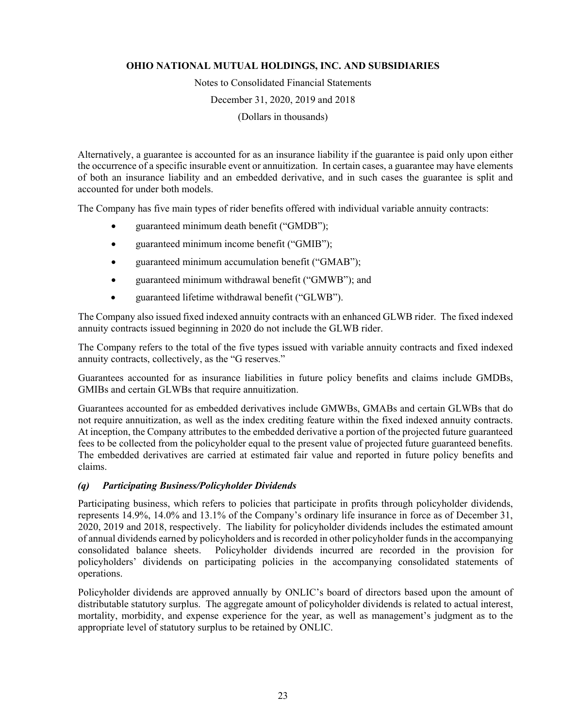Notes to Consolidated Financial Statements

December 31, 2020, 2019 and 2018

(Dollars in thousands)

Alternatively, a guarantee is accounted for as an insurance liability if the guarantee is paid only upon either the occurrence of a specific insurable event or annuitization. In certain cases, a guarantee may have elements of both an insurance liability and an embedded derivative, and in such cases the guarantee is split and accounted for under both models.

The Company has five main types of rider benefits offered with individual variable annuity contracts:

- guaranteed minimum death benefit ("GMDB");
- guaranteed minimum income benefit ("GMIB");
- guaranteed minimum accumulation benefit ("GMAB");
- guaranteed minimum withdrawal benefit ("GMWB"); and
- guaranteed lifetime withdrawal benefit ("GLWB").

The Company also issued fixed indexed annuity contracts with an enhanced GLWB rider. The fixed indexed annuity contracts issued beginning in 2020 do not include the GLWB rider.

The Company refers to the total of the five types issued with variable annuity contracts and fixed indexed annuity contracts, collectively, as the "G reserves."

Guarantees accounted for as insurance liabilities in future policy benefits and claims include GMDBs, GMIBs and certain GLWBs that require annuitization.

Guarantees accounted for as embedded derivatives include GMWBs, GMABs and certain GLWBs that do not require annuitization, as well as the index crediting feature within the fixed indexed annuity contracts. At inception, the Company attributes to the embedded derivative a portion of the projected future guaranteed fees to be collected from the policyholder equal to the present value of projected future guaranteed benefits. The embedded derivatives are carried at estimated fair value and reported in future policy benefits and claims.

### *(q) Participating Business/Policyholder Dividends*

Participating business, which refers to policies that participate in profits through policyholder dividends, represents 14.9%, 14.0% and 13.1% of the Company's ordinary life insurance in force as of December 31, 2020, 2019 and 2018, respectively. The liability for policyholder dividends includes the estimated amount of annual dividends earned by policyholders and is recorded in other policyholder funds in the accompanying consolidated balance sheets. Policyholder dividends incurred are recorded in the provision for policyholders' dividends on participating policies in the accompanying consolidated statements of operations.

Policyholder dividends are approved annually by ONLIC's board of directors based upon the amount of distributable statutory surplus. The aggregate amount of policyholder dividends is related to actual interest, mortality, morbidity, and expense experience for the year, as well as management's judgment as to the appropriate level of statutory surplus to be retained by ONLIC.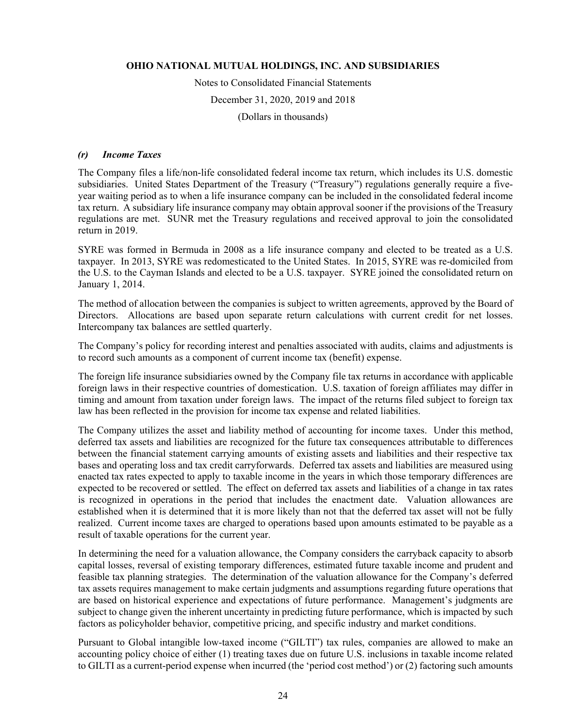Notes to Consolidated Financial Statements

December 31, 2020, 2019 and 2018

(Dollars in thousands)

#### *(r) Income Taxes*

The Company files a life/non-life consolidated federal income tax return, which includes its U.S. domestic subsidiaries. United States Department of the Treasury ("Treasury") regulations generally require a fiveyear waiting period as to when a life insurance company can be included in the consolidated federal income tax return. A subsidiary life insurance company may obtain approval sooner if the provisions of the Treasury regulations are met. SUNR met the Treasury regulations and received approval to join the consolidated return in 2019.

SYRE was formed in Bermuda in 2008 as a life insurance company and elected to be treated as a U.S. taxpayer. In 2013, SYRE was redomesticated to the United States. In 2015, SYRE was re-domiciled from the U.S. to the Cayman Islands and elected to be a U.S. taxpayer. SYRE joined the consolidated return on January 1, 2014.

The method of allocation between the companies is subject to written agreements, approved by the Board of Directors. Allocations are based upon separate return calculations with current credit for net losses. Intercompany tax balances are settled quarterly.

The Company's policy for recording interest and penalties associated with audits, claims and adjustments is to record such amounts as a component of current income tax (benefit) expense.

The foreign life insurance subsidiaries owned by the Company file tax returns in accordance with applicable foreign laws in their respective countries of domestication. U.S. taxation of foreign affiliates may differ in timing and amount from taxation under foreign laws. The impact of the returns filed subject to foreign tax law has been reflected in the provision for income tax expense and related liabilities.

The Company utilizes the asset and liability method of accounting for income taxes. Under this method, deferred tax assets and liabilities are recognized for the future tax consequences attributable to differences between the financial statement carrying amounts of existing assets and liabilities and their respective tax bases and operating loss and tax credit carryforwards. Deferred tax assets and liabilities are measured using enacted tax rates expected to apply to taxable income in the years in which those temporary differences are expected to be recovered or settled. The effect on deferred tax assets and liabilities of a change in tax rates is recognized in operations in the period that includes the enactment date. Valuation allowances are established when it is determined that it is more likely than not that the deferred tax asset will not be fully realized. Current income taxes are charged to operations based upon amounts estimated to be payable as a result of taxable operations for the current year.

In determining the need for a valuation allowance, the Company considers the carryback capacity to absorb capital losses, reversal of existing temporary differences, estimated future taxable income and prudent and feasible tax planning strategies. The determination of the valuation allowance for the Company's deferred tax assets requires management to make certain judgments and assumptions regarding future operations that are based on historical experience and expectations of future performance. Management's judgments are subject to change given the inherent uncertainty in predicting future performance, which is impacted by such factors as policyholder behavior, competitive pricing, and specific industry and market conditions.

Pursuant to Global intangible low-taxed income ("GILTI") tax rules, companies are allowed to make an accounting policy choice of either (1) treating taxes due on future U.S. inclusions in taxable income related to GILTI as a current-period expense when incurred (the 'period cost method') or (2) factoring such amounts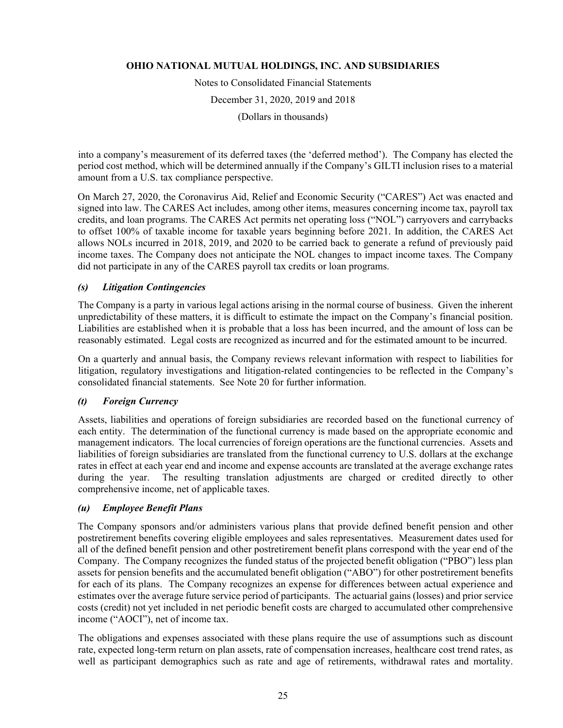Notes to Consolidated Financial Statements December 31, 2020, 2019 and 2018 (Dollars in thousands)

into a company's measurement of its deferred taxes (the 'deferred method'). The Company has elected the period cost method, which will be determined annually if the Company's GILTI inclusion rises to a material amount from a U.S. tax compliance perspective.

On March 27, 2020, the Coronavirus Aid, Relief and Economic Security ("CARES") Act was enacted and signed into law. The CARES Act includes, among other items, measures concerning income tax, payroll tax credits, and loan programs. The CARES Act permits net operating loss ("NOL") carryovers and carrybacks to offset 100% of taxable income for taxable years beginning before 2021. In addition, the CARES Act allows NOLs incurred in 2018, 2019, and 2020 to be carried back to generate a refund of previously paid income taxes. The Company does not anticipate the NOL changes to impact income taxes. The Company did not participate in any of the CARES payroll tax credits or loan programs.

### *(s) Litigation Contingencies*

The Company is a party in various legal actions arising in the normal course of business. Given the inherent unpredictability of these matters, it is difficult to estimate the impact on the Company's financial position. Liabilities are established when it is probable that a loss has been incurred, and the amount of loss can be reasonably estimated. Legal costs are recognized as incurred and for the estimated amount to be incurred.

On a quarterly and annual basis, the Company reviews relevant information with respect to liabilities for litigation, regulatory investigations and litigation-related contingencies to be reflected in the Company's consolidated financial statements. See Note 20 for further information.

### *(t) Foreign Currency*

Assets, liabilities and operations of foreign subsidiaries are recorded based on the functional currency of each entity. The determination of the functional currency is made based on the appropriate economic and management indicators. The local currencies of foreign operations are the functional currencies. Assets and liabilities of foreign subsidiaries are translated from the functional currency to U.S. dollars at the exchange rates in effect at each year end and income and expense accounts are translated at the average exchange rates during the year. The resulting translation adjustments are charged or credited directly to other comprehensive income, net of applicable taxes.

### *(u) Employee Benefit Plans*

The Company sponsors and/or administers various plans that provide defined benefit pension and other postretirement benefits covering eligible employees and sales representatives. Measurement dates used for all of the defined benefit pension and other postretirement benefit plans correspond with the year end of the Company. The Company recognizes the funded status of the projected benefit obligation ("PBO") less plan assets for pension benefits and the accumulated benefit obligation ("ABO") for other postretirement benefits for each of its plans. The Company recognizes an expense for differences between actual experience and estimates over the average future service period of participants. The actuarial gains (losses) and prior service costs (credit) not yet included in net periodic benefit costs are charged to accumulated other comprehensive income ("AOCI"), net of income tax.

The obligations and expenses associated with these plans require the use of assumptions such as discount rate, expected long-term return on plan assets, rate of compensation increases, healthcare cost trend rates, as well as participant demographics such as rate and age of retirements, withdrawal rates and mortality.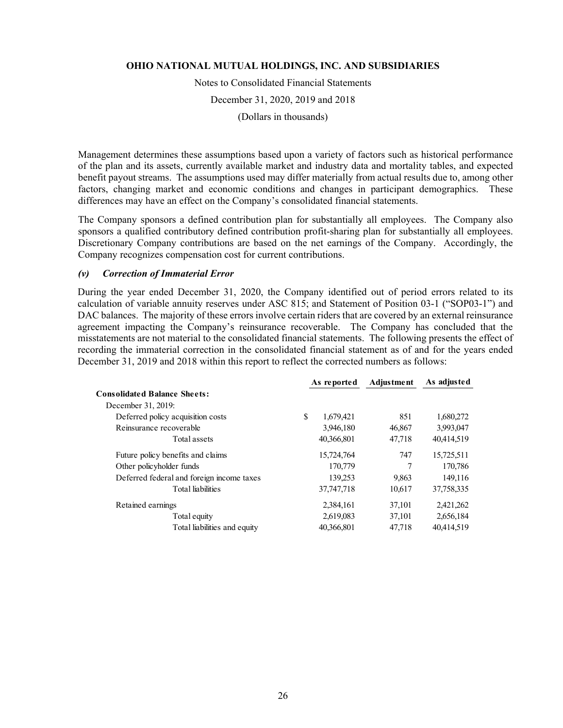Notes to Consolidated Financial Statements

December 31, 2020, 2019 and 2018

(Dollars in thousands)

Management determines these assumptions based upon a variety of factors such as historical performance of the plan and its assets, currently available market and industry data and mortality tables, and expected benefit payout streams. The assumptions used may differ materially from actual results due to, among other factors, changing market and economic conditions and changes in participant demographics. These differences may have an effect on the Company's consolidated financial statements.

The Company sponsors a defined contribution plan for substantially all employees. The Company also sponsors a qualified contributory defined contribution profit-sharing plan for substantially all employees. Discretionary Company contributions are based on the net earnings of the Company. Accordingly, the Company recognizes compensation cost for current contributions.

#### *(v) Correction of Immaterial Error*

During the year ended December 31, 2020, the Company identified out of period errors related to its calculation of variable annuity reserves under ASC 815; and Statement of Position 03-1 ("SOP03-1") and DAC balances. The majority of these errors involve certain riders that are covered by an external reinsurance agreement impacting the Company's reinsurance recoverable. The Company has concluded that the misstatements are not material to the consolidated financial statements. The following presents the effect of recording the immaterial correction in the consolidated financial statement as of and for the years ended December 31, 2019 and 2018 within this report to reflect the corrected numbers as follows:

|                                           | As reported | <b>Adjustment</b> | As adjusted |
|-------------------------------------------|-------------|-------------------|-------------|
| <b>Consolidated Balance Sheets:</b>       |             |                   |             |
| December 31, 2019:                        |             |                   |             |
| \$<br>Deferred policy acquisition costs   | 1,679,421   | 851               | 1,680,272   |
| Reinsurance recoverable                   | 3,946,180   | 46,867            | 3,993,047   |
| Total assets                              | 40,366,801  | 47,718            | 40,414,519  |
| Future policy benefits and claims         | 15,724,764  | 747               | 15,725,511  |
| Other policyholder funds                  | 170,779     | 7                 | 170,786     |
| Deferred federal and foreign income taxes | 139,253     | 9,863             | 149,116     |
| Total liabilities                         | 37,747,718  | 10,617            | 37,758,335  |
| Retained earnings                         | 2,384,161   | 37,101            | 2,421,262   |
| Total equity                              | 2,619,083   | 37,101            | 2,656,184   |
| Total liabilities and equity              | 40,366,801  | 47,718            | 40,414,519  |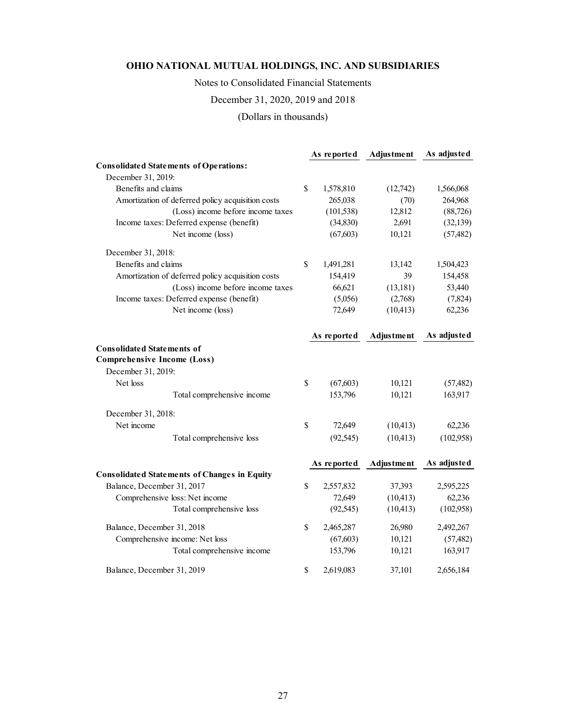Notes to Consolidated Financial Statements

December 31, 2020, 2019 and 2018

(Dollars in thousands)

|                                                     | As reported     | <b>Adjustment</b> | As adjusted |
|-----------------------------------------------------|-----------------|-------------------|-------------|
| <b>Consolidated Statements of Operations:</b>       |                 |                   |             |
| December 31, 2019:                                  |                 |                   |             |
| Benefits and claims                                 | \$<br>1,578,810 | (12,742)          | 1,566,068   |
| Amortization of deferred policy acquisition costs   | 265,038         | (70)              | 264,968     |
| (Loss) income before income taxes                   | (101, 538)      | 12,812            | (88, 726)   |
| Income taxes: Deferred expense (benefit)            | (34,830)        | 2,691             | (32, 139)   |
| Net income (loss)                                   | (67, 603)       | 10,121            | (57, 482)   |
| December 31, 2018:                                  |                 |                   |             |
| Benefits and claims                                 | \$<br>1,491,281 | 13,142            | 1,504,423   |
| Amortization of deferred policy acquisition costs   | 154,419         | 39                | 154,458     |
| (Loss) income before income taxes                   | 66,621          | (13, 181)         | 53,440      |
| Income taxes: Deferred expense (benefit)            | (5,056)         | (2,768)           | (7,824)     |
| Net income (loss)                                   | 72,649          | (10, 413)         | 62,236      |
|                                                     | As reported     | Adjustment        | As adjusted |
| <b>Consolidated Statements of</b>                   |                 |                   |             |
| <b>Comprehensive Income (Loss)</b>                  |                 |                   |             |
| December 31, 2019:                                  |                 |                   |             |
| Net loss                                            | \$<br>(67, 603) | 10,121            | (57, 482)   |
| Total comprehensive income                          | 153,796         | 10,121            | 163,917     |
| December 31, 2018:                                  |                 |                   |             |
| Net income                                          | \$<br>72,649    | (10, 413)         | 62,236      |
| Total comprehensive loss                            | (92, 545)       | (10, 413)         | (102,958)   |
|                                                     | As reported     | Adjustment        | As adjusted |
| <b>Consolidated Statements of Changes in Equity</b> |                 |                   |             |
| Balance, December 31, 2017                          | \$<br>2,557,832 | 37,393            | 2,595,225   |
| Comprehensive loss: Net income                      | 72,649          | (10, 413)         | 62,236      |
| Total comprehensive loss                            | (92, 545)       | (10, 413)         | (102,958)   |
| Balance, December 31, 2018                          | \$<br>2,465,287 | 26,980            | 2,492,267   |
| Comprehensive income: Net loss                      | (67, 603)       | 10,121            | (57, 482)   |
| Total comprehensive income                          | 153,796         | 10,121            | 163,917     |
| Balance, December 31, 2019                          | \$<br>2,619,083 | 37,101            | 2,656,184   |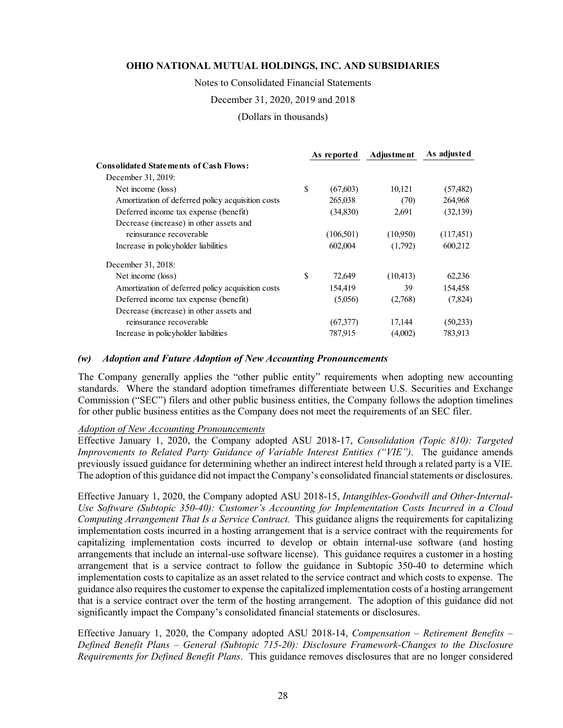Notes to Consolidated Financial Statements

December 31, 2020, 2019 and 2018

(Dollars in thousands)

|                                                   |              | As reported | <b>Adjustment</b> | As adjusted |
|---------------------------------------------------|--------------|-------------|-------------------|-------------|
| <b>Consolidated Statements of Cash Flows:</b>     |              |             |                   |             |
| December 31, 2019:                                |              |             |                   |             |
| Net income (loss)                                 | $\mathbb{S}$ | (67,603)    | 10,121            | (57, 482)   |
| Amortization of deferred policy acquisition costs |              | 265,038     | (70)              | 264,968     |
| Deferred income tax expense (benefit)             |              | (34,830)    | 2,691             | (32, 139)   |
| Decrease (increase) in other assets and           |              |             |                   |             |
| reinsurance recoverable                           |              | (106, 501)  | (10,950)          | (117,451)   |
| Increase in policyholder liabilities              |              | 602,004     | (1,792)           | 600,212     |
| December 31, 2018:                                |              |             |                   |             |
| Net income (loss)                                 | $\mathbb{S}$ | 72,649      | (10, 413)         | 62,236      |
| Amortization of deferred policy acquisition costs |              | 154,419     | 39                | 154,458     |
| Deferred income tax expense (benefit)             |              | (5,056)     | (2,768)           | (7,824)     |
| Decrease (increase) in other assets and           |              |             |                   |             |
| reinsurance recoverable                           |              | (67,377)    | 17,144            | (50,233)    |
| Increase in policyholder liabilities              |              | 787,915     | (4,002)           | 783,913     |

#### *(w) Adoption and Future Adoption of New Accounting Pronouncements*

The Company generally applies the "other public entity" requirements when adopting new accounting standards. Where the standard adoption timeframes differentiate between U.S. Securities and Exchange Commission ("SEC") filers and other public business entities, the Company follows the adoption timelines for other public business entities as the Company does not meet the requirements of an SEC filer.

#### *Adoption of New Accounting Pronouncements*

Effective January 1, 2020, the Company adopted ASU 2018-17, *Consolidation (Topic 810): Targeted Improvements to Related Party Guidance of Variable Interest Entities ("VIE")*. The guidance amends previously issued guidance for determining whether an indirect interest held through a related party is a VIE. The adoption of this guidance did not impact the Company's consolidated financial statements or disclosures.

Effective January 1, 2020, the Company adopted ASU 2018-15, *Intangibles-Goodwill and Other-Internal-Use Software (Subtopic 350-40): Customer's Accounting for Implementation Costs Incurred in a Cloud Computing Arrangement That Is a Service Contract.* This guidance aligns the requirements for capitalizing implementation costs incurred in a hosting arrangement that is a service contract with the requirements for capitalizing implementation costs incurred to develop or obtain internal-use software (and hosting arrangements that include an internal-use software license). This guidance requires a customer in a hosting arrangement that is a service contract to follow the guidance in Subtopic 350-40 to determine which implementation costs to capitalize as an asset related to the service contract and which costs to expense. The guidance also requires the customer to expense the capitalized implementation costs of a hosting arrangement that is a service contract over the term of the hosting arrangement. The adoption of this guidance did not significantly impact the Company's consolidated financial statements or disclosures.

Effective January 1, 2020, the Company adopted ASU 2018-14, *Compensation – Retirement Benefits – Defined Benefit Plans – General (Subtopic 715-20): Disclosure Framework-Changes to the Disclosure Requirements for Defined Benefit Plans*. This guidance removes disclosures that are no longer considered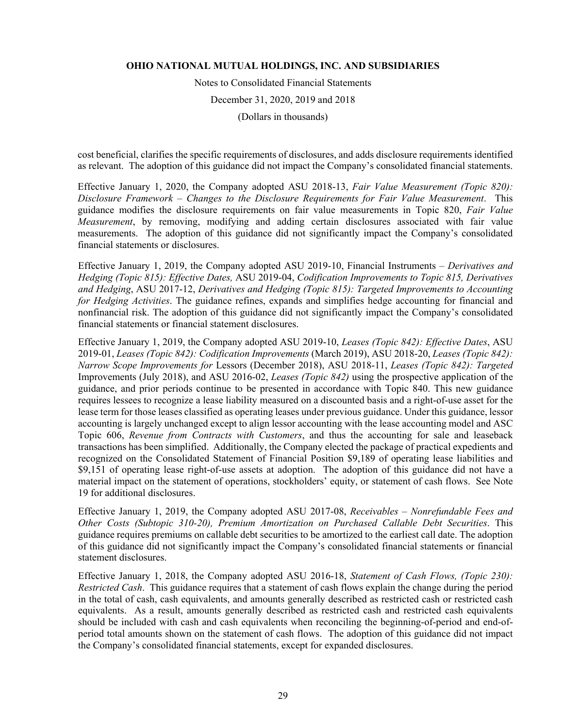Notes to Consolidated Financial Statements December 31, 2020, 2019 and 2018 (Dollars in thousands)

cost beneficial, clarifies the specific requirements of disclosures, and adds disclosure requirements identified as relevant. The adoption of this guidance did not impact the Company's consolidated financial statements.

Effective January 1, 2020, the Company adopted ASU 2018-13, *Fair Value Measurement (Topic 820): Disclosure Framework – Changes to the Disclosure Requirements for Fair Value Measurement*. This guidance modifies the disclosure requirements on fair value measurements in Topic 820, *Fair Value Measurement*, by removing, modifying and adding certain disclosures associated with fair value measurements. The adoption of this guidance did not significantly impact the Company's consolidated financial statements or disclosures.

Effective January 1, 2019, the Company adopted ASU 2019-10, Financial Instruments – *Derivatives and Hedging (Topic 815): Effective Dates,* ASU 2019-04, *Codification Improvements to Topic 815, Derivatives and Hedging*, ASU 2017-12, *Derivatives and Hedging (Topic 815): Targeted Improvements to Accounting for Hedging Activities*. The guidance refines, expands and simplifies hedge accounting for financial and nonfinancial risk. The adoption of this guidance did not significantly impact the Company's consolidated financial statements or financial statement disclosures.

Effective January 1, 2019, the Company adopted ASU 2019-10, *Leases (Topic 842): Effective Dates*, ASU 2019-01, *Leases (Topic 842): Codification Improvements* (March 2019), ASU 2018-20, *Leases (Topic 842): Narrow Scope Improvements for* Lessors (December 2018), ASU 2018-11, *Leases (Topic 842): Targeted*  Improvements (July 2018), and ASU 2016-02, *Leases (Topic 842)* using the prospective application of the guidance, and prior periods continue to be presented in accordance with Topic 840. This new guidance requires lessees to recognize a lease liability measured on a discounted basis and a right-of-use asset for the lease term for those leases classified as operating leases under previous guidance. Under this guidance, lessor accounting is largely unchanged except to align lessor accounting with the lease accounting model and ASC Topic 606, *Revenue from Contracts with Customers*, and thus the accounting for sale and leaseback transactions has been simplified. Additionally, the Company elected the package of practical expedients and recognized on the Consolidated Statement of Financial Position \$9,189 of operating lease liabilities and \$9,151 of operating lease right-of-use assets at adoption. The adoption of this guidance did not have a material impact on the statement of operations, stockholders' equity, or statement of cash flows. See Note 19 for additional disclosures.

Effective January 1, 2019, the Company adopted ASU 2017-08, *Receivables – Nonrefundable Fees and Other Costs (Subtopic 310-20), Premium Amortization on Purchased Callable Debt Securities*. This guidance requires premiums on callable debt securities to be amortized to the earliest call date. The adoption of this guidance did not significantly impact the Company's consolidated financial statements or financial statement disclosures.

Effective January 1, 2018, the Company adopted ASU 2016-18, *Statement of Cash Flows, (Topic 230): Restricted Cash*. This guidance requires that a statement of cash flows explain the change during the period in the total of cash, cash equivalents, and amounts generally described as restricted cash or restricted cash equivalents. As a result, amounts generally described as restricted cash and restricted cash equivalents should be included with cash and cash equivalents when reconciling the beginning-of-period and end-ofperiod total amounts shown on the statement of cash flows. The adoption of this guidance did not impact the Company's consolidated financial statements, except for expanded disclosures.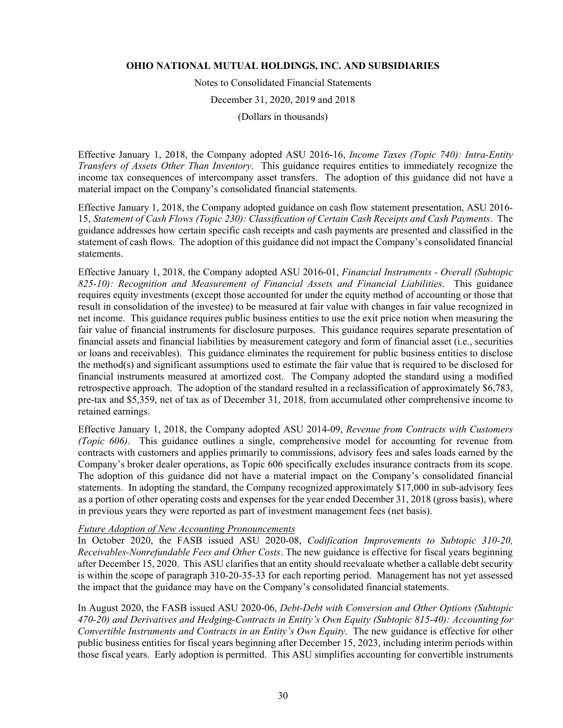Notes to Consolidated Financial Statements December 31, 2020, 2019 and 2018

(Dollars in thousands)

Effective January 1, 2018, the Company adopted ASU 2016-16, *Income Taxes (Topic 740): Intra-Entity Transfers of Assets Other Than Inventory*. This guidance requires entities to immediately recognize the income tax consequences of intercompany asset transfers. The adoption of this guidance did not have a material impact on the Company's consolidated financial statements.

Effective January 1, 2018, the Company adopted guidance on cash flow statement presentation, ASU 2016- 15, *Statement of Cash Flows (Topic 230): Classification of Certain Cash Receipts and Cash Payments*. The guidance addresses how certain specific cash receipts and cash payments are presented and classified in the statement of cash flows. The adoption of this guidance did not impact the Company's consolidated financial statements.

Effective January 1, 2018, the Company adopted ASU 2016-01, *Financial Instruments - Overall (Subtopic 825-10): Recognition and Measurement of Financial Assets and Financial Liabilities*. This guidance requires equity investments (except those accounted for under the equity method of accounting or those that result in consolidation of the investee) to be measured at fair value with changes in fair value recognized in net income. This guidance requires public business entities to use the exit price notion when measuring the fair value of financial instruments for disclosure purposes. This guidance requires separate presentation of financial assets and financial liabilities by measurement category and form of financial asset (i.e., securities or loans and receivables). This guidance eliminates the requirement for public business entities to disclose the method(s) and significant assumptions used to estimate the fair value that is required to be disclosed for financial instruments measured at amortized cost. The Company adopted the standard using a modified retrospective approach. The adoption of the standard resulted in a reclassification of approximately \$6,783, pre-tax and \$5,359, net of tax as of December 31, 2018, from accumulated other comprehensive income to retained earnings.

Effective January 1, 2018, the Company adopted ASU 2014-09, *Revenue from Contracts with Customers (Topic 606)*. This guidance outlines a single, comprehensive model for accounting for revenue from contracts with customers and applies primarily to commissions, advisory fees and sales loads earned by the Company's broker dealer operations, as Topic 606 specifically excludes insurance contracts from its scope. The adoption of this guidance did not have a material impact on the Company's consolidated financial statements. In adopting the standard, the Company recognized approximately \$17,000 in sub-advisory fees as a portion of other operating costs and expenses for the year ended December 31, 2018 (gross basis), where in previous years they were reported as part of investment management fees (net basis).

### *Future Adoption of New Accounting Pronouncements*

In October 2020, the FASB issued ASU 2020-08, *Codification Improvements to Subtopic 310-20, Receivables-Nonrefundable Fees and Other Costs*. The new guidance is effective for fiscal years beginning after December 15, 2020. This ASU clarifies that an entity should reevaluate whether a callable debt security is within the scope of paragraph 310-20-35-33 for each reporting period. Management has not yet assessed the impact that the guidance may have on the Company's consolidated financial statements.

In August 2020, the FASB issued ASU 2020-06, *Debt-Debt with Conversion and Other Options (Subtopic 470-20) and Derivatives and Hedging-Contracts in Entity's Own Equity (Subtopic 815-40): Accounting for Convertible Instruments and Contracts in an Entity's Own Equity*. The new guidance is effective for other public business entities for fiscal years beginning after December 15, 2023, including interim periods within those fiscal years. Early adoption is permitted. This ASU simplifies accounting for convertible instruments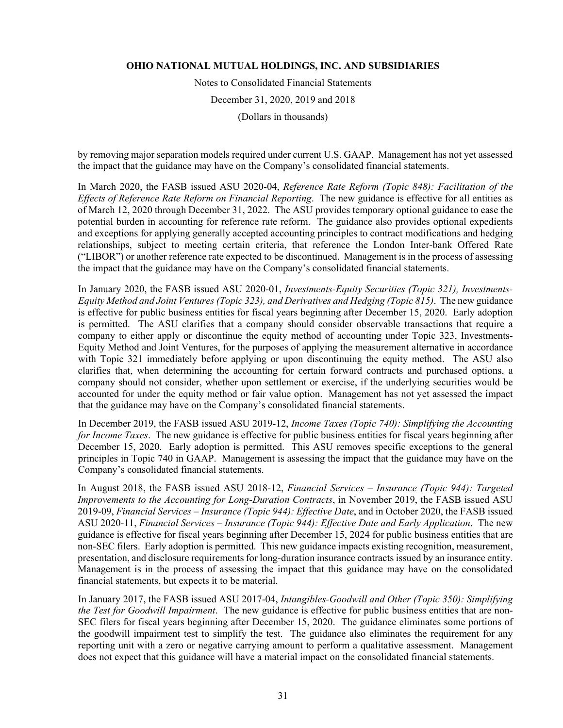Notes to Consolidated Financial Statements December 31, 2020, 2019 and 2018 (Dollars in thousands)

by removing major separation models required under current U.S. GAAP. Management has not yet assessed the impact that the guidance may have on the Company's consolidated financial statements.

In March 2020, the FASB issued ASU 2020-04, *Reference Rate Reform (Topic 848): Facilitation of the Effects of Reference Rate Reform on Financial Reporting*. The new guidance is effective for all entities as of March 12, 2020 through December 31, 2022. The ASU provides temporary optional guidance to ease the potential burden in accounting for reference rate reform. The guidance also provides optional expedients and exceptions for applying generally accepted accounting principles to contract modifications and hedging relationships, subject to meeting certain criteria, that reference the London Inter-bank Offered Rate ("LIBOR") or another reference rate expected to be discontinued. Management is in the process of assessing the impact that the guidance may have on the Company's consolidated financial statements.

In January 2020, the FASB issued ASU 2020-01, *Investments-Equity Securities (Topic 321), Investments-Equity Method and Joint Ventures (Topic 323), and Derivatives and Hedging (Topic 815)*. The new guidance is effective for public business entities for fiscal years beginning after December 15, 2020. Early adoption is permitted. The ASU clarifies that a company should consider observable transactions that require a company to either apply or discontinue the equity method of accounting under Topic 323, Investments-Equity Method and Joint Ventures, for the purposes of applying the measurement alternative in accordance with Topic 321 immediately before applying or upon discontinuing the equity method. The ASU also clarifies that, when determining the accounting for certain forward contracts and purchased options, a company should not consider, whether upon settlement or exercise, if the underlying securities would be accounted for under the equity method or fair value option. Management has not yet assessed the impact that the guidance may have on the Company's consolidated financial statements.

In December 2019, the FASB issued ASU 2019-12, *Income Taxes (Topic 740): Simplifying the Accounting for Income Taxes*. The new guidance is effective for public business entities for fiscal years beginning after December 15, 2020. Early adoption is permitted. This ASU removes specific exceptions to the general principles in Topic 740 in GAAP. Management is assessing the impact that the guidance may have on the Company's consolidated financial statements.

In August 2018, the FASB issued ASU 2018-12, *Financial Services – Insurance (Topic 944): Targeted Improvements to the Accounting for Long-Duration Contracts*, in November 2019, the FASB issued ASU 2019-09, *Financial Services – Insurance (Topic 944): Effective Date*, and in October 2020, the FASB issued ASU 2020-11, *Financial Services – Insurance (Topic 944): Effective Date and Early Application*.The new guidance is effective for fiscal years beginning after December 15, 2024 for public business entities that are non-SEC filers. Early adoption is permitted. This new guidance impacts existing recognition, measurement, presentation, and disclosure requirements for long-duration insurance contracts issued by an insurance entity. Management is in the process of assessing the impact that this guidance may have on the consolidated financial statements, but expects it to be material.

In January 2017, the FASB issued ASU 2017-04, *Intangibles-Goodwill and Other (Topic 350): Simplifying the Test for Goodwill Impairment*. The new guidance is effective for public business entities that are non-SEC filers for fiscal years beginning after December 15, 2020. The guidance eliminates some portions of the goodwill impairment test to simplify the test. The guidance also eliminates the requirement for any reporting unit with a zero or negative carrying amount to perform a qualitative assessment. Management does not expect that this guidance will have a material impact on the consolidated financial statements.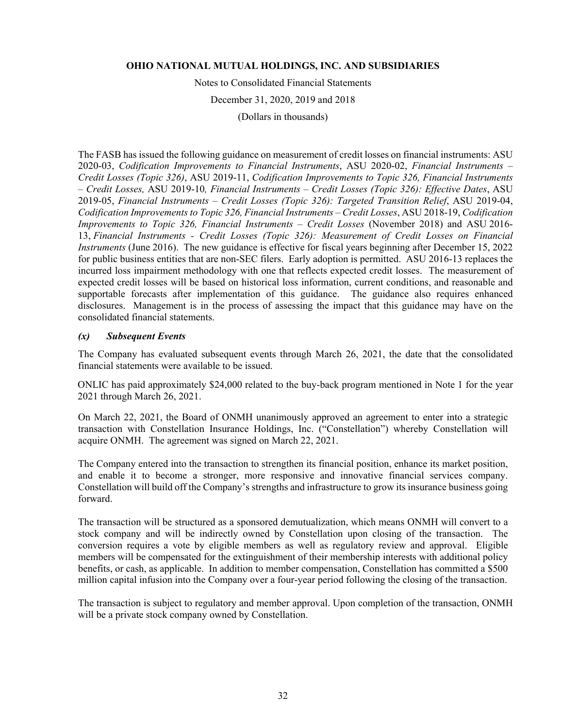Notes to Consolidated Financial Statements

December 31, 2020, 2019 and 2018

(Dollars in thousands)

The FASB has issued the following guidance on measurement of credit losses on financial instruments: ASU 2020-03, *Codification Improvements to Financial Instruments*, ASU 2020-02, *Financial Instruments – Credit Losses (Topic 326)*, ASU 2019-11, *Codification Improvements to Topic 326, Financial Instruments – Credit Losses,* ASU 2019-10*, Financial Instruments – Credit Losses (Topic 326): Effective Dates*, ASU 2019-05, *Financial Instruments – Credit Losses (Topic 326): Targeted Transition Relief*, ASU 2019-04, *Codification Improvements to Topic 326, Financial Instruments – Credit Losses*, ASU 2018-19, *Codification Improvements to Topic 326, Financial Instruments – Credit Losses* (November 2018) and ASU 2016-13, *Financial Instruments - Credit Losses (Topic 326): Measurement of Credit Losses on Financial Instruments* (June 2016). The new guidance is effective for fiscal years beginning after December 15, 2022 for public business entities that are non-SEC filers. Early adoption is permitted. ASU 2016-13 replaces the incurred loss impairment methodology with one that reflects expected credit losses. The measurement of expected credit losses will be based on historical loss information, current conditions, and reasonable and supportable forecasts after implementation of this guidance. The guidance also requires enhanced disclosures. Management is in the process of assessing the impact that this guidance may have on the consolidated financial statements.

#### *(x) Subsequent Events*

The Company has evaluated subsequent events through March 26, 2021, the date that the consolidated financial statements were available to be issued.

ONLIC has paid approximately \$24,000 related to the buy-back program mentioned in Note 1 for the year 2021 through March 26, 2021.

On March 22, 2021, the Board of ONMH unanimously approved an agreement to enter into a strategic transaction with Constellation Insurance Holdings, Inc. ("Constellation") whereby Constellation will acquire ONMH. The agreement was signed on March 22, 2021.

The Company entered into the transaction to strengthen its financial position, enhance its market position, and enable it to become a stronger, more responsive and innovative financial services company. Constellation will build off the Company's strengths and infrastructure to grow its insurance business going forward.

The transaction will be structured as a sponsored demutualization, which means ONMH will convert to a stock company and will be indirectly owned by Constellation upon closing of the transaction. The conversion requires a vote by eligible members as well as regulatory review and approval. Eligible members will be compensated for the extinguishment of their membership interests with additional policy benefits, or cash, as applicable. In addition to member compensation, Constellation has committed a \$500 million capital infusion into the Company over a four-year period following the closing of the transaction.

The transaction is subject to regulatory and member approval. Upon completion of the transaction, ONMH will be a private stock company owned by Constellation.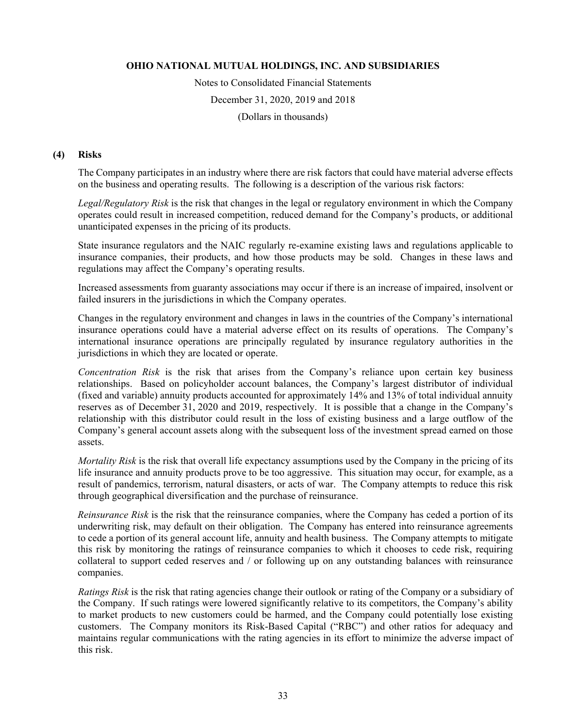Notes to Consolidated Financial Statements December 31, 2020, 2019 and 2018 (Dollars in thousands)

#### **(4) Risks**

The Company participates in an industry where there are risk factors that could have material adverse effects on the business and operating results. The following is a description of the various risk factors:

*Legal/Regulatory Risk* is the risk that changes in the legal or regulatory environment in which the Company operates could result in increased competition, reduced demand for the Company's products, or additional unanticipated expenses in the pricing of its products.

State insurance regulators and the NAIC regularly re-examine existing laws and regulations applicable to insurance companies, their products, and how those products may be sold. Changes in these laws and regulations may affect the Company's operating results.

Increased assessments from guaranty associations may occur if there is an increase of impaired, insolvent or failed insurers in the jurisdictions in which the Company operates.

Changes in the regulatory environment and changes in laws in the countries of the Company's international insurance operations could have a material adverse effect on its results of operations. The Company's international insurance operations are principally regulated by insurance regulatory authorities in the jurisdictions in which they are located or operate.

*Concentration Risk* is the risk that arises from the Company's reliance upon certain key business relationships. Based on policyholder account balances, the Company's largest distributor of individual (fixed and variable) annuity products accounted for approximately 14% and 13% of total individual annuity reserves as of December 31, 2020 and 2019, respectively. It is possible that a change in the Company's relationship with this distributor could result in the loss of existing business and a large outflow of the Company's general account assets along with the subsequent loss of the investment spread earned on those assets.

*Mortality Risk* is the risk that overall life expectancy assumptions used by the Company in the pricing of its life insurance and annuity products prove to be too aggressive. This situation may occur, for example, as a result of pandemics, terrorism, natural disasters, or acts of war. The Company attempts to reduce this risk through geographical diversification and the purchase of reinsurance.

*Reinsurance Risk* is the risk that the reinsurance companies, where the Company has ceded a portion of its underwriting risk, may default on their obligation. The Company has entered into reinsurance agreements to cede a portion of its general account life, annuity and health business. The Company attempts to mitigate this risk by monitoring the ratings of reinsurance companies to which it chooses to cede risk, requiring collateral to support ceded reserves and / or following up on any outstanding balances with reinsurance companies.

*Ratings Risk* is the risk that rating agencies change their outlook or rating of the Company or a subsidiary of the Company. If such ratings were lowered significantly relative to its competitors, the Company's ability to market products to new customers could be harmed, and the Company could potentially lose existing customers. The Company monitors its Risk-Based Capital ("RBC") and other ratios for adequacy and maintains regular communications with the rating agencies in its effort to minimize the adverse impact of this risk.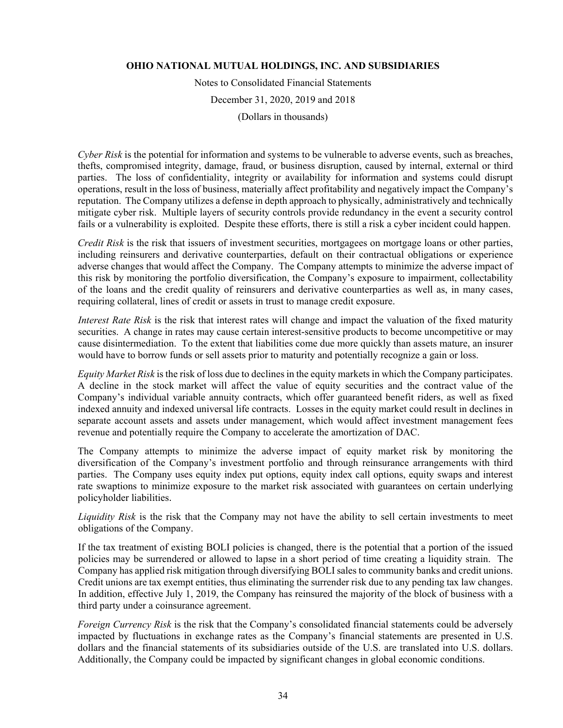Notes to Consolidated Financial Statements

December 31, 2020, 2019 and 2018

(Dollars in thousands)

*Cyber Risk* is the potential for information and systems to be vulnerable to adverse events, such as breaches, thefts, compromised integrity, damage, fraud, or business disruption, caused by internal, external or third parties. The loss of confidentiality, integrity or availability for information and systems could disrupt operations, result in the loss of business, materially affect profitability and negatively impact the Company's reputation. The Company utilizes a defense in depth approach to physically, administratively and technically mitigate cyber risk. Multiple layers of security controls provide redundancy in the event a security control fails or a vulnerability is exploited. Despite these efforts, there is still a risk a cyber incident could happen.

*Credit Risk* is the risk that issuers of investment securities, mortgagees on mortgage loans or other parties, including reinsurers and derivative counterparties, default on their contractual obligations or experience adverse changes that would affect the Company. The Company attempts to minimize the adverse impact of this risk by monitoring the portfolio diversification, the Company's exposure to impairment, collectability of the loans and the credit quality of reinsurers and derivative counterparties as well as, in many cases, requiring collateral, lines of credit or assets in trust to manage credit exposure.

*Interest Rate Risk* is the risk that interest rates will change and impact the valuation of the fixed maturity securities. A change in rates may cause certain interest-sensitive products to become uncompetitive or may cause disintermediation. To the extent that liabilities come due more quickly than assets mature, an insurer would have to borrow funds or sell assets prior to maturity and potentially recognize a gain or loss.

*Equity Market Risk* is the risk of loss due to declines in the equity markets in which the Company participates. A decline in the stock market will affect the value of equity securities and the contract value of the Company's individual variable annuity contracts, which offer guaranteed benefit riders, as well as fixed indexed annuity and indexed universal life contracts. Losses in the equity market could result in declines in separate account assets and assets under management, which would affect investment management fees revenue and potentially require the Company to accelerate the amortization of DAC.

The Company attempts to minimize the adverse impact of equity market risk by monitoring the diversification of the Company's investment portfolio and through reinsurance arrangements with third parties. The Company uses equity index put options, equity index call options, equity swaps and interest rate swaptions to minimize exposure to the market risk associated with guarantees on certain underlying policyholder liabilities.

*Liquidity Risk* is the risk that the Company may not have the ability to sell certain investments to meet obligations of the Company.

If the tax treatment of existing BOLI policies is changed, there is the potential that a portion of the issued policies may be surrendered or allowed to lapse in a short period of time creating a liquidity strain. The Company has applied risk mitigation through diversifying BOLI sales to community banks and credit unions. Credit unions are tax exempt entities, thus eliminating the surrender risk due to any pending tax law changes. In addition, effective July 1, 2019, the Company has reinsured the majority of the block of business with a third party under a coinsurance agreement.

*Foreign Currency Risk* is the risk that the Company's consolidated financial statements could be adversely impacted by fluctuations in exchange rates as the Company's financial statements are presented in U.S. dollars and the financial statements of its subsidiaries outside of the U.S. are translated into U.S. dollars. Additionally, the Company could be impacted by significant changes in global economic conditions.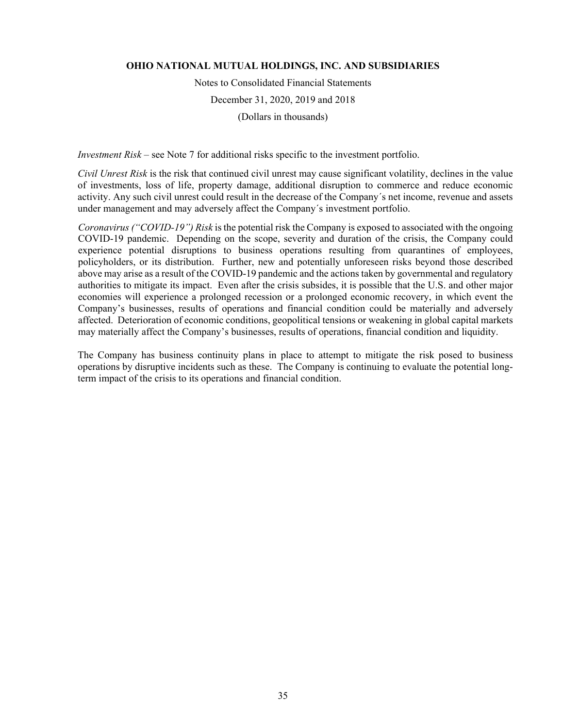Notes to Consolidated Financial Statements December 31, 2020, 2019 and 2018 (Dollars in thousands)

*Investment Risk* – see Note 7 for additional risks specific to the investment portfolio.

*Civil Unrest Risk* is the risk that continued civil unrest may cause significant volatility, declines in the value of investments, loss of life, property damage, additional disruption to commerce and reduce economic activity. Any such civil unrest could result in the decrease of the Company´s net income, revenue and assets under management and may adversely affect the Company´s investment portfolio.

*Coronavirus ("COVID-19") Risk* is the potential risk the Company is exposed to associated with the ongoing COVID-19 pandemic. Depending on the scope, severity and duration of the crisis, the Company could experience potential disruptions to business operations resulting from quarantines of employees, policyholders, or its distribution. Further, new and potentially unforeseen risks beyond those described above may arise as a result of the COVID-19 pandemic and the actions taken by governmental and regulatory authorities to mitigate its impact. Even after the crisis subsides, it is possible that the U.S. and other major economies will experience a prolonged recession or a prolonged economic recovery, in which event the Company's businesses, results of operations and financial condition could be materially and adversely affected. Deterioration of economic conditions, geopolitical tensions or weakening in global capital markets may materially affect the Company's businesses, results of operations, financial condition and liquidity.

The Company has business continuity plans in place to attempt to mitigate the risk posed to business operations by disruptive incidents such as these. The Company is continuing to evaluate the potential longterm impact of the crisis to its operations and financial condition.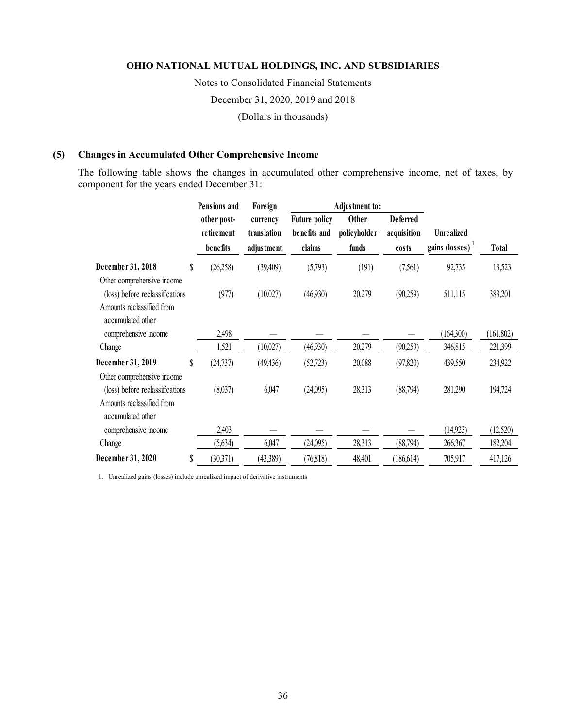Notes to Consolidated Financial Statements December 31, 2020, 2019 and 2018 (Dollars in thousands)

## **(5) Changes in Accumulated Other Comprehensive Income**

The following table shows the changes in accumulated other comprehensive income, net of taxes, by component for the years ended December 31:

|                                                |    | Pensions and              | Foreign                 |                                      | Adjustment to:        |                                |                             |              |
|------------------------------------------------|----|---------------------------|-------------------------|--------------------------------------|-----------------------|--------------------------------|-----------------------------|--------------|
|                                                |    | other post-<br>retirement | currency<br>translation | <b>Future policy</b><br>benefits and | Other<br>policyholder | <b>Deferred</b><br>acquisition | <b>Unrealized</b>           |              |
|                                                |    | be ne fits                | adjustment              | claims                               | funds                 | costs                          | gains (losses) <sup>1</sup> | <b>Total</b> |
| December 31, 2018                              | \$ | (26,258)                  | (39, 409)               | (5,793)                              | (191)                 | (7,561)                        | 92,735                      | 13,523       |
| Other comprehensive income                     |    |                           |                         |                                      |                       |                                |                             |              |
| (loss) before reclassifications                |    | (977)                     | (10,027)                | (46,930)                             | 20,279                | (90,259)                       | 511,115                     | 383,201      |
| Amounts reclassified from<br>accumulated other |    |                           |                         |                                      |                       |                                |                             |              |
| comprehensive income                           |    | 2,498                     |                         |                                      |                       |                                | (164,300)                   | (161, 802)   |
| Change                                         |    | 1,521                     | (10,027)                | (46,930)                             | 20,279                | (90,259)                       | 346,815                     | 221,399      |
| December 31, 2019                              | \$ | (24, 737)                 | (49, 436)               | (52, 723)                            | 20,088                | (97, 820)                      | 439,550                     | 234,922      |
| Other comprehensive income                     |    |                           |                         |                                      |                       |                                |                             |              |
| (loss) before reclassifications                |    | (8,037)                   | 6,047                   | (24,095)                             | 28,313                | (88,794)                       | 281,290                     | 194,724      |
| Amounts reclassified from<br>accumulated other |    |                           |                         |                                      |                       |                                |                             |              |
| comprehensive income                           |    | 2,403                     |                         |                                      |                       |                                | (14, 923)                   | (12,520)     |
| Change                                         |    | (5,634)                   | 6,047                   | (24,095)                             | 28,313                | (88, 794)                      | 266,367                     | 182,204      |
| December 31, 2020                              | S  | (30,371)                  | (43,389)                | (76, 818)                            | 48,401                | (186, 614)                     | 705,917                     | 417,126      |

1. Unrealized gains (losses) include unrealized impact of derivative instruments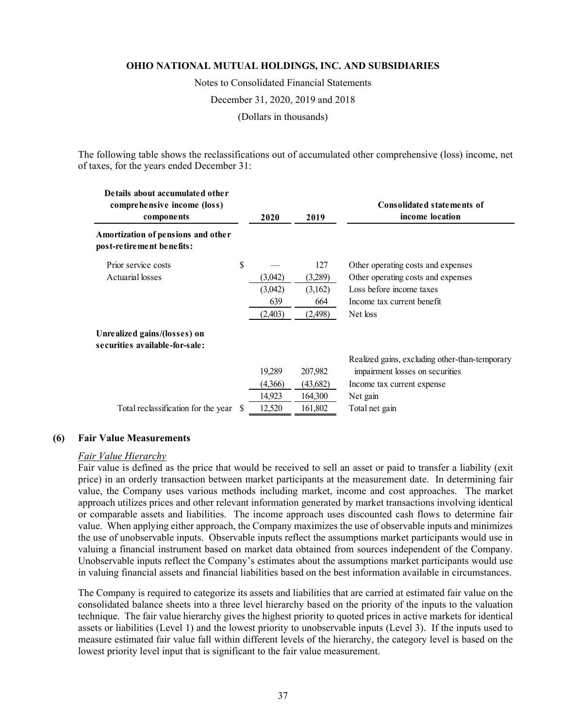Notes to Consolidated Financial Statements

December 31, 2020, 2019 and 2018

(Dollars in thousands)

The following table shows the reclassifications out of accumulated other comprehensive (loss) income, net of taxes, for the years ended December 31:

| Details about accumulated other<br>comprehensive income (loss)<br>components |     | 2019<br>2020 |          | Consolidated statements of<br>income location  |
|------------------------------------------------------------------------------|-----|--------------|----------|------------------------------------------------|
| Amortization of pensions and other<br>post-retirement benefits:              |     |              |          |                                                |
| Prior service costs                                                          | \$  |              | 127      | Other operating costs and expenses             |
| Actuarial losses                                                             |     | (3,042)      | (3,289)  | Other operating costs and expenses             |
|                                                                              |     | (3,042)      | (3,162)  | Loss before income taxes                       |
|                                                                              |     | 639          | 664      | Income tax current benefit                     |
|                                                                              |     | (2,403)      | (2,498)  | Net loss                                       |
| Unrealized gains/(losses) on<br>securities available-for-sale:               |     |              |          |                                                |
|                                                                              |     |              |          | Realized gains, excluding other-than-temporary |
|                                                                              |     | 19,289       | 207,982  | impairment losses on securities                |
|                                                                              |     | (4,366)      | (43,682) | Income tax current expense                     |
|                                                                              |     | 14,923       | 164,300  | Net gain                                       |
| Total reclassification for the year                                          | \$. | 12,520       | 161,802  | Total net gain                                 |

#### **(6) Fair Value Measurements**

#### *Fair Value Hierarchy*

Fair value is defined as the price that would be received to sell an asset or paid to transfer a liability (exit price) in an orderly transaction between market participants at the measurement date. In determining fair value, the Company uses various methods including market, income and cost approaches. The market approach utilizes prices and other relevant information generated by market transactions involving identical or comparable assets and liabilities. The income approach uses discounted cash flows to determine fair value. When applying either approach, the Company maximizes the use of observable inputs and minimizes the use of unobservable inputs. Observable inputs reflect the assumptions market participants would use in valuing a financial instrument based on market data obtained from sources independent of the Company. Unobservable inputs reflect the Company's estimates about the assumptions market participants would use in valuing financial assets and financial liabilities based on the best information available in circumstances.

The Company is required to categorize its assets and liabilities that are carried at estimated fair value on the consolidated balance sheets into a three level hierarchy based on the priority of the inputs to the valuation technique. The fair value hierarchy gives the highest priority to quoted prices in active markets for identical assets or liabilities (Level 1) and the lowest priority to unobservable inputs (Level 3). If the inputs used to measure estimated fair value fall within different levels of the hierarchy, the category level is based on the lowest priority level input that is significant to the fair value measurement.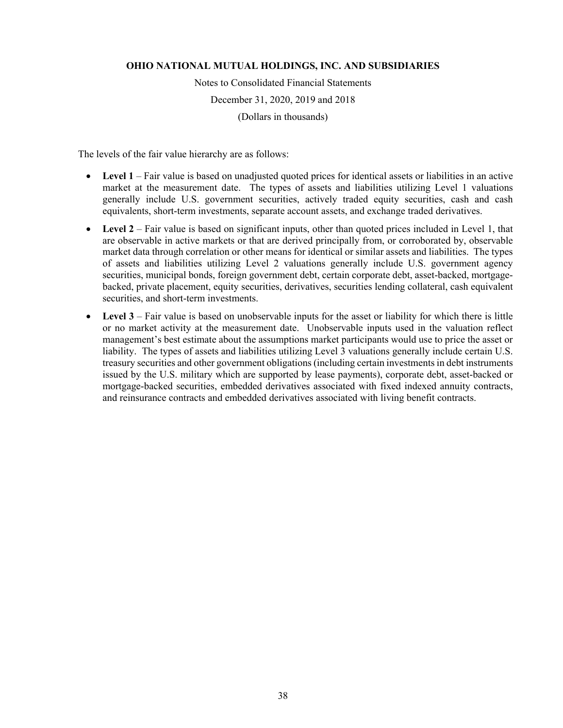Notes to Consolidated Financial Statements December 31, 2020, 2019 and 2018 (Dollars in thousands)

The levels of the fair value hierarchy are as follows:

- Level 1 Fair value is based on unadjusted quoted prices for identical assets or liabilities in an active market at the measurement date. The types of assets and liabilities utilizing Level 1 valuations generally include U.S. government securities, actively traded equity securities, cash and cash equivalents, short-term investments, separate account assets, and exchange traded derivatives.
- Level 2 Fair value is based on significant inputs, other than quoted prices included in Level 1, that are observable in active markets or that are derived principally from, or corroborated by, observable market data through correlation or other means for identical or similar assets and liabilities. The types of assets and liabilities utilizing Level 2 valuations generally include U.S. government agency securities, municipal bonds, foreign government debt, certain corporate debt, asset-backed, mortgagebacked, private placement, equity securities, derivatives, securities lending collateral, cash equivalent securities, and short-term investments.
- **Level 3** Fair value is based on unobservable inputs for the asset or liability for which there is little or no market activity at the measurement date. Unobservable inputs used in the valuation reflect management's best estimate about the assumptions market participants would use to price the asset or liability. The types of assets and liabilities utilizing Level 3 valuations generally include certain U.S. treasury securities and other government obligations (including certain investments in debt instruments issued by the U.S. military which are supported by lease payments), corporate debt, asset-backed or mortgage-backed securities, embedded derivatives associated with fixed indexed annuity contracts, and reinsurance contracts and embedded derivatives associated with living benefit contracts.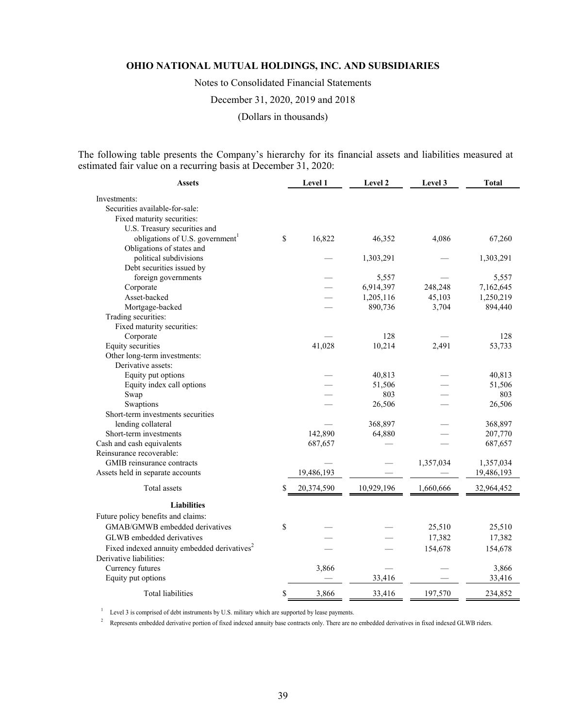Notes to Consolidated Financial Statements

December 31, 2020, 2019 and 2018

(Dollars in thousands)

The following table presents the Company's hierarchy for its financial assets and liabilities measured at estimated fair value on a recurring basis at December 31, 2020:

| Assets                                                                             | Level 1          | Level 2    | Level 3   | <b>Total</b> |
|------------------------------------------------------------------------------------|------------------|------------|-----------|--------------|
| Investments:                                                                       |                  |            |           |              |
| Securities available-for-sale:                                                     |                  |            |           |              |
| Fixed maturity securities:                                                         |                  |            |           |              |
| U.S. Treasury securities and                                                       |                  |            |           |              |
| obligations of U.S. government <sup>1</sup>                                        | \$<br>16,822     | 46,352     | 4,086     | 67,260       |
| Obligations of states and                                                          |                  |            |           |              |
| political subdivisions                                                             |                  | 1,303,291  |           | 1,303,291    |
| Debt securities issued by                                                          |                  |            |           |              |
| foreign governments                                                                |                  | 5,557      |           | 5,557        |
| Corporate                                                                          |                  | 6,914,397  | 248,248   | 7,162,645    |
| Asset-backed                                                                       |                  | 1,205,116  | 45,103    | 1,250,219    |
| Mortgage-backed                                                                    |                  | 890,736    | 3,704     | 894,440      |
| Trading securities:                                                                |                  |            |           |              |
| Fixed maturity securities:                                                         |                  |            |           |              |
| Corporate                                                                          |                  | 128        |           | 128          |
| <b>Equity</b> securities                                                           | 41,028           | 10,214     | 2,491     | 53,733       |
| Other long-term investments:                                                       |                  |            |           |              |
| Derivative assets:                                                                 |                  |            |           |              |
| Equity put options                                                                 |                  | 40,813     |           | 40,813       |
| Equity index call options                                                          |                  | 51,506     |           | 51,506       |
| Swap                                                                               |                  | 803        |           | 803          |
| Swaptions                                                                          |                  | 26,506     |           | 26,506       |
| Short-term investments securities                                                  |                  |            |           |              |
| lending collateral                                                                 |                  | 368,897    |           | 368,897      |
| Short-term investments                                                             | 142,890          | 64,880     |           | 207,770      |
| Cash and cash equivalents                                                          | 687,657          |            |           | 687,657      |
| Reinsurance recoverable:                                                           |                  |            |           |              |
| GMIB reinsurance contracts                                                         |                  |            | 1,357,034 | 1,357,034    |
| Assets held in separate accounts                                                   | 19,486,193       |            |           | 19,486,193   |
| Total assets                                                                       | \$<br>20,374,590 | 10,929,196 | 1,660,666 | 32,964,452   |
| <b>Liabilities</b>                                                                 |                  |            |           |              |
| Future policy benefits and claims:                                                 |                  |            |           |              |
| GMAB/GMWB embedded derivatives                                                     | \$               |            | 25,510    | 25,510       |
| GLWB embedded derivatives                                                          |                  |            | 17,382    | 17,382       |
|                                                                                    |                  |            |           |              |
| Fixed indexed annuity embedded derivatives <sup>2</sup><br>Derivative liabilities: |                  |            | 154,678   | 154,678      |
|                                                                                    |                  |            |           |              |
| Currency futures                                                                   | 3,866            |            |           | 3,866        |
| Equity put options                                                                 |                  | 33,416     |           | 33,416       |
| <b>Total liabilities</b>                                                           | \$<br>3,866      | 33,416     | 197,570   | 234,852      |

 $1$  Level 3 is comprised of debt instruments by U.S. military which are supported by lease payments.

<sup>2</sup> Represents embedded derivative portion of fixed indexed annuity base contracts only. There are no embedded derivatives in fixed indexed GLWB riders.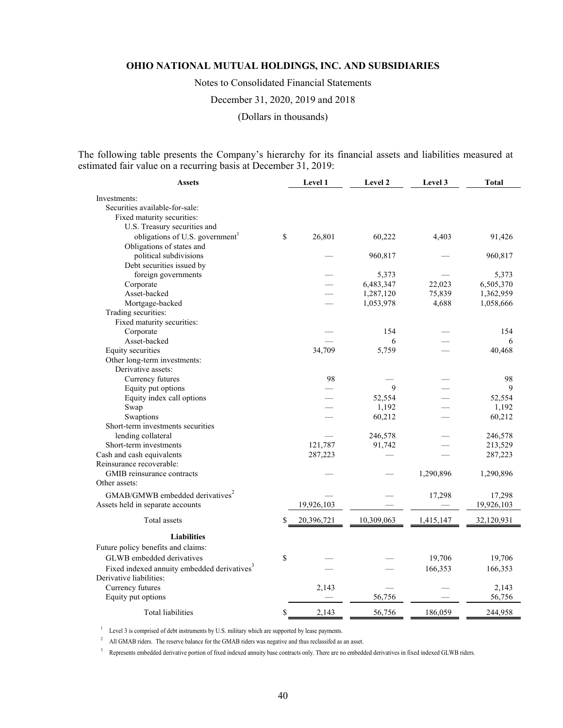Notes to Consolidated Financial Statements

December 31, 2020, 2019 and 2018

(Dollars in thousands)

The following table presents the Company's hierarchy for its financial assets and liabilities measured at estimated fair value on a recurring basis at December 31, 2019:

| <b>Assets</b>                                           | Level 1          | Level 2    | Level 3   | <b>Total</b> |
|---------------------------------------------------------|------------------|------------|-----------|--------------|
| Investments:                                            |                  |            |           |              |
| Securities available-for-sale:                          |                  |            |           |              |
| Fixed maturity securities:                              |                  |            |           |              |
| U.S. Treasury securities and                            |                  |            |           |              |
| obligations of U.S. government                          | \$<br>26,801     | 60,222     | 4,403     | 91,426       |
| Obligations of states and                               |                  |            |           |              |
| political subdivisions                                  |                  | 960,817    |           | 960,817      |
| Debt securities issued by                               |                  |            |           |              |
| foreign governments                                     |                  | 5,373      |           | 5,373        |
| Corporate                                               |                  | 6,483,347  | 22,023    | 6,505,370    |
| Asset-backed                                            |                  | 1,287,120  | 75,839    | 1,362,959    |
| Mortgage-backed                                         |                  | 1,053,978  | 4,688     | 1,058,666    |
| Trading securities:                                     |                  |            |           |              |
| Fixed maturity securities:                              |                  |            |           |              |
| Corporate                                               |                  | 154        |           | 154          |
| Asset-backed                                            |                  | 6          |           | 6            |
| Equity securities                                       | 34,709           | 5,759      |           | 40,468       |
| Other long-term investments:                            |                  |            |           |              |
| Derivative assets:                                      |                  |            |           |              |
| Currency futures                                        | 98               |            |           | 98           |
| Equity put options                                      |                  | 9          |           | 9            |
| Equity index call options                               |                  | 52,554     |           | 52,554       |
| Swap                                                    |                  | 1,192      |           | 1,192        |
| Swaptions                                               |                  | 60,212     |           | 60,212       |
| Short-term investments securities                       |                  |            |           |              |
| lending collateral                                      |                  | 246,578    |           | 246,578      |
| Short-term investments                                  | 121,787          | 91,742     |           | 213,529      |
| Cash and cash equivalents                               | 287,223          |            |           | 287,223      |
| Reinsurance recoverable:                                |                  |            |           |              |
| GMIB reinsurance contracts                              |                  |            | 1,290,896 | 1,290,896    |
| Other assets:                                           |                  |            |           |              |
| GMAB/GMWB embedded derivatives <sup>2</sup>             |                  |            | 17,298    | 17,298       |
| Assets held in separate accounts                        | 19,926,103       |            |           | 19,926,103   |
| Total assets                                            | \$<br>20,396,721 | 10,309,063 | 1,415,147 | 32,120,931   |
| <b>Liabilities</b>                                      |                  |            |           |              |
| Future policy benefits and claims:                      |                  |            |           |              |
| GLWB embedded derivatives                               | \$               |            | 19,706    | 19,706       |
|                                                         |                  |            |           |              |
| Fixed indexed annuity embedded derivatives <sup>3</sup> |                  |            | 166,353   | 166,353      |
| Derivative liabilities:                                 |                  |            |           |              |
| Currency futures                                        | 2,143            |            |           | 2,143        |
| Equity put options                                      |                  | 56,756     |           | 56,756       |
| <b>Total liabilities</b>                                | \$<br>2,143      | 56,756     | 186,059   | 244,958      |

<sup>1</sup> Level 3 is comprised of debt instruments by U.S. military which are supported by lease payments.

<sup>2</sup> All GMAB riders. The reserve balance for the GMAB riders was negative and thus reclassifed as an asset.

<sup>3</sup> Represents embedded derivative portion of fixed indexed annuity base contracts only. There are no embedded derivatives in fixed indexed GLWB riders.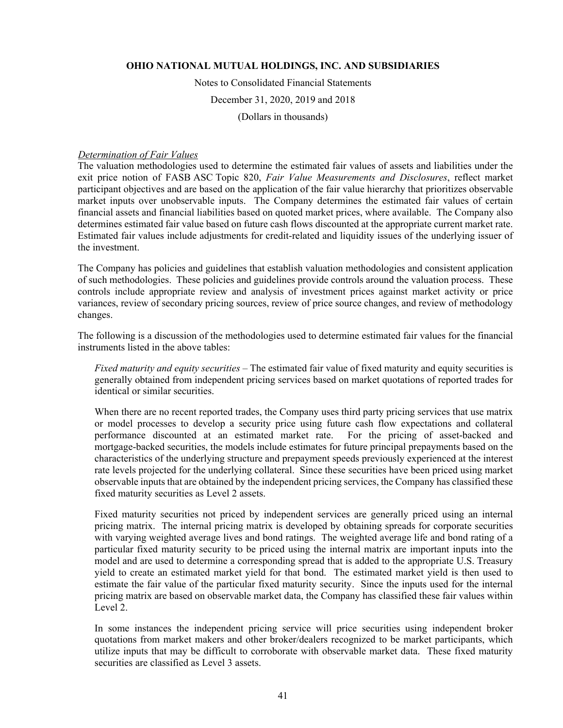Notes to Consolidated Financial Statements

December 31, 2020, 2019 and 2018

(Dollars in thousands)

#### *Determination of Fair Values*

The valuation methodologies used to determine the estimated fair values of assets and liabilities under the exit price notion of FASB ASC Topic 820, *Fair Value Measurements and Disclosures*, reflect market participant objectives and are based on the application of the fair value hierarchy that prioritizes observable market inputs over unobservable inputs. The Company determines the estimated fair values of certain financial assets and financial liabilities based on quoted market prices, where available. The Company also determines estimated fair value based on future cash flows discounted at the appropriate current market rate. Estimated fair values include adjustments for credit-related and liquidity issues of the underlying issuer of the investment.

The Company has policies and guidelines that establish valuation methodologies and consistent application of such methodologies. These policies and guidelines provide controls around the valuation process. These controls include appropriate review and analysis of investment prices against market activity or price variances, review of secondary pricing sources, review of price source changes, and review of methodology changes.

The following is a discussion of the methodologies used to determine estimated fair values for the financial instruments listed in the above tables:

*Fixed maturity and equity securities –* The estimated fair value of fixed maturity and equity securities is generally obtained from independent pricing services based on market quotations of reported trades for identical or similar securities.

When there are no recent reported trades, the Company uses third party pricing services that use matrix or model processes to develop a security price using future cash flow expectations and collateral performance discounted at an estimated market rate. For the pricing of asset-backed and mortgage-backed securities, the models include estimates for future principal prepayments based on the characteristics of the underlying structure and prepayment speeds previously experienced at the interest rate levels projected for the underlying collateral. Since these securities have been priced using market observable inputs that are obtained by the independent pricing services, the Company has classified these fixed maturity securities as Level 2 assets.

Fixed maturity securities not priced by independent services are generally priced using an internal pricing matrix. The internal pricing matrix is developed by obtaining spreads for corporate securities with varying weighted average lives and bond ratings. The weighted average life and bond rating of a particular fixed maturity security to be priced using the internal matrix are important inputs into the model and are used to determine a corresponding spread that is added to the appropriate U.S. Treasury yield to create an estimated market yield for that bond. The estimated market yield is then used to estimate the fair value of the particular fixed maturity security. Since the inputs used for the internal pricing matrix are based on observable market data, the Company has classified these fair values within Level 2.

In some instances the independent pricing service will price securities using independent broker quotations from market makers and other broker/dealers recognized to be market participants, which utilize inputs that may be difficult to corroborate with observable market data. These fixed maturity securities are classified as Level 3 assets.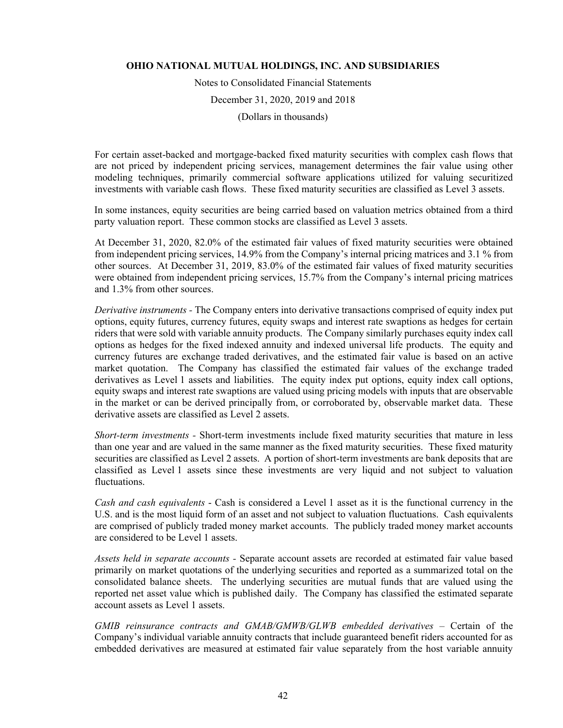Notes to Consolidated Financial Statements

December 31, 2020, 2019 and 2018

(Dollars in thousands)

For certain asset-backed and mortgage-backed fixed maturity securities with complex cash flows that are not priced by independent pricing services, management determines the fair value using other modeling techniques, primarily commercial software applications utilized for valuing securitized investments with variable cash flows. These fixed maturity securities are classified as Level 3 assets.

In some instances, equity securities are being carried based on valuation metrics obtained from a third party valuation report. These common stocks are classified as Level 3 assets.

At December 31, 2020, 82.0% of the estimated fair values of fixed maturity securities were obtained from independent pricing services, 14.9% from the Company's internal pricing matrices and 3.1 % from other sources. At December 31, 2019, 83.0% of the estimated fair values of fixed maturity securities were obtained from independent pricing services, 15.7% from the Company's internal pricing matrices and 1.3% from other sources.

*Derivative instruments -* The Company enters into derivative transactions comprised of equity index put options, equity futures, currency futures, equity swaps and interest rate swaptions as hedges for certain riders that were sold with variable annuity products. The Company similarly purchases equity index call options as hedges for the fixed indexed annuity and indexed universal life products. The equity and currency futures are exchange traded derivatives, and the estimated fair value is based on an active market quotation. The Company has classified the estimated fair values of the exchange traded derivatives as Level 1 assets and liabilities. The equity index put options, equity index call options, equity swaps and interest rate swaptions are valued using pricing models with inputs that are observable in the market or can be derived principally from, or corroborated by, observable market data. These derivative assets are classified as Level 2 assets.

*Short-term investments -* Short-term investments include fixed maturity securities that mature in less than one year and are valued in the same manner as the fixed maturity securities. These fixed maturity securities are classified as Level 2 assets. A portion of short-term investments are bank deposits that are classified as Level 1 assets since these investments are very liquid and not subject to valuation fluctuations.

*Cash and cash equivalents* - Cash is considered a Level 1 asset as it is the functional currency in the U.S. and is the most liquid form of an asset and not subject to valuation fluctuations. Cash equivalents are comprised of publicly traded money market accounts. The publicly traded money market accounts are considered to be Level 1 assets.

*Assets held in separate accounts -* Separate account assets are recorded at estimated fair value based primarily on market quotations of the underlying securities and reported as a summarized total on the consolidated balance sheets. The underlying securities are mutual funds that are valued using the reported net asset value which is published daily. The Company has classified the estimated separate account assets as Level 1 assets.

GMIB reinsurance contracts and GMAB/GMWB/GLWB embedded derivatives – Certain of the Company's individual variable annuity contracts that include guaranteed benefit riders accounted for as embedded derivatives are measured at estimated fair value separately from the host variable annuity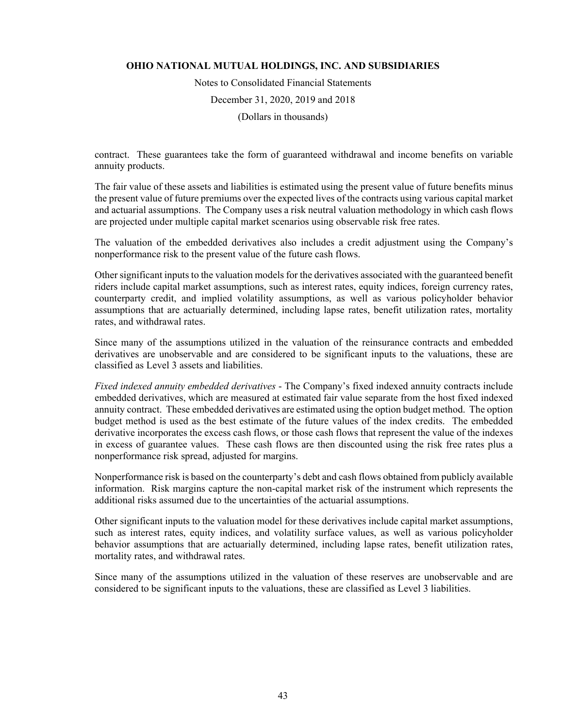Notes to Consolidated Financial Statements December 31, 2020, 2019 and 2018 (Dollars in thousands)

contract. These guarantees take the form of guaranteed withdrawal and income benefits on variable annuity products.

The fair value of these assets and liabilities is estimated using the present value of future benefits minus the present value of future premiums over the expected lives of the contracts using various capital market and actuarial assumptions. The Company uses a risk neutral valuation methodology in which cash flows are projected under multiple capital market scenarios using observable risk free rates.

The valuation of the embedded derivatives also includes a credit adjustment using the Company's nonperformance risk to the present value of the future cash flows.

Other significant inputs to the valuation models for the derivatives associated with the guaranteed benefit riders include capital market assumptions, such as interest rates, equity indices, foreign currency rates, counterparty credit, and implied volatility assumptions, as well as various policyholder behavior assumptions that are actuarially determined, including lapse rates, benefit utilization rates, mortality rates, and withdrawal rates.

Since many of the assumptions utilized in the valuation of the reinsurance contracts and embedded derivatives are unobservable and are considered to be significant inputs to the valuations, these are classified as Level 3 assets and liabilities.

*Fixed indexed annuity embedded derivatives* - The Company's fixed indexed annuity contracts include embedded derivatives, which are measured at estimated fair value separate from the host fixed indexed annuity contract. These embedded derivatives are estimated using the option budget method. The option budget method is used as the best estimate of the future values of the index credits. The embedded derivative incorporates the excess cash flows, or those cash flows that represent the value of the indexes in excess of guarantee values. These cash flows are then discounted using the risk free rates plus a nonperformance risk spread, adjusted for margins.

Nonperformance risk is based on the counterparty's debt and cash flows obtained from publicly available information. Risk margins capture the non-capital market risk of the instrument which represents the additional risks assumed due to the uncertainties of the actuarial assumptions.

Other significant inputs to the valuation model for these derivatives include capital market assumptions, such as interest rates, equity indices, and volatility surface values, as well as various policyholder behavior assumptions that are actuarially determined, including lapse rates, benefit utilization rates, mortality rates, and withdrawal rates.

Since many of the assumptions utilized in the valuation of these reserves are unobservable and are considered to be significant inputs to the valuations, these are classified as Level 3 liabilities.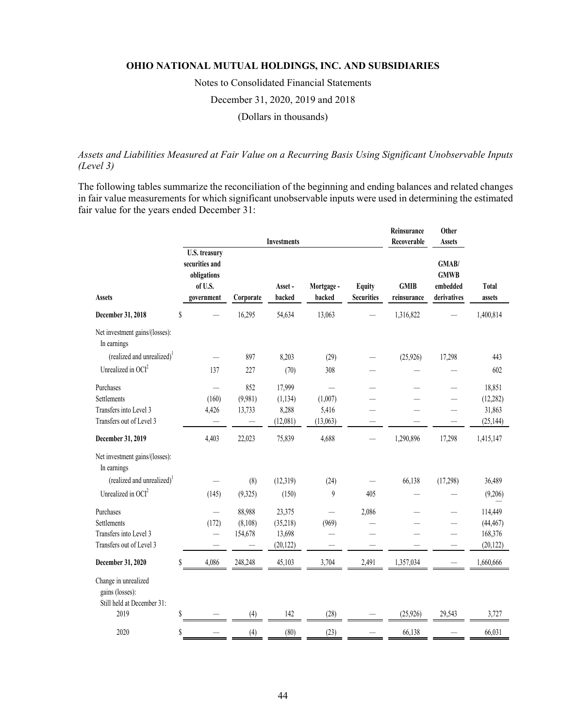Notes to Consolidated Financial Statements December 31, 2020, 2019 and 2018

(Dollars in thousands)

# *Assets and Liabilities Measured at Fair Value on a Recurring Basis Using Significant Unobservable Inputs (Level 3)*

The following tables summarize the reconciliation of the beginning and ending balances and related changes in fair value measurements for which significant unobservable inputs were used in determining the estimated fair value for the years ended December 31:

|                                                                                |                                                                                |                |                              | <b>Investments</b>                        |                      |                                    | Reinsurance<br>Recoverable | Other<br><b>Assets</b>                          |                                              |
|--------------------------------------------------------------------------------|--------------------------------------------------------------------------------|----------------|------------------------------|-------------------------------------------|----------------------|------------------------------------|----------------------------|-------------------------------------------------|----------------------------------------------|
| <b>Assets</b>                                                                  | <b>U.S. treasury</b><br>securities and<br>obligations<br>of U.S.<br>government |                | Corporate                    | Asset-<br>backed                          | Mortgage -<br>backed | <b>Equity</b><br><b>Securities</b> | <b>GMIB</b><br>reinsurance | GMAB/<br><b>GMWB</b><br>embedded<br>derivatives | <b>Total</b><br>assets                       |
| December 31, 2018                                                              | \$                                                                             |                | 16,295                       | 54,634                                    | 13,063               |                                    | 1,316,822                  |                                                 | 1,400,814                                    |
| Net investment gains/(losses):<br>In earnings                                  |                                                                                |                |                              |                                           |                      |                                    |                            |                                                 |                                              |
| (realized and unrealized) <sup>1</sup>                                         |                                                                                |                | 897                          | 8,203                                     | (29)                 |                                    | (25,926)                   | 17,298                                          | 443                                          |
| Unrealized in $OCI2$                                                           |                                                                                | 137            | 227                          | (70)                                      | 308                  |                                    |                            |                                                 | 602                                          |
| Purchases<br>Settlements<br>Transfers into Level 3                             |                                                                                | (160)<br>4,426 | 852<br>(9,981)<br>13,733     | 17,999<br>(1, 134)<br>8,288               | (1,007)<br>5,416     |                                    |                            |                                                 | 18,851<br>(12, 282)<br>31,863                |
| Transfers out of Level 3                                                       |                                                                                |                |                              | (12,081)                                  | (13,063)             |                                    |                            |                                                 | (25, 144)                                    |
| December 31, 2019                                                              |                                                                                | 4,403          | 22,023                       | 75,839                                    | 4,688                |                                    | 1,290,896                  | 17,298                                          | 1,415,147                                    |
| Net investment gains/(losses):<br>In earnings                                  |                                                                                |                |                              |                                           |                      |                                    |                            |                                                 |                                              |
| (realized and unrealized) <sup>1</sup>                                         |                                                                                |                | (8)                          | (12,319)                                  | (24)                 |                                    | 66,138                     | (17,298)                                        | 36,489                                       |
| Unrealized in OCI <sup>2</sup>                                                 |                                                                                | (145)          | (9,325)                      | (150)                                     | 9                    | 405                                |                            |                                                 | (9,206)                                      |
| Purchases<br>Settlements<br>Transfers into Level 3<br>Transfers out of Level 3 |                                                                                | (172)          | 88,988<br>(8,108)<br>154,678 | 23,375<br>(35,218)<br>13,698<br>(20, 122) | (969)                | 2,086                              |                            |                                                 | 114,449<br>(44, 467)<br>168,376<br>(20, 122) |
| December 31, 2020                                                              | S                                                                              | 4,086          | 248,248                      | 45,103                                    | 3,704                | 2,491                              | 1,357,034                  |                                                 | 1,660,666                                    |
| Change in unrealized<br>gains (losses):<br>Still held at December 31:          |                                                                                |                |                              |                                           |                      |                                    |                            |                                                 |                                              |
| 2019                                                                           | Ŝ                                                                              |                | (4)                          | 142                                       | (28)                 |                                    | (25, 926)                  | 29.543                                          | 3,727                                        |
| 2020                                                                           | \$                                                                             |                | (4)                          | (80)                                      | (23)                 |                                    | 66,138                     |                                                 | 66,031                                       |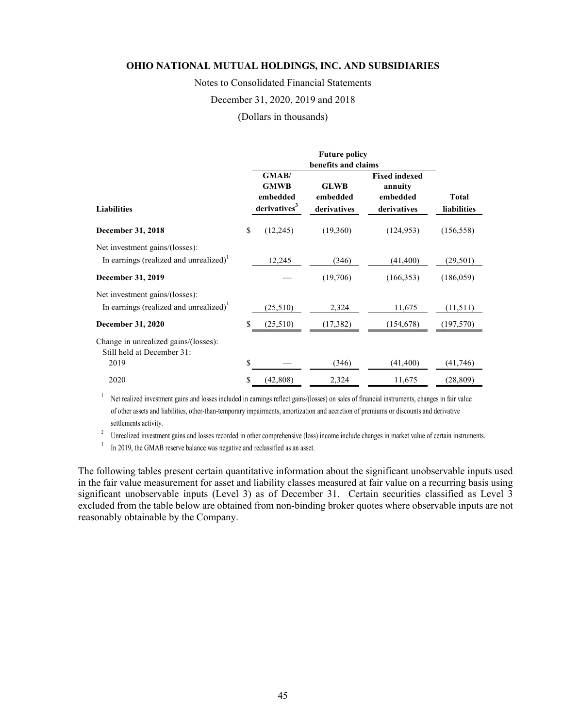Notes to Consolidated Financial Statements

December 31, 2020, 2019 and 2018

(Dollars in thousands)

|                                                                                                                  |    |                                                                    | <b>Future policy</b><br>benefits and claims |                                                            |                             |  |
|------------------------------------------------------------------------------------------------------------------|----|--------------------------------------------------------------------|---------------------------------------------|------------------------------------------------------------|-----------------------------|--|
| <b>Liabilities</b>                                                                                               |    | <b>GMAB</b><br><b>GMWB</b><br>embedded<br>derivatives <sup>3</sup> | <b>GLWB</b><br>embedded<br>derivatives      | <b>Fixed indexed</b><br>annuity<br>embedded<br>derivatives | <b>Total</b><br>liabilities |  |
| <b>December 31, 2018</b>                                                                                         | \$ | (12,245)                                                           | (19,360)                                    | (124, 953)                                                 | (156, 558)                  |  |
| Net investment gains/(losses):<br>In earnings (realized and unrealized) <sup>1</sup><br><b>December 31, 2019</b> |    | 12,245                                                             | (346)<br>(19,706)                           | (41, 400)<br>(166, 353)                                    | (29, 501)<br>(186, 059)     |  |
| Net investment gains/(losses):<br>In earnings (realized and unrealized) <sup>1</sup>                             |    | (25,510)                                                           | 2,324                                       | 11,675                                                     | (11,511)                    |  |
| <b>December 31, 2020</b>                                                                                         | \$ | (25,510)                                                           | (17, 382)                                   | (154, 678)                                                 | (197,570)                   |  |
| Change in unrealized gains/(losses):<br>Still held at December 31:                                               |    |                                                                    |                                             |                                                            |                             |  |
| 2019                                                                                                             | \$ |                                                                    | (346)                                       | (41, 400)                                                  | (41, 746)                   |  |
| 2020                                                                                                             | S  | (42, 808)                                                          | 2,324                                       | 11,675                                                     | (28, 809)                   |  |

<sup>1</sup> Net realized investment gains and losses included in earnings reflect gains/(losses) on sales of financial instruments, changes in fair value of other assets and liabilities, other-than-temporary impairments, amortization and accretion of premiums or discounts and derivative settlements activity. 2 Unrealized investment gains and losses recorded in other comprehensive (loss) income include changes in market value of certain instruments.

<sup>3</sup> In 2019, the GMAB reserve balance was negative and reclassified as an asset.

The following tables present certain quantitative information about the significant unobservable inputs used in the fair value measurement for asset and liability classes measured at fair value on a recurring basis using significant unobservable inputs (Level 3) as of December 31. Certain securities classified as Level 3 excluded from the table below are obtained from non-binding broker quotes where observable inputs are not reasonably obtainable by the Company.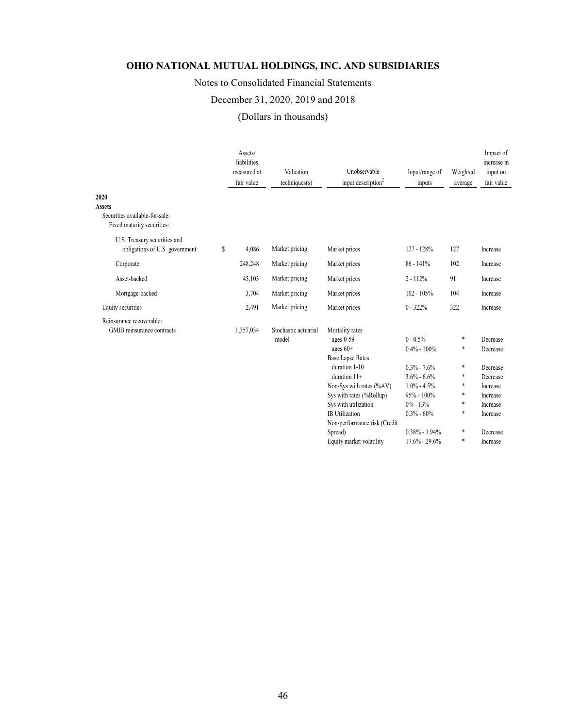# Notes to Consolidated Financial Statements

# December 31, 2020, 2019 and 2018

# (Dollars in thousands)

|                                                                                       | Assets/<br>liabilities<br>measured at<br>fair value | Valuation<br>techniques(s)    | Unobservable<br>input description <sup>2</sup>                                                                                                                                                                                                               | Input/range of<br>inputs                                                                                                                                         | Weighted<br>average                       | Impact of<br>increase in<br>input on<br>fair value                                                       |
|---------------------------------------------------------------------------------------|-----------------------------------------------------|-------------------------------|--------------------------------------------------------------------------------------------------------------------------------------------------------------------------------------------------------------------------------------------------------------|------------------------------------------------------------------------------------------------------------------------------------------------------------------|-------------------------------------------|----------------------------------------------------------------------------------------------------------|
| 2020<br><b>Assets</b><br>Securities available-for-sale:<br>Fixed maturity securities: |                                                     |                               |                                                                                                                                                                                                                                                              |                                                                                                                                                                  |                                           |                                                                                                          |
| U.S. Treasury securities and<br>obligations of U.S. government                        | \$<br>4.086                                         | Market pricing                | Market prices                                                                                                                                                                                                                                                | 127 - 128%                                                                                                                                                       | 127                                       | Increase                                                                                                 |
| Corporate                                                                             | 248,248                                             | Market pricing                | Market prices                                                                                                                                                                                                                                                | $86 - 141%$                                                                                                                                                      | 102                                       | Increase                                                                                                 |
| Asset-backed                                                                          | 45,103                                              | Market pricing                | Market prices                                                                                                                                                                                                                                                | $2 - 112%$                                                                                                                                                       | 91                                        | Increase                                                                                                 |
| Mortgage-backed                                                                       | 3,704                                               | Market pricing                | Market prices                                                                                                                                                                                                                                                | $102 - 105%$                                                                                                                                                     | 104                                       | Increase                                                                                                 |
| Equity securities                                                                     | 2,491                                               | Market pricing                | Market prices                                                                                                                                                                                                                                                | $0 - 322%$                                                                                                                                                       | 322                                       | Increase                                                                                                 |
| Reinsurance recoverable:<br>GMIB reinsurance contracts                                | 1,357,034                                           | Stochastic actuarial<br>model | Mortality rates<br>ages 0-59<br>ages $60+$<br><b>Base Lapse Rates</b><br>duration 1-10<br>duration $11+$<br>Non-Sys with rates (%AV)<br>Sys with rates (%Rollup)<br>Sys with utilization<br><b>IB</b> Utilization<br>Non-performance risk (Credit<br>Spread) | $0 - 0.5\%$<br>$0.4\% - 100\%$<br>$0.3\% - 7.6\%$<br>$3.6\% - 6.6\%$<br>$1.0\% - 4.5\%$<br>$95\% - 100\%$<br>$0\% - 13\%$<br>$0.3\% - 60\%$<br>$0.38\% - 1.94\%$ | *<br>*<br>*<br>*<br>*<br>*<br>*<br>*<br>* | Decrease<br>Decrease<br>Decrease<br>Decrease<br>Increase<br>Increase<br>Increase<br>Increase<br>Decrease |
|                                                                                       |                                                     |                               | Equity market volatility                                                                                                                                                                                                                                     | $17.6\% - 29.6\%$                                                                                                                                                | *                                         | Increase                                                                                                 |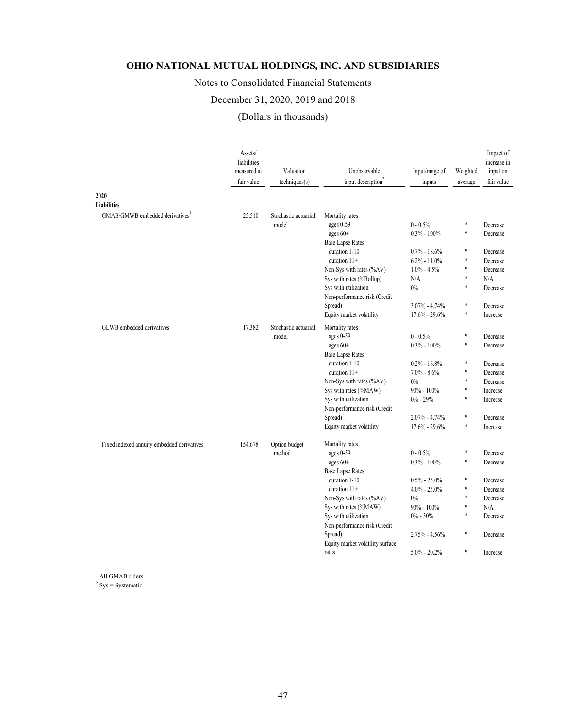# Notes to Consolidated Financial Statements

# December 31, 2020, 2019 and 2018

(Dollars in thousands)

|                                             | Assets/<br>liabilities<br>measured at<br>fair value | Valuation<br>techniques(s)    | Unobservable<br>input description <sup>2</sup> | Input/range of<br>inputs            | Weighted<br>average | Impact of<br>increase in<br>input on<br>fair value |
|---------------------------------------------|-----------------------------------------------------|-------------------------------|------------------------------------------------|-------------------------------------|---------------------|----------------------------------------------------|
| 2020                                        |                                                     |                               |                                                |                                     |                     |                                                    |
| <b>Liabilities</b>                          |                                                     |                               |                                                |                                     |                     |                                                    |
| GMAB/GMWB embedded derivatives <sup>1</sup> | 25,510                                              | Stochastic actuarial<br>model | Mortality rates<br>ages 0-59                   | $0 - 0.5%$                          | *                   | Decrease                                           |
|                                             |                                                     |                               | ages 60+                                       | $0.3\% - 100\%$                     | *                   | Decrease                                           |
|                                             |                                                     |                               | <b>Base Lapse Rates</b>                        |                                     |                     |                                                    |
|                                             |                                                     |                               | duration 1-10                                  | $0.7\% - 18.6\%$                    | *                   | Decrease                                           |
|                                             |                                                     |                               | duration $11+$                                 | $6.2\% - 11.0\%$                    | *                   | Decrease                                           |
|                                             |                                                     |                               | Non-Sys with rates (%AV)                       | $1.0\% - 4.5\%$                     | *                   | Decrease                                           |
|                                             |                                                     |                               | Sys with rates (%Rollup)                       | N/A                                 | *                   | N/A                                                |
|                                             |                                                     |                               | Sys with utilization                           | 0%                                  | *                   | Decrease                                           |
|                                             |                                                     |                               | Non-performance risk (Credit                   |                                     |                     |                                                    |
|                                             |                                                     |                               | Spread)                                        | $3.07\% - 4.74\%$                   | $\ast$              | Decrease                                           |
|                                             |                                                     |                               | Equity market volatility                       | $17.6\% - 29.6\%$                   | $\ast$              | Increase                                           |
|                                             |                                                     |                               |                                                |                                     |                     |                                                    |
| GLWB embedded derivatives                   | 17,382                                              | Stochastic actuarial          | Mortality rates                                |                                     | *                   |                                                    |
|                                             |                                                     | model                         | ages 0-59                                      | $0 - 0.5%$<br>$0.3\% - 100\%$       | *                   | Decrease<br>Decrease                               |
|                                             |                                                     |                               | ages 60+<br><b>Base Lapse Rates</b>            |                                     |                     |                                                    |
|                                             |                                                     |                               | duration 1-10                                  |                                     | *                   |                                                    |
|                                             |                                                     |                               | duration $11+$                                 | $0.2\% - 16.8\%$<br>$7.0\% - 8.6\%$ | *                   | Decrease<br>Decrease                               |
|                                             |                                                     |                               | Non-Sys with rates (%AV)                       | 0%                                  | $\ast$              | Decrease                                           |
|                                             |                                                     |                               |                                                | $90\% - 100\%$                      | *                   | Increase                                           |
|                                             |                                                     |                               | Sys with rates (%MAW)                          |                                     | *                   |                                                    |
|                                             |                                                     |                               | Sys with utilization                           | $0\% - 29\%$                        |                     | Increase                                           |
|                                             |                                                     |                               | Non-performance risk (Credit                   |                                     | *                   |                                                    |
|                                             |                                                     |                               | Spread)<br>Equity market volatility            | 2.07% - 4.74%                       | *                   | Decrease                                           |
|                                             |                                                     |                               |                                                | $17.6\% - 29.6\%$                   |                     | Increase                                           |
| Fixed indexed annuity embedded derivatives  | 154,678                                             | Option budget                 | Mortality rates                                |                                     |                     |                                                    |
|                                             |                                                     | method                        | ages 0-59                                      | $0 - 0.5%$                          | *                   | Decrease                                           |
|                                             |                                                     |                               | ages 60+                                       | $0.3\% - 100\%$                     | *                   | Decrease                                           |
|                                             |                                                     |                               | <b>Base Lapse Rates</b>                        |                                     |                     |                                                    |
|                                             |                                                     |                               | duration 1-10                                  | $0.5\% - 25.0\%$                    | *                   | Decrease                                           |
|                                             |                                                     |                               | duration 11+                                   | $4.0\% - 25.0\%$                    | *                   | Decrease                                           |
|                                             |                                                     |                               | Non-Sys with rates (%AV)                       | $0\%$                               | *                   | Decrease                                           |
|                                             |                                                     |                               | Sys with rates (%MAW)                          | $90\% - 100\%$                      | *                   | N/A                                                |
|                                             |                                                     |                               | Sys with utilization                           | $0\% - 30\%$                        | *                   | Decrease                                           |
|                                             |                                                     |                               | Non-performance risk (Credit                   |                                     |                     |                                                    |
|                                             |                                                     |                               | Spread)                                        | $2.75\% - 4.56\%$                   | *                   | Decrease                                           |
|                                             |                                                     |                               | Equity market volatility surface               |                                     |                     |                                                    |
|                                             |                                                     |                               | rates                                          | $5.0\% - 20.2\%$                    | *                   | Increase                                           |
|                                             |                                                     |                               |                                                |                                     |                     |                                                    |

<sup>1</sup> All GMAB riders.

 $2$  Sys = Systematic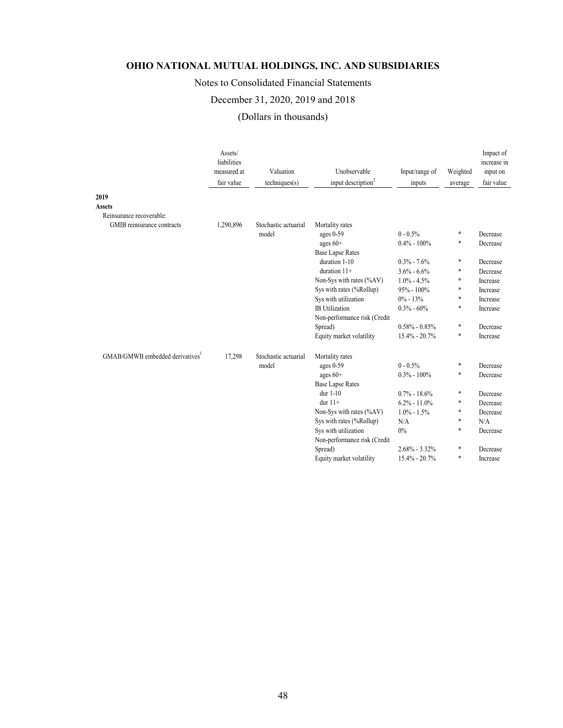# Notes to Consolidated Financial Statements

# December 31, 2020, 2019 and 2018

# (Dollars in thousands)

|                                             | Assets/<br>liabilities<br>measured at<br>fair value | Valuation<br>techniques(s)    | Unobservable<br>input description <sup>2</sup> | Input/range of<br>inputs | Weighted<br>average | Impact of<br>increase in<br>input on<br>fair value |
|---------------------------------------------|-----------------------------------------------------|-------------------------------|------------------------------------------------|--------------------------|---------------------|----------------------------------------------------|
| 2019                                        |                                                     |                               |                                                |                          |                     |                                                    |
| <b>Assets</b>                               |                                                     |                               |                                                |                          |                     |                                                    |
| Reinsurance recoverable:                    |                                                     |                               |                                                |                          |                     |                                                    |
| GMIB reinsurance contracts                  | 1,290,896                                           | Stochastic actuarial<br>model | Mortality rates<br>ages 0-59                   | $0 - 0.5%$               | $\ast$              | Decrease                                           |
|                                             |                                                     |                               | ages $60+$                                     | $0.4\% - 100\%$          | *                   | Decrease                                           |
|                                             |                                                     |                               | <b>Base Lapse Rates</b>                        |                          |                     |                                                    |
|                                             |                                                     |                               | duration 1-10                                  | $0.3\% - 7.6\%$          | $\ast$              | Decrease                                           |
|                                             |                                                     |                               | duration $11+$                                 | $3.6\% - 6.6\%$          | *                   | Decrease                                           |
|                                             |                                                     |                               | Non-Sys with rates (%AV)                       | $1.0\% - 4.5\%$          | $\ast$              | Increase                                           |
|                                             |                                                     |                               | Sys with rates (%Rollup)                       | $95\% - 100\%$           | *                   | Increase                                           |
|                                             |                                                     |                               | Sys with utilization                           | $0\% - 13\%$             | *                   | Increase                                           |
|                                             |                                                     |                               | <b>IB</b> Utilization                          | $0.3\% - 60\%$           | *                   | Increase                                           |
|                                             |                                                     |                               | Non-performance risk (Credit                   |                          |                     |                                                    |
|                                             |                                                     |                               | Spread)                                        | $0.58\% - 0.85\%$        | $\ast$              | Decrease                                           |
|                                             |                                                     |                               | Equity market volatility                       | $15.4\% - 20.7\%$        | *                   | Increase                                           |
| GMAB/GMWB embedded derivatives <sup>1</sup> | 17,298                                              | Stochastic actuarial          | Mortality rates                                |                          |                     |                                                    |
|                                             |                                                     | model                         | ages $0-59$                                    | $0 - 0.5%$               | *                   | Decrease                                           |
|                                             |                                                     |                               | ages $60+$                                     | $0.3\% - 100\%$          | *                   | Decrease                                           |
|                                             |                                                     |                               | <b>Base Lapse Rates</b>                        |                          |                     |                                                    |
|                                             |                                                     |                               | dur $1-10$                                     | $0.7\% - 18.6\%$         | $\ast$              | Decrease                                           |
|                                             |                                                     |                               | dur $11+$                                      | $6.2\% - 11.0\%$         | *                   | Decrease                                           |
|                                             |                                                     |                               | Non-Sys with rates (%AV)                       | $1.0\% - 1.5\%$          | $\ast$              | Decrease                                           |
|                                             |                                                     |                               | Sys with rates (%Rollup)                       | N/A                      | *                   | N/A                                                |
|                                             |                                                     |                               | Sys with utilization                           | 0%                       | $\ast$              | Decrease                                           |
|                                             |                                                     |                               | Non-performance risk (Credit                   |                          |                     |                                                    |
|                                             |                                                     |                               | Spread)                                        | $2.68\% - 3.32\%$        | *                   | Decrease                                           |
|                                             |                                                     |                               | Equity market volatility                       | 15.4% - 20.7%            | *                   | Increase                                           |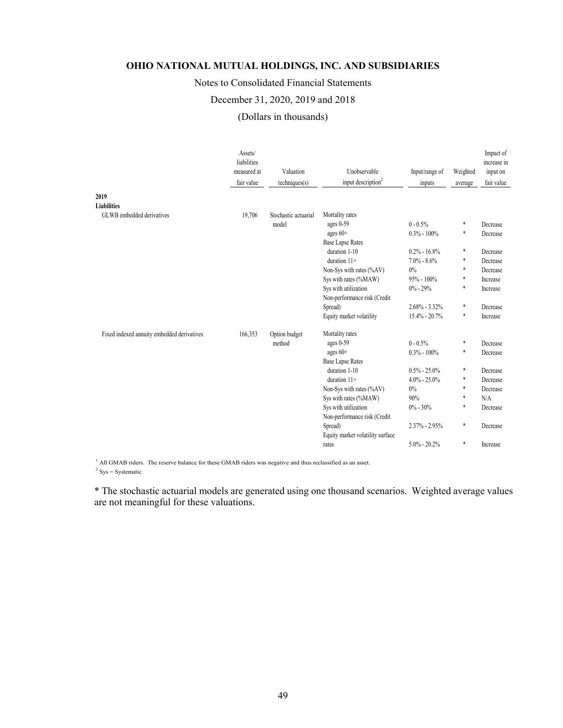# Notes to Consolidated Financial Statements

## December 31, 2020, 2019 and 2018

(Dollars in thousands)

|                                            | Assets/<br>liabilities<br>measured at<br>fair value | Valuation<br>techniques(s) | Unobservable<br>input description <sup>2</sup> | Input/range of<br>inputs | Weighted<br>average | Impact of<br>increase in<br>input on<br>fair value |
|--------------------------------------------|-----------------------------------------------------|----------------------------|------------------------------------------------|--------------------------|---------------------|----------------------------------------------------|
| 2019                                       |                                                     |                            |                                                |                          |                     |                                                    |
| <b>Liabilities</b>                         |                                                     |                            |                                                |                          |                     |                                                    |
| GLWB embedded derivatives                  | 19,706                                              | Stochastic actuarial       | Mortality rates                                |                          |                     |                                                    |
|                                            |                                                     | model                      | ages $0-59$                                    | $0 - 0.5\%$              | $\ast$              | Decrease                                           |
|                                            |                                                     |                            | ages $60+$                                     | $0.3\% - 100\%$          | *                   | Decrease                                           |
|                                            |                                                     |                            | <b>Base Lapse Rates</b>                        |                          |                     |                                                    |
|                                            |                                                     |                            | duration 1-10                                  | $0.2\% - 16.8\%$         | *                   | Decrease                                           |
|                                            |                                                     |                            | duration 11+                                   | $7.0\% - 8.6\%$          | *                   | Decrease                                           |
|                                            |                                                     |                            | Non-Sys with rates (%AV)                       | $0\%$                    | *                   | Decrease                                           |
|                                            |                                                     |                            | Sys with rates (%MAW)                          | $95\% - 100\%$           | *                   | Increase                                           |
|                                            |                                                     |                            | Sys with utilization                           | $0\% - 29\%$             | *                   | Increase                                           |
|                                            |                                                     |                            | Non-performance risk (Credit                   |                          |                     |                                                    |
|                                            |                                                     |                            | Spread)                                        | $2.68\% - 3.32\%$        | *                   | Decrease                                           |
|                                            |                                                     |                            | Equity market volatility                       | $15.4\% - 20.7\%$        | $\ast$              | Increase                                           |
| Fixed indexed annuity embedded derivatives | 166,353                                             | Option budget              | Mortality rates                                |                          |                     |                                                    |
|                                            |                                                     | method                     | ages $0-59$                                    | $0 - 0.5%$               | $\ast$              | Decrease                                           |
|                                            |                                                     |                            | ages $60+$                                     | $0.3\% - 100\%$          | *                   | Decrease                                           |
|                                            |                                                     |                            | <b>Base Lapse Rates</b>                        |                          |                     |                                                    |
|                                            |                                                     |                            | duration 1-10                                  | $0.5\% - 25.0\%$         | *                   | Decrease                                           |
|                                            |                                                     |                            | duration 11+                                   | $4.0\% - 25.0\%$         | *                   | Decrease                                           |
|                                            |                                                     |                            | Non-Sys with rates (%AV)                       | $0\%$                    | *                   | Decrease                                           |
|                                            |                                                     |                            | Sys with rates (%MAW)                          | 90%                      | *                   | N/A                                                |
|                                            |                                                     |                            | Sys with utilization                           | $0\% - 30\%$             | *                   | Decrease                                           |
|                                            |                                                     |                            | Non-performance risk (Credit                   |                          |                     |                                                    |
|                                            |                                                     |                            | Spread)                                        | $2.37\% - 2.95\%$        | *                   | Decrease                                           |
|                                            |                                                     |                            | Equity market volatility surface               |                          |                     |                                                    |
|                                            |                                                     |                            | rates                                          | $5.0\% - 20.2\%$         | *                   | Increase                                           |

<sup>1</sup> All GMAB riders. The reserve balance for these GMAB riders was negative and thus reclassified as an asset.

 $2$  Sys = Systematic

\* The stochastic actuarial models are generated using one thousand scenarios. Weighted average values are not meaningful for these valuations.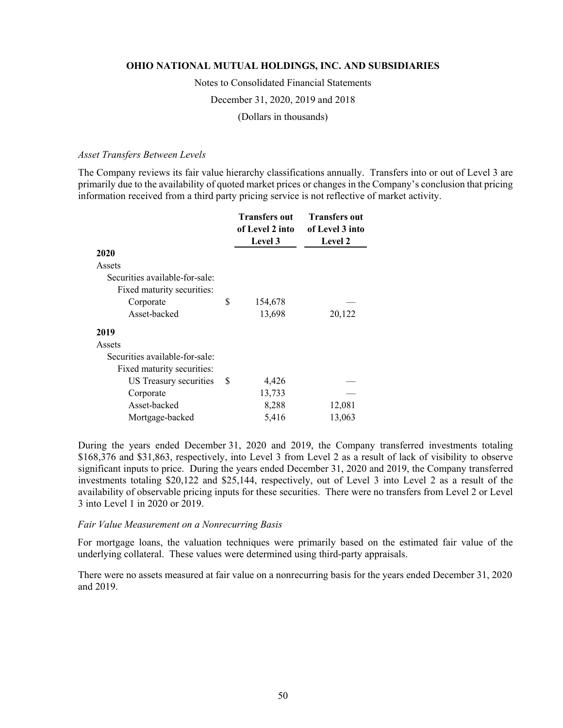Notes to Consolidated Financial Statements

December 31, 2020, 2019 and 2018

(Dollars in thousands)

#### *Asset Transfers Between Levels*

The Company reviews its fair value hierarchy classifications annually. Transfers into or out of Level 3 are primarily due to the availability of quoted market prices or changes in the Company's conclusion that pricing information received from a third party pricing service is not reflective of market activity.

|                                |     | <b>Transfers out</b><br>of Level 2 into | <b>Transfers out</b><br>of Level 3 into |
|--------------------------------|-----|-----------------------------------------|-----------------------------------------|
|                                |     | Level 3                                 | <b>Level 2</b>                          |
| 2020                           |     |                                         |                                         |
| Assets                         |     |                                         |                                         |
| Securities available-for-sale: |     |                                         |                                         |
| Fixed maturity securities:     |     |                                         |                                         |
| Corporate                      | \$  | 154,678                                 |                                         |
| Asset-backed                   |     | 13,698                                  | 20,122                                  |
| 2019                           |     |                                         |                                         |
| Assets                         |     |                                         |                                         |
| Securities available-for-sale: |     |                                         |                                         |
| Fixed maturity securities:     |     |                                         |                                         |
| US Treasury securities         | \$. | 4,426                                   |                                         |
| Corporate                      |     | 13,733                                  |                                         |
| Asset-backed                   |     | 8,288                                   | 12,081                                  |
| Mortgage-backed                |     | 5,416                                   | 13,063                                  |

During the years ended December 31, 2020 and 2019, the Company transferred investments totaling \$168,376 and \$31,863, respectively, into Level 3 from Level 2 as a result of lack of visibility to observe significant inputs to price. During the years ended December 31, 2020 and 2019, the Company transferred investments totaling \$20,122 and \$25,144, respectively, out of Level 3 into Level 2 as a result of the availability of observable pricing inputs for these securities. There were no transfers from Level 2 or Level 3 into Level 1 in 2020 or 2019.

#### *Fair Value Measurement on a Nonrecurring Basis*

For mortgage loans, the valuation techniques were primarily based on the estimated fair value of the underlying collateral. These values were determined using third-party appraisals.

There were no assets measured at fair value on a nonrecurring basis for the years ended December 31, 2020 and 2019.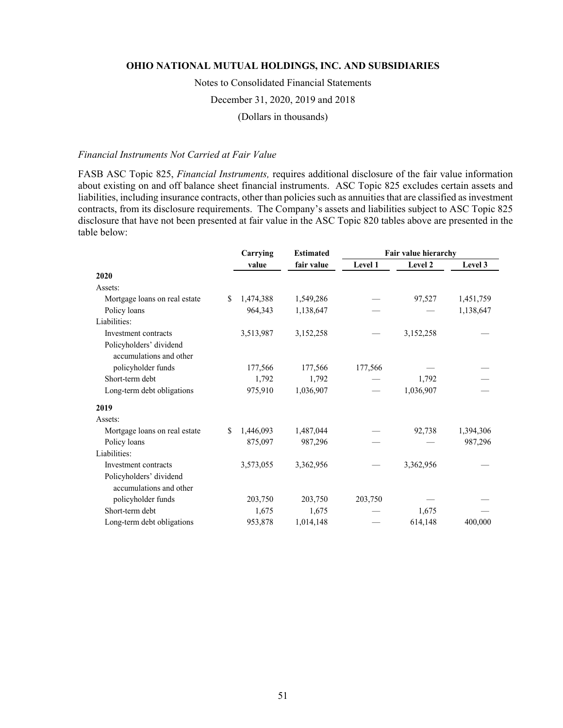Notes to Consolidated Financial Statements

December 31, 2020, 2019 and 2018

(Dollars in thousands)

### *Financial Instruments Not Carried at Fair Value*

FASB ASC Topic 825, *Financial Instruments,* requires additional disclosure of the fair value information about existing on and off balance sheet financial instruments. ASC Topic 825 excludes certain assets and liabilities, including insurance contracts, other than policies such as annuities that are classified as investment contracts, from its disclosure requirements. The Company's assets and liabilities subject to ASC Topic 825 disclosure that have not been presented at fair value in the ASC Topic 820 tables above are presented in the table below:

|                               |    | Carrying  | <b>Estimated</b> | Fair value hierarchy |           |           |
|-------------------------------|----|-----------|------------------|----------------------|-----------|-----------|
|                               |    | value     | fair value       | Level 1              | Level 2   | Level 3   |
| 2020                          |    |           |                  |                      |           |           |
| Assets:                       |    |           |                  |                      |           |           |
| Mortgage loans on real estate | S. | 1,474,388 | 1,549,286        |                      | 97,527    | 1,451,759 |
| Policy loans                  |    | 964,343   | 1,138,647        |                      |           | 1,138,647 |
| Liabilities:                  |    |           |                  |                      |           |           |
| Investment contracts          |    | 3,513,987 | 3,152,258        |                      | 3,152,258 |           |
| Policyholders' dividend       |    |           |                  |                      |           |           |
| accumulations and other       |    |           |                  |                      |           |           |
| policyholder funds            |    | 177,566   | 177,566          | 177,566              |           |           |
| Short-term debt               |    | 1,792     | 1,792            |                      | 1,792     |           |
| Long-term debt obligations    |    | 975,910   | 1,036,907        |                      | 1,036,907 |           |
| 2019                          |    |           |                  |                      |           |           |
| Assets:                       |    |           |                  |                      |           |           |
| Mortgage loans on real estate | S. | 1,446,093 | 1,487,044        |                      | 92,738    | 1,394,306 |
| Policy loans                  |    | 875,097   | 987,296          |                      |           | 987,296   |
| Liabilities:                  |    |           |                  |                      |           |           |
| Investment contracts          |    | 3,573,055 | 3,362,956        |                      | 3,362,956 |           |
| Policyholders' dividend       |    |           |                  |                      |           |           |
| accumulations and other       |    |           |                  |                      |           |           |
| policyholder funds            |    | 203,750   | 203,750          | 203,750              |           |           |
| Short-term debt               |    | 1,675     | 1,675            |                      | 1,675     |           |
| Long-term debt obligations    |    | 953,878   | 1,014,148        |                      | 614,148   | 400,000   |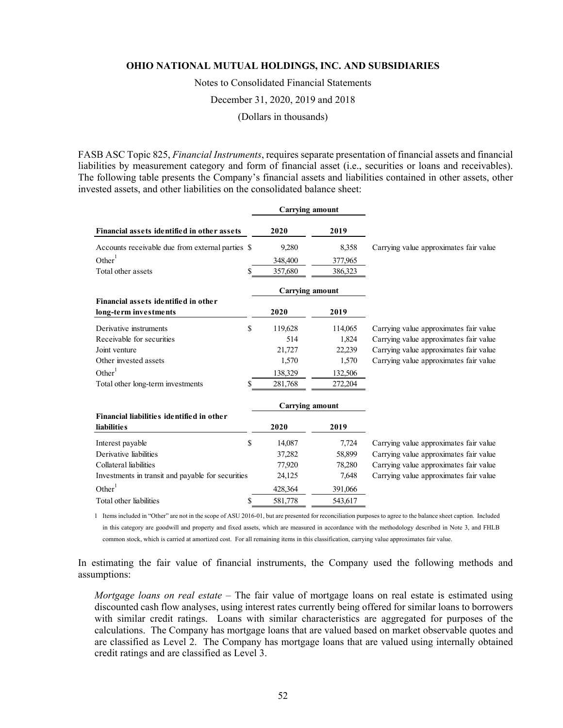Notes to Consolidated Financial Statements

December 31, 2020, 2019 and 2018

(Dollars in thousands)

FASB ASC Topic 825, *Financial Instruments*, requires separate presentation of financial assets and financial liabilities by measurement category and form of financial asset (i.e., securities or loans and receivables). The following table presents the Company's financial assets and liabilities contained in other assets, other invested assets, and other liabilities on the consolidated balance sheet:

|                                                   |    | <b>Carrying amount</b> |         |                                        |
|---------------------------------------------------|----|------------------------|---------|----------------------------------------|
| Financial assets identified in other assets       |    | 2020                   | 2019    |                                        |
| Accounts receivable due from external parties \$  |    | 9,280                  | 8,358   | Carrying value approximates fair value |
| Other $1$                                         |    | 348,400                | 377,965 |                                        |
| Total other assets                                | S  | 357,680                | 386,323 |                                        |
|                                                   |    | <b>Carrying amount</b> |         |                                        |
| Financial assets identified in other              |    |                        |         |                                        |
| long-term investments                             |    | 2020                   | 2019    |                                        |
| Derivative instruments                            | \$ | 119,628                | 114,065 | Carrying value approximates fair value |
| Receivable for securities                         |    | 514                    | 1,824   | Carrying value approximates fair value |
| Joint venture                                     |    | 21,727                 | 22,239  | Carrying value approximates fair value |
| Other invested assets                             |    | 1,570                  | 1,570   | Carrying value approximates fair value |
| Other $1$                                         |    | 138,329                | 132,506 |                                        |
| Total other long-term investments                 | S  | 281,768                | 272,204 |                                        |
|                                                   |    | <b>Carrying amount</b> |         |                                        |
| Financial liabilities identified in other         |    |                        |         |                                        |
| <b>liabilities</b>                                |    | 2020                   | 2019    |                                        |
| Interest payable                                  | \$ | 14,087                 | 7,724   | Carrying value approximates fair value |
| Derivative liabilities                            |    | 37,282                 | 58,899  | Carrying value approximates fair value |
| Collateral liabilities                            |    | 77,920                 | 78,280  | Carrying value approximates fair value |
| Investments in transit and payable for securities |    | 24,125                 | 7,648   | Carrying value approximates fair value |
| Other $1$                                         |    | 428,364                | 391,066 |                                        |
| Total other liabilities                           | \$ | 581,778                | 543,617 |                                        |

1 Items included in "Other" are not in the scope of ASU 2016-01, but are presented for reconciliation purposes to agree to the balance sheet caption. Included in this category are goodwill and property and fixed assets, which are measured in accordance with the methodology described in Note 3, and FHLB common stock, which is carried at amortized cost. For all remaining items in this classification, carrying value approximates fair value.

In estimating the fair value of financial instruments, the Company used the following methods and assumptions:

*Mortgage loans on real estate* – The fair value of mortgage loans on real estate is estimated using discounted cash flow analyses, using interest rates currently being offered for similar loans to borrowers with similar credit ratings. Loans with similar characteristics are aggregated for purposes of the calculations. The Company has mortgage loans that are valued based on market observable quotes and are classified as Level 2. The Company has mortgage loans that are valued using internally obtained credit ratings and are classified as Level 3.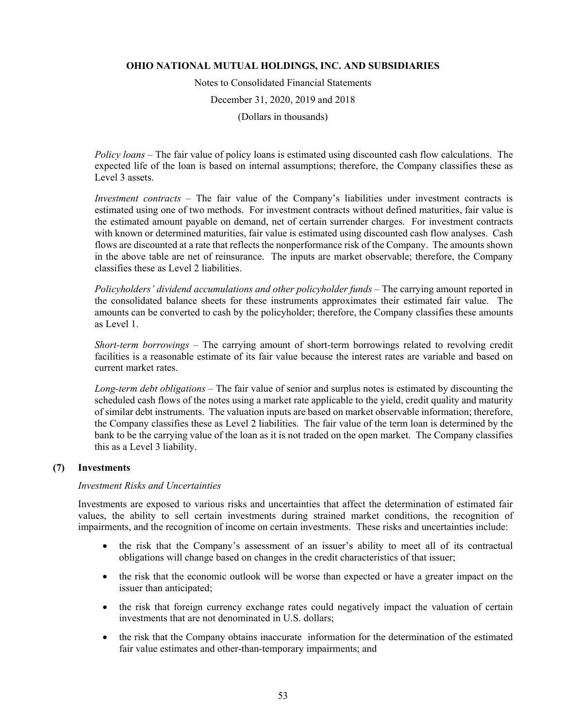Notes to Consolidated Financial Statements

December 31, 2020, 2019 and 2018

(Dollars in thousands)

*Policy loans* – The fair value of policy loans is estimated using discounted cash flow calculations. The expected life of the loan is based on internal assumptions; therefore, the Company classifies these as Level 3 assets.

*Investment contracts* – The fair value of the Company's liabilities under investment contracts is estimated using one of two methods. For investment contracts without defined maturities, fair value is the estimated amount payable on demand, net of certain surrender charges. For investment contracts with known or determined maturities, fair value is estimated using discounted cash flow analyses. Cash flows are discounted at a rate that reflects the nonperformance risk of the Company. The amounts shown in the above table are net of reinsurance. The inputs are market observable; therefore, the Company classifies these as Level 2 liabilities.

*Policyholders' dividend accumulations and other policyholder funds* – The carrying amount reported in the consolidated balance sheets for these instruments approximates their estimated fair value. The amounts can be converted to cash by the policyholder; therefore, the Company classifies these amounts as Level 1.

*Short-term borrowings* – The carrying amount of short-term borrowings related to revolving credit facilities is a reasonable estimate of its fair value because the interest rates are variable and based on current market rates.

*Long-term debt obligations –* The fair value of senior and surplus notes is estimated by discounting the scheduled cash flows of the notes using a market rate applicable to the yield, credit quality and maturity of similar debt instruments. The valuation inputs are based on market observable information; therefore, the Company classifies these as Level 2 liabilities. The fair value of the term loan is determined by the bank to be the carrying value of the loan as it is not traded on the open market. The Company classifies this as a Level 3 liability.

# **(7) Investments**

## *Investment Risks and Uncertainties*

Investments are exposed to various risks and uncertainties that affect the determination of estimated fair values, the ability to sell certain investments during strained market conditions, the recognition of impairments, and the recognition of income on certain investments. These risks and uncertainties include:

- the risk that the Company's assessment of an issuer's ability to meet all of its contractual obligations will change based on changes in the credit characteristics of that issuer;
- the risk that the economic outlook will be worse than expected or have a greater impact on the issuer than anticipated;
- the risk that foreign currency exchange rates could negatively impact the valuation of certain investments that are not denominated in U.S. dollars;
- the risk that the Company obtains inaccurate information for the determination of the estimated fair value estimates and other-than-temporary impairments; and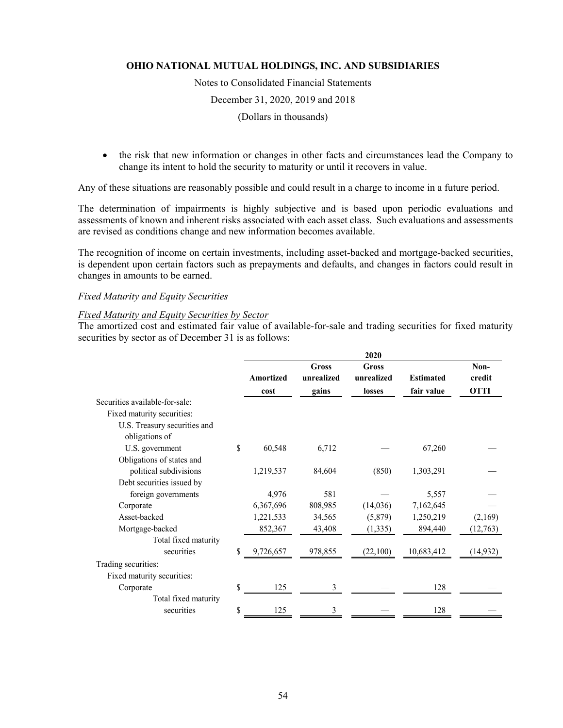Notes to Consolidated Financial Statements

December 31, 2020, 2019 and 2018

(Dollars in thousands)

 the risk that new information or changes in other facts and circumstances lead the Company to change its intent to hold the security to maturity or until it recovers in value.

Any of these situations are reasonably possible and could result in a charge to income in a future period.

The determination of impairments is highly subjective and is based upon periodic evaluations and assessments of known and inherent risks associated with each asset class. Such evaluations and assessments are revised as conditions change and new information becomes available.

The recognition of income on certain investments, including asset-backed and mortgage-backed securities, is dependent upon certain factors such as prepayments and defaults, and changes in factors could result in changes in amounts to be earned.

## *Fixed Maturity and Equity Securities*

# *Fixed Maturity and Equity Securities by Sector*

The amortized cost and estimated fair value of available-for-sale and trading securities for fixed maturity securities by sector as of December 31 is as follows:

|                 |                     | 2020                |                  |                |
|-----------------|---------------------|---------------------|------------------|----------------|
| Amortized       | Gross<br>unrealized | Gross<br>unrealized | <b>Estimated</b> | Non-<br>credit |
| cost            | gains               | losses              | fair value       | <b>OTTI</b>    |
|                 |                     |                     |                  |                |
|                 |                     |                     |                  |                |
|                 |                     |                     |                  |                |
|                 |                     |                     |                  |                |
| \$<br>60,548    | 6,712               |                     | 67,260           |                |
|                 |                     |                     |                  |                |
| 1,219,537       | 84,604              | (850)               | 1,303,291        |                |
|                 |                     |                     |                  |                |
| 4,976           | 581                 |                     | 5,557            |                |
| 6,367,696       | 808,985             | (14,036)            | 7,162,645        |                |
| 1,221,533       | 34,565              | (5,879)             | 1,250,219        | (2,169)        |
| 852,367         | 43,408              | (1, 335)            | 894,440          | (12,763)       |
|                 |                     |                     |                  |                |
| \$<br>9,726,657 | 978,855             | (22,100)            | 10,683,412       | (14,932)       |
|                 |                     |                     |                  |                |
|                 |                     |                     |                  |                |
| \$<br>125       | 3                   |                     | 128              |                |
|                 |                     |                     |                  |                |
| \$<br>125       | 3                   |                     | 128              |                |
|                 |                     |                     |                  |                |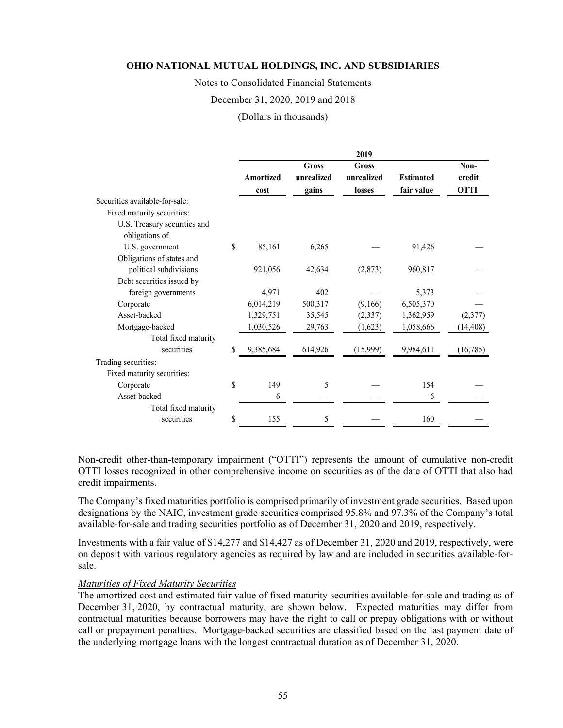Notes to Consolidated Financial Statements

#### December 31, 2020, 2019 and 2018

(Dollars in thousands)

|                                                |    |                          |                                     | 2019                          |                                |                               |
|------------------------------------------------|----|--------------------------|-------------------------------------|-------------------------------|--------------------------------|-------------------------------|
|                                                |    | <b>Amortized</b><br>cost | <b>Gross</b><br>unrealized<br>gains | Gross<br>unrealized<br>losses | <b>Estimated</b><br>fair value | Non-<br>credit<br><b>OTTI</b> |
| Securities available-for-sale:                 |    |                          |                                     |                               |                                |                               |
| Fixed maturity securities:                     |    |                          |                                     |                               |                                |                               |
| U.S. Treasury securities and<br>obligations of |    |                          |                                     |                               |                                |                               |
| U.S. government                                | \$ | 85,161                   | 6,265                               |                               | 91,426                         |                               |
| Obligations of states and                      |    |                          |                                     |                               |                                |                               |
| political subdivisions                         |    | 921,056                  | 42,634                              | (2,873)                       | 960,817                        |                               |
| Debt securities issued by                      |    |                          |                                     |                               |                                |                               |
| foreign governments                            |    | 4,971                    | 402                                 |                               | 5,373                          |                               |
| Corporate                                      |    | 6,014,219                | 500,317                             | (9,166)                       | 6,505,370                      |                               |
| Asset-backed                                   |    | 1,329,751                | 35,545                              | (2,337)                       | 1,362,959                      | (2,377)                       |
| Mortgage-backed                                |    | 1,030,526                | 29,763                              | (1,623)                       | 1,058,666                      | (14, 408)                     |
| Total fixed maturity                           |    |                          |                                     |                               |                                |                               |
| securities                                     | S  | 9,385,684                | 614,926                             | (15,999)                      | 9,984,611                      | (16,785)                      |
| Trading securities:                            |    |                          |                                     |                               |                                |                               |
| Fixed maturity securities:                     |    |                          |                                     |                               |                                |                               |
| Corporate                                      | \$ | 149                      | 5                                   |                               | 154                            |                               |
| Asset-backed                                   |    | 6                        |                                     |                               | 6                              |                               |
| Total fixed maturity                           |    |                          |                                     |                               |                                |                               |
| securities                                     | \$ | 155                      | 5                                   |                               | 160                            |                               |

Non-credit other-than-temporary impairment ("OTTI") represents the amount of cumulative non-credit OTTI losses recognized in other comprehensive income on securities as of the date of OTTI that also had credit impairments.

The Company's fixed maturities portfolio is comprised primarily of investment grade securities. Based upon designations by the NAIC, investment grade securities comprised 95.8% and 97.3% of the Company's total available-for-sale and trading securities portfolio as of December 31, 2020 and 2019, respectively.

Investments with a fair value of \$14,277 and \$14,427 as of December 31, 2020 and 2019, respectively, were on deposit with various regulatory agencies as required by law and are included in securities available-forsale.

#### *Maturities of Fixed Maturity Securities*

The amortized cost and estimated fair value of fixed maturity securities available-for-sale and trading as of December 31, 2020, by contractual maturity, are shown below. Expected maturities may differ from contractual maturities because borrowers may have the right to call or prepay obligations with or without call or prepayment penalties. Mortgage-backed securities are classified based on the last payment date of the underlying mortgage loans with the longest contractual duration as of December 31, 2020.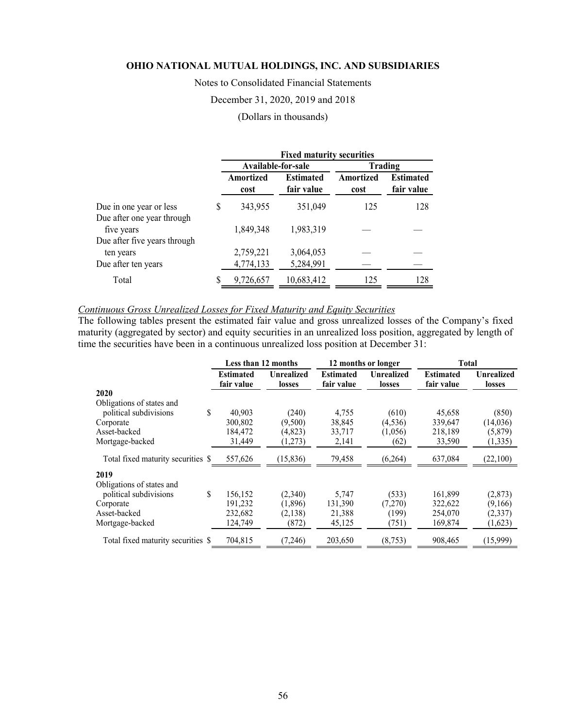Notes to Consolidated Financial Statements

December 31, 2020, 2019 and 2018

## (Dollars in thousands)

|                                                       |   | <b>Fixed maturity securities</b> |                                |                   |                                |  |  |
|-------------------------------------------------------|---|----------------------------------|--------------------------------|-------------------|--------------------------------|--|--|
|                                                       |   | Available-for-sale               |                                |                   | Trading                        |  |  |
|                                                       |   | Amortized<br>cost                | <b>Estimated</b><br>fair value | Amortized<br>cost | <b>Estimated</b><br>fair value |  |  |
| Due in one year or less<br>Due after one year through | S | 343,955                          | 351,049                        | 125               | 128                            |  |  |
| five years<br>Due after five years through            |   | 1,849,348                        | 1,983,319                      |                   |                                |  |  |
| ten years                                             |   | 2,759,221                        | 3,064,053                      |                   |                                |  |  |
| Due after ten years                                   |   | 4,774,133                        | 5,284,991                      |                   |                                |  |  |
| Total                                                 | S | 9,726,657                        | 10,683,412                     | 125               | 128                            |  |  |

# *Continuous Gross Unrealized Losses for Fixed Maturity and Equity Securities*

The following tables present the estimated fair value and gross unrealized losses of the Company's fixed maturity (aggregated by sector) and equity securities in an unrealized loss position, aggregated by length of time the securities have been in a continuous unrealized loss position at December 31:

|                                    |                                | Less than 12 months         |                                | 12 months or longer         | <b>Total</b>                   |                             |
|------------------------------------|--------------------------------|-----------------------------|--------------------------------|-----------------------------|--------------------------------|-----------------------------|
|                                    | <b>Estimated</b><br>fair value | <b>Unrealized</b><br>losses | <b>Estimated</b><br>fair value | <b>Unrealized</b><br>losses | <b>Estimated</b><br>fair value | <b>Unrealized</b><br>losses |
| 2020                               |                                |                             |                                |                             |                                |                             |
| Obligations of states and          |                                |                             |                                |                             |                                |                             |
| \$<br>political subdivisions       | 40,903                         | (240)                       | 4,755                          | (610)                       | 45,658                         | (850)                       |
| Corporate                          | 300,802                        | (9,500)                     | 38,845                         | (4,536)                     | 339,647                        | (14,036)                    |
| Asset-backed                       | 184,472                        | (4, 823)                    | 33,717                         | (1,056)                     | 218,189                        | (5, 879)                    |
| Mortgage-backed                    | 31,449                         | (1,273)                     | 2,141                          | (62)                        | 33,590                         | (1, 335)                    |
| Total fixed maturity securities \$ | 557,626                        | (15, 836)                   | 79,458                         | (6,264)                     | 637,084                        | (22,100)                    |
| 2019                               |                                |                             |                                |                             |                                |                             |
| Obligations of states and          |                                |                             |                                |                             |                                |                             |
| \$<br>political subdivisions       | 156,152                        | (2,340)                     | 5,747                          | (533)                       | 161,899                        | (2, 873)                    |
| Corporate                          | 191,232                        | (1,896)                     | 131,390                        | (7,270)                     | 322,622                        | (9,166)                     |
| Asset-backed                       | 232,682                        | (2,138)                     | 21,388                         | (199)                       | 254,070                        | (2, 337)                    |
| Mortgage-backed                    | 124.749                        | (872)                       | 45,125                         | (751)                       | 169,874                        | (1,623)                     |
| Total fixed maturity securities \$ | 704,815                        | (7, 246)                    | 203,650                        | (8,753)                     | 908,465                        | (15,999)                    |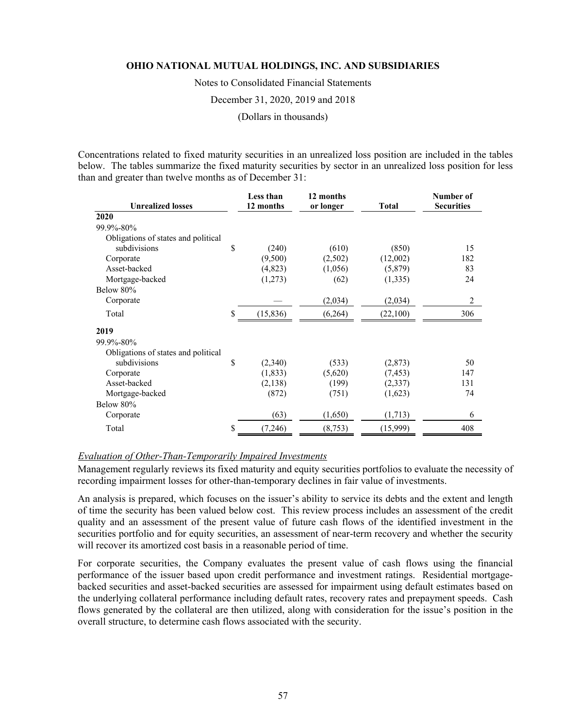Notes to Consolidated Financial Statements

December 31, 2020, 2019 and 2018

(Dollars in thousands)

Concentrations related to fixed maturity securities in an unrealized loss position are included in the tables below. The tables summarize the fixed maturity securities by sector in an unrealized loss position for less than and greater than twelve months as of December 31:

| <b>Unrealized losses</b>            | Less than<br>12 months | 12 months<br>or longer | Total    | Number of<br><b>Securities</b> |
|-------------------------------------|------------------------|------------------------|----------|--------------------------------|
| 2020                                |                        |                        |          |                                |
| 99.9%-80%                           |                        |                        |          |                                |
| Obligations of states and political |                        |                        |          |                                |
| subdivisions                        | \$<br>(240)            | (610)                  | (850)    | 15                             |
| Corporate                           | (9,500)                | (2,502)                | (12,002) | 182                            |
| Asset-backed                        | (4, 823)               | (1,056)                | (5,879)  | 83                             |
| Mortgage-backed                     | (1,273)                | (62)                   | (1, 335) | 24                             |
| Below 80%                           |                        |                        |          |                                |
| Corporate                           |                        | (2,034)                | (2,034)  | 2                              |
| Total                               | \$<br>(15, 836)        | (6,264)                | (22,100) | 306                            |
| 2019                                |                        |                        |          |                                |
| 99.9%-80%                           |                        |                        |          |                                |
| Obligations of states and political |                        |                        |          |                                |
| subdivisions                        | \$<br>(2,340)          | (533)                  | (2,873)  | 50                             |
| Corporate                           | (1,833)                | (5,620)                | (7, 453) | 147                            |
| Asset-backed                        | (2,138)                | (199)                  | (2, 337) | 131                            |
| Mortgage-backed                     | (872)                  | (751)                  | (1,623)  | 74                             |
| Below 80%                           |                        |                        |          |                                |
| Corporate                           | (63)                   | (1,650)                | (1,713)  | 6                              |
| Total                               | \$<br>(7,246)          | (8,753)                | (15,999) | 408                            |

### *Evaluation of Other-Than-Temporarily Impaired Investments*

Management regularly reviews its fixed maturity and equity securities portfolios to evaluate the necessity of recording impairment losses for other-than-temporary declines in fair value of investments.

An analysis is prepared, which focuses on the issuer's ability to service its debts and the extent and length of time the security has been valued below cost. This review process includes an assessment of the credit quality and an assessment of the present value of future cash flows of the identified investment in the securities portfolio and for equity securities, an assessment of near-term recovery and whether the security will recover its amortized cost basis in a reasonable period of time.

For corporate securities, the Company evaluates the present value of cash flows using the financial performance of the issuer based upon credit performance and investment ratings. Residential mortgagebacked securities and asset-backed securities are assessed for impairment using default estimates based on the underlying collateral performance including default rates, recovery rates and prepayment speeds. Cash flows generated by the collateral are then utilized, along with consideration for the issue's position in the overall structure, to determine cash flows associated with the security.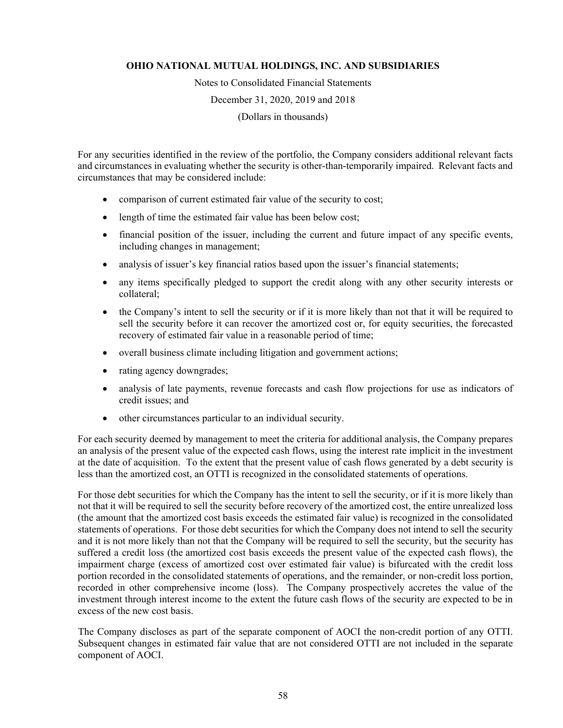Notes to Consolidated Financial Statements

December 31, 2020, 2019 and 2018

(Dollars in thousands)

For any securities identified in the review of the portfolio, the Company considers additional relevant facts and circumstances in evaluating whether the security is other-than-temporarily impaired. Relevant facts and circumstances that may be considered include:

- comparison of current estimated fair value of the security to cost;
- length of time the estimated fair value has been below cost;
- financial position of the issuer, including the current and future impact of any specific events, including changes in management;
- analysis of issuer's key financial ratios based upon the issuer's financial statements;
- any items specifically pledged to support the credit along with any other security interests or collateral;
- the Company's intent to sell the security or if it is more likely than not that it will be required to sell the security before it can recover the amortized cost or, for equity securities, the forecasted recovery of estimated fair value in a reasonable period of time;
- overall business climate including litigation and government actions;
- rating agency downgrades;
- analysis of late payments, revenue forecasts and cash flow projections for use as indicators of credit issues; and
- other circumstances particular to an individual security.

For each security deemed by management to meet the criteria for additional analysis, the Company prepares an analysis of the present value of the expected cash flows, using the interest rate implicit in the investment at the date of acquisition. To the extent that the present value of cash flows generated by a debt security is less than the amortized cost, an OTTI is recognized in the consolidated statements of operations.

For those debt securities for which the Company has the intent to sell the security, or if it is more likely than not that it will be required to sell the security before recovery of the amortized cost, the entire unrealized loss (the amount that the amortized cost basis exceeds the estimated fair value) is recognized in the consolidated statements of operations. For those debt securities for which the Company does not intend to sell the security and it is not more likely than not that the Company will be required to sell the security, but the security has suffered a credit loss (the amortized cost basis exceeds the present value of the expected cash flows), the impairment charge (excess of amortized cost over estimated fair value) is bifurcated with the credit loss portion recorded in the consolidated statements of operations, and the remainder, or non-credit loss portion, recorded in other comprehensive income (loss). The Company prospectively accretes the value of the investment through interest income to the extent the future cash flows of the security are expected to be in excess of the new cost basis.

The Company discloses as part of the separate component of AOCI the non-credit portion of any OTTI. Subsequent changes in estimated fair value that are not considered OTTI are not included in the separate component of AOCI.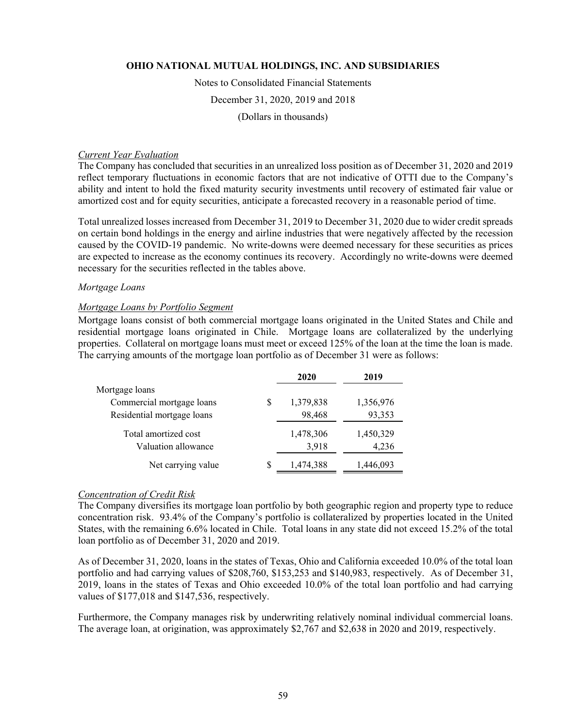#### Notes to Consolidated Financial Statements

December 31, 2020, 2019 and 2018

(Dollars in thousands)

#### *Current Year Evaluation*

The Company has concluded that securities in an unrealized loss position as of December 31, 2020 and 2019 reflect temporary fluctuations in economic factors that are not indicative of OTTI due to the Company's ability and intent to hold the fixed maturity security investments until recovery of estimated fair value or amortized cost and for equity securities, anticipate a forecasted recovery in a reasonable period of time.

Total unrealized losses increased from December 31, 2019 to December 31, 2020 due to wider credit spreads on certain bond holdings in the energy and airline industries that were negatively affected by the recession caused by the COVID-19 pandemic. No write-downs were deemed necessary for these securities as prices are expected to increase as the economy continues its recovery. Accordingly no write-downs were deemed necessary for the securities reflected in the tables above.

# *Mortgage Loans*

#### *Mortgage Loans by Portfolio Segment*

Mortgage loans consist of both commercial mortgage loans originated in the United States and Chile and residential mortgage loans originated in Chile. Mortgage loans are collateralized by the underlying properties. Collateral on mortgage loans must meet or exceed 125% of the loan at the time the loan is made. The carrying amounts of the mortgage loan portfolio as of December 31 were as follows:

|                            |   | 2020      | 2019      |
|----------------------------|---|-----------|-----------|
| Mortgage loans             |   |           |           |
| Commercial mortgage loans  | S | 1,379,838 | 1,356,976 |
| Residential mortgage loans |   | 98,468    | 93,353    |
| Total amortized cost       |   | 1,478,306 | 1,450,329 |
| Valuation allowance        |   | 3,918     | 4,236     |
| Net carrying value         | S | 1,474,388 | 1,446,093 |

#### *Concentration of Credit Risk*

The Company diversifies its mortgage loan portfolio by both geographic region and property type to reduce concentration risk. 93.4% of the Company's portfolio is collateralized by properties located in the United States, with the remaining 6.6% located in Chile. Total loans in any state did not exceed 15.2% of the total loan portfolio as of December 31, 2020 and 2019.

As of December 31, 2020, loans in the states of Texas, Ohio and California exceeded 10.0% of the total loan portfolio and had carrying values of \$208,760, \$153,253 and \$140,983, respectively. As of December 31, 2019, loans in the states of Texas and Ohio exceeded 10.0% of the total loan portfolio and had carrying values of \$177,018 and \$147,536, respectively.

Furthermore, the Company manages risk by underwriting relatively nominal individual commercial loans. The average loan, at origination, was approximately \$2,767 and \$2,638 in 2020 and 2019, respectively.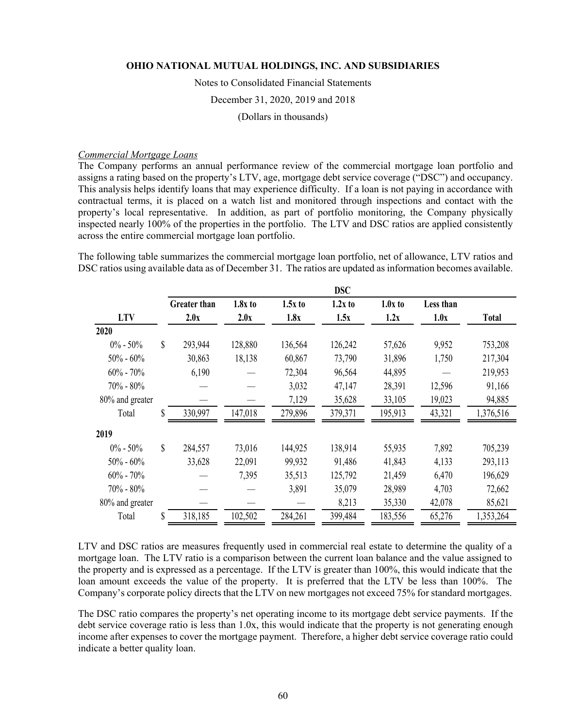Notes to Consolidated Financial Statements

December 31, 2020, 2019 and 2018

(Dollars in thousands)

#### *Commercial Mortgage Loans*

The Company performs an annual performance review of the commercial mortgage loan portfolio and assigns a rating based on the property's LTV, age, mortgage debt service coverage ("DSC") and occupancy. This analysis helps identify loans that may experience difficulty. If a loan is not paying in accordance with contractual terms, it is placed on a watch list and monitored through inspections and contact with the property's local representative. In addition, as part of portfolio monitoring, the Company physically inspected nearly 100% of the properties in the portfolio. The LTV and DSC ratios are applied consistently across the entire commercial mortgage loan portfolio.

The following table summarizes the commercial mortgage loan portfolio, net of allowance, LTV ratios and DSC ratios using available data as of December 31. The ratios are updated as information becomes available.

|                 |    |                     |           |           | <b>DSC</b> |           |           |              |
|-----------------|----|---------------------|-----------|-----------|------------|-----------|-----------|--------------|
|                 |    | <b>Greater than</b> | $1.8x$ to | $1.5x$ to | $1.2x$ to  | $1.0x$ to | Less than |              |
| <b>LTV</b>      |    | 2.0x                | 2.0x      | 1.8x      | 1.5x       | 1.2x      | 1.0x      | <b>Total</b> |
| 2020            |    |                     |           |           |            |           |           |              |
| $0\% - 50\%$    | \$ | 293,944             | 128,880   | 136,564   | 126,242    | 57,626    | 9,952     | 753,208      |
| $50\% - 60\%$   |    | 30,863              | 18,138    | 60,867    | 73,790     | 31,896    | 1,750     | 217,304      |
| $60\% - 70\%$   |    | 6,190               |           | 72,304    | 96,564     | 44,895    |           | 219,953      |
| 70% - 80%       |    |                     |           | 3,032     | 47,147     | 28,391    | 12,596    | 91,166       |
| 80% and greater |    |                     |           | 7,129     | 35,628     | 33,105    | 19,023    | 94,885       |
| Total           | \$ | 330,997             | 147,018   | 279,896   | 379,371    | 195,913   | 43,321    | 1,376,516    |
| 2019            |    |                     |           |           |            |           |           |              |
| $0\% - 50\%$    | \$ | 284,557             | 73,016    | 144,925   | 138,914    | 55,935    | 7,892     | 705,239      |
| $50\% - 60\%$   |    | 33,628              | 22,091    | 99,932    | 91,486     | 41,843    | 4,133     | 293,113      |
| $60\% - 70\%$   |    |                     | 7,395     | 35,513    | 125,792    | 21,459    | 6,470     | 196,629      |
| $70\% - 80\%$   |    |                     |           | 3,891     | 35,079     | 28,989    | 4,703     | 72,662       |
| 80% and greater |    |                     |           |           | 8,213      | 35,330    | 42,078    | 85,621       |
| Total           | S  | 318,185             | 102,502   | 284,261   | 399,484    | 183,556   | 65,276    | 1,353,264    |

LTV and DSC ratios are measures frequently used in commercial real estate to determine the quality of a mortgage loan. The LTV ratio is a comparison between the current loan balance and the value assigned to the property and is expressed as a percentage. If the LTV is greater than 100%, this would indicate that the loan amount exceeds the value of the property. It is preferred that the LTV be less than 100%. The Company's corporate policy directs that the LTV on new mortgages not exceed 75% for standard mortgages.

The DSC ratio compares the property's net operating income to its mortgage debt service payments. If the debt service coverage ratio is less than 1.0x, this would indicate that the property is not generating enough income after expenses to cover the mortgage payment. Therefore, a higher debt service coverage ratio could indicate a better quality loan.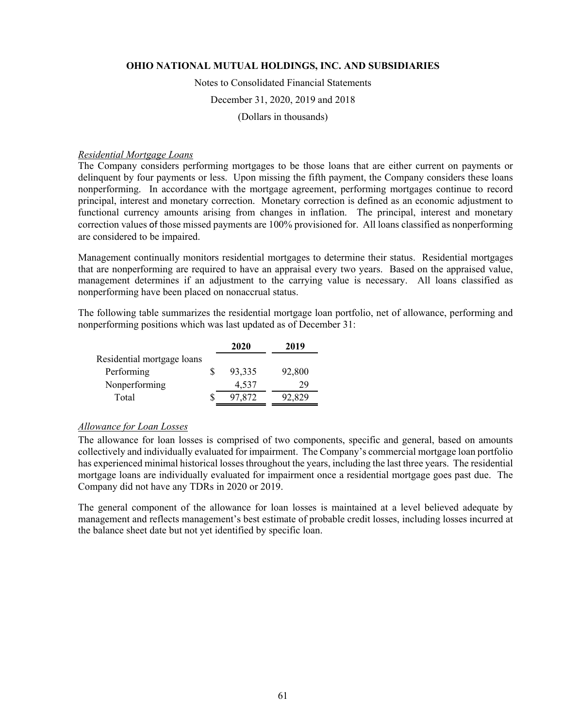#### Notes to Consolidated Financial Statements

#### December 31, 2020, 2019 and 2018

(Dollars in thousands)

#### *Residential Mortgage Loans*

The Company considers performing mortgages to be those loans that are either current on payments or delinquent by four payments or less. Upon missing the fifth payment, the Company considers these loans nonperforming. In accordance with the mortgage agreement, performing mortgages continue to record principal, interest and monetary correction. Monetary correction is defined as an economic adjustment to functional currency amounts arising from changes in inflation. The principal, interest and monetary correction values of those missed payments are 100% provisioned for. All loans classified as nonperforming are considered to be impaired.

Management continually monitors residential mortgages to determine their status. Residential mortgages that are nonperforming are required to have an appraisal every two years. Based on the appraised value, management determines if an adjustment to the carrying value is necessary. All loans classified as nonperforming have been placed on nonaccrual status.

The following table summarizes the residential mortgage loan portfolio, net of allowance, performing and nonperforming positions which was last updated as of December 31:

|                            | 2020   | 2019   |
|----------------------------|--------|--------|
| Residential mortgage loans |        |        |
| Performing                 | 93,335 | 92,800 |
| Nonperforming              | 4,537  | 29     |
| Total                      | 97.872 | 92,829 |

#### *Allowance for Loan Losses*

The allowance for loan losses is comprised of two components, specific and general, based on amounts collectively and individually evaluated for impairment. The Company's commercial mortgage loan portfolio has experienced minimal historical losses throughout the years, including the last three years. The residential mortgage loans are individually evaluated for impairment once a residential mortgage goes past due. The Company did not have any TDRs in 2020 or 2019.

The general component of the allowance for loan losses is maintained at a level believed adequate by management and reflects management's best estimate of probable credit losses, including losses incurred at the balance sheet date but not yet identified by specific loan.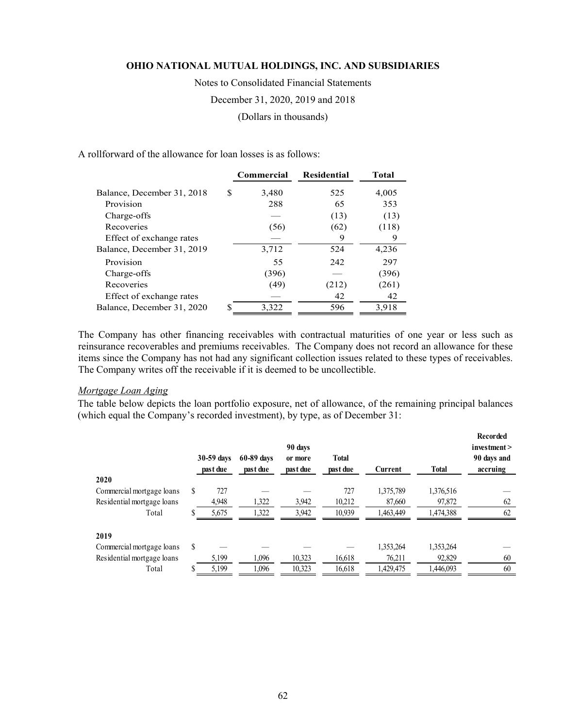Notes to Consolidated Financial Statements December 31, 2020, 2019 and 2018 (Dollars in thousands)

A rollforward of the allowance for loan losses is as follows:

|                            |   | <b>Commercial</b> | <b>Residential</b> | <b>Total</b> |
|----------------------------|---|-------------------|--------------------|--------------|
| Balance, December 31, 2018 | S | 3,480             | 525                | 4,005        |
| Provision                  |   | 288               | 65                 | 353          |
| Charge-offs                |   |                   | (13)               | (13)         |
| Recoveries                 |   | (56)              | (62)               | (118)        |
| Effect of exchange rates   |   |                   | 9                  | 9            |
| Balance, December 31, 2019 |   | 3,712             | 524                | 4,236        |
| Provision                  |   | 55                | 242                | 297          |
| Charge-offs                |   | (396)             |                    | (396)        |
| Recoveries                 |   | (49)              | (212)              | (261)        |
| Effect of exchange rates   |   |                   | 42                 | 42           |
| Balance, December 31, 2020 |   | 3,322             | 596                | 3,918        |

The Company has other financing receivables with contractual maturities of one year or less such as reinsurance recoverables and premiums receivables. The Company does not record an allowance for these items since the Company has not had any significant collection issues related to these types of receivables. The Company writes off the receivable if it is deemed to be uncollectible.

#### *Mortgage Loan Aging*

The table below depicts the loan portfolio exposure, net of allowance, of the remaining principal balances (which equal the Company's recorded investment), by type, as of December 31:

|                            |    | 30-59 days<br>past due | 60-89 days<br>past due | 90 days<br>or more<br>past due | Total<br>past due | Current   | <b>Total</b> | Recorded<br>investment<br>90 days and<br>accruing |
|----------------------------|----|------------------------|------------------------|--------------------------------|-------------------|-----------|--------------|---------------------------------------------------|
| 2020                       |    |                        |                        |                                |                   |           |              |                                                   |
| Commercial mortgage loans  | S  | 727                    |                        |                                | 727               | 1,375,789 | 1,376,516    |                                                   |
| Residential mortgage loans |    | 4,948                  | 1,322                  | 3,942                          | 10,212            | 87,660    | 97,872       | 62                                                |
| Total                      |    | 5,675                  | 1,322                  | 3,942                          | 10,939            | 1,463,449 | 1,474,388    | 62                                                |
| 2019                       |    |                        |                        |                                |                   |           |              |                                                   |
| Commercial mortgage loans  | \$ |                        |                        |                                |                   | 1.353.264 | 1,353,264    |                                                   |
| Residential mortgage loans |    | 5,199                  | 1,096                  | 10,323                         | 16,618            | 76,211    | 92,829       | 60                                                |
| Total                      |    | 5,199                  | 1,096                  | 10,323                         | 16,618            | 1,429,475 | 1,446,093    | 60                                                |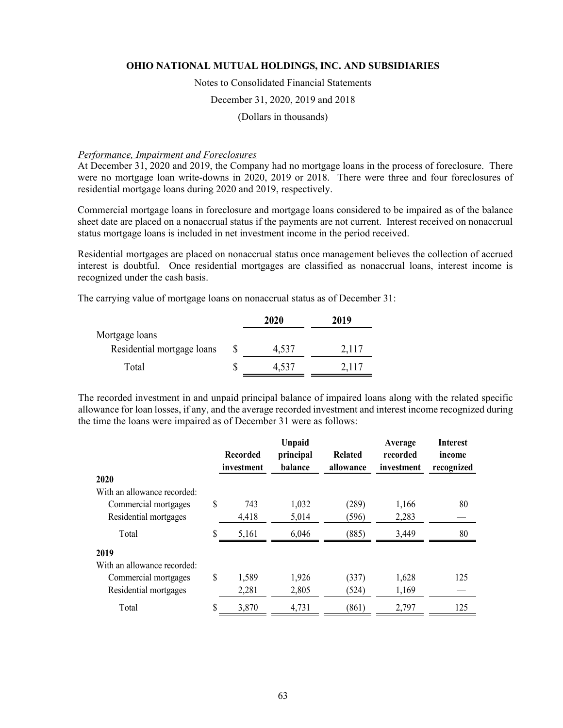#### Notes to Consolidated Financial Statements

#### December 31, 2020, 2019 and 2018

(Dollars in thousands)

#### *Performance, Impairment and Foreclosures*

At December 31, 2020 and 2019, the Company had no mortgage loans in the process of foreclosure. There were no mortgage loan write-downs in 2020, 2019 or 2018. There were three and four foreclosures of residential mortgage loans during 2020 and 2019, respectively.

Commercial mortgage loans in foreclosure and mortgage loans considered to be impaired as of the balance sheet date are placed on a nonaccrual status if the payments are not current. Interest received on nonaccrual status mortgage loans is included in net investment income in the period received.

Residential mortgages are placed on nonaccrual status once management believes the collection of accrued interest is doubtful. Once residential mortgages are classified as nonaccrual loans, interest income is recognized under the cash basis.

The carrying value of mortgage loans on nonaccrual status as of December 31:

|                            | 2020    | 2019  |
|----------------------------|---------|-------|
| Mortgage loans             |         |       |
| Residential mortgage loans | 4,537   | 2,117 |
| Total                      | $-.537$ | 2.117 |

The recorded investment in and unpaid principal balance of impaired loans along with the related specific allowance for loan losses, if any, and the average recorded investment and interest income recognized during the time the loans were impaired as of December 31 were as follows:

|                             | <b>Recorded</b><br>investment | <b>Unpaid</b><br>principal<br>balance | Related<br>allowance | Average<br>recorded<br>investment | <b>Interest</b><br>income<br>recognized |
|-----------------------------|-------------------------------|---------------------------------------|----------------------|-----------------------------------|-----------------------------------------|
| 2020                        |                               |                                       |                      |                                   |                                         |
| With an allowance recorded: |                               |                                       |                      |                                   |                                         |
| Commercial mortgages        | \$<br>743                     | 1,032                                 | (289)                | 1,166                             | 80                                      |
| Residential mortgages       | 4,418                         | 5,014                                 | (596)                | 2,283                             |                                         |
| Total                       | \$<br>5,161                   | 6,046                                 | (885)                | 3,449                             | 80                                      |
| 2019                        |                               |                                       |                      |                                   |                                         |
| With an allowance recorded: |                               |                                       |                      |                                   |                                         |
| Commercial mortgages        | \$<br>1,589                   | 1,926                                 | (337)                | 1,628                             | 125                                     |
| Residential mortgages       | 2,281                         | 2,805                                 | (524)                | 1,169                             |                                         |
| Total                       | \$<br>3,870                   | 4,731                                 | (861)                | 2,797                             | 125                                     |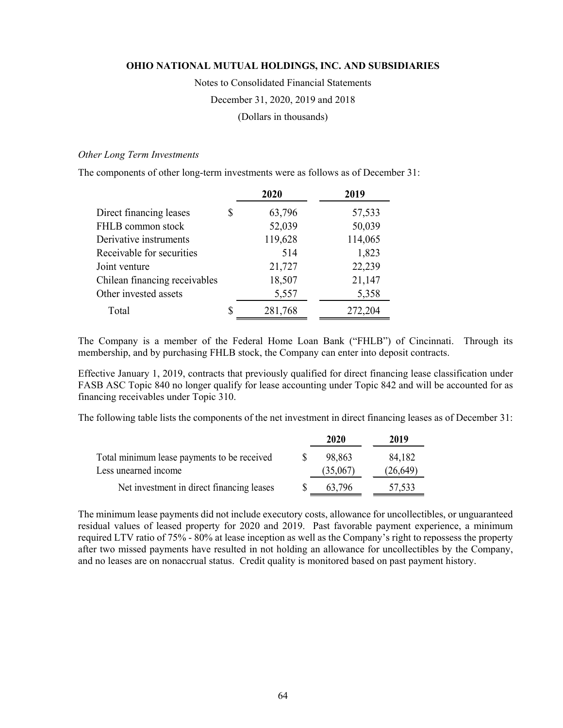Notes to Consolidated Financial Statements

December 31, 2020, 2019 and 2018

(Dollars in thousands)

# *Other Long Term Investments*

The components of other long-term investments were as follows as of December 31:

|                               |   | 2020    | 2019    |
|-------------------------------|---|---------|---------|
| Direct financing leases       | S | 63,796  | 57,533  |
| FHLB common stock             |   | 52,039  | 50,039  |
| Derivative instruments        |   | 119,628 | 114,065 |
| Receivable for securities     |   | 514     | 1,823   |
| Joint venture                 |   | 21,727  | 22,239  |
| Chilean financing receivables |   | 18,507  | 21,147  |
| Other invested assets         |   | 5,557   | 5,358   |
| Total                         | S | 281,768 | 272,204 |

The Company is a member of the Federal Home Loan Bank ("FHLB") of Cincinnati. Through its membership, and by purchasing FHLB stock, the Company can enter into deposit contracts.

Effective January 1, 2019, contracts that previously qualified for direct financing lease classification under FASB ASC Topic 840 no longer qualify for lease accounting under Topic 842 and will be accounted for as financing receivables under Topic 310.

The following table lists the components of the net investment in direct financing leases as of December 31:

|                                             | 2020     | 2019      |
|---------------------------------------------|----------|-----------|
| Total minimum lease payments to be received | 98.863   | 84,182    |
| Less unearned income                        | (35,067) | (26, 649) |
| Net investment in direct financing leases   | 63.796   | 57,533    |

The minimum lease payments did not include executory costs, allowance for uncollectibles, or unguaranteed residual values of leased property for 2020 and 2019. Past favorable payment experience, a minimum required LTV ratio of 75% - 80% at lease inception as well as the Company's right to repossess the property after two missed payments have resulted in not holding an allowance for uncollectibles by the Company, and no leases are on nonaccrual status. Credit quality is monitored based on past payment history.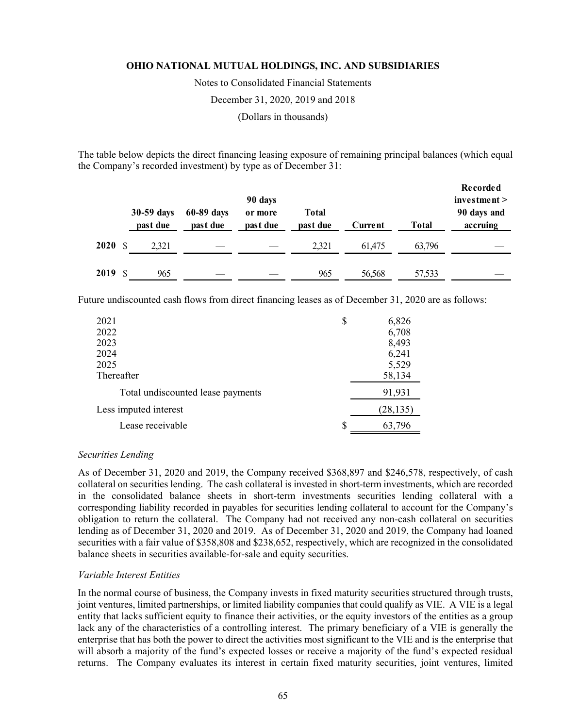Notes to Consolidated Financial Statements

December 31, 2020, 2019 and 2018

(Dollars in thousands)

The table below depicts the direct financing leasing exposure of remaining principal balances (which equal the Company's recorded investment) by type as of December 31:

|         | 30-59 days<br>past due | 60-89 days<br>past due | 90 days<br>or more<br>past due | <b>Total</b><br>past due | Current | Total  | Recorded<br>investment ><br>90 days and<br>accruing |
|---------|------------------------|------------------------|--------------------------------|--------------------------|---------|--------|-----------------------------------------------------|
| 2020S   | 2.321                  |                        |                                | 2.321                    | 61.475  | 63.796 |                                                     |
| 2019 \$ | 965                    |                        |                                | 965                      | 56,568  | 57,533 |                                                     |

Future undiscounted cash flows from direct financing leases as of December 31, 2020 are as follows:

| 2021                              | \$ | 6,826     |
|-----------------------------------|----|-----------|
| 2022                              |    | 6,708     |
| 2023                              |    | 8,493     |
| 2024                              |    | 6,241     |
| 2025                              |    | 5,529     |
| Thereafter                        |    | 58,134    |
| Total undiscounted lease payments |    | 91,931    |
| Less imputed interest             |    | (28, 135) |
| Lease receivable                  | S  | 63,796    |

#### *Securities Lending*

As of December 31, 2020 and 2019, the Company received \$368,897 and \$246,578, respectively, of cash collateral on securities lending. The cash collateral is invested in short-term investments, which are recorded in the consolidated balance sheets in short-term investments securities lending collateral with a corresponding liability recorded in payables for securities lending collateral to account for the Company's obligation to return the collateral. The Company had not received any non-cash collateral on securities lending as of December 31, 2020 and 2019. As of December 31, 2020 and 2019, the Company had loaned securities with a fair value of \$358,808 and \$238,652, respectively, which are recognized in the consolidated balance sheets in securities available-for-sale and equity securities.

#### *Variable Interest Entities*

In the normal course of business, the Company invests in fixed maturity securities structured through trusts, joint ventures, limited partnerships, or limited liability companies that could qualify as VIE. A VIE is a legal entity that lacks sufficient equity to finance their activities, or the equity investors of the entities as a group lack any of the characteristics of a controlling interest. The primary beneficiary of a VIE is generally the enterprise that has both the power to direct the activities most significant to the VIE and is the enterprise that will absorb a majority of the fund's expected losses or receive a majority of the fund's expected residual returns. The Company evaluates its interest in certain fixed maturity securities, joint ventures, limited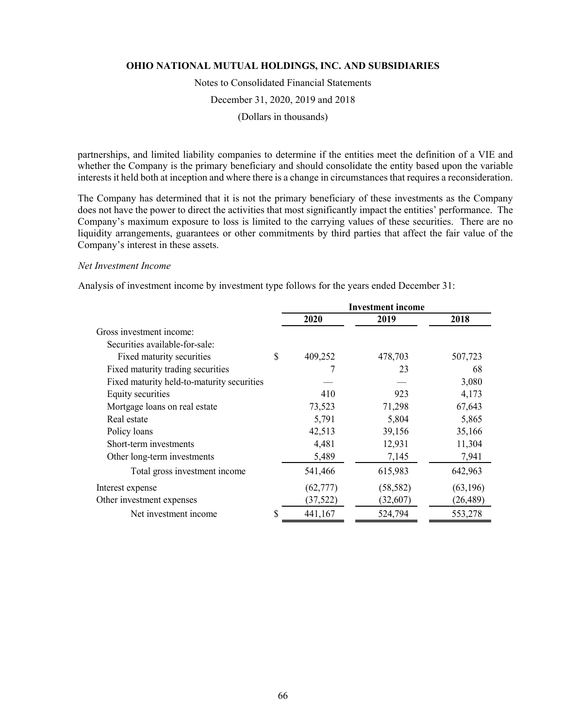Notes to Consolidated Financial Statements

December 31, 2020, 2019 and 2018

(Dollars in thousands)

partnerships, and limited liability companies to determine if the entities meet the definition of a VIE and whether the Company is the primary beneficiary and should consolidate the entity based upon the variable interests it held both at inception and where there is a change in circumstances that requires a reconsideration.

The Company has determined that it is not the primary beneficiary of these investments as the Company does not have the power to direct the activities that most significantly impact the entities' performance. The Company's maximum exposure to loss is limited to the carrying values of these securities. There are no liquidity arrangements, guarantees or other commitments by third parties that affect the fair value of the Company's interest in these assets.

### *Net Investment Income*

Analysis of investment income by investment type follows for the years ended December 31:

|                                            | <b>Investment</b> income |           |           |  |
|--------------------------------------------|--------------------------|-----------|-----------|--|
|                                            | 2020                     | 2019      | 2018      |  |
| Gross investment income:                   |                          |           |           |  |
| Securities available-for-sale:             |                          |           |           |  |
| Fixed maturity securities                  | \$<br>409,252            | 478,703   | 507,723   |  |
| Fixed maturity trading securities          |                          | 23        | 68        |  |
| Fixed maturity held-to-maturity securities |                          |           | 3,080     |  |
| Equity securities                          | 410                      | 923       | 4,173     |  |
| Mortgage loans on real estate              | 73,523                   | 71,298    | 67,643    |  |
| Real estate                                | 5,791                    | 5,804     | 5,865     |  |
| Policy loans                               | 42,513                   | 39,156    | 35,166    |  |
| Short-term investments                     | 4,481                    | 12,931    | 11,304    |  |
| Other long-term investments                | 5,489                    | 7,145     | 7,941     |  |
| Total gross investment income              | 541,466                  | 615,983   | 642,963   |  |
| Interest expense                           | (62, 777)                | (58, 582) | (63,196)  |  |
| Other investment expenses                  | (37, 522)                | (32,607)  | (26, 489) |  |
| Net investment income                      | \$<br>441,167            | 524,794   | 553,278   |  |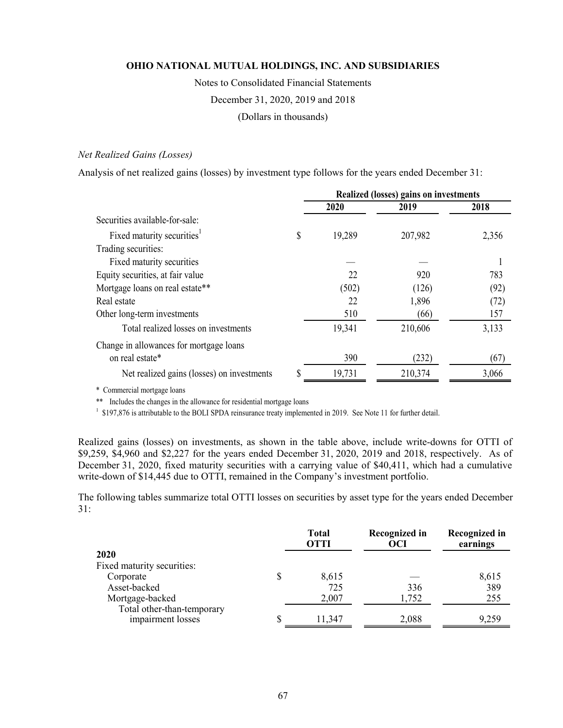Notes to Consolidated Financial Statements

December 31, 2020, 2019 and 2018

(Dollars in thousands)

## *Net Realized Gains (Losses)*

Analysis of net realized gains (losses) by investment type follows for the years ended December 31:

|                                            | <b>Realized (losses) gains on investments</b> |         |       |  |
|--------------------------------------------|-----------------------------------------------|---------|-------|--|
|                                            | 2020                                          | 2019    | 2018  |  |
| Securities available-for-sale:             |                                               |         |       |  |
| Fixed maturity securities <sup>1</sup>     | \$<br>19,289                                  | 207,982 | 2,356 |  |
| Trading securities:                        |                                               |         |       |  |
| Fixed maturity securities                  |                                               |         |       |  |
| Equity securities, at fair value           | 22                                            | 920     | 783   |  |
| Mortgage loans on real estate**            | (502)                                         | (126)   | (92)  |  |
| Real estate                                | 22                                            | 1,896   | (72)  |  |
| Other long-term investments                | 510                                           | (66)    | 157   |  |
| Total realized losses on investments       | 19,341                                        | 210,606 | 3,133 |  |
| Change in allowances for mortgage loans    |                                               |         |       |  |
| on real estate*                            | 390                                           | (232)   | (67)  |  |
| Net realized gains (losses) on investments | 19,731                                        | 210,374 | 3,066 |  |

\* Commercial mortgage loans

\*\* Includes the changes in the allowance for residential mortgage loans

<sup>1</sup> \$197,876 is attributable to the BOLI SPDA reinsurance treaty implemented in 2019. See Note 11 for further detail.

Realized gains (losses) on investments, as shown in the table above, include write-downs for OTTI of \$9,259, \$4,960 and \$2,227 for the years ended December 31, 2020, 2019 and 2018, respectively. As of December 31, 2020, fixed maturity securities with a carrying value of \$40,411, which had a cumulative write-down of \$14,445 due to OTTI, remained in the Company's investment portfolio.

The following tables summarize total OTTI losses on securities by asset type for the years ended December 31:

|                                                 | <b>Total</b><br><b>OTTI</b> | Recognized in<br>OCI | Recognized in<br>earnings |
|-------------------------------------------------|-----------------------------|----------------------|---------------------------|
| 2020                                            |                             |                      |                           |
| Fixed maturity securities:                      |                             |                      |                           |
| Corporate                                       | 8,615                       |                      | 8,615                     |
| Asset-backed                                    | 725                         | 336                  | 389                       |
| Mortgage-backed                                 | 2,007                       | 1,752                | 255                       |
| Total other-than-temporary<br>impairment losses | 11,347                      | 2,088                | 9,259                     |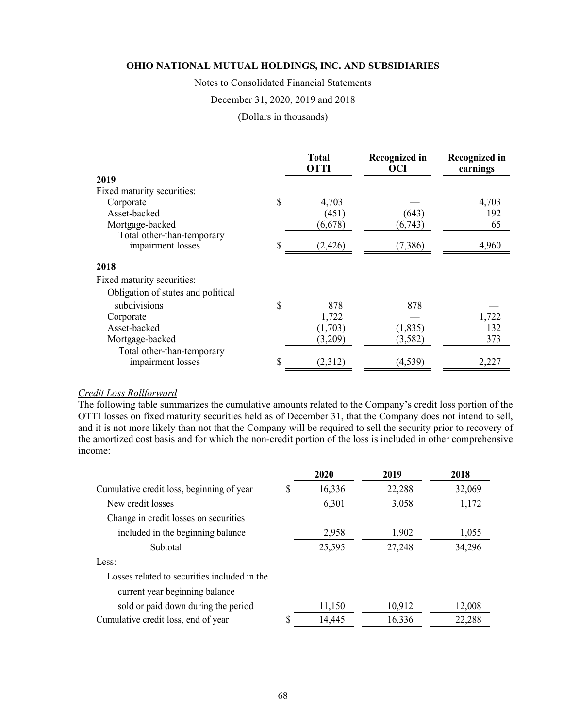Notes to Consolidated Financial Statements

December 31, 2020, 2019 and 2018

(Dollars in thousands)

|                                    |    | <b>Total</b><br><b>OTTI</b> | <b>Recognized in</b><br><b>OCI</b> | <b>Recognized in</b><br>earnings |
|------------------------------------|----|-----------------------------|------------------------------------|----------------------------------|
| 2019                               |    |                             |                                    |                                  |
| Fixed maturity securities:         |    |                             |                                    |                                  |
| Corporate                          | \$ | 4,703                       |                                    | 4,703                            |
| Asset-backed                       |    | (451)                       | (643)                              | 192                              |
| Mortgage-backed                    |    | (6,678)                     | (6,743)                            | 65                               |
| Total other-than-temporary         |    |                             |                                    |                                  |
| impairment losses                  | S  | (2, 426)                    | (7,386)                            | 4,960                            |
| 2018                               |    |                             |                                    |                                  |
| Fixed maturity securities:         |    |                             |                                    |                                  |
| Obligation of states and political |    |                             |                                    |                                  |
| subdivisions                       | \$ | 878                         | 878                                |                                  |
| Corporate                          |    | 1,722                       |                                    | 1,722                            |
| Asset-backed                       |    | (1,703)                     | (1,835)                            | 132                              |
| Mortgage-backed                    |    | (3,209)                     | (3, 582)                           | 373                              |
| Total other-than-temporary         |    |                             |                                    |                                  |
| impairment losses                  | \$ | (2,312)                     | (4, 539)                           | 2,227                            |

#### *Credit Loss Rollforward*

The following table summarizes the cumulative amounts related to the Company's credit loss portion of the OTTI losses on fixed maturity securities held as of December 31, that the Company does not intend to sell, and it is not more likely than not that the Company will be required to sell the security prior to recovery of the amortized cost basis and for which the non-credit portion of the loss is included in other comprehensive income:

|                                              | 2020         | 2019   | 2018   |
|----------------------------------------------|--------------|--------|--------|
| Cumulative credit loss, beginning of year    | \$<br>16,336 | 22,288 | 32,069 |
| New credit losses                            | 6,301        | 3,058  | 1,172  |
| Change in credit losses on securities        |              |        |        |
| included in the beginning balance            | 2,958        | 1,902  | 1,055  |
| Subtotal                                     | 25,595       | 27,248 | 34,296 |
| Less:                                        |              |        |        |
| Losses related to securities included in the |              |        |        |
| current year beginning balance               |              |        |        |
| sold or paid down during the period          | 11,150       | 10,912 | 12,008 |
| Cumulative credit loss, end of year          | \$<br>14,445 | 16,336 | 22,288 |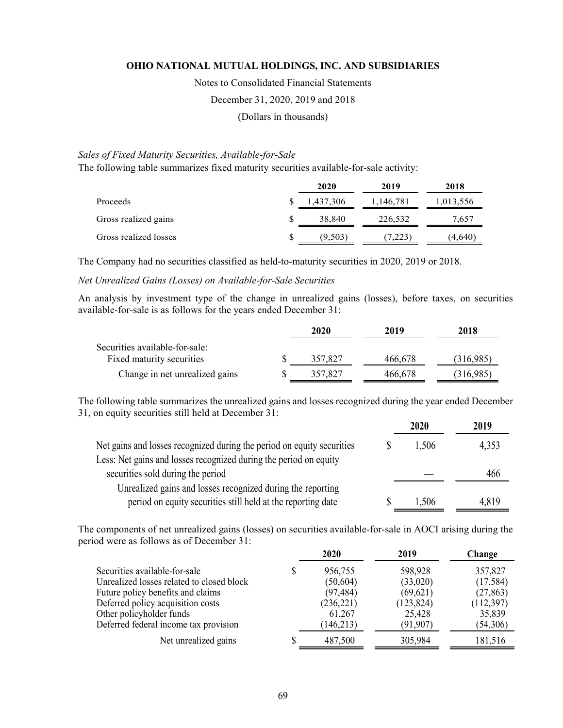Notes to Consolidated Financial Statements

December 31, 2020, 2019 and 2018

(Dollars in thousands)

## *Sales of Fixed Maturity Securities, Available-for-Sale*

The following table summarizes fixed maturity securities available-for-sale activity:

|                       | 2020          | 2019      | 2018      |
|-----------------------|---------------|-----------|-----------|
| Proceeds              | 1,437,306     | 1,146,781 | 1,013,556 |
| Gross realized gains  | 38,840        | 226,532   | 7,657     |
| Gross realized losses | \$<br>(9,503) | (7,223)   | 4,640'    |

The Company had no securities classified as held-to-maturity securities in 2020, 2019 or 2018.

## *Net Unrealized Gains (Losses) on Available-for-Sale Securities*

An analysis by investment type of the change in unrealized gains (losses), before taxes, on securities available-for-sale is as follows for the years ended December 31:

|                                | 2020    | 2019    | 2018      |
|--------------------------------|---------|---------|-----------|
| Securities available-for-sale: |         |         |           |
| Fixed maturity securities      | 357,827 | 466,678 | (316,985) |
| Change in net unrealized gains | 357.827 | 466,678 | (316,985) |

The following table summarizes the unrealized gains and losses recognized during the year ended December 31, on equity securities still held at December 31:

|                                                                        | 2020  | 2019  |
|------------------------------------------------------------------------|-------|-------|
| Net gains and losses recognized during the period on equity securities | 1,506 | 4,353 |
| Less: Net gains and losses recognized during the period on equity      |       |       |
| securities sold during the period                                      |       | 466   |
| Unrealized gains and losses recognized during the reporting            |       |       |
| period on equity securities still held at the reporting date           | 1,506 | 4,819 |

The components of net unrealized gains (losses) on securities available-for-sale in AOCI arising during the period were as follows as of December 31:

|                                           |   | 2020       | 2019       | Change    |
|-------------------------------------------|---|------------|------------|-----------|
| Securities available-for-sale             | S | 956,755    | 598,928    | 357,827   |
| Unrealized losses related to closed block |   | (50,604)   | (33,020)   | (17,584)  |
| Future policy benefits and claims         |   | (97, 484)  | (69, 621)  | (27, 863) |
| Deferred policy acquisition costs         |   | (236, 221) | (123, 824) | (112,397) |
| Other policyholder funds                  |   | 61,267     | 25,428     | 35,839    |
| Deferred federal income tax provision     |   | (146, 213) | (91, 907)  | (54,306)  |
| Net unrealized gains                      |   | 487,500    | 305,984    | 181,516   |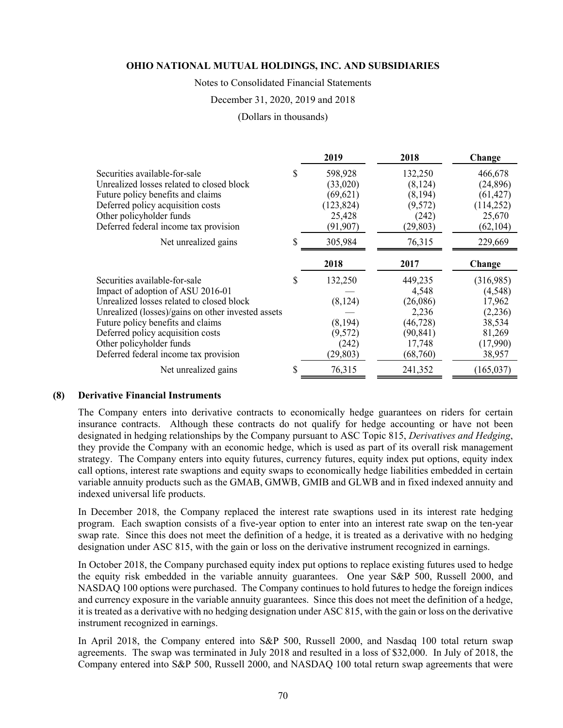#### Notes to Consolidated Financial Statements

#### December 31, 2020, 2019 and 2018

(Dollars in thousands)

|                                                    |   | 2019       | 2018      | Change     |
|----------------------------------------------------|---|------------|-----------|------------|
| Securities available-for-sale                      |   | 598,928    | 132,250   | 466,678    |
| Unrealized losses related to closed block          |   | (33,020)   | (8,124)   | (24, 896)  |
| Future policy benefits and claims                  |   | (69, 621)  | (8, 194)  | (61, 427)  |
| Deferred policy acquisition costs                  |   | (123, 824) | (9,572)   | (114, 252) |
| Other policyholder funds                           |   | 25,428     | (242)     | 25,670     |
| Deferred federal income tax provision              |   | (91, 907)  | (29, 803) | (62, 104)  |
| Net unrealized gains                               | S | 305,984    | 76,315    | 229,669    |
|                                                    |   | 2018       | 2017      | Change     |
| Securities available-for-sale                      |   | 132,250    | 449,235   | (316,985)  |
| Impact of adoption of ASU 2016-01                  |   |            | 4,548     | (4,548)    |
| Unrealized losses related to closed block          |   | (8, 124)   | (26,086)  | 17,962     |
| Unrealized (losses)/gains on other invested assets |   |            | 2,236     | (2,236)    |
| Future policy benefits and claims                  |   | (8,194)    | (46, 728) | 38,534     |
| Deferred policy acquisition costs                  |   |            |           |            |
|                                                    |   | (9,572)    | (90, 841) | 81,269     |
| Other policyholder funds                           |   | (242)      | 17,748    | (17,990)   |
| Deferred federal income tax provision              |   | (29, 803)  | (68,760)  | 38,957     |

#### **(8) Derivative Financial Instruments**

The Company enters into derivative contracts to economically hedge guarantees on riders for certain insurance contracts. Although these contracts do not qualify for hedge accounting or have not been designated in hedging relationships by the Company pursuant to ASC Topic 815, *Derivatives and Hedging*, they provide the Company with an economic hedge, which is used as part of its overall risk management strategy. The Company enters into equity futures, currency futures, equity index put options, equity index call options, interest rate swaptions and equity swaps to economically hedge liabilities embedded in certain variable annuity products such as the GMAB, GMWB, GMIB and GLWB and in fixed indexed annuity and indexed universal life products.

In December 2018, the Company replaced the interest rate swaptions used in its interest rate hedging program. Each swaption consists of a five-year option to enter into an interest rate swap on the ten-year swap rate. Since this does not meet the definition of a hedge, it is treated as a derivative with no hedging designation under ASC 815, with the gain or loss on the derivative instrument recognized in earnings.

In October 2018, the Company purchased equity index put options to replace existing futures used to hedge the equity risk embedded in the variable annuity guarantees. One year S&P 500, Russell 2000, and NASDAQ 100 options were purchased. The Company continues to hold futures to hedge the foreign indices and currency exposure in the variable annuity guarantees. Since this does not meet the definition of a hedge, it is treated as a derivative with no hedging designation under ASC 815, with the gain or loss on the derivative instrument recognized in earnings.

In April 2018, the Company entered into S&P 500, Russell 2000, and Nasdaq 100 total return swap agreements. The swap was terminated in July 2018 and resulted in a loss of \$32,000. In July of 2018, the Company entered into S&P 500, Russell 2000, and NASDAQ 100 total return swap agreements that were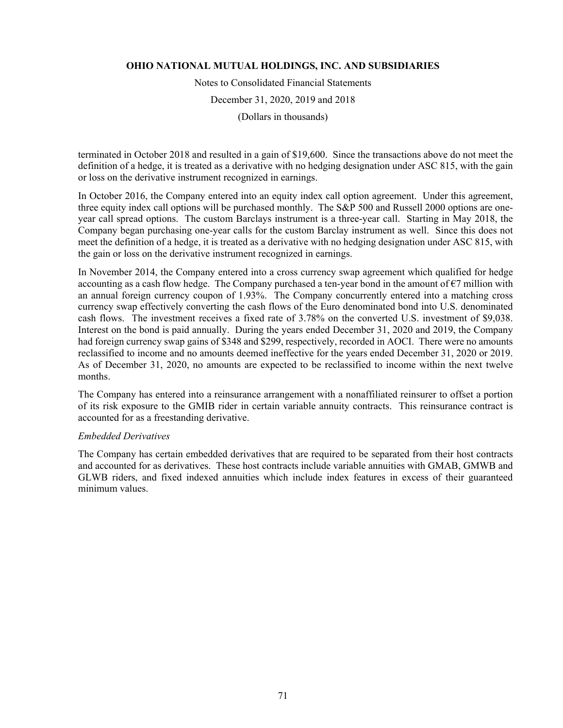Notes to Consolidated Financial Statements

December 31, 2020, 2019 and 2018

(Dollars in thousands)

terminated in October 2018 and resulted in a gain of \$19,600. Since the transactions above do not meet the definition of a hedge, it is treated as a derivative with no hedging designation under ASC 815, with the gain or loss on the derivative instrument recognized in earnings.

In October 2016, the Company entered into an equity index call option agreement. Under this agreement, three equity index call options will be purchased monthly. The S&P 500 and Russell 2000 options are oneyear call spread options. The custom Barclays instrument is a three-year call. Starting in May 2018, the Company began purchasing one-year calls for the custom Barclay instrument as well. Since this does not meet the definition of a hedge, it is treated as a derivative with no hedging designation under ASC 815, with the gain or loss on the derivative instrument recognized in earnings.

In November 2014, the Company entered into a cross currency swap agreement which qualified for hedge accounting as a cash flow hedge. The Company purchased a ten-year bond in the amount of  $\epsilon$ 7 million with an annual foreign currency coupon of 1.93%. The Company concurrently entered into a matching cross currency swap effectively converting the cash flows of the Euro denominated bond into U.S. denominated cash flows. The investment receives a fixed rate of 3.78% on the converted U.S. investment of \$9,038. Interest on the bond is paid annually. During the years ended December 31, 2020 and 2019, the Company had foreign currency swap gains of \$348 and \$299, respectively, recorded in AOCI. There were no amounts reclassified to income and no amounts deemed ineffective for the years ended December 31, 2020 or 2019. As of December 31, 2020, no amounts are expected to be reclassified to income within the next twelve months.

The Company has entered into a reinsurance arrangement with a nonaffiliated reinsurer to offset a portion of its risk exposure to the GMIB rider in certain variable annuity contracts. This reinsurance contract is accounted for as a freestanding derivative.

### *Embedded Derivatives*

The Company has certain embedded derivatives that are required to be separated from their host contracts and accounted for as derivatives. These host contracts include variable annuities with GMAB, GMWB and GLWB riders, and fixed indexed annuities which include index features in excess of their guaranteed minimum values.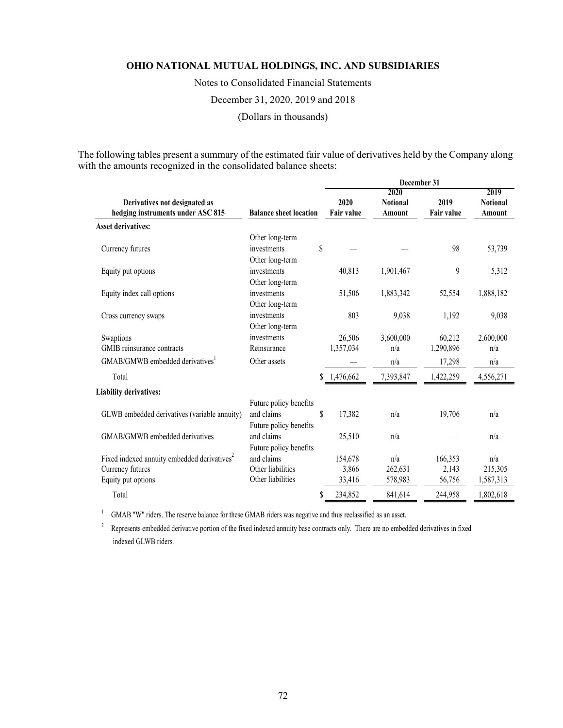Notes to Consolidated Financial Statements

December 31, 2020, 2019 and 2018

(Dollars in thousands)

The following tables present a summary of the estimated fair value of derivatives held by the Company along with the amounts recognized in the consolidated balance sheets:

| 2020<br>2019<br>2020<br>2019<br><b>Notional</b><br><b>Notional</b><br>Derivatives not designated as<br>hedging instruments under ASC 815<br><b>Balance sheet location</b><br><b>Fair value</b><br>Fair value<br>Amount<br>Amount<br><b>Asset derivatives:</b><br>Other long-term<br>\$<br>98<br>53,739<br>Currency futures<br>investments<br>Other long-term<br>9<br>investments<br>5,312<br>Equity put options<br>40,813<br>1,901,467<br>Other long-term<br>investments<br>1,883,342<br>52,554<br>1,888,182<br>Equity index call options<br>51,506<br>Other long-term<br>803<br>9,038<br>investments<br>1,192<br>9,038<br>Cross currency swaps<br>Other long-term<br>investments<br>26,506<br>3,600,000<br>60,212<br>2,600,000<br>Swaptions<br>1,357,034<br>GMIB reinsurance contracts<br>Reinsurance<br>1,290,896<br>n/a<br>n/a<br>GMAB/GMWB embedded derivatives<br>Other assets<br>17,298<br>n/a<br>n/a<br>\$1,476,662<br>Total<br>7,393,847<br>1,422,259<br>4,556,271<br><b>Liability derivatives:</b> |  |
|-------------------------------------------------------------------------------------------------------------------------------------------------------------------------------------------------------------------------------------------------------------------------------------------------------------------------------------------------------------------------------------------------------------------------------------------------------------------------------------------------------------------------------------------------------------------------------------------------------------------------------------------------------------------------------------------------------------------------------------------------------------------------------------------------------------------------------------------------------------------------------------------------------------------------------------------------------------------------------------------------------------|--|
|                                                                                                                                                                                                                                                                                                                                                                                                                                                                                                                                                                                                                                                                                                                                                                                                                                                                                                                                                                                                             |  |
|                                                                                                                                                                                                                                                                                                                                                                                                                                                                                                                                                                                                                                                                                                                                                                                                                                                                                                                                                                                                             |  |
|                                                                                                                                                                                                                                                                                                                                                                                                                                                                                                                                                                                                                                                                                                                                                                                                                                                                                                                                                                                                             |  |
|                                                                                                                                                                                                                                                                                                                                                                                                                                                                                                                                                                                                                                                                                                                                                                                                                                                                                                                                                                                                             |  |
|                                                                                                                                                                                                                                                                                                                                                                                                                                                                                                                                                                                                                                                                                                                                                                                                                                                                                                                                                                                                             |  |
|                                                                                                                                                                                                                                                                                                                                                                                                                                                                                                                                                                                                                                                                                                                                                                                                                                                                                                                                                                                                             |  |
|                                                                                                                                                                                                                                                                                                                                                                                                                                                                                                                                                                                                                                                                                                                                                                                                                                                                                                                                                                                                             |  |
|                                                                                                                                                                                                                                                                                                                                                                                                                                                                                                                                                                                                                                                                                                                                                                                                                                                                                                                                                                                                             |  |
|                                                                                                                                                                                                                                                                                                                                                                                                                                                                                                                                                                                                                                                                                                                                                                                                                                                                                                                                                                                                             |  |
|                                                                                                                                                                                                                                                                                                                                                                                                                                                                                                                                                                                                                                                                                                                                                                                                                                                                                                                                                                                                             |  |
|                                                                                                                                                                                                                                                                                                                                                                                                                                                                                                                                                                                                                                                                                                                                                                                                                                                                                                                                                                                                             |  |
|                                                                                                                                                                                                                                                                                                                                                                                                                                                                                                                                                                                                                                                                                                                                                                                                                                                                                                                                                                                                             |  |
|                                                                                                                                                                                                                                                                                                                                                                                                                                                                                                                                                                                                                                                                                                                                                                                                                                                                                                                                                                                                             |  |
|                                                                                                                                                                                                                                                                                                                                                                                                                                                                                                                                                                                                                                                                                                                                                                                                                                                                                                                                                                                                             |  |
|                                                                                                                                                                                                                                                                                                                                                                                                                                                                                                                                                                                                                                                                                                                                                                                                                                                                                                                                                                                                             |  |
|                                                                                                                                                                                                                                                                                                                                                                                                                                                                                                                                                                                                                                                                                                                                                                                                                                                                                                                                                                                                             |  |
|                                                                                                                                                                                                                                                                                                                                                                                                                                                                                                                                                                                                                                                                                                                                                                                                                                                                                                                                                                                                             |  |
|                                                                                                                                                                                                                                                                                                                                                                                                                                                                                                                                                                                                                                                                                                                                                                                                                                                                                                                                                                                                             |  |
| Future policy benefits                                                                                                                                                                                                                                                                                                                                                                                                                                                                                                                                                                                                                                                                                                                                                                                                                                                                                                                                                                                      |  |
| and claims<br>S<br>GLWB embedded derivatives (variable annuity)<br>17,382<br>19,706<br>n/a<br>n/a                                                                                                                                                                                                                                                                                                                                                                                                                                                                                                                                                                                                                                                                                                                                                                                                                                                                                                           |  |
| Future policy benefits                                                                                                                                                                                                                                                                                                                                                                                                                                                                                                                                                                                                                                                                                                                                                                                                                                                                                                                                                                                      |  |
| and claims<br>GMAB/GMWB embedded derivatives<br>25,510<br>n/a<br>n/a                                                                                                                                                                                                                                                                                                                                                                                                                                                                                                                                                                                                                                                                                                                                                                                                                                                                                                                                        |  |
| Future policy benefits                                                                                                                                                                                                                                                                                                                                                                                                                                                                                                                                                                                                                                                                                                                                                                                                                                                                                                                                                                                      |  |
| Fixed indexed annuity embedded derivatives <sup>2</sup><br>and claims<br>154,678<br>n/a<br>166,353<br>n/a                                                                                                                                                                                                                                                                                                                                                                                                                                                                                                                                                                                                                                                                                                                                                                                                                                                                                                   |  |
| Other liabilities<br>Currency futures<br>3,866<br>262,631<br>2,143<br>215,305                                                                                                                                                                                                                                                                                                                                                                                                                                                                                                                                                                                                                                                                                                                                                                                                                                                                                                                               |  |
| Other liabilities<br>Equity put options<br>33,416<br>578,983<br>56,756<br>1,587,313                                                                                                                                                                                                                                                                                                                                                                                                                                                                                                                                                                                                                                                                                                                                                                                                                                                                                                                         |  |
| Total<br>\$<br>234,852<br>1,802,618<br>841,614<br>244,958                                                                                                                                                                                                                                                                                                                                                                                                                                                                                                                                                                                                                                                                                                                                                                                                                                                                                                                                                   |  |

<sup>1</sup> GMAB "W" riders. The reserve balance for these GMAB riders was negative and thus reclassified as an asset.

<sup>2</sup> Represents embedded derivative portion of the fixed indexed annuity base contracts only. There are no embedded derivatives in fixed indexed GLWB riders.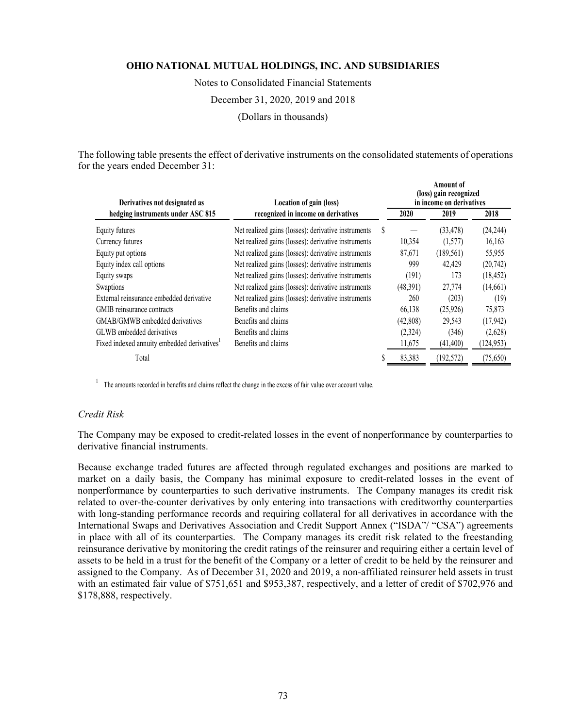Notes to Consolidated Financial Statements December 31, 2020, 2019 and 2018

(Dollars in thousands)

The following table presents the effect of derivative instruments on the consolidated statements of operations for the years ended December 31:

 $\overline{a}$ 

| Derivatives not designated as<br>Location of gain (loss) |                                                     |   | Amount of<br>(loss) gain recognized<br>in income on derivatives |            |            |  |
|----------------------------------------------------------|-----------------------------------------------------|---|-----------------------------------------------------------------|------------|------------|--|
| hedging instruments under ASC 815                        | recognized in income on derivatives                 |   | 2020                                                            | 2019       | 2018       |  |
| Equity futures                                           | Net realized gains (losses): derivative instruments | S |                                                                 | (33, 478)  | (24, 244)  |  |
| Currency futures                                         | Net realized gains (losses): derivative instruments |   | 10,354                                                          | (1,577)    | 16,163     |  |
| Equity put options                                       | Net realized gains (losses): derivative instruments |   | 87,671                                                          | (189, 561) | 55,955     |  |
| Equity index call options                                | Net realized gains (losses): derivative instruments |   | 999                                                             | 42,429     | (20, 742)  |  |
| Equity swaps                                             | Net realized gains (losses): derivative instruments |   | (191)                                                           | 173        | (18, 452)  |  |
| Swaptions                                                | Net realized gains (losses): derivative instruments |   | (48,391)                                                        | 27,774     | (14,661)   |  |
| External reinsurance embedded derivative                 | Net realized gains (losses): derivative instruments |   | 260                                                             | (203)      | (19)       |  |
| GMIB reinsurance contracts                               | Benefits and claims                                 |   | 66,138                                                          | (25, 926)  | 75,873     |  |
| GMAB/GMWB embedded derivatives                           | Benefits and claims                                 |   | (42,808)                                                        | 29,543     | (17, 942)  |  |
| GLWB embedded derivatives                                | Benefits and claims                                 |   | (2,324)                                                         | (346)      | (2,628)    |  |
| Fixed indexed annuity embedded derivatives <sup>1</sup>  | Benefits and claims                                 |   | 11,675                                                          | (41, 400)  | (124, 953) |  |
| Total                                                    |                                                     |   | 83,383                                                          | (192, 572) | (75,650)   |  |

 $1$  The amounts recorded in benefits and claims reflect the change in the excess of fair value over account value.

## *Credit Risk*

The Company may be exposed to credit-related losses in the event of nonperformance by counterparties to derivative financial instruments.

Because exchange traded futures are affected through regulated exchanges and positions are marked to market on a daily basis, the Company has minimal exposure to credit-related losses in the event of nonperformance by counterparties to such derivative instruments. The Company manages its credit risk related to over-the-counter derivatives by only entering into transactions with creditworthy counterparties with long-standing performance records and requiring collateral for all derivatives in accordance with the International Swaps and Derivatives Association and Credit Support Annex ("ISDA"/ "CSA") agreements in place with all of its counterparties. The Company manages its credit risk related to the freestanding reinsurance derivative by monitoring the credit ratings of the reinsurer and requiring either a certain level of assets to be held in a trust for the benefit of the Company or a letter of credit to be held by the reinsurer and assigned to the Company. As of December 31, 2020 and 2019, a non-affiliated reinsurer held assets in trust with an estimated fair value of \$751,651 and \$953,387, respectively, and a letter of credit of \$702,976 and \$178,888, respectively.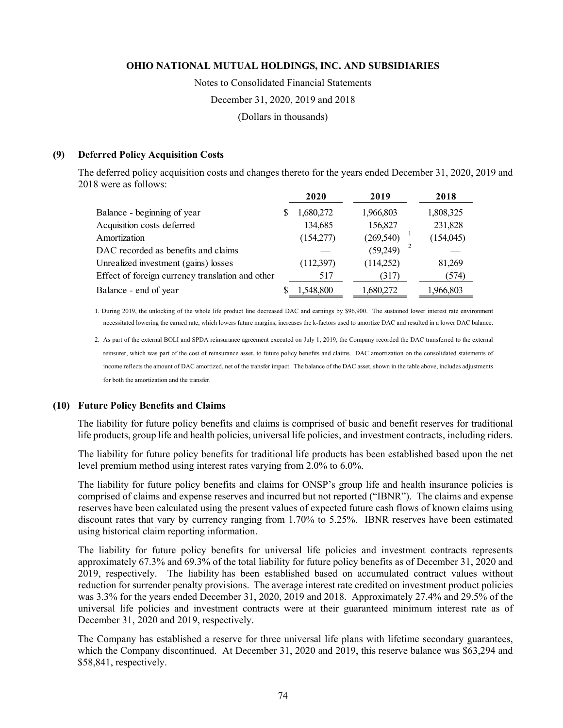Notes to Consolidated Financial Statements December 31, 2020, 2019 and 2018

(Dollars in thousands)

## **(9) Deferred Policy Acquisition Costs**

The deferred policy acquisition costs and changes thereto for the years ended December 31, 2020, 2019 and 2018 were as follows:

|                                                  | 2020      | 2019       | 2018       |
|--------------------------------------------------|-----------|------------|------------|
| Balance - beginning of year                      | 1,680,272 | 1,966,803  | 1,808,325  |
| Acquisition costs deferred                       | 134,685   | 156,827    | 231,828    |
| Amortization                                     | (154,277) | (269, 540) | (154, 045) |
| DAC recorded as benefits and claims              |           | (59,249)   |            |
| Unrealized investment (gains) losses             | (112,397) | (114,252)  | 81,269     |
| Effect of foreign currency translation and other | 517       | (317)      | (574)      |
| Balance - end of year                            | 1.548.800 | 1,680,272  | 1,966,803  |

1. During 2019, the unlocking of the whole life product line decreased DAC and earnings by \$96,900. The sustained lower interest rate environment necessitated lowering the earned rate, which lowers future margins, increases the k-factors used to amortize DAC and resulted in a lower DAC balance.

2. As part of the external BOLI and SPDA reinsurance agreement executed on July 1, 2019, the Company recorded the DAC transferred to the external reinsurer, which was part of the cost of reinsurance asset, to future policy benefits and claims. DAC amortization on the consolidated statements of income reflects the amount of DAC amortized, net of the transfer impact. The balance of the DAC asset, shown in the table above, includes adjustments for both the amortization and the transfer.

## **(10) Future Policy Benefits and Claims**

The liability for future policy benefits and claims is comprised of basic and benefit reserves for traditional life products, group life and health policies, universal life policies, and investment contracts, including riders.

The liability for future policy benefits for traditional life products has been established based upon the net level premium method using interest rates varying from 2.0% to 6.0%.

The liability for future policy benefits and claims for ONSP's group life and health insurance policies is comprised of claims and expense reserves and incurred but not reported ("IBNR"). The claims and expense reserves have been calculated using the present values of expected future cash flows of known claims using discount rates that vary by currency ranging from 1.70% to 5.25%. IBNR reserves have been estimated using historical claim reporting information.

The liability for future policy benefits for universal life policies and investment contracts represents approximately 67.3% and 69.3% of the total liability for future policy benefits as of December 31, 2020 and 2019, respectively. The liability has been established based on accumulated contract values without reduction for surrender penalty provisions. The average interest rate credited on investment product policies was 3.3% for the years ended December 31, 2020, 2019 and 2018. Approximately 27.4% and 29.5% of the universal life policies and investment contracts were at their guaranteed minimum interest rate as of December 31, 2020 and 2019, respectively.

The Company has established a reserve for three universal life plans with lifetime secondary guarantees, which the Company discontinued. At December 31, 2020 and 2019, this reserve balance was \$63,294 and \$58,841, respectively.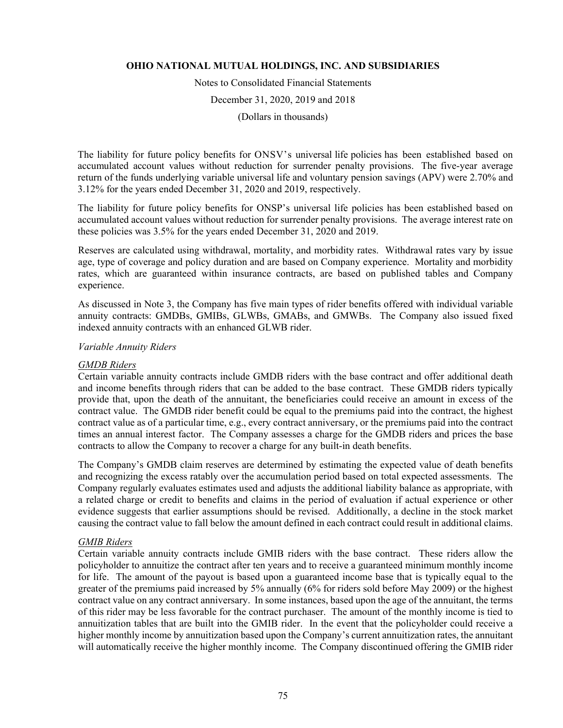Notes to Consolidated Financial Statements

December 31, 2020, 2019 and 2018

(Dollars in thousands)

The liability for future policy benefits for ONSV's universal life policies has been established based on accumulated account values without reduction for surrender penalty provisions. The five-year average return of the funds underlying variable universal life and voluntary pension savings (APV) were 2.70% and 3.12% for the years ended December 31, 2020 and 2019, respectively.

The liability for future policy benefits for ONSP's universal life policies has been established based on accumulated account values without reduction for surrender penalty provisions. The average interest rate on these policies was 3.5% for the years ended December 31, 2020 and 2019.

Reserves are calculated using withdrawal, mortality, and morbidity rates. Withdrawal rates vary by issue age, type of coverage and policy duration and are based on Company experience. Mortality and morbidity rates, which are guaranteed within insurance contracts, are based on published tables and Company experience.

As discussed in Note 3, the Company has five main types of rider benefits offered with individual variable annuity contracts: GMDBs, GMIBs, GLWBs, GMABs, and GMWBs.The Company also issued fixed indexed annuity contracts with an enhanced GLWB rider.

## *Variable Annuity Riders*

## *GMDB Riders*

Certain variable annuity contracts include GMDB riders with the base contract and offer additional death and income benefits through riders that can be added to the base contract. These GMDB riders typically provide that, upon the death of the annuitant, the beneficiaries could receive an amount in excess of the contract value. The GMDB rider benefit could be equal to the premiums paid into the contract, the highest contract value as of a particular time, e.g., every contract anniversary, or the premiums paid into the contract times an annual interest factor. The Company assesses a charge for the GMDB riders and prices the base contracts to allow the Company to recover a charge for any built-in death benefits.

The Company's GMDB claim reserves are determined by estimating the expected value of death benefits and recognizing the excess ratably over the accumulation period based on total expected assessments. The Company regularly evaluates estimates used and adjusts the additional liability balance as appropriate, with a related charge or credit to benefits and claims in the period of evaluation if actual experience or other evidence suggests that earlier assumptions should be revised. Additionally, a decline in the stock market causing the contract value to fall below the amount defined in each contract could result in additional claims.

## *GMIB Riders*

Certain variable annuity contracts include GMIB riders with the base contract. These riders allow the policyholder to annuitize the contract after ten years and to receive a guaranteed minimum monthly income for life. The amount of the payout is based upon a guaranteed income base that is typically equal to the greater of the premiums paid increased by 5% annually (6% for riders sold before May 2009) or the highest contract value on any contract anniversary. In some instances, based upon the age of the annuitant, the terms of this rider may be less favorable for the contract purchaser. The amount of the monthly income is tied to annuitization tables that are built into the GMIB rider. In the event that the policyholder could receive a higher monthly income by annuitization based upon the Company's current annuitization rates, the annuitant will automatically receive the higher monthly income. The Company discontinued offering the GMIB rider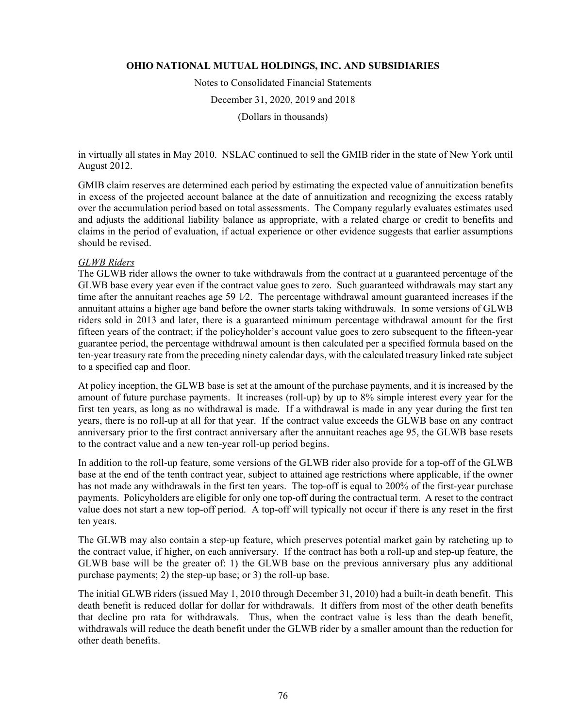Notes to Consolidated Financial Statements December 31, 2020, 2019 and 2018 (Dollars in thousands)

in virtually all states in May 2010. NSLAC continued to sell the GMIB rider in the state of New York until August 2012.

GMIB claim reserves are determined each period by estimating the expected value of annuitization benefits in excess of the projected account balance at the date of annuitization and recognizing the excess ratably over the accumulation period based on total assessments. The Company regularly evaluates estimates used and adjusts the additional liability balance as appropriate, with a related charge or credit to benefits and claims in the period of evaluation, if actual experience or other evidence suggests that earlier assumptions should be revised.

## *GLWB Riders*

The GLWB rider allows the owner to take withdrawals from the contract at a guaranteed percentage of the GLWB base every year even if the contract value goes to zero. Such guaranteed withdrawals may start any time after the annuitant reaches age 59 1∕2. The percentage withdrawal amount guaranteed increases if the annuitant attains a higher age band before the owner starts taking withdrawals. In some versions of GLWB riders sold in 2013 and later, there is a guaranteed minimum percentage withdrawal amount for the first fifteen years of the contract; if the policyholder's account value goes to zero subsequent to the fifteen-year guarantee period, the percentage withdrawal amount is then calculated per a specified formula based on the ten-year treasury rate from the preceding ninety calendar days, with the calculated treasury linked rate subject to a specified cap and floor.

At policy inception, the GLWB base is set at the amount of the purchase payments, and it is increased by the amount of future purchase payments. It increases (roll-up) by up to 8% simple interest every year for the first ten years, as long as no withdrawal is made. If a withdrawal is made in any year during the first ten years, there is no roll-up at all for that year. If the contract value exceeds the GLWB base on any contract anniversary prior to the first contract anniversary after the annuitant reaches age 95, the GLWB base resets to the contract value and a new ten-year roll-up period begins.

In addition to the roll-up feature, some versions of the GLWB rider also provide for a top-off of the GLWB base at the end of the tenth contract year, subject to attained age restrictions where applicable, if the owner has not made any withdrawals in the first ten years. The top-off is equal to 200% of the first-year purchase payments. Policyholders are eligible for only one top-off during the contractual term. A reset to the contract value does not start a new top-off period. A top-off will typically not occur if there is any reset in the first ten years.

The GLWB may also contain a step-up feature, which preserves potential market gain by ratcheting up to the contract value, if higher, on each anniversary. If the contract has both a roll-up and step-up feature, the GLWB base will be the greater of: 1) the GLWB base on the previous anniversary plus any additional purchase payments; 2) the step-up base; or 3) the roll-up base.

The initial GLWB riders (issued May 1, 2010 through December 31, 2010) had a built-in death benefit. This death benefit is reduced dollar for dollar for withdrawals. It differs from most of the other death benefits that decline pro rata for withdrawals. Thus, when the contract value is less than the death benefit, withdrawals will reduce the death benefit under the GLWB rider by a smaller amount than the reduction for other death benefits.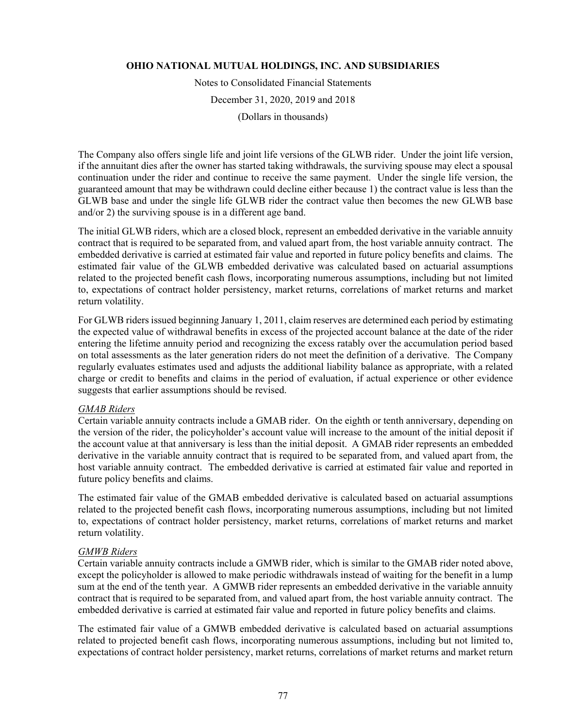Notes to Consolidated Financial Statements

December 31, 2020, 2019 and 2018

(Dollars in thousands)

The Company also offers single life and joint life versions of the GLWB rider. Under the joint life version, if the annuitant dies after the owner has started taking withdrawals, the surviving spouse may elect a spousal continuation under the rider and continue to receive the same payment. Under the single life version, the guaranteed amount that may be withdrawn could decline either because 1) the contract value is less than the GLWB base and under the single life GLWB rider the contract value then becomes the new GLWB base and/or 2) the surviving spouse is in a different age band.

The initial GLWB riders, which are a closed block, represent an embedded derivative in the variable annuity contract that is required to be separated from, and valued apart from, the host variable annuity contract. The embedded derivative is carried at estimated fair value and reported in future policy benefits and claims. The estimated fair value of the GLWB embedded derivative was calculated based on actuarial assumptions related to the projected benefit cash flows, incorporating numerous assumptions, including but not limited to, expectations of contract holder persistency, market returns, correlations of market returns and market return volatility.

For GLWB riders issued beginning January 1, 2011, claim reserves are determined each period by estimating the expected value of withdrawal benefits in excess of the projected account balance at the date of the rider entering the lifetime annuity period and recognizing the excess ratably over the accumulation period based on total assessments as the later generation riders do not meet the definition of a derivative. The Company regularly evaluates estimates used and adjusts the additional liability balance as appropriate, with a related charge or credit to benefits and claims in the period of evaluation, if actual experience or other evidence suggests that earlier assumptions should be revised.

## *GMAB Riders*

Certain variable annuity contracts include a GMAB rider. On the eighth or tenth anniversary, depending on the version of the rider, the policyholder's account value will increase to the amount of the initial deposit if the account value at that anniversary is less than the initial deposit. A GMAB rider represents an embedded derivative in the variable annuity contract that is required to be separated from, and valued apart from, the host variable annuity contract. The embedded derivative is carried at estimated fair value and reported in future policy benefits and claims.

The estimated fair value of the GMAB embedded derivative is calculated based on actuarial assumptions related to the projected benefit cash flows, incorporating numerous assumptions, including but not limited to, expectations of contract holder persistency, market returns, correlations of market returns and market return volatility.

## *GMWB Riders*

Certain variable annuity contracts include a GMWB rider, which is similar to the GMAB rider noted above, except the policyholder is allowed to make periodic withdrawals instead of waiting for the benefit in a lump sum at the end of the tenth year. A GMWB rider represents an embedded derivative in the variable annuity contract that is required to be separated from, and valued apart from, the host variable annuity contract. The embedded derivative is carried at estimated fair value and reported in future policy benefits and claims.

The estimated fair value of a GMWB embedded derivative is calculated based on actuarial assumptions related to projected benefit cash flows, incorporating numerous assumptions, including but not limited to, expectations of contract holder persistency, market returns, correlations of market returns and market return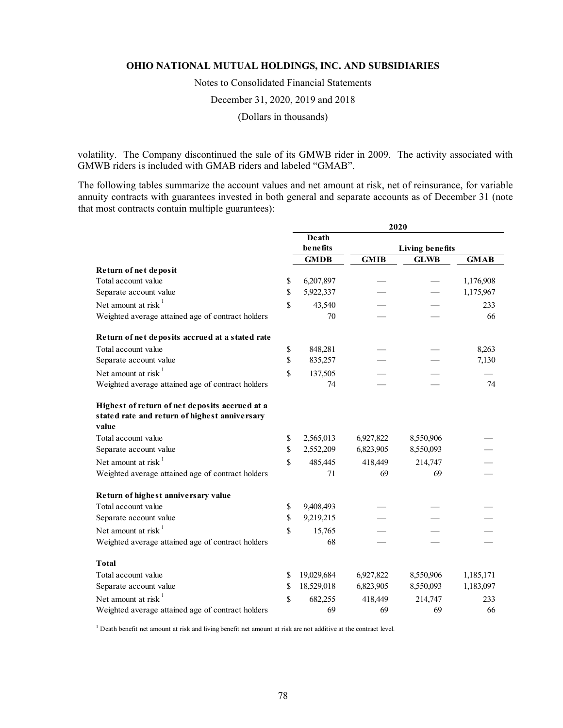Notes to Consolidated Financial Statements

December 31, 2020, 2019 and 2018

(Dollars in thousands)

volatility. The Company discontinued the sale of its GMWB rider in 2009. The activity associated with GMWB riders is included with GMAB riders and labeled "GMAB".

The following tables summarize the account values and net amount at risk, net of reinsurance, for variable annuity contracts with guarantees invested in both general and separate accounts as of December 31 (note that most contracts contain multiple guarantees):

|                                                                                                          |             |                             | 2020        |             |             |
|----------------------------------------------------------------------------------------------------------|-------------|-----------------------------|-------------|-------------|-------------|
|                                                                                                          |             | Death                       |             |             |             |
|                                                                                                          |             | benefits<br>Living benefits |             |             |             |
|                                                                                                          |             | <b>GMDB</b>                 | <b>GMIB</b> | <b>GLWB</b> | <b>GMAB</b> |
| Return of net deposit                                                                                    |             |                             |             |             |             |
| Total account value                                                                                      | \$          | 6,207,897                   |             |             | 1,176,908   |
| Separate account value                                                                                   | \$          | 5,922,337                   |             |             | 1,175,967   |
| Net amount at risk <sup>1</sup>                                                                          | \$          | 43,540                      |             |             | 233         |
| Weighted average attained age of contract holders                                                        |             | 70                          |             |             | 66          |
| Return of net deposits accrued at a stated rate                                                          |             |                             |             |             |             |
| Total account value                                                                                      | \$          | 848,281                     |             |             | 8,263       |
| Separate account value                                                                                   | \$          | 835,257                     |             |             | 7,130       |
| Net amount at risk $1$                                                                                   | \$          | 137,505                     |             |             |             |
| Weighted average attained age of contract holders                                                        |             | 74                          |             |             | 74          |
| Highest of return of net deposits accrued at a<br>stated rate and return of highest anniversary<br>value |             |                             |             |             |             |
| Total account value                                                                                      | \$          | 2,565,013                   | 6,927,822   | 8,550,906   |             |
| Separate account value                                                                                   | \$          | 2,552,209                   | 6,823,905   | 8,550,093   |             |
| Net amount at risk $1$                                                                                   | $\mathbf S$ | 485,445                     | 418,449     | 214,747     |             |
| Weighted average attained age of contract holders                                                        |             | 71                          | 69          | 69          |             |
| Return of highest anniversary value                                                                      |             |                             |             |             |             |
| Total account value                                                                                      | \$          | 9,408,493                   |             |             |             |
| Separate account value                                                                                   | \$          | 9,219,215                   |             |             |             |
| Net amount at risk $1$                                                                                   | \$          | 15,765                      |             |             |             |
| Weighted average attained age of contract holders                                                        |             | 68                          |             |             |             |
| <b>Total</b>                                                                                             |             |                             |             |             |             |
| Total account value                                                                                      | \$          | 19,029,684                  | 6,927,822   | 8,550,906   | 1,185,171   |
| Separate account value                                                                                   | \$          | 18,529,018                  | 6,823,905   | 8,550,093   | 1,183,097   |
| Net amount at risk $1$                                                                                   | \$          | 682,255                     | 418,449     | 214,747     | 233         |
| Weighted average attained age of contract holders                                                        |             | 69                          | 69          | 69          | 66          |

<sup>1</sup> Death benefit net amount at risk and living benefit net amount at risk are not additive at the contract level.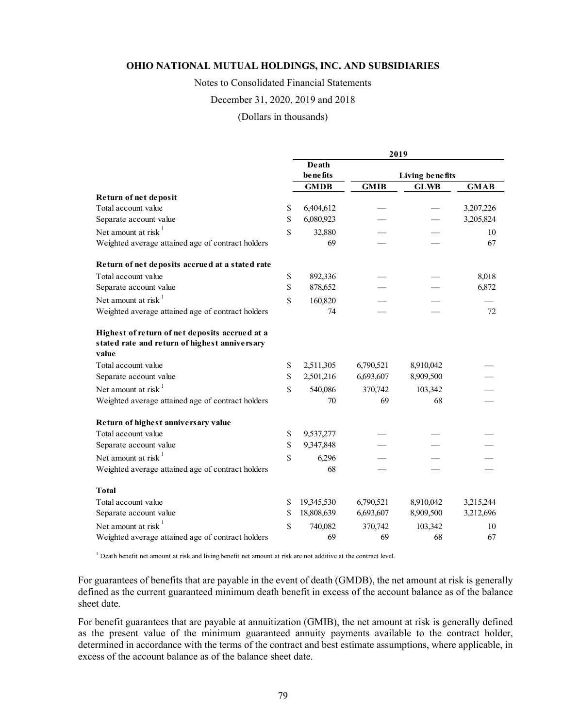Notes to Consolidated Financial Statements

#### December 31, 2020, 2019 and 2018

## (Dollars in thousands)

|                                                                                                          | 2019             |                             |             |             |  |  |  |
|----------------------------------------------------------------------------------------------------------|------------------|-----------------------------|-------------|-------------|--|--|--|
|                                                                                                          | <b>Death</b>     |                             |             |             |  |  |  |
|                                                                                                          |                  | benefits<br>Living benefits |             |             |  |  |  |
|                                                                                                          | <b>GMDB</b>      | <b>GMIB</b>                 | <b>GLWB</b> | <b>GMAB</b> |  |  |  |
| Return of net deposit                                                                                    |                  |                             |             |             |  |  |  |
| Total account value                                                                                      | \$<br>6,404,612  |                             |             | 3,207,226   |  |  |  |
| Separate account value                                                                                   | \$<br>6,080,923  |                             |             | 3,205,824   |  |  |  |
| Net amount at risk $1$                                                                                   | \$<br>32,880     |                             |             | 10          |  |  |  |
| Weighted average attained age of contract holders                                                        | 69               |                             |             | 67          |  |  |  |
| Return of net deposits accrued at a stated rate                                                          |                  |                             |             |             |  |  |  |
| Total account value                                                                                      | \$<br>892,336    |                             |             | 8,018       |  |  |  |
| Separate account value                                                                                   | \$<br>878,652    |                             |             | 6,872       |  |  |  |
| Net amount at risk $1$                                                                                   | \$<br>160,820    |                             |             |             |  |  |  |
| Weighted average attained age of contract holders                                                        | 74               |                             |             | 72          |  |  |  |
| Highest of return of net deposits accrued at a<br>stated rate and return of highest anniversary<br>value |                  |                             |             |             |  |  |  |
| Total account value                                                                                      | \$<br>2,511,305  | 6,790,521                   | 8,910,042   |             |  |  |  |
| Separate account value                                                                                   | \$<br>2,501,216  | 6,693,607                   | 8,909,500   |             |  |  |  |
| Net amount at risk $1$                                                                                   | \$<br>540,086    | 370,742                     | 103,342     |             |  |  |  |
| Weighted average attained age of contract holders                                                        | 70               | 69                          | 68          |             |  |  |  |
| Return of highest anniversary value                                                                      |                  |                             |             |             |  |  |  |
| Total account value                                                                                      | \$<br>9,537,277  |                             |             |             |  |  |  |
| Separate account value                                                                                   | \$<br>9,347,848  |                             |             |             |  |  |  |
| Net amount at risk $1$                                                                                   | \$<br>6,296      |                             |             |             |  |  |  |
| Weighted average attained age of contract holders                                                        | 68               |                             |             |             |  |  |  |
| <b>Total</b>                                                                                             |                  |                             |             |             |  |  |  |
| Total account value                                                                                      | \$<br>19,345,530 | 6,790,521                   | 8,910,042   | 3,215,244   |  |  |  |
| Separate account value                                                                                   | \$<br>18,808,639 | 6,693,607                   | 8,909,500   | 3,212,696   |  |  |  |
| Net amount at risk $1$                                                                                   | \$<br>740,082    | 370,742                     | 103,342     | 10          |  |  |  |
| Weighted average attained age of contract holders                                                        | 69               | 69                          | 68          | 67          |  |  |  |

<sup>1</sup> Death benefit net amount at risk and living benefit net amount at risk are not additive at the contract level.

For guarantees of benefits that are payable in the event of death (GMDB), the net amount at risk is generally defined as the current guaranteed minimum death benefit in excess of the account balance as of the balance sheet date.

For benefit guarantees that are payable at annuitization (GMIB), the net amount at risk is generally defined as the present value of the minimum guaranteed annuity payments available to the contract holder, determined in accordance with the terms of the contract and best estimate assumptions, where applicable, in excess of the account balance as of the balance sheet date.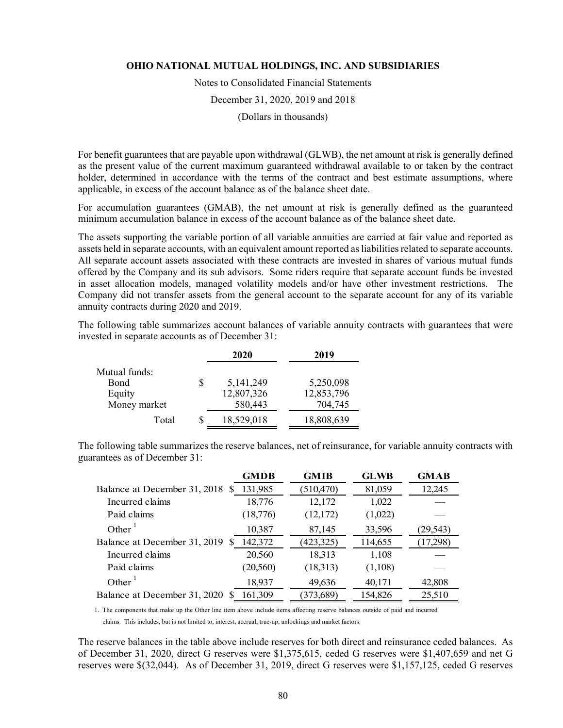Notes to Consolidated Financial Statements

December 31, 2020, 2019 and 2018

(Dollars in thousands)

For benefit guarantees that are payable upon withdrawal (GLWB), the net amount at risk is generally defined as the present value of the current maximum guaranteed withdrawal available to or taken by the contract holder, determined in accordance with the terms of the contract and best estimate assumptions, where applicable, in excess of the account balance as of the balance sheet date.

For accumulation guarantees (GMAB), the net amount at risk is generally defined as the guaranteed minimum accumulation balance in excess of the account balance as of the balance sheet date.

The assets supporting the variable portion of all variable annuities are carried at fair value and reported as assets held in separate accounts, with an equivalent amount reported as liabilities related to separate accounts. All separate account assets associated with these contracts are invested in shares of various mutual funds offered by the Company and its sub advisors. Some riders require that separate account funds be invested in asset allocation models, managed volatility models and/or have other investment restrictions. The Company did not transfer assets from the general account to the separate account for any of its variable annuity contracts during 2020 and 2019.

The following table summarizes account balances of variable annuity contracts with guarantees that were invested in separate accounts as of December 31:

|               | 2020        | 2019       |
|---------------|-------------|------------|
| Mutual funds: |             |            |
| Bond          | 5, 141, 249 | 5,250,098  |
| Equity        | 12,807,326  | 12,853,796 |
| Money market  | 580,443     | 704,745    |
| Total         | 18,529,018  | 18,808,639 |
|               |             |            |

The following table summarizes the reserve balances, net of reinsurance, for variable annuity contracts with guarantees as of December 31:

|                                    | GMDB      | <b>GMIB</b> | <b>GLWB</b> | <b>GMAB</b> |
|------------------------------------|-----------|-------------|-------------|-------------|
| Balance at December 31, 2018 \$    | 131,985   | (510, 470)  | 81,059      | 12,245      |
| Incurred claims                    | 18,776    | 12,172      | 1,022       |             |
| Paid claims                        | (18,776)  | (12,172)    | (1,022)     |             |
| Other $\frac{1}{1}$                | 10,387    | 87,145      | 33,596      | 29,543)     |
| Balance at December 31, 2019<br>-S | 142,372   | (423,325)   | 114,655     | 17,298)     |
| Incurred claims                    | 20,560    | 18,313      | 1,108       |             |
| Paid claims                        | (20, 560) | (18,313)    | (1,108)     |             |
| Other $\frac{1}{2}$                | 18,937    | 49,636      | 40,171      | 42,808      |
| Balance at December 31, 2020       | 161,309   | (373, 689)  | 154,826     | 25,510      |

1. The components that make up the Other line item above include items affecting reserve balances outside of paid and incurred claims. This includes, but is not limited to, interest, accrual, true-up, unlockings and market factors.

The reserve balances in the table above include reserves for both direct and reinsurance ceded balances. As of December 31, 2020, direct G reserves were \$1,375,615, ceded G reserves were \$1,407,659 and net G reserves were \$(32,044). As of December 31, 2019, direct G reserves were \$1,157,125, ceded G reserves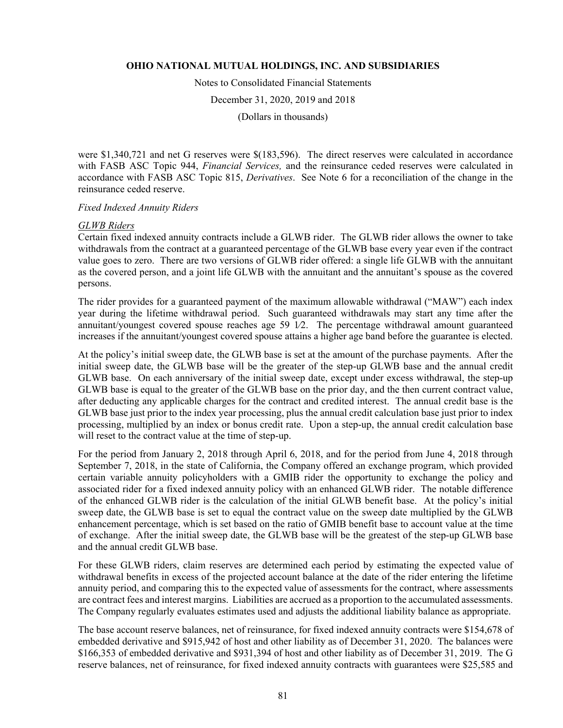Notes to Consolidated Financial Statements

December 31, 2020, 2019 and 2018

(Dollars in thousands)

were \$1,340,721 and net G reserves were \$(183,596). The direct reserves were calculated in accordance with FASB ASC Topic 944, *Financial Services,* and the reinsurance ceded reserves were calculated in accordance with FASB ASC Topic 815, *Derivatives*. See Note 6 for a reconciliation of the change in the reinsurance ceded reserve.

## *Fixed Indexed Annuity Riders*

## *GLWB Riders*

Certain fixed indexed annuity contracts include a GLWB rider. The GLWB rider allows the owner to take withdrawals from the contract at a guaranteed percentage of the GLWB base every year even if the contract value goes to zero. There are two versions of GLWB rider offered: a single life GLWB with the annuitant as the covered person, and a joint life GLWB with the annuitant and the annuitant's spouse as the covered persons.

The rider provides for a guaranteed payment of the maximum allowable withdrawal ("MAW") each index year during the lifetime withdrawal period. Such guaranteed withdrawals may start any time after the annuitant/youngest covered spouse reaches age 59 1∕2. The percentage withdrawal amount guaranteed increases if the annuitant/youngest covered spouse attains a higher age band before the guarantee is elected.

At the policy's initial sweep date, the GLWB base is set at the amount of the purchase payments. After the initial sweep date, the GLWB base will be the greater of the step-up GLWB base and the annual credit GLWB base. On each anniversary of the initial sweep date, except under excess withdrawal, the step-up GLWB base is equal to the greater of the GLWB base on the prior day, and the then current contract value, after deducting any applicable charges for the contract and credited interest. The annual credit base is the GLWB base just prior to the index year processing, plus the annual credit calculation base just prior to index processing, multiplied by an index or bonus credit rate. Upon a step-up, the annual credit calculation base will reset to the contract value at the time of step-up.

For the period from January 2, 2018 through April 6, 2018, and for the period from June 4, 2018 through September 7, 2018, in the state of California, the Company offered an exchange program, which provided certain variable annuity policyholders with a GMIB rider the opportunity to exchange the policy and associated rider for a fixed indexed annuity policy with an enhanced GLWB rider. The notable difference of the enhanced GLWB rider is the calculation of the initial GLWB benefit base. At the policy's initial sweep date, the GLWB base is set to equal the contract value on the sweep date multiplied by the GLWB enhancement percentage, which is set based on the ratio of GMIB benefit base to account value at the time of exchange. After the initial sweep date, the GLWB base will be the greatest of the step-up GLWB base and the annual credit GLWB base.

For these GLWB riders, claim reserves are determined each period by estimating the expected value of withdrawal benefits in excess of the projected account balance at the date of the rider entering the lifetime annuity period, and comparing this to the expected value of assessments for the contract, where assessments are contract fees and interest margins. Liabilities are accrued as a proportion to the accumulated assessments. The Company regularly evaluates estimates used and adjusts the additional liability balance as appropriate.

The base account reserve balances, net of reinsurance, for fixed indexed annuity contracts were \$154,678 of embedded derivative and \$915,942 of host and other liability as of December 31, 2020. The balances were \$166,353 of embedded derivative and \$931,394 of host and other liability as of December 31, 2019. The G reserve balances, net of reinsurance, for fixed indexed annuity contracts with guarantees were \$25,585 and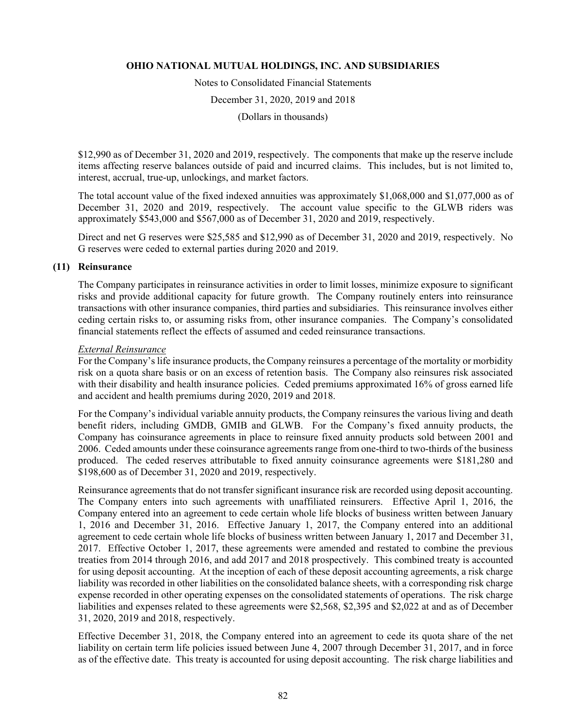Notes to Consolidated Financial Statements

December 31, 2020, 2019 and 2018

(Dollars in thousands)

\$12,990 as of December 31, 2020 and 2019, respectively. The components that make up the reserve include items affecting reserve balances outside of paid and incurred claims. This includes, but is not limited to, interest, accrual, true-up, unlockings, and market factors.

The total account value of the fixed indexed annuities was approximately \$1,068,000 and \$1,077,000 as of December 31, 2020 and 2019, respectively. The account value specific to the GLWB riders was approximately \$543,000 and \$567,000 as of December 31, 2020 and 2019, respectively.

Direct and net G reserves were \$25,585 and \$12,990 as of December 31, 2020 and 2019, respectively. No G reserves were ceded to external parties during 2020 and 2019.

## **(11) Reinsurance**

The Company participates in reinsurance activities in order to limit losses, minimize exposure to significant risks and provide additional capacity for future growth. The Company routinely enters into reinsurance transactions with other insurance companies, third parties and subsidiaries. This reinsurance involves either ceding certain risks to, or assuming risks from, other insurance companies. The Company's consolidated financial statements reflect the effects of assumed and ceded reinsurance transactions.

#### *External Reinsurance*

For the Company's life insurance products, the Company reinsures a percentage of the mortality or morbidity risk on a quota share basis or on an excess of retention basis. The Company also reinsures risk associated with their disability and health insurance policies. Ceded premiums approximated 16% of gross earned life and accident and health premiums during 2020, 2019 and 2018.

For the Company's individual variable annuity products, the Company reinsures the various living and death benefit riders, including GMDB, GMIB and GLWB. For the Company's fixed annuity products, the Company has coinsurance agreements in place to reinsure fixed annuity products sold between 2001 and 2006. Ceded amounts under these coinsurance agreements range from one-third to two-thirds of the business produced. The ceded reserves attributable to fixed annuity coinsurance agreements were \$181,280 and \$198,600 as of December 31, 2020 and 2019, respectively.

Reinsurance agreements that do not transfer significant insurance risk are recorded using deposit accounting. The Company enters into such agreements with unaffiliated reinsurers. Effective April 1, 2016, the Company entered into an agreement to cede certain whole life blocks of business written between January 1, 2016 and December 31, 2016. Effective January 1, 2017, the Company entered into an additional agreement to cede certain whole life blocks of business written between January 1, 2017 and December 31, 2017. Effective October 1, 2017, these agreements were amended and restated to combine the previous treaties from 2014 through 2016, and add 2017 and 2018 prospectively. This combined treaty is accounted for using deposit accounting. At the inception of each of these deposit accounting agreements, a risk charge liability was recorded in other liabilities on the consolidated balance sheets, with a corresponding risk charge expense recorded in other operating expenses on the consolidated statements of operations. The risk charge liabilities and expenses related to these agreements were \$2,568, \$2,395 and \$2,022 at and as of December 31, 2020, 2019 and 2018, respectively.

Effective December 31, 2018, the Company entered into an agreement to cede its quota share of the net liability on certain term life policies issued between June 4, 2007 through December 31, 2017, and in force as of the effective date. This treaty is accounted for using deposit accounting. The risk charge liabilities and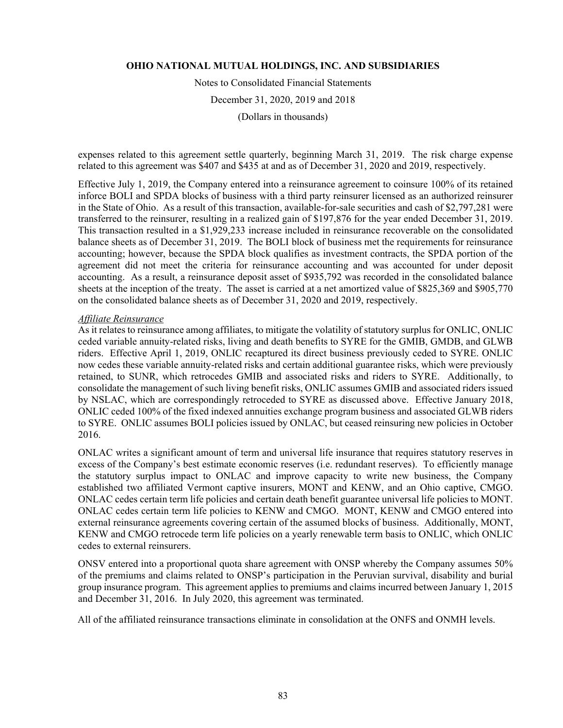Notes to Consolidated Financial Statements December 31, 2020, 2019 and 2018

(Dollars in thousands)

expenses related to this agreement settle quarterly, beginning March 31, 2019. The risk charge expense related to this agreement was \$407 and \$435 at and as of December 31, 2020 and 2019, respectively.

Effective July 1, 2019, the Company entered into a reinsurance agreement to coinsure 100% of its retained inforce BOLI and SPDA blocks of business with a third party reinsurer licensed as an authorized reinsurer in the State of Ohio. As a result of this transaction, available-for-sale securities and cash of \$2,797,281 were transferred to the reinsurer, resulting in a realized gain of \$197,876 for the year ended December 31, 2019. This transaction resulted in a \$1,929,233 increase included in reinsurance recoverable on the consolidated balance sheets as of December 31, 2019. The BOLI block of business met the requirements for reinsurance accounting; however, because the SPDA block qualifies as investment contracts, the SPDA portion of the agreement did not meet the criteria for reinsurance accounting and was accounted for under deposit accounting. As a result, a reinsurance deposit asset of \$935,792 was recorded in the consolidated balance sheets at the inception of the treaty. The asset is carried at a net amortized value of \$825,369 and \$905,770 on the consolidated balance sheets as of December 31, 2020 and 2019, respectively.

## *Affiliate Reinsurance*

As it relates to reinsurance among affiliates, to mitigate the volatility of statutory surplus for ONLIC, ONLIC ceded variable annuity-related risks, living and death benefits to SYRE for the GMIB, GMDB, and GLWB riders. Effective April 1, 2019, ONLIC recaptured its direct business previously ceded to SYRE. ONLIC now cedes these variable annuity-related risks and certain additional guarantee risks, which were previously retained, to SUNR, which retrocedes GMIB and associated risks and riders to SYRE. Additionally, to consolidate the management of such living benefit risks, ONLIC assumes GMIB and associated riders issued by NSLAC, which are correspondingly retroceded to SYRE as discussed above. Effective January 2018, ONLIC ceded 100% of the fixed indexed annuities exchange program business and associated GLWB riders to SYRE. ONLIC assumes BOLI policies issued by ONLAC, but ceased reinsuring new policies in October 2016.

ONLAC writes a significant amount of term and universal life insurance that requires statutory reserves in excess of the Company's best estimate economic reserves (i.e. redundant reserves). To efficiently manage the statutory surplus impact to ONLAC and improve capacity to write new business, the Company established two affiliated Vermont captive insurers, MONT and KENW, and an Ohio captive, CMGO. ONLAC cedes certain term life policies and certain death benefit guarantee universal life policies to MONT. ONLAC cedes certain term life policies to KENW and CMGO. MONT, KENW and CMGO entered into external reinsurance agreements covering certain of the assumed blocks of business. Additionally, MONT, KENW and CMGO retrocede term life policies on a yearly renewable term basis to ONLIC, which ONLIC cedes to external reinsurers.

ONSV entered into a proportional quota share agreement with ONSP whereby the Company assumes 50% of the premiums and claims related to ONSP's participation in the Peruvian survival, disability and burial group insurance program. This agreement applies to premiums and claims incurred between January 1, 2015 and December 31, 2016. In July 2020, this agreement was terminated.

All of the affiliated reinsurance transactions eliminate in consolidation at the ONFS and ONMH levels.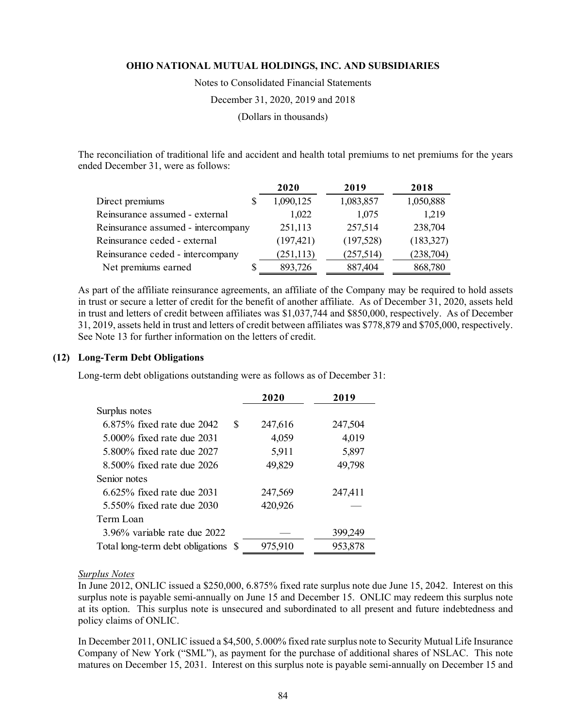Notes to Consolidated Financial Statements

December 31, 2020, 2019 and 2018

(Dollars in thousands)

The reconciliation of traditional life and accident and health total premiums to net premiums for the years ended December 31, were as follows:

|                                    | 2020       | 2019      | 2018       |
|------------------------------------|------------|-----------|------------|
| Direct premiums                    | 1,090,125  | 1,083,857 | 1,050,888  |
| Reinsurance assumed - external     | 1,022      | 1,075     | 1,219      |
| Reinsurance assumed - intercompany | 251,113    | 257,514   | 238,704    |
| Reinsurance ceded - external       | (197, 421) | (197,528) | (183,327)  |
| Reinsurance ceded - intercompany   | (251, 113) | (257,514) | (238, 704) |
| Net premiums earned                | 893,726    | 887,404   | 868,780    |

As part of the affiliate reinsurance agreements, an affiliate of the Company may be required to hold assets in trust or secure a letter of credit for the benefit of another affiliate. As of December 31, 2020, assets held in trust and letters of credit between affiliates was \$1,037,744 and \$850,000, respectively. As of December 31, 2019, assets held in trust and letters of credit between affiliates was \$778,879 and \$705,000, respectively. See Note 13 for further information on the letters of credit.

#### **(12) Long-Term Debt Obligations**

Long-term debt obligations outstanding were as follows as of December 31:

|                                      | 2020    | 2019    |
|--------------------------------------|---------|---------|
| Surplus notes                        |         |         |
| $6.875\%$ fixed rate due $2042$<br>S | 247,616 | 247,504 |
| 5,000% fixed rate due 2031           | 4,059   | 4,019   |
| 5,800% fixed rate due 2027           | 5,911   | 5,897   |
| 8.500% fixed rate due 2026           | 49,829  | 49,798  |
| Senior notes                         |         |         |
| $6.625\%$ fixed rate due 2031        | 247,569 | 247,411 |
| 5.550\% fixed rate due 2030          | 420,926 |         |
| Term Loan                            |         |         |
| 3.96% variable rate due 2022         |         | 399,249 |
| Total long-term debt obligations \$  | 975,910 | 953,878 |

## *Surplus Notes*

In June 2012, ONLIC issued a \$250,000, 6.875% fixed rate surplus note due June 15, 2042. Interest on this surplus note is payable semi-annually on June 15 and December 15. ONLIC may redeem this surplus note at its option. This surplus note is unsecured and subordinated to all present and future indebtedness and policy claims of ONLIC.

In December 2011, ONLIC issued a \$4,500, 5.000% fixed rate surplus note to Security Mutual Life Insurance Company of New York ("SML"), as payment for the purchase of additional shares of NSLAC. This note matures on December 15, 2031. Interest on this surplus note is payable semi-annually on December 15 and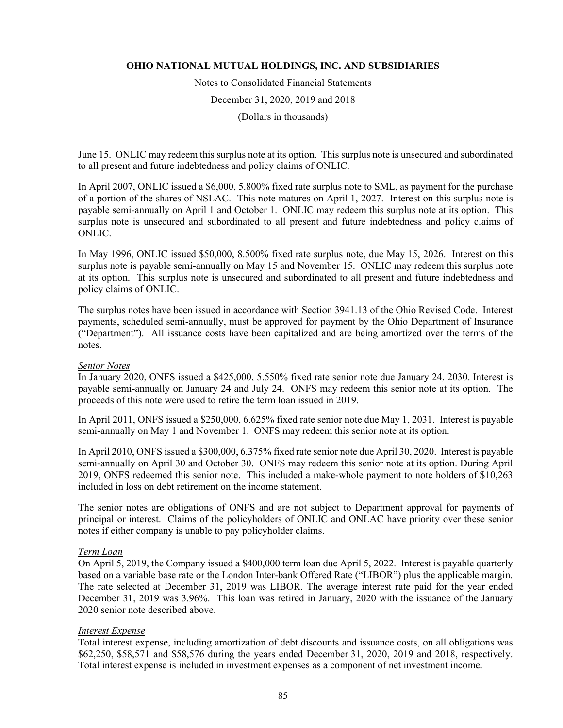Notes to Consolidated Financial Statements December 31, 2020, 2019 and 2018 (Dollars in thousands)

June 15. ONLIC may redeem this surplus note at its option. This surplus note is unsecured and subordinated to all present and future indebtedness and policy claims of ONLIC.

In April 2007, ONLIC issued a \$6,000, 5.800% fixed rate surplus note to SML, as payment for the purchase of a portion of the shares of NSLAC. This note matures on April 1, 2027. Interest on this surplus note is payable semi-annually on April 1 and October 1. ONLIC may redeem this surplus note at its option. This surplus note is unsecured and subordinated to all present and future indebtedness and policy claims of ONLIC.

In May 1996, ONLIC issued \$50,000, 8.500% fixed rate surplus note, due May 15, 2026. Interest on this surplus note is payable semi-annually on May 15 and November 15. ONLIC may redeem this surplus note at its option. This surplus note is unsecured and subordinated to all present and future indebtedness and policy claims of ONLIC.

The surplus notes have been issued in accordance with Section 3941.13 of the Ohio Revised Code. Interest payments, scheduled semi-annually, must be approved for payment by the Ohio Department of Insurance ("Department"). All issuance costs have been capitalized and are being amortized over the terms of the notes.

#### *Senior Notes*

In January 2020, ONFS issued a \$425,000, 5.550% fixed rate senior note due January 24, 2030. Interest is payable semi-annually on January 24 and July 24. ONFS may redeem this senior note at its option. The proceeds of this note were used to retire the term loan issued in 2019.

In April 2011, ONFS issued a \$250,000, 6.625% fixed rate senior note due May 1, 2031. Interest is payable semi-annually on May 1 and November 1. ONFS may redeem this senior note at its option.

In April 2010, ONFS issued a \$300,000, 6.375% fixed rate senior note due April 30, 2020. Interest is payable semi-annually on April 30 and October 30. ONFS may redeem this senior note at its option. During April 2019, ONFS redeemed this senior note. This included a make-whole payment to note holders of \$10,263 included in loss on debt retirement on the income statement.

The senior notes are obligations of ONFS and are not subject to Department approval for payments of principal or interest. Claims of the policyholders of ONLIC and ONLAC have priority over these senior notes if either company is unable to pay policyholder claims.

#### *Term Loan*

On April 5, 2019, the Company issued a \$400,000 term loan due April 5, 2022. Interest is payable quarterly based on a variable base rate or the London Inter-bank Offered Rate ("LIBOR") plus the applicable margin. The rate selected at December 31, 2019 was LIBOR. The average interest rate paid for the year ended December 31, 2019 was 3.96%. This loan was retired in January, 2020 with the issuance of the January 2020 senior note described above.

## *Interest Expense*

Total interest expense, including amortization of debt discounts and issuance costs, on all obligations was \$62,250, \$58,571 and \$58,576 during the years ended December 31, 2020, 2019 and 2018, respectively. Total interest expense is included in investment expenses as a component of net investment income.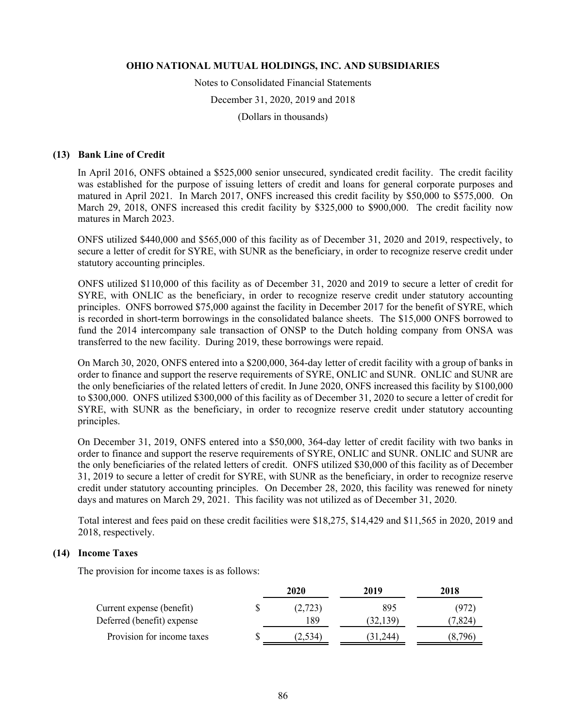Notes to Consolidated Financial Statements

December 31, 2020, 2019 and 2018

(Dollars in thousands)

## **(13) Bank Line of Credit**

In April 2016, ONFS obtained a \$525,000 senior unsecured, syndicated credit facility. The credit facility was established for the purpose of issuing letters of credit and loans for general corporate purposes and matured in April 2021. In March 2017, ONFS increased this credit facility by \$50,000 to \$575,000. On March 29, 2018, ONFS increased this credit facility by \$325,000 to \$900,000. The credit facility now matures in March 2023.

ONFS utilized \$440,000 and \$565,000 of this facility as of December 31, 2020 and 2019, respectively, to secure a letter of credit for SYRE, with SUNR as the beneficiary, in order to recognize reserve credit under statutory accounting principles.

ONFS utilized \$110,000 of this facility as of December 31, 2020 and 2019 to secure a letter of credit for SYRE, with ONLIC as the beneficiary, in order to recognize reserve credit under statutory accounting principles. ONFS borrowed \$75,000 against the facility in December 2017 for the benefit of SYRE, which is recorded in short-term borrowings in the consolidated balance sheets. The \$15,000 ONFS borrowed to fund the 2014 intercompany sale transaction of ONSP to the Dutch holding company from ONSA was transferred to the new facility. During 2019, these borrowings were repaid.

On March 30, 2020, ONFS entered into a \$200,000, 364-day letter of credit facility with a group of banks in order to finance and support the reserve requirements of SYRE, ONLIC and SUNR. ONLIC and SUNR are the only beneficiaries of the related letters of credit. In June 2020, ONFS increased this facility by \$100,000 to \$300,000. ONFS utilized \$300,000 of this facility as of December 31, 2020 to secure a letter of credit for SYRE, with SUNR as the beneficiary, in order to recognize reserve credit under statutory accounting principles.

On December 31, 2019, ONFS entered into a \$50,000, 364-day letter of credit facility with two banks in order to finance and support the reserve requirements of SYRE, ONLIC and SUNR. ONLIC and SUNR are the only beneficiaries of the related letters of credit. ONFS utilized \$30,000 of this facility as of December 31, 2019 to secure a letter of credit for SYRE, with SUNR as the beneficiary, in order to recognize reserve credit under statutory accounting principles. On December 28, 2020, this facility was renewed for ninety days and matures on March 29, 2021. This facility was not utilized as of December 31, 2020.

Total interest and fees paid on these credit facilities were \$18,275, \$14,429 and \$11,565 in 2020, 2019 and 2018, respectively.

## **(14) Income Taxes**

The provision for income taxes is as follows:

|                            | 2020    | 2019      | 2018    |
|----------------------------|---------|-----------|---------|
| Current expense (benefit)  | (2,723) | 895       | (972)   |
| Deferred (benefit) expense | 189     | (32, 139) | (7,824) |
| Provision for income taxes | (2,534) | 31,244)   | .796    |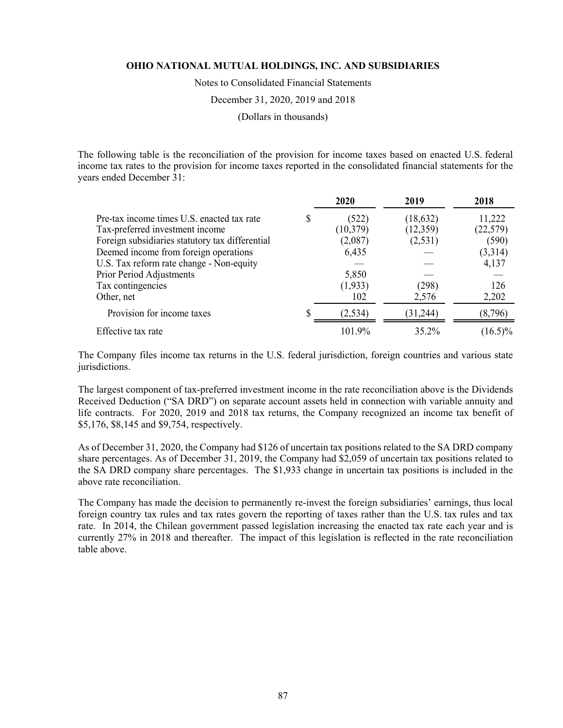Notes to Consolidated Financial Statements

December 31, 2020, 2019 and 2018

(Dollars in thousands)

The following table is the reconciliation of the provision for income taxes based on enacted U.S. federal income tax rates to the provision for income taxes reported in the consolidated financial statements for the years ended December 31:

|                                                 |   | 2020      | 2019      | 2018       |
|-------------------------------------------------|---|-----------|-----------|------------|
| Pre-tax income times U.S. enacted tax rate      | S | (522)     | (18, 632) | 11,222     |
| Tax-preferred investment income                 |   | (10, 379) | (12,359)  | (22, 579)  |
| Foreign subsidiaries statutory tax differential |   | (2,087)   | (2,531)   | (590)      |
| Deemed income from foreign operations           |   | 6,435     |           | (3,314)    |
| U.S. Tax reform rate change - Non-equity        |   |           |           | 4,137      |
| Prior Period Adjustments                        |   | 5,850     |           |            |
| Tax contingencies                               |   | (1,933)   | (298)     | 126        |
| Other, net                                      |   | 102       | 2,576     | 2,202      |
| Provision for income taxes                      |   | (2,534)   | (31,244)  | (8,796)    |
| Effective tax rate                              |   | 101.9%    | 35.2%     | $(16.5)\%$ |

The Company files income tax returns in the U.S. federal jurisdiction, foreign countries and various state jurisdictions.

The largest component of tax-preferred investment income in the rate reconciliation above is the Dividends Received Deduction ("SA DRD") on separate account assets held in connection with variable annuity and life contracts. For 2020, 2019 and 2018 tax returns, the Company recognized an income tax benefit of \$5,176, \$8,145 and \$9,754, respectively.

As of December 31, 2020, the Company had \$126 of uncertain tax positions related to the SA DRD company share percentages. As of December 31, 2019, the Company had \$2,059 of uncertain tax positions related to the SA DRD company share percentages. The \$1,933 change in uncertain tax positions is included in the above rate reconciliation.

The Company has made the decision to permanently re-invest the foreign subsidiaries' earnings, thus local foreign country tax rules and tax rates govern the reporting of taxes rather than the U.S. tax rules and tax rate. In 2014, the Chilean government passed legislation increasing the enacted tax rate each year and is currently 27% in 2018 and thereafter. The impact of this legislation is reflected in the rate reconciliation table above.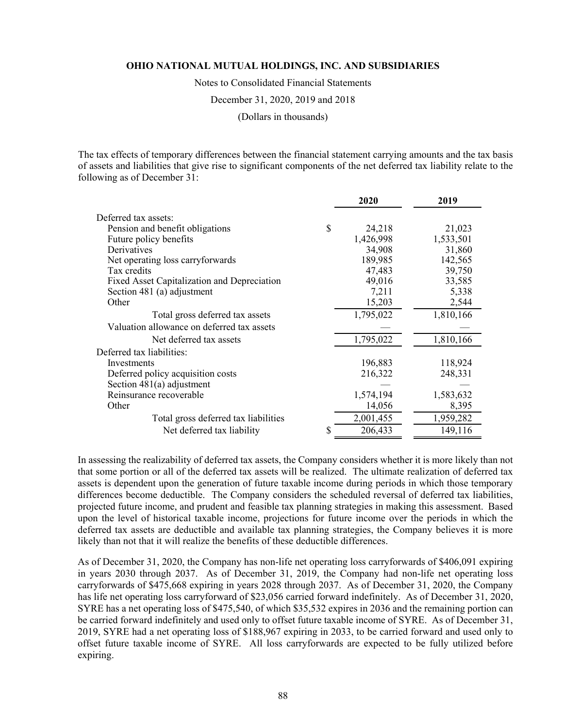Notes to Consolidated Financial Statements

December 31, 2020, 2019 and 2018

(Dollars in thousands)

The tax effects of temporary differences between the financial statement carrying amounts and the tax basis of assets and liabilities that give rise to significant components of the net deferred tax liability relate to the following as of December 31:

| Deferred tax assets:                                            |  |
|-----------------------------------------------------------------|--|
|                                                                 |  |
| \$<br>Pension and benefit obligations<br>24,218<br>21,023       |  |
| 1,426,998<br>1,533,501<br>Future policy benefits                |  |
| Derivatives<br>34,908<br>31,860                                 |  |
| 189,985<br>142,565<br>Net operating loss carryforwards          |  |
| Tax credits<br>39,750<br>47,483                                 |  |
| 49,016<br>33,585<br>Fixed Asset Capitalization and Depreciation |  |
| Section 481 (a) adjustment<br>5,338<br>7,211                    |  |
| 15,203<br>Other<br>2,544                                        |  |
| 1,795,022<br>1,810,166<br>Total gross deferred tax assets       |  |
| Valuation allowance on deferred tax assets                      |  |
| 1,795,022<br>1,810,166<br>Net deferred tax assets               |  |
| Deferred tax liabilities:                                       |  |
| 118,924<br>196,883<br>Investments                               |  |
| 216,322<br>248,331<br>Deferred policy acquisition costs         |  |
| Section $481(a)$ adjustment                                     |  |
| Reinsurance recoverable<br>1,574,194<br>1,583,632               |  |
| 8,395<br>Other<br>14,056                                        |  |
| 2,001,455<br>1,959,282<br>Total gross deferred tax liabilities  |  |
| 206,433<br>149,116<br>Net deferred tax liability                |  |

In assessing the realizability of deferred tax assets, the Company considers whether it is more likely than not that some portion or all of the deferred tax assets will be realized. The ultimate realization of deferred tax assets is dependent upon the generation of future taxable income during periods in which those temporary differences become deductible. The Company considers the scheduled reversal of deferred tax liabilities, projected future income, and prudent and feasible tax planning strategies in making this assessment. Based upon the level of historical taxable income, projections for future income over the periods in which the deferred tax assets are deductible and available tax planning strategies, the Company believes it is more likely than not that it will realize the benefits of these deductible differences.

As of December 31, 2020, the Company has non-life net operating loss carryforwards of \$406,091 expiring in years 2030 through 2037. As of December 31, 2019, the Company had non-life net operating loss carryforwards of \$475,668 expiring in years 2028 through 2037. As of December 31, 2020, the Company has life net operating loss carryforward of \$23,056 carried forward indefinitely. As of December 31, 2020, SYRE has a net operating loss of \$475,540, of which \$35,532 expires in 2036 and the remaining portion can be carried forward indefinitely and used only to offset future taxable income of SYRE. As of December 31, 2019, SYRE had a net operating loss of \$188,967 expiring in 2033, to be carried forward and used only to offset future taxable income of SYRE. All loss carryforwards are expected to be fully utilized before expiring.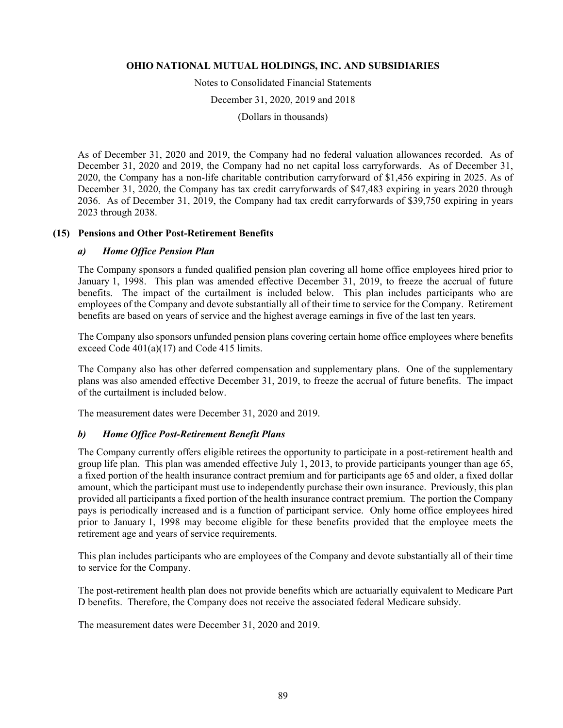Notes to Consolidated Financial Statements

December 31, 2020, 2019 and 2018

(Dollars in thousands)

As of December 31, 2020 and 2019, the Company had no federal valuation allowances recorded. As of December 31, 2020 and 2019, the Company had no net capital loss carryforwards. As of December 31, 2020, the Company has a non-life charitable contribution carryforward of \$1,456 expiring in 2025. As of December 31, 2020, the Company has tax credit carryforwards of \$47,483 expiring in years 2020 through 2036. As of December 31, 2019, the Company had tax credit carryforwards of \$39,750 expiring in years 2023 through 2038.

## **(15) Pensions and Other Post-Retirement Benefits**

## *a) Home Office Pension Plan*

The Company sponsors a funded qualified pension plan covering all home office employees hired prior to January 1, 1998. This plan was amended effective December 31, 2019, to freeze the accrual of future benefits. The impact of the curtailment is included below. This plan includes participants who are employees of the Company and devote substantially all of their time to service for the Company. Retirement benefits are based on years of service and the highest average earnings in five of the last ten years.

The Company also sponsors unfunded pension plans covering certain home office employees where benefits exceed Code 401(a)(17) and Code 415 limits.

The Company also has other deferred compensation and supplementary plans. One of the supplementary plans was also amended effective December 31, 2019, to freeze the accrual of future benefits. The impact of the curtailment is included below.

The measurement dates were December 31, 2020 and 2019.

## *b) Home Office Post-Retirement Benefit Plans*

The Company currently offers eligible retirees the opportunity to participate in a post-retirement health and group life plan. This plan was amended effective July 1, 2013, to provide participants younger than age 65, a fixed portion of the health insurance contract premium and for participants age 65 and older, a fixed dollar amount, which the participant must use to independently purchase their own insurance. Previously, this plan provided all participants a fixed portion of the health insurance contract premium. The portion the Company pays is periodically increased and is a function of participant service. Only home office employees hired prior to January 1, 1998 may become eligible for these benefits provided that the employee meets the retirement age and years of service requirements.

This plan includes participants who are employees of the Company and devote substantially all of their time to service for the Company.

The post-retirement health plan does not provide benefits which are actuarially equivalent to Medicare Part D benefits. Therefore, the Company does not receive the associated federal Medicare subsidy.

The measurement dates were December 31, 2020 and 2019.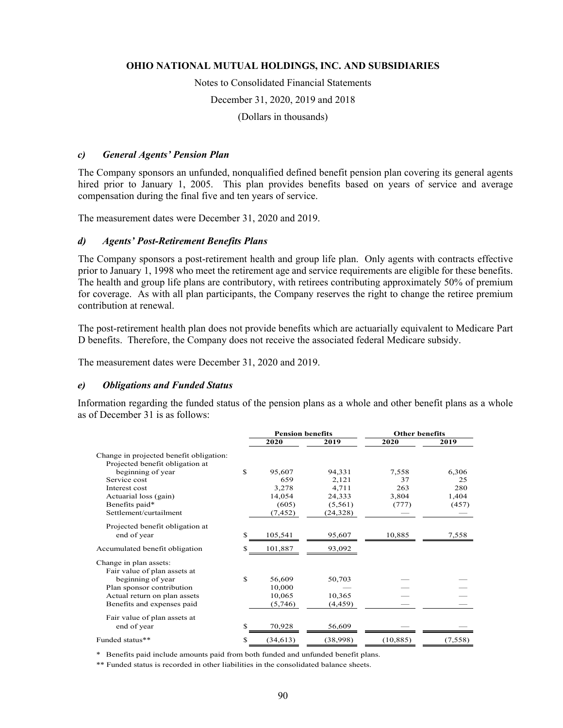Notes to Consolidated Financial Statements

December 31, 2020, 2019 and 2018

(Dollars in thousands)

#### *c) General Agents' Pension Plan*

The Company sponsors an unfunded, nonqualified defined benefit pension plan covering its general agents hired prior to January 1, 2005. This plan provides benefits based on years of service and average compensation during the final five and ten years of service.

The measurement dates were December 31, 2020 and 2019.

#### *d) Agents' Post-Retirement Benefits Plans*

The Company sponsors a post-retirement health and group life plan. Only agents with contracts effective prior to January 1, 1998 who meet the retirement age and service requirements are eligible for these benefits. The health and group life plans are contributory, with retirees contributing approximately 50% of premium for coverage. As with all plan participants, the Company reserves the right to change the retiree premium contribution at renewal.

The post-retirement health plan does not provide benefits which are actuarially equivalent to Medicare Part D benefits. Therefore, the Company does not receive the associated federal Medicare subsidy.

The measurement dates were December 31, 2020 and 2019.

#### *e) Obligations and Funded Status*

Information regarding the funded status of the pension plans as a whole and other benefit plans as a whole as of December 31 is as follows:

|                                         |     | <b>Pension benefits</b> |           | <b>Other benefits</b> |         |
|-----------------------------------------|-----|-------------------------|-----------|-----------------------|---------|
|                                         |     | 2020                    | 2019      | 2020                  | 2019    |
| Change in projected benefit obligation: |     |                         |           |                       |         |
| Projected benefit obligation at         |     |                         |           |                       |         |
| beginning of year                       | \$  | 95,607                  | 94,331    | 7,558                 | 6,306   |
| Service cost                            |     | 659                     | 2,121     | 37                    | 25      |
| Interest cost                           |     | 3,278                   | 4,711     | 263                   | 280     |
| Actuarial loss (gain)                   |     | 14,054                  | 24,333    | 3,804                 | 1,404   |
| Benefits paid*                          |     | (605)                   | (5,561)   | (777)                 | (457)   |
| Settlement/curtailment                  |     | (7, 452)                | (24, 328) |                       |         |
| Projected benefit obligation at         |     |                         |           |                       |         |
| end of year                             | S   | 105,541                 | 95,607    | 10,885                | 7,558   |
| Accumulated benefit obligation          | S   | 101,887                 | 93,092    |                       |         |
| Change in plan assets:                  |     |                         |           |                       |         |
| Fair value of plan assets at            |     |                         |           |                       |         |
| beginning of year                       | \$. | 56,609                  | 50,703    |                       |         |
| Plan sponsor contribution               |     | 10,000                  |           |                       |         |
| Actual return on plan assets            |     | 10,065                  | 10,365    |                       |         |
| Benefits and expenses paid              |     | (5,746)                 | (4, 459)  |                       |         |
| Fair value of plan assets at            |     |                         |           |                       |         |
| end of year                             | \$. | 70,928                  | 56,609    |                       |         |
| Funded status**                         | \$  | (34, 613)               | (38,998)  | (10, 885)             | (7,558) |

\* Benefits paid include amounts paid from both funded and unfunded benefit plans.

\*\* Funded status is recorded in other liabilities in the consolidated balance sheets.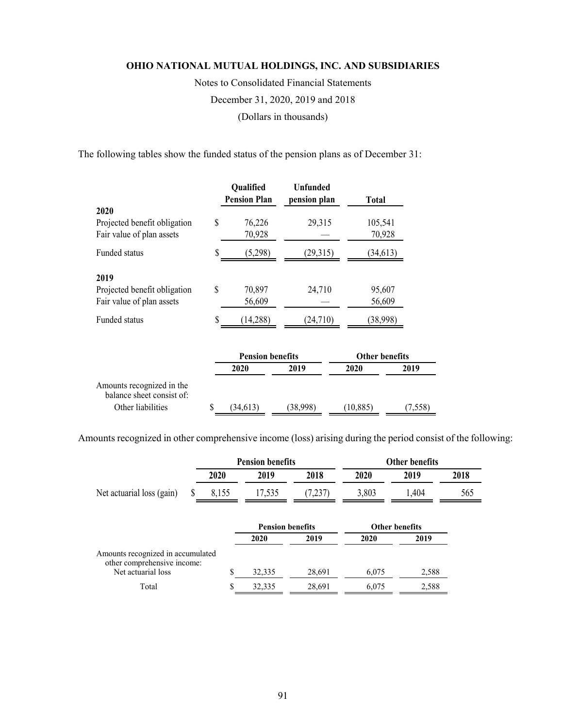Notes to Consolidated Financial Statements December 31, 2020, 2019 and 2018 (Dollars in thousands)

The following tables show the funded status of the pension plans as of December 31:

|                                                        |    | Qualified               | <b>Unfunded</b> |                       |         |
|--------------------------------------------------------|----|-------------------------|-----------------|-----------------------|---------|
|                                                        |    | <b>Pension Plan</b>     | pension plan    | Total                 |         |
| 2020                                                   |    |                         |                 |                       |         |
| Projected benefit obligation                           | \$ | 76,226                  | 29,315          | 105,541               |         |
| Fair value of plan assets                              |    | 70,928                  |                 | 70,928                |         |
| Funded status                                          | S  | (5,298)                 | (29,315)        | (34, 613)             |         |
| 2019                                                   |    |                         |                 |                       |         |
| Projected benefit obligation                           | \$ | 70,897                  | 24,710          | 95,607                |         |
| Fair value of plan assets                              |    | 56,609                  |                 | 56,609                |         |
| Funded status                                          |    | (14, 288)               | (24, 710)       | (38,998)              |         |
|                                                        |    | <b>Pension benefits</b> |                 | <b>Other benefits</b> |         |
|                                                        |    | 2020                    | 2019            | 2020                  | 2019    |
| Amounts recognized in the<br>balance sheet consist of: |    |                         |                 |                       |         |
| Other liabilities                                      | \$ | (34, 613)               | (38,998)        | (10, 885)             | (7,558) |

Amounts recognized in other comprehensive income (loss) arising during the period consist of the following:

|                                                                                        | <b>Pension benefits</b> |                                 |         | <b>Other benefits</b> |                               |      |
|----------------------------------------------------------------------------------------|-------------------------|---------------------------------|---------|-----------------------|-------------------------------|------|
|                                                                                        | 2020                    | 2019                            | 2018    | 2020                  | 2019                          | 2018 |
| Net actuarial loss (gain)                                                              | 8,155                   | 17,535                          | (7,237) | 3,803                 | 1,404                         | 565  |
|                                                                                        |                         | <b>Pension benefits</b><br>2020 | 2019    | 2020                  | <b>Other benefits</b><br>2019 |      |
| Amounts recognized in accumulated<br>other comprehensive income:<br>Net actuarial loss |                         | 32,335                          | 28,691  | 6,075                 | 2,588                         |      |
| Total                                                                                  |                         | 32,335                          | 28,691  | 6,075                 | 2,588                         |      |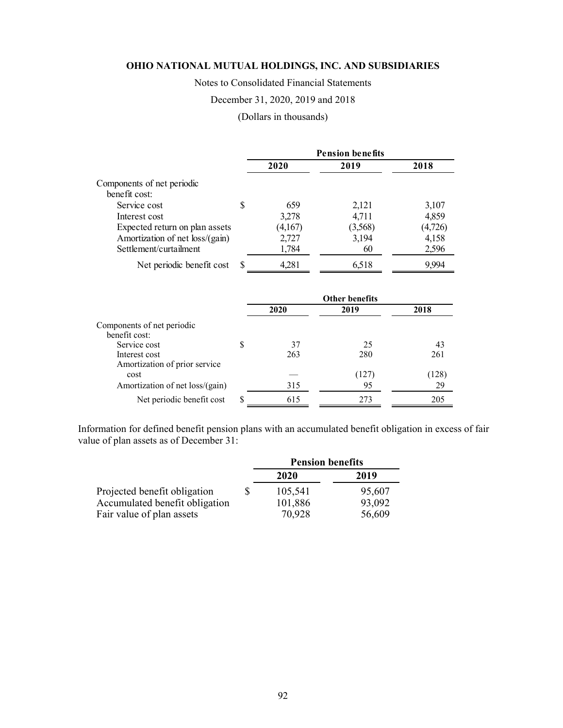Notes to Consolidated Financial Statements

## December 31, 2020, 2019 and 2018

# (Dollars in thousands)

|                                 |   | <b>Pension benefits</b> |         |         |  |
|---------------------------------|---|-------------------------|---------|---------|--|
|                                 |   | 2020                    | 2019    | 2018    |  |
| Components of net periodic      |   |                         |         |         |  |
| benefit cost:                   |   |                         |         |         |  |
| Service cost                    | S | 659                     | 2,121   | 3,107   |  |
| Interest cost                   |   | 3,278                   | 4,711   | 4,859   |  |
| Expected return on plan assets  |   | (4,167)                 | (3,568) | (4,726) |  |
| Amortization of net loss/(gain) |   | 2,727                   | 3,194   | 4,158   |  |
| Settlement/curtailment          |   | 1,784                   | 60      | 2,596   |  |
| Net periodic benefit cost       |   | 4,281                   | 6,518   | 9.994   |  |

|                                 |   | <b>Other benefits</b> |       |       |  |
|---------------------------------|---|-----------------------|-------|-------|--|
|                                 |   | 2020                  | 2019  | 2018  |  |
| Components of net periodic      |   |                       |       |       |  |
| benefit cost:                   |   |                       |       |       |  |
| Service cost                    | S | 37                    | 25    | 43    |  |
| Interest cost                   |   | 263                   | 280   | 261   |  |
| Amortization of prior service   |   |                       |       |       |  |
| cost                            |   |                       | (127) | (128) |  |
| Amortization of net loss/(gain) |   | 315                   | 95    | 29    |  |
| Net periodic benefit cost       | S | 615                   | 273   | 205   |  |

Information for defined benefit pension plans with an accumulated benefit obligation in excess of fair value of plan assets as of December 31:

|                                | <b>Pension benefits</b> |        |  |
|--------------------------------|-------------------------|--------|--|
|                                | 2020                    | 2019   |  |
| Projected benefit obligation   | 105,541                 | 95,607 |  |
| Accumulated benefit obligation | 101,886                 | 93,092 |  |
| Fair value of plan assets      | 70,928                  | 56,609 |  |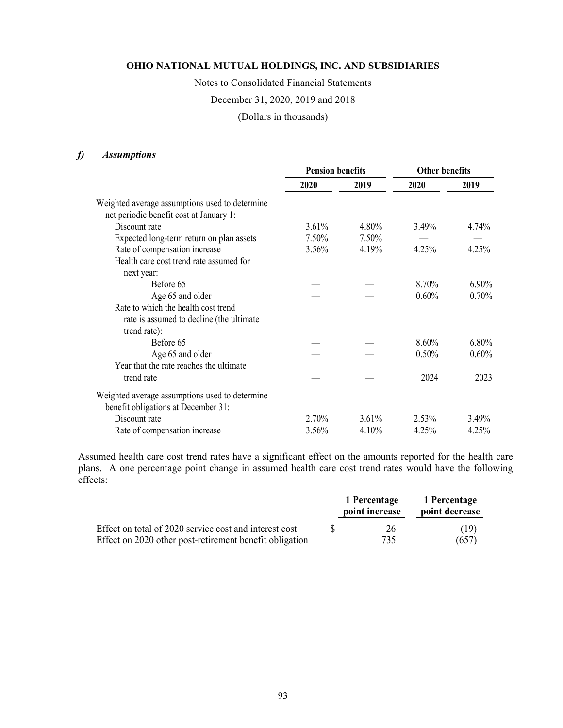Notes to Consolidated Financial Statements

December 31, 2020, 2019 and 2018

(Dollars in thousands)

## *f) Assumptions*

|                                                | <b>Pension benefits</b> |       | <b>Other benefits</b> |          |
|------------------------------------------------|-------------------------|-------|-----------------------|----------|
|                                                | 2020                    | 2019  | 2020                  | 2019     |
| Weighted average assumptions used to determine |                         |       |                       |          |
| net periodic benefit cost at January 1:        |                         |       |                       |          |
| Discount rate                                  | $3.61\%$                | 4.80% | 3.49%                 | 4.74%    |
| Expected long-term return on plan assets       | 7.50%                   | 7.50% |                       |          |
| Rate of compensation increase                  | 3.56%                   | 4.19% | 4.25%                 | 4.25%    |
| Health care cost trend rate assumed for        |                         |       |                       |          |
| next year:                                     |                         |       |                       |          |
| Before 65                                      |                         |       | 8.70%                 | $6.90\%$ |
| Age 65 and older                               |                         |       | 0.60%                 | 0.70%    |
| Rate to which the health cost trend            |                         |       |                       |          |
| rate is assumed to decline (the ultimate       |                         |       |                       |          |
| trend rate):                                   |                         |       |                       |          |
| Before 65                                      |                         |       | 8.60%                 | 6.80%    |
| Age 65 and older                               |                         |       | 0.50%                 | 0.60%    |
| Year that the rate reaches the ultimate        |                         |       |                       |          |
| trend rate                                     |                         |       | 2024                  | 2023     |
| Weighted average assumptions used to determine |                         |       |                       |          |
| benefit obligations at December 31:            |                         |       |                       |          |
| Discount rate                                  | 2.70%                   | 3.61% | 2.53%                 | 3.49%    |
| Rate of compensation increase                  | 3.56%                   | 4.10% | 4.25%                 | 4.25%    |

Assumed health care cost trend rates have a significant effect on the amounts reported for the health care plans. A one percentage point change in assumed health care cost trend rates would have the following effects:

|                                                         | 1 Percentage<br>point increase | 1 Percentage<br>point decrease |
|---------------------------------------------------------|--------------------------------|--------------------------------|
| Effect on total of 2020 service cost and interest cost  | 26                             | (19)                           |
| Effect on 2020 other post-retirement benefit obligation | 735                            | (657)                          |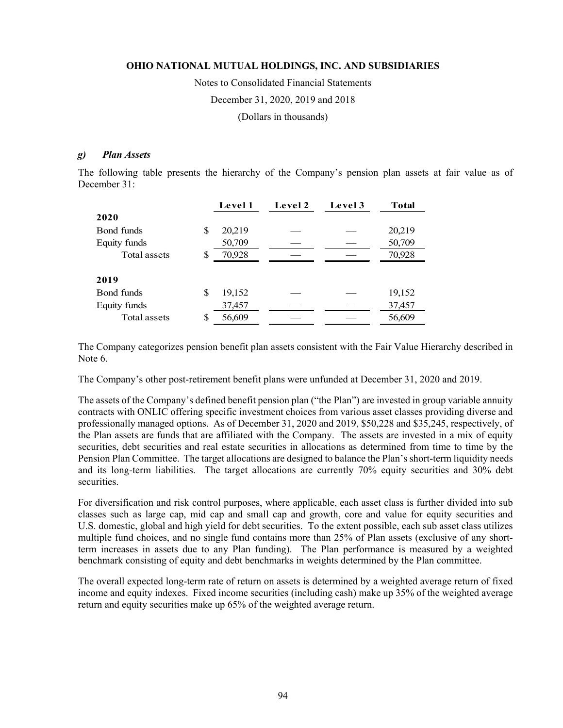Notes to Consolidated Financial Statements December 31, 2020, 2019 and 2018

(Dollars in thousands)

## *g) Plan Assets*

The following table presents the hierarchy of the Company's pension plan assets at fair value as of December 31:

|              |    | Level 1 | Level 2 | Level 3 | Total  |
|--------------|----|---------|---------|---------|--------|
| 2020         |    |         |         |         |        |
| Bond funds   | S  | 20,219  |         |         | 20,219 |
| Equity funds |    | 50,709  |         |         | 50,709 |
| Total assets | \$ | 70,928  |         |         | 70,928 |
|              |    |         |         |         |        |
| 2019         |    |         |         |         |        |
| Bond funds   | S  | 19,152  |         |         | 19,152 |
| Equity funds |    | 37,457  |         |         | 37,457 |
| Total assets | S  | 56,609  |         |         | 56,609 |

The Company categorizes pension benefit plan assets consistent with the Fair Value Hierarchy described in Note 6.

The Company's other post-retirement benefit plans were unfunded at December 31, 2020 and 2019.

The assets of the Company's defined benefit pension plan ("the Plan") are invested in group variable annuity contracts with ONLIC offering specific investment choices from various asset classes providing diverse and professionally managed options. As of December 31, 2020 and 2019, \$50,228 and \$35,245, respectively, of the Plan assets are funds that are affiliated with the Company. The assets are invested in a mix of equity securities, debt securities and real estate securities in allocations as determined from time to time by the Pension Plan Committee. The target allocations are designed to balance the Plan's short-term liquidity needs and its long-term liabilities. The target allocations are currently 70% equity securities and 30% debt securities.

For diversification and risk control purposes, where applicable, each asset class is further divided into sub classes such as large cap, mid cap and small cap and growth, core and value for equity securities and U.S. domestic, global and high yield for debt securities. To the extent possible, each sub asset class utilizes multiple fund choices, and no single fund contains more than 25% of Plan assets (exclusive of any shortterm increases in assets due to any Plan funding). The Plan performance is measured by a weighted benchmark consisting of equity and debt benchmarks in weights determined by the Plan committee.

The overall expected long-term rate of return on assets is determined by a weighted average return of fixed income and equity indexes. Fixed income securities (including cash) make up 35% of the weighted average return and equity securities make up 65% of the weighted average return.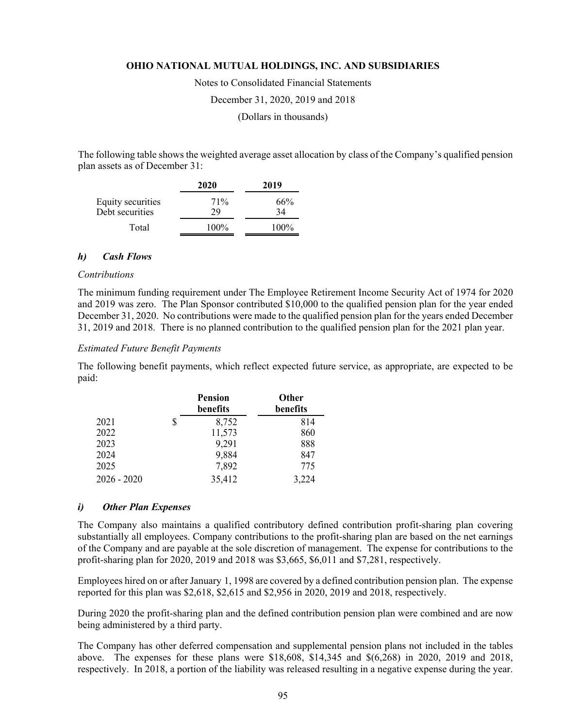Notes to Consolidated Financial Statements

December 31, 2020, 2019 and 2018

(Dollars in thousands)

The following table shows the weighted average asset allocation by class of the Company's qualified pension plan assets as of December 31:

|                                      | 2020      | 2019      |
|--------------------------------------|-----------|-----------|
| Equity securities<br>Debt securities | 71%<br>29 | 66%<br>34 |
| Total                                | $100\%$   | $100\%$   |

#### *h) Cash Flows*

#### *Contributions*

The minimum funding requirement under The Employee Retirement Income Security Act of 1974 for 2020 and 2019 was zero. The Plan Sponsor contributed \$10,000 to the qualified pension plan for the year ended December 31, 2020. No contributions were made to the qualified pension plan for the years ended December 31, 2019 and 2018. There is no planned contribution to the qualified pension plan for the 2021 plan year.

#### *Estimated Future Benefit Payments*

The following benefit payments, which reflect expected future service, as appropriate, are expected to be paid:

|               | <b>Pension</b><br>benefits | <b>Other</b><br>benefits |
|---------------|----------------------------|--------------------------|
| 2021          | \$<br>8,752                | 814                      |
| 2022          | 11,573                     | 860                      |
| 2023          | 9,291                      | 888                      |
| 2024          | 9,884                      | 847                      |
| 2025          | 7,892                      | 775                      |
| $2026 - 2020$ | 35,412                     | 3,224                    |

#### *i) Other Plan Expenses*

The Company also maintains a qualified contributory defined contribution profit-sharing plan covering substantially all employees. Company contributions to the profit-sharing plan are based on the net earnings of the Company and are payable at the sole discretion of management. The expense for contributions to the profit-sharing plan for 2020, 2019 and 2018 was \$3,665, \$6,011 and \$7,281, respectively.

Employees hired on or after January 1, 1998 are covered by a defined contribution pension plan. The expense reported for this plan was \$2,618, \$2,615 and \$2,956 in 2020, 2019 and 2018, respectively.

During 2020 the profit-sharing plan and the defined contribution pension plan were combined and are now being administered by a third party.

The Company has other deferred compensation and supplemental pension plans not included in the tables above. The expenses for these plans were \$18,608, \$14,345 and \$(6,268) in 2020, 2019 and 2018, respectively. In 2018, a portion of the liability was released resulting in a negative expense during the year.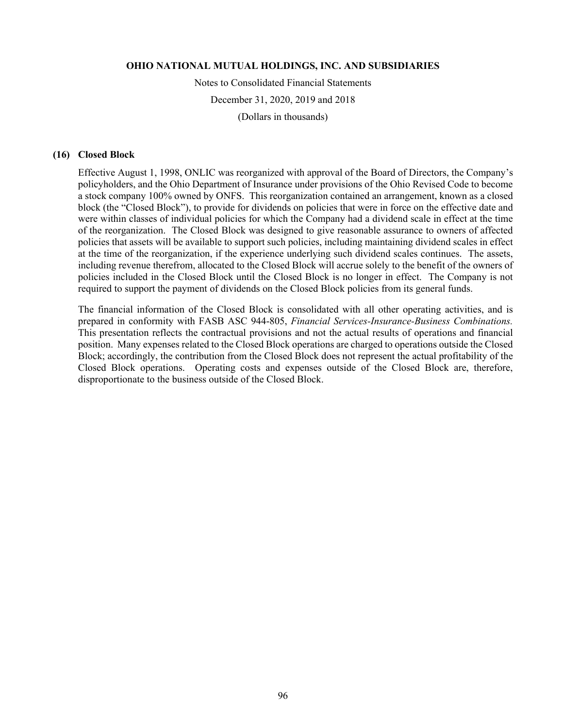Notes to Consolidated Financial Statements December 31, 2020, 2019 and 2018

(Dollars in thousands)

## **(16) Closed Block**

Effective August 1, 1998, ONLIC was reorganized with approval of the Board of Directors, the Company's policyholders, and the Ohio Department of Insurance under provisions of the Ohio Revised Code to become a stock company 100% owned by ONFS. This reorganization contained an arrangement, known as a closed block (the "Closed Block"), to provide for dividends on policies that were in force on the effective date and were within classes of individual policies for which the Company had a dividend scale in effect at the time of the reorganization. The Closed Block was designed to give reasonable assurance to owners of affected policies that assets will be available to support such policies, including maintaining dividend scales in effect at the time of the reorganization, if the experience underlying such dividend scales continues. The assets, including revenue therefrom, allocated to the Closed Block will accrue solely to the benefit of the owners of policies included in the Closed Block until the Closed Block is no longer in effect. The Company is not required to support the payment of dividends on the Closed Block policies from its general funds.

The financial information of the Closed Block is consolidated with all other operating activities, and is prepared in conformity with FASB ASC 944-805, *Financial Services-Insurance-Business Combinations.* This presentation reflects the contractual provisions and not the actual results of operations and financial position. Many expenses related to the Closed Block operations are charged to operations outside the Closed Block; accordingly, the contribution from the Closed Block does not represent the actual profitability of the Closed Block operations. Operating costs and expenses outside of the Closed Block are, therefore, disproportionate to the business outside of the Closed Block.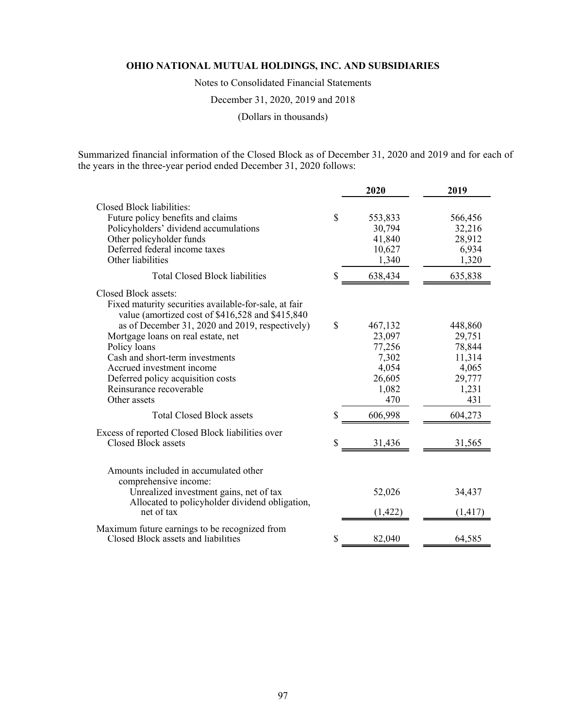Notes to Consolidated Financial Statements

December 31, 2020, 2019 and 2018

(Dollars in thousands)

Summarized financial information of the Closed Block as of December 31, 2020 and 2019 and for each of the years in the three-year period ended December 31, 2020 follows:

|                                                                                                                                                                                                                             |              | 2020                                               | 2019                                                |
|-----------------------------------------------------------------------------------------------------------------------------------------------------------------------------------------------------------------------------|--------------|----------------------------------------------------|-----------------------------------------------------|
| Closed Block liabilities:<br>Future policy benefits and claims<br>Policyholders' dividend accumulations<br>Other policyholder funds<br>Deferred federal income taxes<br>Other liabilities                                   | \$           | 553,833<br>30,794<br>41,840<br>10,627<br>1,340     | 566,456<br>32,216<br>28,912<br>6,934<br>1,320       |
| <b>Total Closed Block liabilities</b>                                                                                                                                                                                       | \$           | 638,434                                            | 635,838                                             |
| Closed Block assets:<br>Fixed maturity securities available-for-sale, at fair<br>value (amortized cost of \$416,528 and \$415,840)<br>as of December 31, 2020 and 2019, respectively)<br>Mortgage loans on real estate, net | $\mathbb{S}$ | 467,132<br>23,097                                  | 448,860<br>29,751                                   |
| Policy loans<br>Cash and short-term investments<br>Accrued investment income<br>Deferred policy acquisition costs<br>Reinsurance recoverable<br>Other assets                                                                |              | 77,256<br>7,302<br>4,054<br>26,605<br>1,082<br>470 | 78,844<br>11,314<br>4,065<br>29,777<br>1,231<br>431 |
| <b>Total Closed Block assets</b>                                                                                                                                                                                            | \$           | 606,998                                            | 604,273                                             |
| Excess of reported Closed Block liabilities over<br>Closed Block assets                                                                                                                                                     | S            | 31,436                                             | 31,565                                              |
| Amounts included in accumulated other<br>comprehensive income:<br>Unrealized investment gains, net of tax<br>Allocated to policyholder dividend obligation,<br>net of tax                                                   |              | 52,026<br>(1, 422)                                 | 34,437<br>(1, 417)                                  |
| Maximum future earnings to be recognized from<br>Closed Block assets and liabilities                                                                                                                                        | \$           | 82,040                                             | 64,585                                              |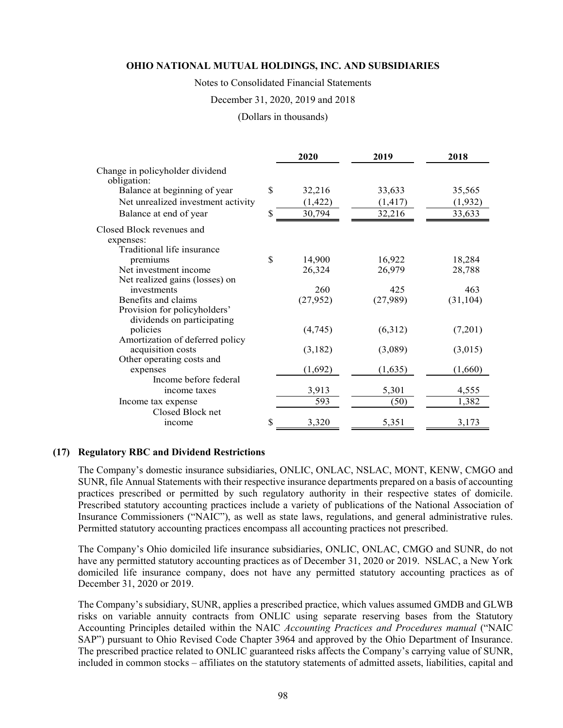Notes to Consolidated Financial Statements

#### December 31, 2020, 2019 and 2018

(Dollars in thousands)

|                                                |    | 2020      | 2019     | 2018      |  |  |
|------------------------------------------------|----|-----------|----------|-----------|--|--|
| Change in policyholder dividend<br>obligation: |    |           |          |           |  |  |
| Balance at beginning of year                   | \$ | 32,216    | 33,633   | 35,565    |  |  |
| Net unrealized investment activity             |    | (1, 422)  | (1, 417) | (1,932)   |  |  |
|                                                | S  |           |          |           |  |  |
| Balance at end of year                         |    | 30,794    | 32,216   | 33,633    |  |  |
| Closed Block revenues and                      |    |           |          |           |  |  |
| expenses:                                      |    |           |          |           |  |  |
| Traditional life insurance                     |    |           |          |           |  |  |
| premiums                                       | \$ | 14,900    | 16,922   | 18,284    |  |  |
| Net investment income                          |    | 26,324    | 26,979   | 28,788    |  |  |
| Net realized gains (losses) on                 |    |           |          |           |  |  |
| investments                                    |    | 260       | 425      | 463       |  |  |
| Benefits and claims                            |    | (27, 952) | (27,989) | (31, 104) |  |  |
| Provision for policyholders'                   |    |           |          |           |  |  |
| dividends on participating                     |    |           |          |           |  |  |
| policies                                       |    | (4,745)   | (6,312)  | (7,201)   |  |  |
| Amortization of deferred policy                |    |           |          |           |  |  |
| acquisition costs                              |    | (3,182)   | (3,089)  | (3,015)   |  |  |
| Other operating costs and                      |    |           |          |           |  |  |
| expenses                                       |    | (1,692)   | (1,635)  | (1,660)   |  |  |
| Income before federal                          |    |           |          |           |  |  |
| income taxes                                   |    | 3,913     | 5,301    | 4,555     |  |  |
| Income tax expense                             |    | 593       | (50)     | 1,382     |  |  |
| Closed Block net                               |    |           |          |           |  |  |
| income                                         | \$ | 3,320     | 5,351    | 3,173     |  |  |

## **(17) Regulatory RBC and Dividend Restrictions**

The Company's domestic insurance subsidiaries, ONLIC, ONLAC, NSLAC, MONT, KENW, CMGO and SUNR, file Annual Statements with their respective insurance departments prepared on a basis of accounting practices prescribed or permitted by such regulatory authority in their respective states of domicile. Prescribed statutory accounting practices include a variety of publications of the National Association of Insurance Commissioners ("NAIC"), as well as state laws, regulations, and general administrative rules. Permitted statutory accounting practices encompass all accounting practices not prescribed.

The Company's Ohio domiciled life insurance subsidiaries, ONLIC, ONLAC, CMGO and SUNR, do not have any permitted statutory accounting practices as of December 31, 2020 or 2019. NSLAC, a New York domiciled life insurance company, does not have any permitted statutory accounting practices as of December 31, 2020 or 2019.

The Company's subsidiary, SUNR, applies a prescribed practice, which values assumed GMDB and GLWB risks on variable annuity contracts from ONLIC using separate reserving bases from the Statutory Accounting Principles detailed within the NAIC *Accounting Practices and Procedures manual* ("NAIC SAP") pursuant to Ohio Revised Code Chapter 3964 and approved by the Ohio Department of Insurance. The prescribed practice related to ONLIC guaranteed risks affects the Company's carrying value of SUNR, included in common stocks – affiliates on the statutory statements of admitted assets, liabilities, capital and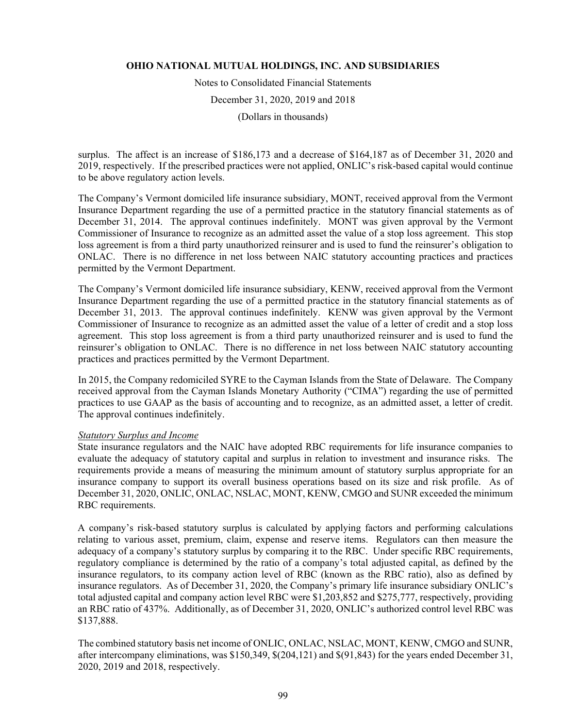Notes to Consolidated Financial Statements

December 31, 2020, 2019 and 2018

(Dollars in thousands)

surplus. The affect is an increase of \$186,173 and a decrease of \$164,187 as of December 31, 2020 and 2019, respectively. If the prescribed practices were not applied, ONLIC's risk-based capital would continue to be above regulatory action levels.

The Company's Vermont domiciled life insurance subsidiary, MONT, received approval from the Vermont Insurance Department regarding the use of a permitted practice in the statutory financial statements as of December 31, 2014. The approval continues indefinitely. MONT was given approval by the Vermont Commissioner of Insurance to recognize as an admitted asset the value of a stop loss agreement. This stop loss agreement is from a third party unauthorized reinsurer and is used to fund the reinsurer's obligation to ONLAC. There is no difference in net loss between NAIC statutory accounting practices and practices permitted by the Vermont Department.

The Company's Vermont domiciled life insurance subsidiary, KENW, received approval from the Vermont Insurance Department regarding the use of a permitted practice in the statutory financial statements as of December 31, 2013. The approval continues indefinitely. KENW was given approval by the Vermont Commissioner of Insurance to recognize as an admitted asset the value of a letter of credit and a stop loss agreement. This stop loss agreement is from a third party unauthorized reinsurer and is used to fund the reinsurer's obligation to ONLAC. There is no difference in net loss between NAIC statutory accounting practices and practices permitted by the Vermont Department.

In 2015, the Company redomiciled SYRE to the Cayman Islands from the State of Delaware. The Company received approval from the Cayman Islands Monetary Authority ("CIMA") regarding the use of permitted practices to use GAAP as the basis of accounting and to recognize, as an admitted asset, a letter of credit. The approval continues indefinitely.

## *Statutory Surplus and Income*

State insurance regulators and the NAIC have adopted RBC requirements for life insurance companies to evaluate the adequacy of statutory capital and surplus in relation to investment and insurance risks. The requirements provide a means of measuring the minimum amount of statutory surplus appropriate for an insurance company to support its overall business operations based on its size and risk profile. As of December 31, 2020, ONLIC, ONLAC, NSLAC, MONT, KENW, CMGO and SUNR exceeded the minimum RBC requirements.

A company's risk-based statutory surplus is calculated by applying factors and performing calculations relating to various asset, premium, claim, expense and reserve items. Regulators can then measure the adequacy of a company's statutory surplus by comparing it to the RBC. Under specific RBC requirements, regulatory compliance is determined by the ratio of a company's total adjusted capital, as defined by the insurance regulators, to its company action level of RBC (known as the RBC ratio), also as defined by insurance regulators. As of December 31, 2020, the Company's primary life insurance subsidiary ONLIC's total adjusted capital and company action level RBC were \$1,203,852 and \$275,777, respectively, providing an RBC ratio of 437%. Additionally, as of December 31, 2020, ONLIC's authorized control level RBC was \$137,888.

The combined statutory basis net income of ONLIC, ONLAC, NSLAC, MONT, KENW, CMGO and SUNR, after intercompany eliminations, was \$150,349, \$(204,121) and \$(91,843) for the years ended December 31, 2020, 2019 and 2018, respectively.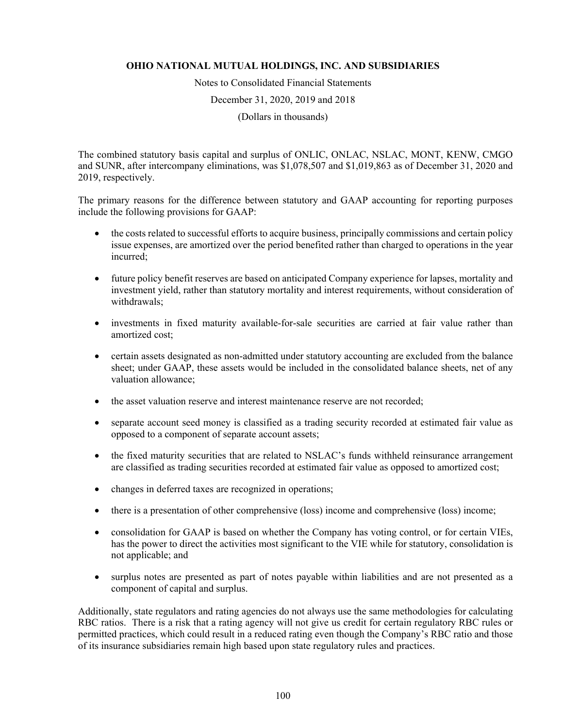Notes to Consolidated Financial Statements

December 31, 2020, 2019 and 2018

(Dollars in thousands)

The combined statutory basis capital and surplus of ONLIC, ONLAC, NSLAC, MONT, KENW, CMGO and SUNR, after intercompany eliminations, was \$1,078,507 and \$1,019,863 as of December 31, 2020 and 2019, respectively.

The primary reasons for the difference between statutory and GAAP accounting for reporting purposes include the following provisions for GAAP:

- the costs related to successful efforts to acquire business, principally commissions and certain policy issue expenses, are amortized over the period benefited rather than charged to operations in the year incurred;
- future policy benefit reserves are based on anticipated Company experience for lapses, mortality and investment yield, rather than statutory mortality and interest requirements, without consideration of withdrawals;
- investments in fixed maturity available-for-sale securities are carried at fair value rather than amortized cost;
- certain assets designated as non-admitted under statutory accounting are excluded from the balance sheet; under GAAP, these assets would be included in the consolidated balance sheets, net of any valuation allowance;
- the asset valuation reserve and interest maintenance reserve are not recorded;
- separate account seed money is classified as a trading security recorded at estimated fair value as opposed to a component of separate account assets;
- the fixed maturity securities that are related to NSLAC's funds withheld reinsurance arrangement are classified as trading securities recorded at estimated fair value as opposed to amortized cost;
- changes in deferred taxes are recognized in operations;
- there is a presentation of other comprehensive (loss) income and comprehensive (loss) income;
- consolidation for GAAP is based on whether the Company has voting control, or for certain VIEs, has the power to direct the activities most significant to the VIE while for statutory, consolidation is not applicable; and
- surplus notes are presented as part of notes payable within liabilities and are not presented as a component of capital and surplus.

Additionally, state regulators and rating agencies do not always use the same methodologies for calculating RBC ratios. There is a risk that a rating agency will not give us credit for certain regulatory RBC rules or permitted practices, which could result in a reduced rating even though the Company's RBC ratio and those of its insurance subsidiaries remain high based upon state regulatory rules and practices.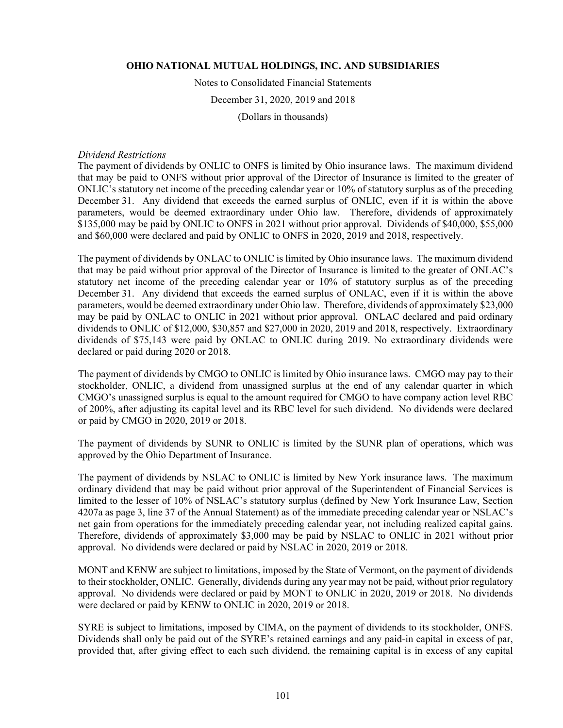Notes to Consolidated Financial Statements

December 31, 2020, 2019 and 2018

(Dollars in thousands)

#### *Dividend Restrictions*

The payment of dividends by ONLIC to ONFS is limited by Ohio insurance laws. The maximum dividend that may be paid to ONFS without prior approval of the Director of Insurance is limited to the greater of ONLIC's statutory net income of the preceding calendar year or 10% of statutory surplus as of the preceding December 31. Any dividend that exceeds the earned surplus of ONLIC, even if it is within the above parameters, would be deemed extraordinary under Ohio law. Therefore, dividends of approximately \$135,000 may be paid by ONLIC to ONFS in 2021 without prior approval. Dividends of \$40,000, \$55,000 and \$60,000 were declared and paid by ONLIC to ONFS in 2020, 2019 and 2018, respectively.

The payment of dividends by ONLAC to ONLIC is limited by Ohio insurance laws. The maximum dividend that may be paid without prior approval of the Director of Insurance is limited to the greater of ONLAC's statutory net income of the preceding calendar year or 10% of statutory surplus as of the preceding December 31. Any dividend that exceeds the earned surplus of ONLAC, even if it is within the above parameters, would be deemed extraordinary under Ohio law. Therefore, dividends of approximately \$23,000 may be paid by ONLAC to ONLIC in 2021 without prior approval. ONLAC declared and paid ordinary dividends to ONLIC of \$12,000, \$30,857 and \$27,000 in 2020, 2019 and 2018, respectively. Extraordinary dividends of \$75,143 were paid by ONLAC to ONLIC during 2019. No extraordinary dividends were declared or paid during 2020 or 2018.

The payment of dividends by CMGO to ONLIC is limited by Ohio insurance laws. CMGO may pay to their stockholder, ONLIC, a dividend from unassigned surplus at the end of any calendar quarter in which CMGO's unassigned surplus is equal to the amount required for CMGO to have company action level RBC of 200%, after adjusting its capital level and its RBC level for such dividend. No dividends were declared or paid by CMGO in 2020, 2019 or 2018.

The payment of dividends by SUNR to ONLIC is limited by the SUNR plan of operations, which was approved by the Ohio Department of Insurance.

The payment of dividends by NSLAC to ONLIC is limited by New York insurance laws. The maximum ordinary dividend that may be paid without prior approval of the Superintendent of Financial Services is limited to the lesser of 10% of NSLAC's statutory surplus (defined by New York Insurance Law, Section 4207a as page 3, line 37 of the Annual Statement) as of the immediate preceding calendar year or NSLAC's net gain from operations for the immediately preceding calendar year, not including realized capital gains. Therefore, dividends of approximately \$3,000 may be paid by NSLAC to ONLIC in 2021 without prior approval. No dividends were declared or paid by NSLAC in 2020, 2019 or 2018.

MONT and KENW are subject to limitations, imposed by the State of Vermont, on the payment of dividends to their stockholder, ONLIC. Generally, dividends during any year may not be paid, without prior regulatory approval. No dividends were declared or paid by MONT to ONLIC in 2020, 2019 or 2018. No dividends were declared or paid by KENW to ONLIC in 2020, 2019 or 2018.

SYRE is subject to limitations, imposed by CIMA, on the payment of dividends to its stockholder, ONFS. Dividends shall only be paid out of the SYRE's retained earnings and any paid-in capital in excess of par, provided that, after giving effect to each such dividend, the remaining capital is in excess of any capital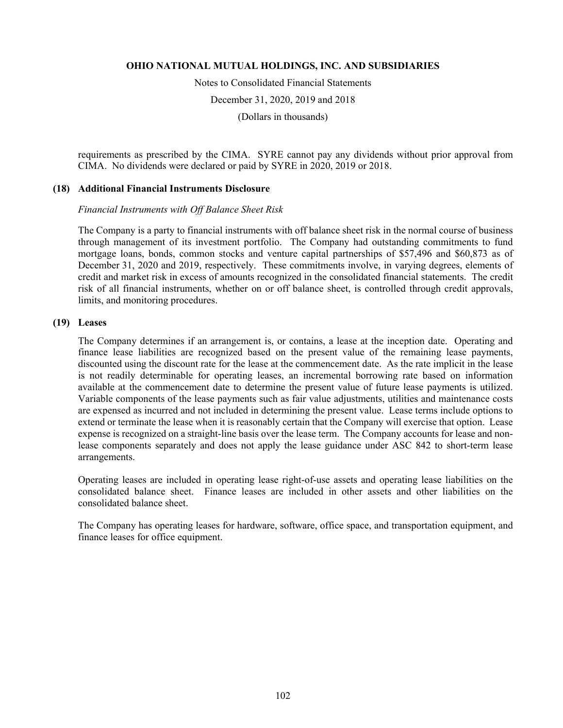Notes to Consolidated Financial Statements

December 31, 2020, 2019 and 2018

(Dollars in thousands)

requirements as prescribed by the CIMA. SYRE cannot pay any dividends without prior approval from CIMA. No dividends were declared or paid by SYRE in 2020, 2019 or 2018.

## **(18) Additional Financial Instruments Disclosure**

## *Financial Instruments with Off Balance Sheet Risk*

The Company is a party to financial instruments with off balance sheet risk in the normal course of business through management of its investment portfolio. The Company had outstanding commitments to fund mortgage loans, bonds, common stocks and venture capital partnerships of \$57,496 and \$60,873 as of December 31, 2020 and 2019, respectively. These commitments involve, in varying degrees, elements of credit and market risk in excess of amounts recognized in the consolidated financial statements. The credit risk of all financial instruments, whether on or off balance sheet, is controlled through credit approvals, limits, and monitoring procedures.

## **(19) Leases**

The Company determines if an arrangement is, or contains, a lease at the inception date. Operating and finance lease liabilities are recognized based on the present value of the remaining lease payments, discounted using the discount rate for the lease at the commencement date. As the rate implicit in the lease is not readily determinable for operating leases, an incremental borrowing rate based on information available at the commencement date to determine the present value of future lease payments is utilized. Variable components of the lease payments such as fair value adjustments, utilities and maintenance costs are expensed as incurred and not included in determining the present value. Lease terms include options to extend or terminate the lease when it is reasonably certain that the Company will exercise that option. Lease expense is recognized on a straight-line basis over the lease term. The Company accounts for lease and nonlease components separately and does not apply the lease guidance under ASC 842 to short-term lease arrangements.

Operating leases are included in operating lease right-of-use assets and operating lease liabilities on the consolidated balance sheet. Finance leases are included in other assets and other liabilities on the consolidated balance sheet.

The Company has operating leases for hardware, software, office space, and transportation equipment, and finance leases for office equipment.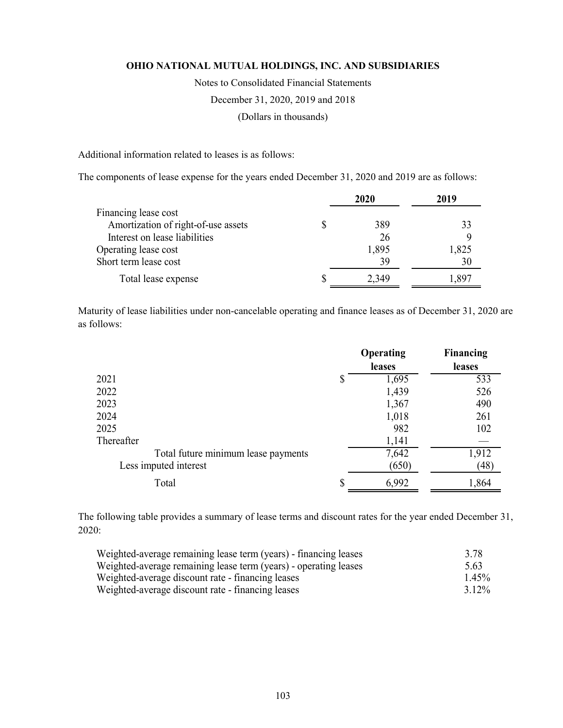Notes to Consolidated Financial Statements

December 31, 2020, 2019 and 2018

(Dollars in thousands)

Additional information related to leases is as follows:

The components of lease expense for the years ended December 31, 2020 and 2019 are as follows:

|                                     | 2020  | 2019  |
|-------------------------------------|-------|-------|
| Financing lease cost                |       |       |
| Amortization of right-of-use assets | 389   | 33    |
| Interest on lease liabilities       | 26    |       |
| Operating lease cost                | 1,895 | 1,825 |
| Short term lease cost               | 39    | 30    |
| Total lease expense                 | 2,349 | .891  |

Maturity of lease liabilities under non-cancelable operating and finance leases as of December 31, 2020 are as follows:

|                                     | Operating | Financing |
|-------------------------------------|-----------|-----------|
|                                     | leases    | leases    |
| 2021                                | 1,695     | 533       |
| 2022                                | 1,439     | 526       |
| 2023                                | 1,367     | 490       |
| 2024                                | 1,018     | 261       |
| 2025                                | 982       | 102       |
| Thereafter                          | 1,141     |           |
| Total future minimum lease payments | 7,642     | 1,912     |
| Less imputed interest               | (650)     | (48)      |
| Total                               | 6,992     | 1,864     |

The following table provides a summary of lease terms and discount rates for the year ended December 31, 2020:

| Weighted-average remaining lease term (years) - financing leases | 3.78     |
|------------------------------------------------------------------|----------|
| Weighted-average remaining lease term (years) - operating leases | 5.63     |
| Weighted-average discount rate - financing leases                | $1.45\%$ |
| Weighted-average discount rate - financing leases                | $3.12\%$ |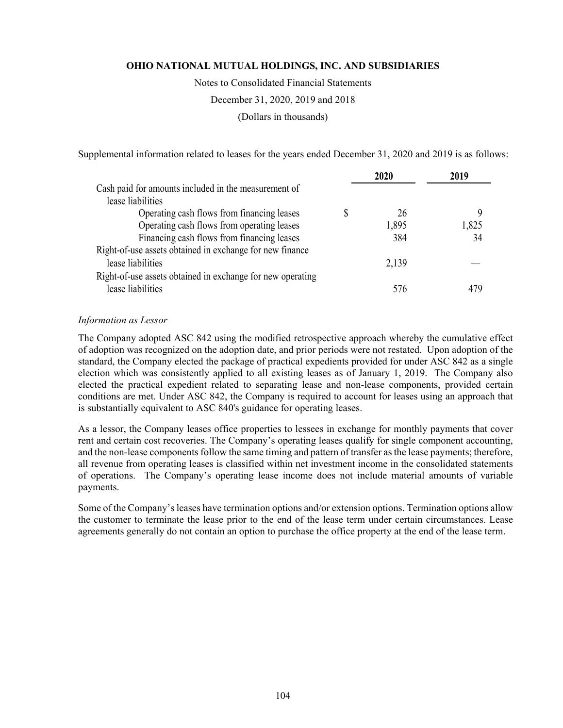Notes to Consolidated Financial Statements

December 31, 2020, 2019 and 2018

(Dollars in thousands)

Supplemental information related to leases for the years ended December 31, 2020 and 2019 is as follows:

|                                                            | 2020  | 2019  |
|------------------------------------------------------------|-------|-------|
| Cash paid for amounts included in the measurement of       |       |       |
| lease liabilities                                          |       |       |
| Operating cash flows from financing leases                 | 26    |       |
| Operating cash flows from operating leases                 | 1,895 | 1,825 |
| Financing cash flows from financing leases                 | 384   | 34    |
| Right-of-use assets obtained in exchange for new finance   |       |       |
| lease liabilities                                          | 2,139 |       |
| Right-of-use assets obtained in exchange for new operating |       |       |
| lease liabilities                                          | 576   |       |
|                                                            |       |       |

## *Information as Lessor*

The Company adopted ASC 842 using the modified retrospective approach whereby the cumulative effect of adoption was recognized on the adoption date, and prior periods were not restated. Upon adoption of the standard, the Company elected the package of practical expedients provided for under ASC 842 as a single election which was consistently applied to all existing leases as of January 1, 2019. The Company also elected the practical expedient related to separating lease and non-lease components, provided certain conditions are met. Under ASC 842, the Company is required to account for leases using an approach that is substantially equivalent to ASC 840's guidance for operating leases.

As a lessor, the Company leases office properties to lessees in exchange for monthly payments that cover rent and certain cost recoveries. The Company's operating leases qualify for single component accounting, and the non-lease components follow the same timing and pattern of transfer as the lease payments; therefore, all revenue from operating leases is classified within net investment income in the consolidated statements of operations. The Company's operating lease income does not include material amounts of variable payments.

Some of the Company's leases have termination options and/or extension options. Termination options allow the customer to terminate the lease prior to the end of the lease term under certain circumstances. Lease agreements generally do not contain an option to purchase the office property at the end of the lease term.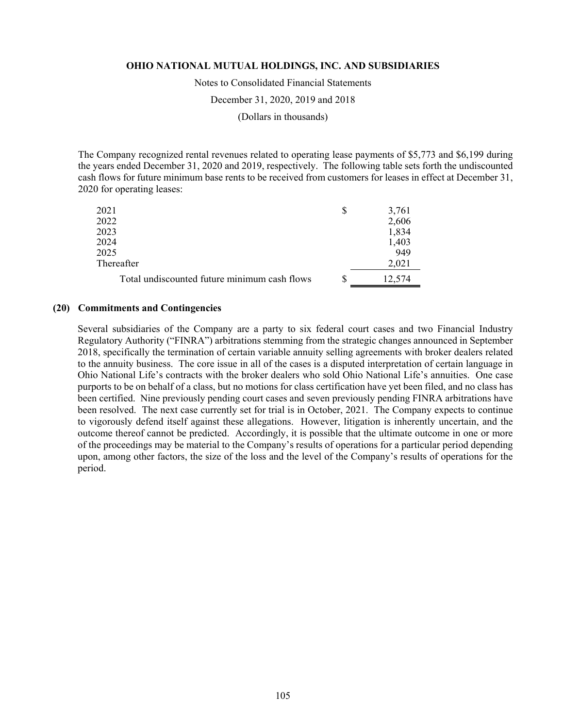Notes to Consolidated Financial Statements

December 31, 2020, 2019 and 2018

(Dollars in thousands)

The Company recognized rental revenues related to operating lease payments of \$5,773 and \$6,199 during the years ended December 31, 2020 and 2019, respectively. The following table sets forth the undiscounted cash flows for future minimum base rents to be received from customers for leases in effect at December 31, 2020 for operating leases:

| 2021                                         | S | 3,761  |
|----------------------------------------------|---|--------|
| 2022                                         |   | 2,606  |
| 2023                                         |   | 1,834  |
| 2024                                         |   | 1,403  |
| 2025                                         |   | 949    |
| Thereafter                                   |   | 2,021  |
| Total undiscounted future minimum cash flows | S | 12,574 |

#### **(20) Commitments and Contingencies**

Several subsidiaries of the Company are a party to six federal court cases and two Financial Industry Regulatory Authority ("FINRA") arbitrations stemming from the strategic changes announced in September 2018, specifically the termination of certain variable annuity selling agreements with broker dealers related to the annuity business. The core issue in all of the cases is a disputed interpretation of certain language in Ohio National Life's contracts with the broker dealers who sold Ohio National Life's annuities. One case purports to be on behalf of a class, but no motions for class certification have yet been filed, and no class has been certified. Nine previously pending court cases and seven previously pending FINRA arbitrations have been resolved. The next case currently set for trial is in October, 2021. The Company expects to continue to vigorously defend itself against these allegations. However, litigation is inherently uncertain, and the outcome thereof cannot be predicted. Accordingly, it is possible that the ultimate outcome in one or more of the proceedings may be material to the Company's results of operations for a particular period depending upon, among other factors, the size of the loss and the level of the Company's results of operations for the period.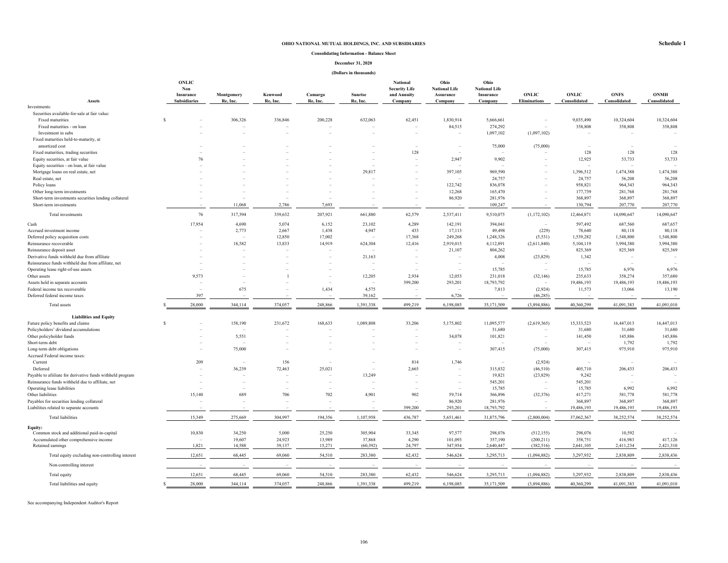#### **Consolidating Information - Balance Sheet**

#### **December 31, 2020**

#### **(Dollars in thousands)**

|                                                                 | <b>ONLIC</b>        |                 |          |          |                | National             | Ohio                     | Ohio                     |                          |                          |              |              |
|-----------------------------------------------------------------|---------------------|-----------------|----------|----------|----------------|----------------------|--------------------------|--------------------------|--------------------------|--------------------------|--------------|--------------|
|                                                                 | Non                 |                 |          |          |                | <b>Security Life</b> | <b>National Life</b>     | <b>National Life</b>     |                          |                          |              |              |
|                                                                 | Insurance           | Montgomery      | Kenwood  | Camargo  | <b>Sunrise</b> | and Annuity          | Assurance                | Insurance                | <b>ONLIC</b>             | <b>ONLIC</b>             | <b>ONFS</b>  | <b>ONMH</b>  |
| <b>Assets</b><br>Investments:                                   | <b>Subsidiaries</b> | Re, Inc.        | Re, Inc. | Re, Inc. | Re, Inc.       | Company              | Company                  | Company                  | <b>Eliminations</b>      | Consolidated             | Consolidated | Consolidated |
| Securities available-for-sale at fair value:                    |                     |                 |          |          |                |                      |                          |                          |                          |                          |              |              |
| Fixed maturities                                                | \$.                 | 306,326         | 336,846  | 200,228  | 632,063        | 62,451               | 1,830,914                | 5,666,661                |                          | 9,035,490                | 10,324,604   | 10,324,604   |
| Fixed maturities - on loan                                      |                     |                 |          |          |                |                      |                          | 274.292                  |                          |                          |              |              |
|                                                                 |                     |                 |          |          |                |                      | 84,515                   |                          |                          | 358,808                  | 358,808      | 358,808      |
| Investment in subs                                              |                     |                 |          |          |                |                      |                          | 1,097,102                | (1,097,102)              |                          |              |              |
| Fixed maturities held-to-maturity, at<br>amortized cost         |                     |                 |          |          |                |                      | $\overline{\phantom{a}}$ | 75,000                   |                          |                          |              |              |
|                                                                 |                     |                 |          |          |                |                      |                          |                          | (75,000)                 | ۰<br>128                 | 128          |              |
| Fixed maturities, trading securities                            |                     | 76              |          |          |                | 128                  | ۰                        |                          |                          |                          |              | 128          |
| Equity securities, at fair value                                |                     |                 |          |          |                |                      | 2,947                    | 9,902                    |                          | 12,925                   | 53,733       | 53,733       |
| Equity securities - on loan, at fair value                      |                     |                 |          |          |                |                      |                          |                          |                          |                          |              |              |
| Mortgage loans on real estate, net                              |                     |                 |          |          | 29,817         |                      | 397,105                  | 969,590                  |                          | 1,396,512                | 1,474,388    | 1,474,388    |
| Real estate, net                                                |                     |                 |          |          |                |                      |                          | 24,757                   |                          | 24,757                   | 56,208       | 56,208       |
| Policy loans                                                    |                     |                 |          |          |                |                      | 122,742                  | 836,078                  |                          | 958,821                  | 964,343      | 964,343      |
| Other long-term investments                                     |                     |                 |          |          |                |                      | 12,268                   | 165,470                  |                          | 177,739                  | 281,768      | 281,768      |
| Short-term investments securities lending collateral            |                     |                 |          |          |                |                      | 86,920                   | 281,976                  |                          | 368,897                  | 368,897      | 368,897      |
| Short-term investments                                          |                     | 11,068          | 2,786    | 7,693    |                |                      |                          | 109,247                  |                          | 130,794                  | 207,770      | 207,770      |
| Total investments                                               |                     | 76<br>317,394   | 339,632  | 207,921  | 661,880        | 62,579               | 2,537,411                | 9,510,075                | (1,172,102)              | 12,464,871               | 14,090,647   | 14,090,647   |
| Cash                                                            | 17,954              | 4,690           | 5,074    | 6,152    | 23,102         | 4,289                | 142,191                  | 394,041                  |                          | 597,492                  | 687,560      | 687,657      |
| Accrued investment income                                       |                     | 2,773           | 2,667    | 1,438    | 4,947          | 433                  | 17,113                   | 49,498                   | (229)                    | 78,640                   | 80,118       | 80,118       |
| Deferred policy acquisition costs                               |                     |                 | 12,850   | 17,002   |                | 17,368               | 249,268                  | 1,248,326                | (5, 531)                 | 1,539,282                | 1,548,800    | 1,548,800    |
| Reinsurance recoverable                                         |                     | 18,582          | 13,833   | 14,919   | 624,304        | 12,416               | 2,919,015                | 4,112,891                | (2,611,840)              | 5,104,119                | 3,994,380    | 3,994,380    |
| Reinsurance deposit asset                                       |                     |                 |          |          |                |                      | 21,107                   | 804,262                  |                          | 825,369                  | 825,369      | 825,369      |
| Derivative funds withheld due from affiliate                    |                     |                 |          |          | 21,163         |                      |                          | 4,008                    | (23, 829)                | 1,342                    |              |              |
| Reinsurance funds withheld due from affiliate, net              |                     |                 |          |          | ۰              |                      | ۰                        |                          |                          |                          |              |              |
| Operating lease right-of-use assets                             |                     |                 |          |          |                |                      |                          | 15,785                   |                          | 15,785                   | 6,976        | 6,976        |
| Other assets                                                    |                     | 9,573           |          |          | 12,205         | 2,934                | 12,053                   | 231,018                  | (32, 146)                | 235,633                  | 358,274      | 357,680      |
| Assets held in separate accounts                                |                     |                 |          |          |                | 399,200              |                          | 18,793,792               | $\overline{\phantom{a}}$ | 19,486,193               |              |              |
|                                                                 |                     | 675             |          |          | 4,575          |                      | 293,201                  |                          |                          |                          | 19,486,193   | 19,486,193   |
| Federal income tax recoverable<br>Deferred federal income taxes |                     | 397             |          | 1,434    |                |                      |                          | 7,813                    | (2,924)<br>(46, 285)     | 11,573                   | 13,066       | 13,190       |
|                                                                 |                     |                 |          |          | 39,162         |                      | 6,726                    |                          |                          |                          |              |              |
| Total assets                                                    | 28,000              | 344,114         | 374,057  | 248,866  | 1,391,338      | 499,219              | 6,198,085                | 35,171,509               | (3,894,886)              | 40,360,299               | 41,091,383   | 41,091,010   |
| <b>Liabilities and Equity</b>                                   |                     |                 |          |          |                |                      |                          |                          |                          |                          |              |              |
| Future policy benefits and claims                               | s                   | 158,190         | 231,672  | 168,633  | 1,089,808      | 33,206               | 5,175,802                | 11,095,577               | (2,619,365)              | 15,333,523               | 16,447,013   | 16,447,013   |
| Policyholders' dividend accumulations                           |                     |                 |          |          |                |                      |                          | 31,680                   |                          | 31,680                   | 31,680       | 31,680       |
| Other policyholder funds                                        |                     | 5,551           |          |          |                |                      | 34,078                   | 101,821                  | $\overline{\phantom{a}}$ | 141,450                  | 145,886      | 145,886      |
| Short-term debt                                                 |                     |                 |          |          |                |                      |                          | $\overline{\phantom{a}}$ |                          | $\overline{\phantom{a}}$ | 1,792        | 1,792        |
| Long-term debt obligations                                      |                     | 75,000          |          |          |                |                      |                          | 307,415                  | (75,000)                 | 307,415                  | 975,910      | 975,910      |
| Accrued Federal income taxes:                                   |                     |                 |          |          |                |                      |                          |                          |                          |                          |              |              |
| Current                                                         |                     | 209             | 156      |          |                | 814                  | 1,746                    | $\overline{\phantom{a}}$ | (2,924)                  | ٠                        |              |              |
| Deferred                                                        |                     | 36,239          | 72,463   | 25,021   | $\sim$         | 2,665                |                          | 315,832                  | (46,510)                 | 405,710                  | 206,433      | 206,433      |
| Payable to afiiliate for derivative funds withheld program      |                     |                 |          |          | 13,249         |                      |                          | 19,821                   | (23,829)                 | 9,242                    |              |              |
| Reinsurance funds withheld due to affiliate, net                |                     |                 |          |          |                |                      |                          | 545,201                  |                          | 545,201                  | $\sim$       |              |
| Operating lease liabilities                                     |                     |                 |          |          |                |                      |                          | 15,785                   |                          | 15,785                   | 6,992        | 6,992        |
| Other liabilities                                               | 15,140              | 689             | 706      | 702      | 4,901          | 902                  | 59,714                   | 366,896                  | (32, 376)                | 417,271                  | 581,778      | 581,778      |
| Payables for securities lending collateral                      |                     |                 |          |          |                |                      | 86,920                   | 281,976                  |                          | 368,897                  | 368,897      | 368,897      |
| Liabilities related to separate accounts                        |                     |                 |          |          |                | 399,200              | 293,201                  | 18,793,792               |                          | 19,486,193               | 19,486,193   | 19,486,193   |
|                                                                 |                     |                 |          |          |                |                      |                          |                          |                          |                          |              |              |
| <b>Total liabilities</b>                                        | 15,349              | 275,669         | 304.997  | 194.356  | 1,107,958      | 436,787              | 5,651,461                | 31,875,796               | (2,800,004)              | 37,062,367               | 38,252,574   | 38,252,574   |
| Equity:                                                         |                     |                 |          |          |                |                      |                          |                          |                          |                          |              |              |
| Common stock and additional paid-in-capital                     | 10,830              | 34,250          | 5,000    | 25,250   | 305,904        | 33,345               | 97,577                   | 298,076                  | (512, 155)               | 298,076                  | 10,592       |              |
| Accumulated other comprehensive income                          |                     | 19,607          | 24,923   | 13,989   | 37,868         | 4,290                | 101,093                  | 357,190                  | (200, 211)               | 358,751                  | 416,983      | 417,126      |
| Retained earnings                                               |                     | 1,821<br>14.588 | 39,137   | 15,271   | (60, 392)      | 24,797               | 347,954                  | 2,640,447                | (382, 516)               | 2,641,105                | 2,411,234    | 2,421,310    |
| Total equity excluding non-controlling interest                 | 12,651              | 68,445          | 69,060   | 54,510   | 283,380        | 62,432               | 546,624                  | 3,295,713                | (1,094,882)              | 3,297,932                | 2,838,809    | 2,838,436    |
| Non-controlling interest                                        |                     |                 |          |          |                |                      |                          |                          |                          |                          |              |              |
| Total equity                                                    | 12.651              | 68,445          | 69,060   | 54,510   | 283,380        | 62,432               | 546,624                  | 3.295.713                | (1,094,882)              | 3,297,932                | 2,838,809    | 2,838,436    |
| Total liabilities and equity                                    | 28,000              | 344,114         | 374,057  | 248,866  | 1,391,338      | 499,219              | 6,198,085                | 35,171,509               | (3,894,886)              | 40,360,299               | 41,091,383   | 41,091,010   |

See accompanying Independent Auditor's Report